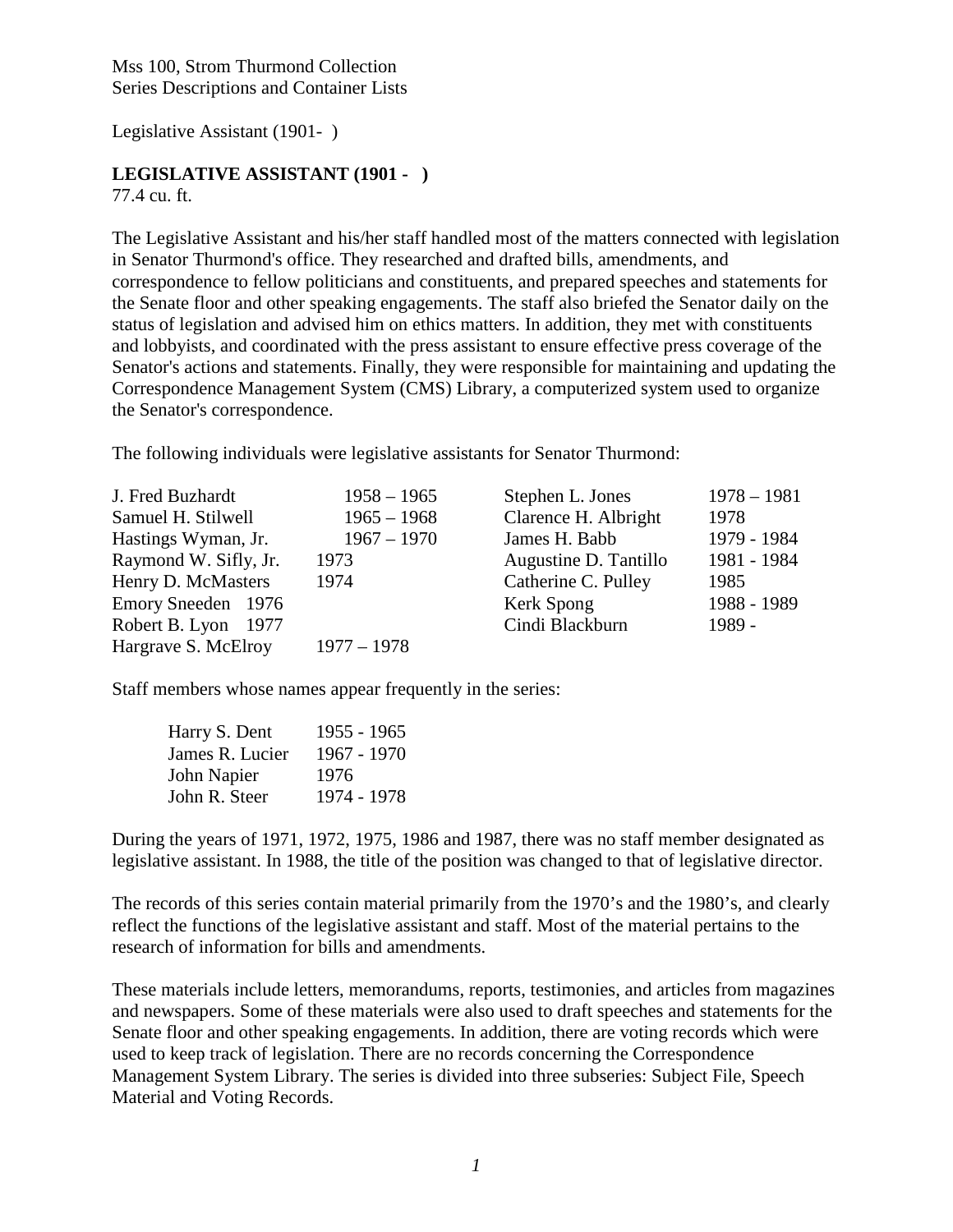Legislative Assistant (1901- )

### **LEGISLATIVE ASSISTANT (1901 - )**

77.4 cu. ft.

The Legislative Assistant and his/her staff handled most of the matters connected with legislation in Senator Thurmond's office. They researched and drafted bills, amendments, and correspondence to fellow politicians and constituents, and prepared speeches and statements for the Senate floor and other speaking engagements. The staff also briefed the Senator daily on the status of legislation and advised him on ethics matters. In addition, they met with constituents and lobbyists, and coordinated with the press assistant to ensure effective press coverage of the Senator's actions and statements. Finally, they were responsible for maintaining and updating the Correspondence Management System (CMS) Library, a computerized system used to organize the Senator's correspondence.

The following individuals were legislative assistants for Senator Thurmond:

| J. Fred Buzhardt      | $1958 - 1965$ | Stephen L. Jones      | $1978 - 1981$ |
|-----------------------|---------------|-----------------------|---------------|
| Samuel H. Stilwell    | $1965 - 1968$ | Clarence H. Albright  | 1978          |
| Hastings Wyman, Jr.   | $1967 - 1970$ | James H. Babb         | 1979 - 1984   |
| Raymond W. Sifly, Jr. | 1973          | Augustine D. Tantillo | 1981 - 1984   |
| Henry D. McMasters    | 1974          | Catherine C. Pulley   | 1985          |
| Emory Sneeden 1976    |               | Kerk Spong            | 1988 - 1989   |
| Robert B. Lyon 1977   |               | Cindi Blackburn       | $1989 -$      |
| Hargrave S. McElroy   | $1977 - 1978$ |                       |               |

Staff members whose names appear frequently in the series:

| Harry S. Dent   | $1955 - 1965$ |
|-----------------|---------------|
| James R. Lucier | $1967 - 1970$ |
| John Napier     | 1976          |
| John R. Steer   | 1974 - 1978   |

During the years of 1971, 1972, 1975, 1986 and 1987, there was no staff member designated as legislative assistant. In 1988, the title of the position was changed to that of legislative director.

The records of this series contain material primarily from the 1970's and the 1980's, and clearly reflect the functions of the legislative assistant and staff. Most of the material pertains to the research of information for bills and amendments.

These materials include letters, memorandums, reports, testimonies, and articles from magazines and newspapers. Some of these materials were also used to draft speeches and statements for the Senate floor and other speaking engagements. In addition, there are voting records which were used to keep track of legislation. There are no records concerning the Correspondence Management System Library. The series is divided into three subseries: Subject File, Speech Material and Voting Records.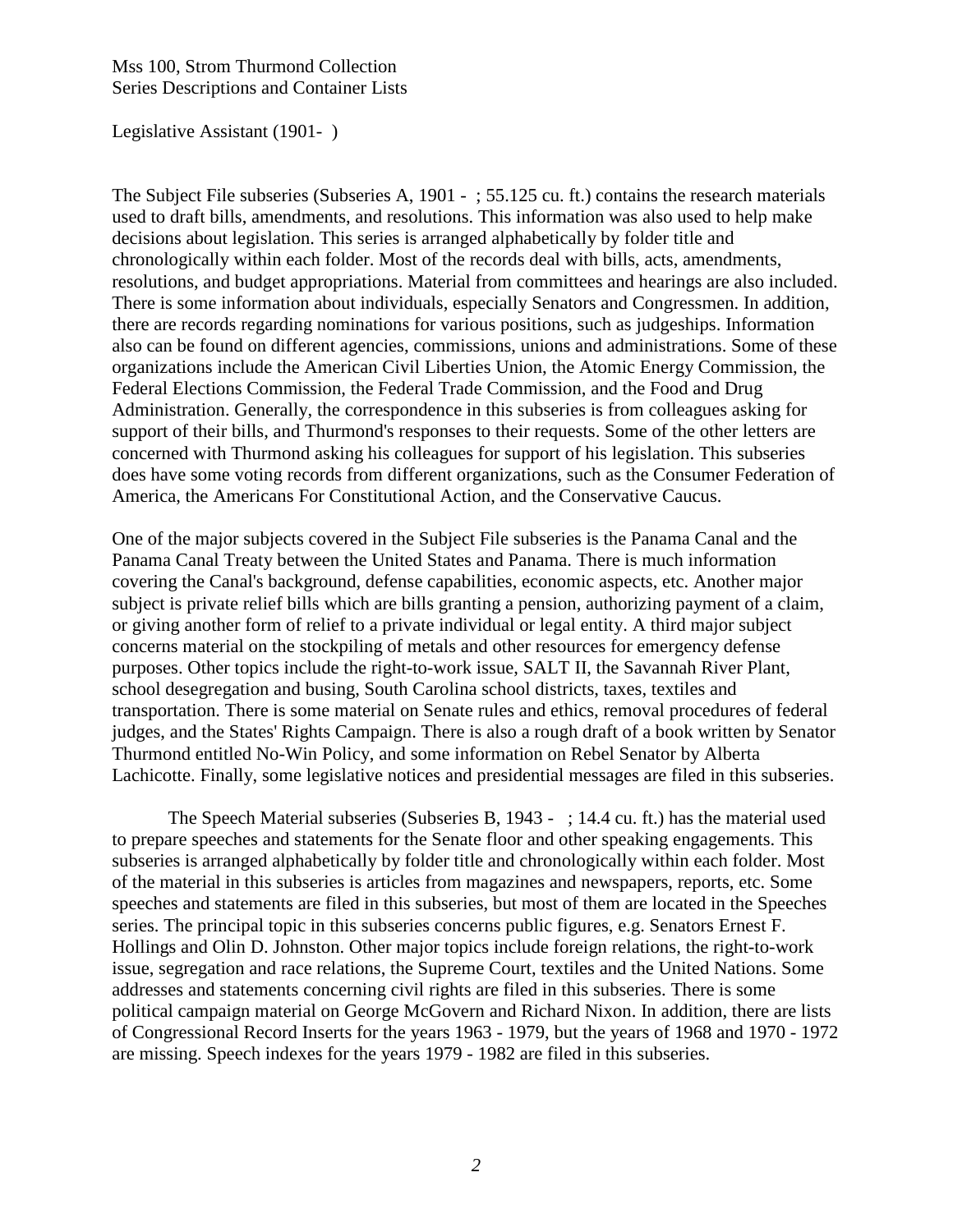#### Legislative Assistant (1901- )

The Subject File subseries (Subseries A, 1901 - ; 55.125 cu. ft.) contains the research materials used to draft bills, amendments, and resolutions. This information was also used to help make decisions about legislation. This series is arranged alphabetically by folder title and chronologically within each folder. Most of the records deal with bills, acts, amendments, resolutions, and budget appropriations. Material from committees and hearings are also included. There is some information about individuals, especially Senators and Congressmen. In addition, there are records regarding nominations for various positions, such as judgeships. Information also can be found on different agencies, commissions, unions and administrations. Some of these organizations include the American Civil Liberties Union, the Atomic Energy Commission, the Federal Elections Commission, the Federal Trade Commission, and the Food and Drug Administration. Generally, the correspondence in this subseries is from colleagues asking for support of their bills, and Thurmond's responses to their requests. Some of the other letters are concerned with Thurmond asking his colleagues for support of his legislation. This subseries does have some voting records from different organizations, such as the Consumer Federation of America, the Americans For Constitutional Action, and the Conservative Caucus.

One of the major subjects covered in the Subject File subseries is the Panama Canal and the Panama Canal Treaty between the United States and Panama. There is much information covering the Canal's background, defense capabilities, economic aspects, etc. Another major subject is private relief bills which are bills granting a pension, authorizing payment of a claim, or giving another form of relief to a private individual or legal entity. A third major subject concerns material on the stockpiling of metals and other resources for emergency defense purposes. Other topics include the right-to-work issue, SALT II, the Savannah River Plant, school desegregation and busing, South Carolina school districts, taxes, textiles and transportation. There is some material on Senate rules and ethics, removal procedures of federal judges, and the States' Rights Campaign. There is also a rough draft of a book written by Senator Thurmond entitled No-Win Policy, and some information on Rebel Senator by Alberta Lachicotte. Finally, some legislative notices and presidential messages are filed in this subseries.

 The Speech Material subseries (Subseries B, 1943 - ; 14.4 cu. ft.) has the material used to prepare speeches and statements for the Senate floor and other speaking engagements. This subseries is arranged alphabetically by folder title and chronologically within each folder. Most of the material in this subseries is articles from magazines and newspapers, reports, etc. Some speeches and statements are filed in this subseries, but most of them are located in the Speeches series. The principal topic in this subseries concerns public figures, e.g. Senators Ernest F. Hollings and Olin D. Johnston. Other major topics include foreign relations, the right-to-work issue, segregation and race relations, the Supreme Court, textiles and the United Nations. Some addresses and statements concerning civil rights are filed in this subseries. There is some political campaign material on George McGovern and Richard Nixon. In addition, there are lists of Congressional Record Inserts for the years 1963 - 1979, but the years of 1968 and 1970 - 1972 are missing. Speech indexes for the years 1979 - 1982 are filed in this subseries.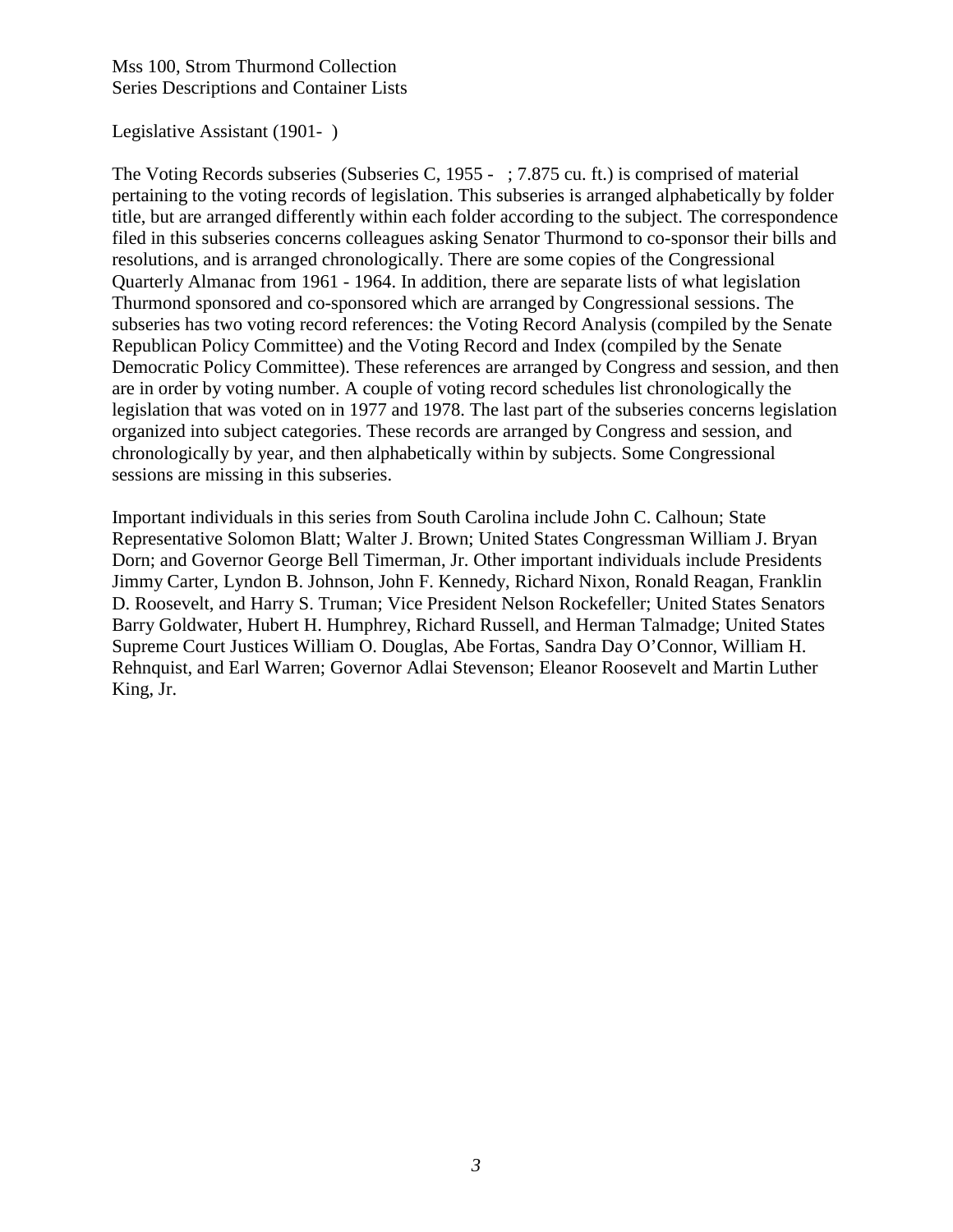#### Legislative Assistant (1901- )

The Voting Records subseries (Subseries C, 1955 - ; 7.875 cu. ft.) is comprised of material pertaining to the voting records of legislation. This subseries is arranged alphabetically by folder title, but are arranged differently within each folder according to the subject. The correspondence filed in this subseries concerns colleagues asking Senator Thurmond to co-sponsor their bills and resolutions, and is arranged chronologically. There are some copies of the Congressional Quarterly Almanac from 1961 - 1964. In addition, there are separate lists of what legislation Thurmond sponsored and co-sponsored which are arranged by Congressional sessions. The subseries has two voting record references: the Voting Record Analysis (compiled by the Senate Republican Policy Committee) and the Voting Record and Index (compiled by the Senate Democratic Policy Committee). These references are arranged by Congress and session, and then are in order by voting number. A couple of voting record schedules list chronologically the legislation that was voted on in 1977 and 1978. The last part of the subseries concerns legislation organized into subject categories. These records are arranged by Congress and session, and chronologically by year, and then alphabetically within by subjects. Some Congressional sessions are missing in this subseries.

Important individuals in this series from South Carolina include John C. Calhoun; State Representative Solomon Blatt; Walter J. Brown; United States Congressman William J. Bryan Dorn; and Governor George Bell Timerman, Jr. Other important individuals include Presidents Jimmy Carter, Lyndon B. Johnson, John F. Kennedy, Richard Nixon, Ronald Reagan, Franklin D. Roosevelt, and Harry S. Truman; Vice President Nelson Rockefeller; United States Senators Barry Goldwater, Hubert H. Humphrey, Richard Russell, and Herman Talmadge; United States Supreme Court Justices William O. Douglas, Abe Fortas, Sandra Day O'Connor, William H. Rehnquist, and Earl Warren; Governor Adlai Stevenson; Eleanor Roosevelt and Martin Luther King, Jr.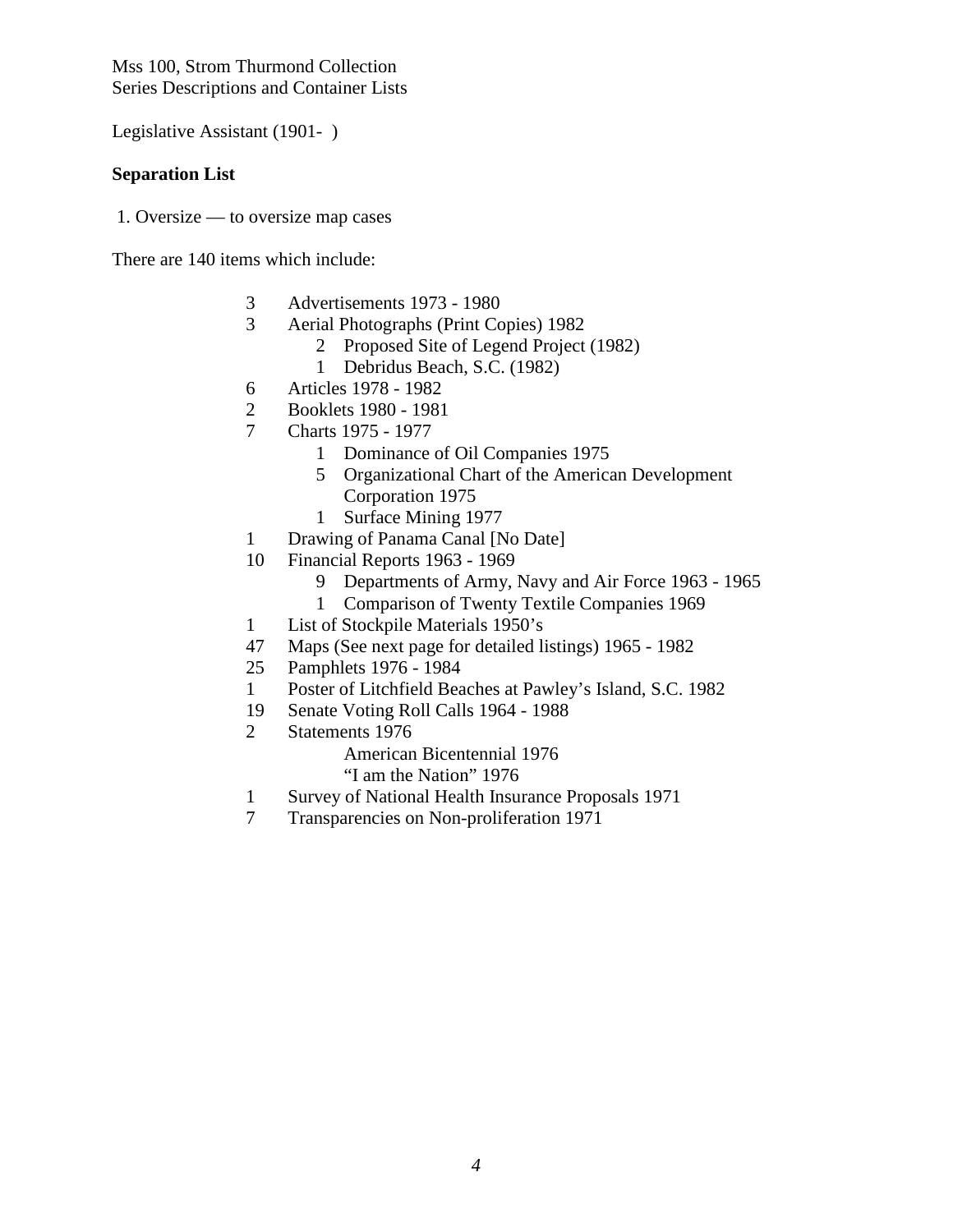Legislative Assistant (1901- )

#### **Separation List**

1. Oversize — to oversize map cases

There are 140 items which include:

- 3 Advertisements 1973 1980
- 3 Aerial Photographs (Print Copies) 1982
	- 2 Proposed Site of Legend Project (1982)
	- 1 Debridus Beach, S.C. (1982)
- 6 Articles 1978 1982
- 2 Booklets 1980 1981
- 7 Charts 1975 1977
	- 1 Dominance of Oil Companies 1975
	- 5 Organizational Chart of the American Development Corporation 1975
	- 1 Surface Mining 1977
- 1 Drawing of Panama Canal [No Date]
- 10 Financial Reports 1963 1969
	- 9 Departments of Army, Navy and Air Force 1963 1965
	- 1 Comparison of Twenty Textile Companies 1969
- 1 List of Stockpile Materials 1950's
- 47 Maps (See next page for detailed listings) 1965 1982
- 25 Pamphlets 1976 1984
- 1 Poster of Litchfield Beaches at Pawley's Island, S.C. 1982
- 19 Senate Voting Roll Calls 1964 1988
- 2 Statements 1976

American Bicentennial 1976

- "I am the Nation" 1976
- 1 Survey of National Health Insurance Proposals 1971
- 7 Transparencies on Non-proliferation 1971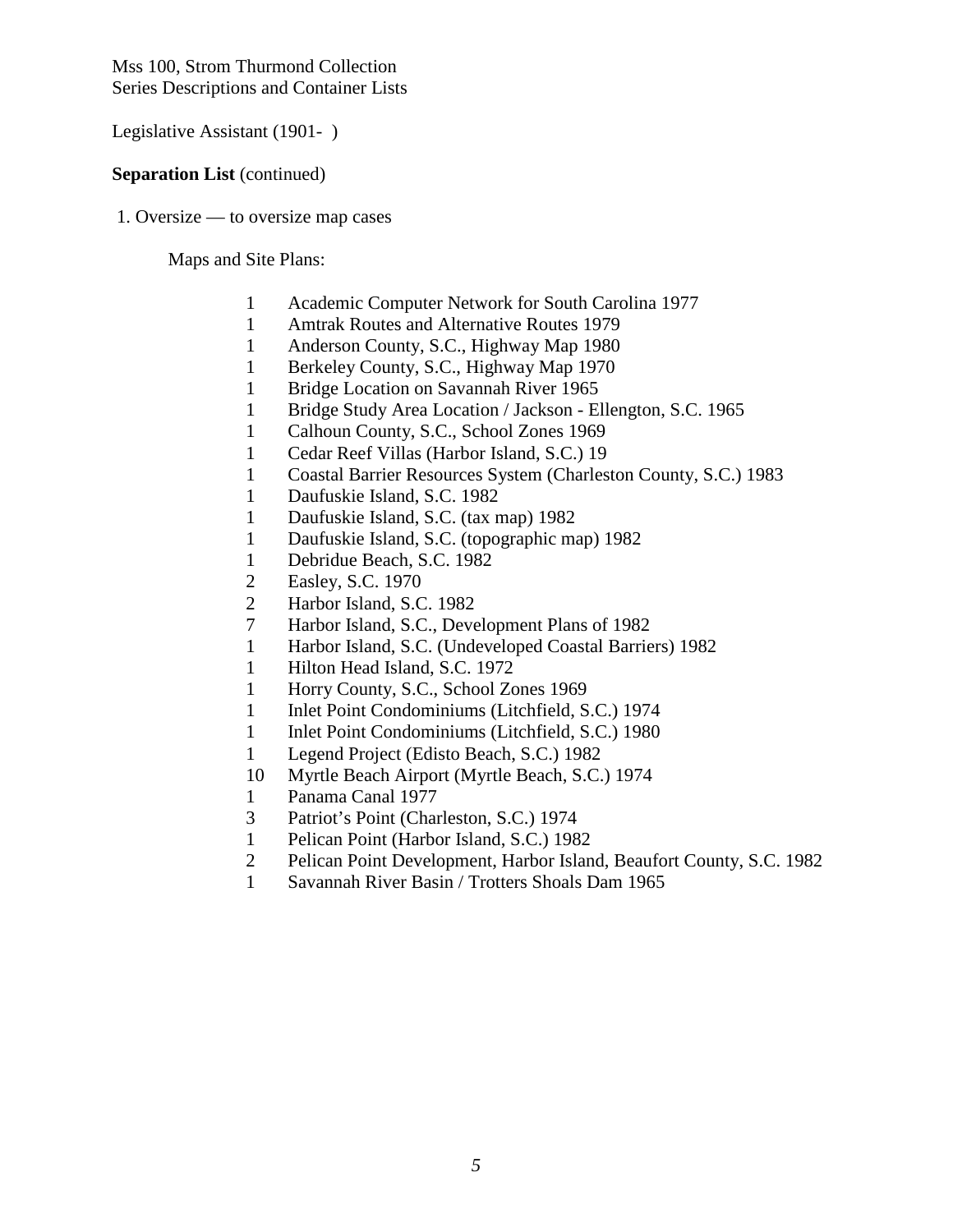Legislative Assistant (1901- )

#### **Separation List** (continued)

1. Oversize — to oversize map cases

Maps and Site Plans:

- 1 Academic Computer Network for South Carolina 1977
- 1 Amtrak Routes and Alternative Routes 1979
- 1 Anderson County, S.C., Highway Map 1980
- 1 Berkeley County, S.C., Highway Map 1970
- 1 Bridge Location on Savannah River 1965
- 1 Bridge Study Area Location / Jackson Ellengton, S.C. 1965
- 1 Calhoun County, S.C., School Zones 1969
- 1 Cedar Reef Villas (Harbor Island, S.C.) 19
- 1 Coastal Barrier Resources System (Charleston County, S.C.) 1983
- 1 Daufuskie Island, S.C. 1982
- 1 Daufuskie Island, S.C. (tax map) 1982
- 1 Daufuskie Island, S.C. (topographic map) 1982
- 1 Debridue Beach, S.C. 1982
- 2 Easley, S.C. 1970
- 2 Harbor Island, S.C. 1982
- 7 Harbor Island, S.C., Development Plans of 1982
- 1 Harbor Island, S.C. (Undeveloped Coastal Barriers) 1982
- 1 Hilton Head Island, S.C. 1972
- 1 Horry County, S.C., School Zones 1969
- 1 Inlet Point Condominiums (Litchfield, S.C.) 1974
- 1 Inlet Point Condominiums (Litchfield, S.C.) 1980
- 1 Legend Project (Edisto Beach, S.C.) 1982
- 10 Myrtle Beach Airport (Myrtle Beach, S.C.) 1974
- 1 Panama Canal 1977
- 3 Patriot's Point (Charleston, S.C.) 1974
- 1 Pelican Point (Harbor Island, S.C.) 1982
- 2 Pelican Point Development, Harbor Island, Beaufort County, S.C. 1982
- 1 Savannah River Basin / Trotters Shoals Dam 1965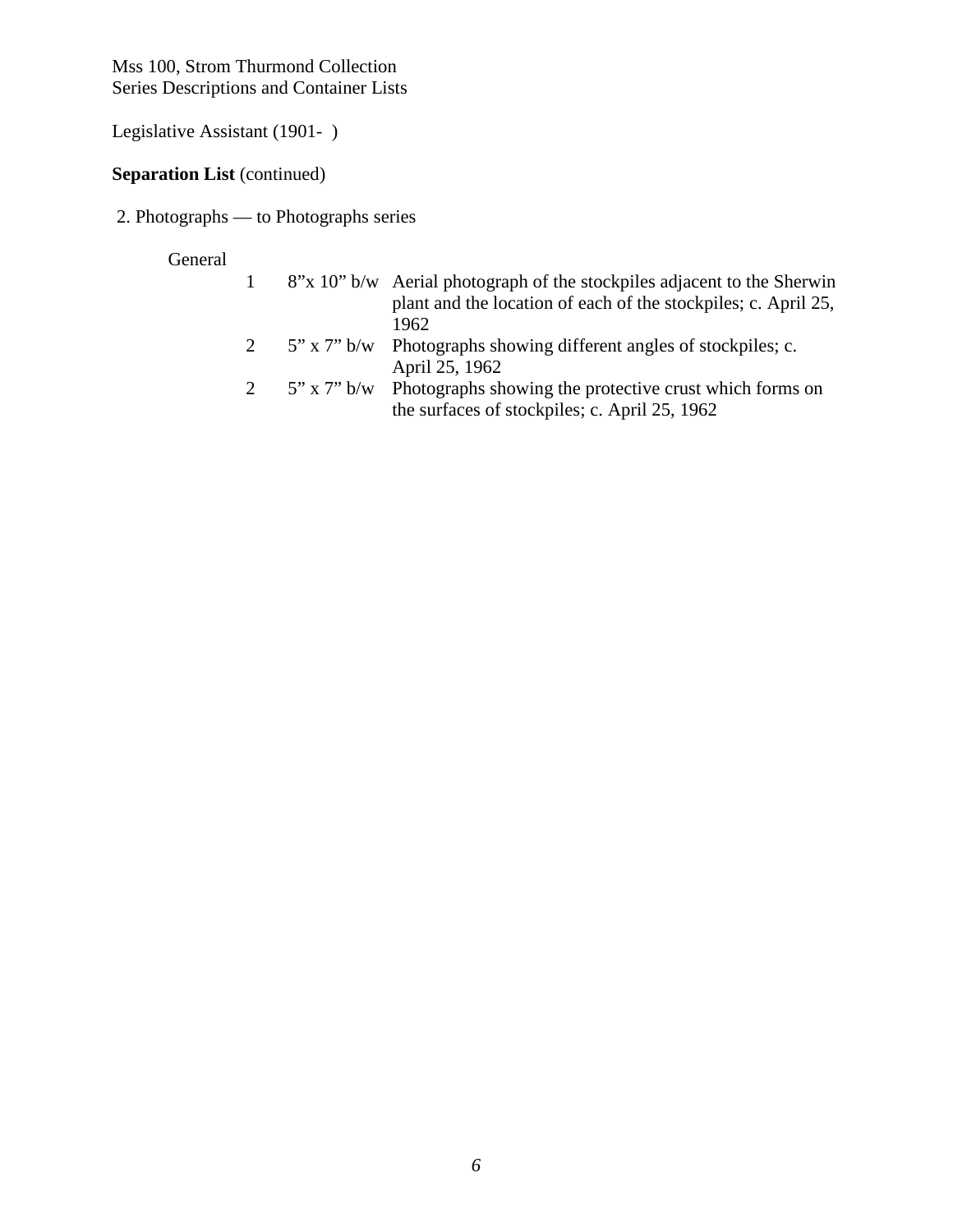Legislative Assistant (1901- )

### **Separation List** (continued)

2. Photographs — to Photographs series

### General

|  | 8"x 10" b/w Aerial photograph of the stockpiles adjacent to the Sherwin |
|--|-------------------------------------------------------------------------|
|  | plant and the location of each of the stockpiles; c. April 25,          |
|  | 1962                                                                    |
|  | 5" x 7" b/w Photographs showing different angles of stockpiles; c.      |
|  | April 25, 1962                                                          |

2 5" x 7" b/w Photographs showing the protective crust which forms on the surfaces of stockpiles; c. April 25, 1962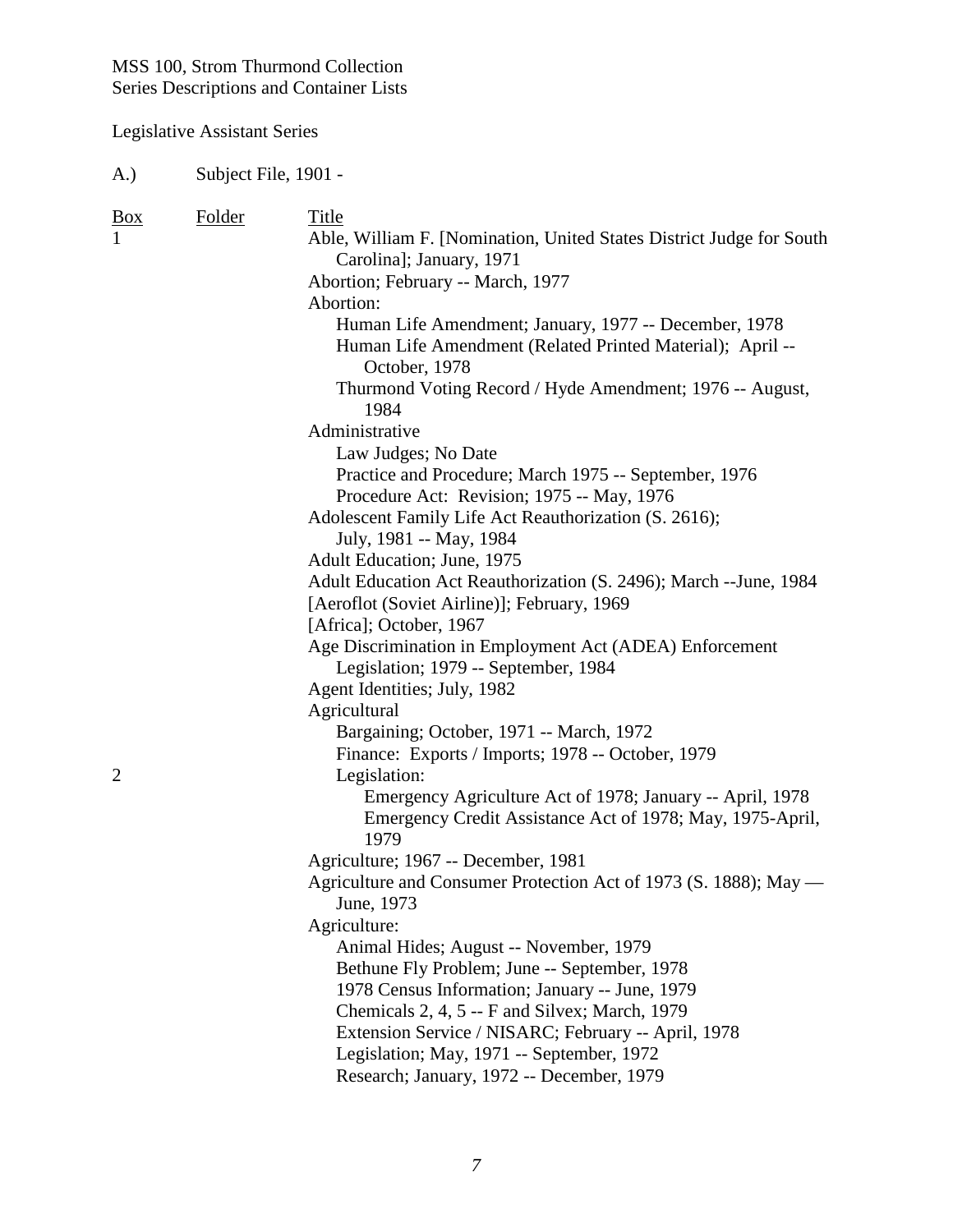## Legislative Assistant Series

| <b>Box</b><br>$\mathbf{1}$ | Folder | Title                                                                                           |
|----------------------------|--------|-------------------------------------------------------------------------------------------------|
|                            |        | Able, William F. [Nomination, United States District Judge for South                            |
|                            |        | Carolina]; January, 1971                                                                        |
|                            |        | Abortion; February -- March, 1977<br>Abortion:                                                  |
|                            |        | Human Life Amendment; January, 1977 -- December, 1978                                           |
|                            |        | Human Life Amendment (Related Printed Material); April --<br>October, 1978                      |
|                            |        | Thurmond Voting Record / Hyde Amendment; 1976 -- August,<br>1984                                |
|                            |        | Administrative                                                                                  |
|                            |        | Law Judges; No Date                                                                             |
|                            |        | Practice and Procedure; March 1975 -- September, 1976                                           |
|                            |        | Procedure Act: Revision; 1975 -- May, 1976                                                      |
|                            |        | Adolescent Family Life Act Reauthorization (S. 2616);                                           |
|                            |        | July, 1981 -- May, 1984                                                                         |
|                            |        | Adult Education; June, 1975                                                                     |
|                            |        | Adult Education Act Reauthorization (S. 2496); March -- June, 1984                              |
|                            |        | [Aeroflot (Soviet Airline)]; February, 1969                                                     |
|                            |        | [Africa]; October, 1967                                                                         |
|                            |        | Age Discrimination in Employment Act (ADEA) Enforcement<br>Legislation; 1979 -- September, 1984 |
|                            |        | Agent Identities; July, 1982                                                                    |
|                            |        | Agricultural                                                                                    |
|                            |        | Bargaining; October, 1971 -- March, 1972                                                        |
|                            |        | Finance: Exports / Imports; 1978 -- October, 1979                                               |
| $\overline{2}$             |        | Legislation:                                                                                    |
|                            |        | Emergency Agriculture Act of 1978; January -- April, 1978                                       |
|                            |        | Emergency Credit Assistance Act of 1978; May, 1975-April,<br>1979                               |
|                            |        | Agriculture; 1967 -- December, 1981                                                             |
|                            |        | Agriculture and Consumer Protection Act of 1973 (S. 1888); May —                                |
|                            |        | June, 1973                                                                                      |
|                            |        | Agriculture:                                                                                    |
|                            |        | Animal Hides; August -- November, 1979                                                          |
|                            |        | Bethune Fly Problem; June -- September, 1978                                                    |
|                            |        | 1978 Census Information; January -- June, 1979                                                  |
|                            |        | Chemicals 2, 4, 5 -- F and Silvex; March, 1979                                                  |
|                            |        | Extension Service / NISARC; February -- April, 1978                                             |
|                            |        | Legislation; May, 1971 -- September, 1972                                                       |
|                            |        | Research; January, 1972 -- December, 1979                                                       |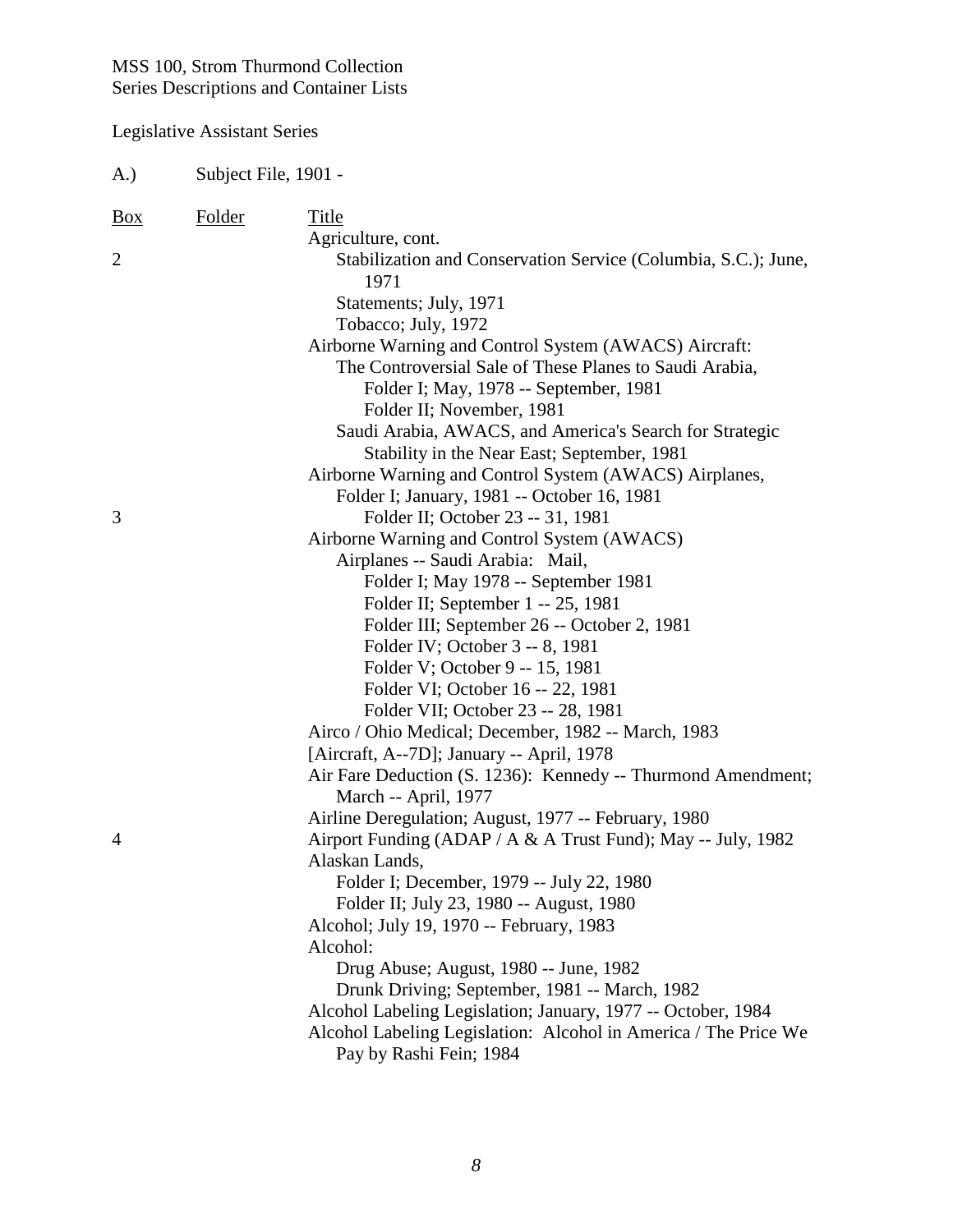| A.)            | Subject File, 1901 - |                                                                                |
|----------------|----------------------|--------------------------------------------------------------------------------|
| <u>Box</u>     | <b>Folder</b>        | Title                                                                          |
|                |                      | Agriculture, cont.                                                             |
| $\overline{2}$ |                      | Stabilization and Conservation Service (Columbia, S.C.); June,<br>1971         |
|                |                      | Statements; July, 1971                                                         |
|                |                      | Tobacco; July, 1972                                                            |
|                |                      | Airborne Warning and Control System (AWACS) Aircraft:                          |
|                |                      | The Controversial Sale of These Planes to Saudi Arabia,                        |
|                |                      | Folder I; May, 1978 -- September, 1981                                         |
|                |                      | Folder II; November, 1981                                                      |
|                |                      | Saudi Arabia, AWACS, and America's Search for Strategic                        |
|                |                      | Stability in the Near East; September, 1981                                    |
|                |                      | Airborne Warning and Control System (AWACS) Airplanes,                         |
|                |                      | Folder I; January, 1981 -- October 16, 1981                                    |
| 3              |                      | Folder II; October 23 -- 31, 1981                                              |
|                |                      | Airborne Warning and Control System (AWACS)                                    |
|                |                      | Airplanes -- Saudi Arabia: Mail,                                               |
|                |                      | Folder I; May 1978 -- September 1981                                           |
|                |                      | Folder II; September 1 -- 25, 1981                                             |
|                |                      | Folder III; September 26 -- October 2, 1981                                    |
|                |                      | Folder IV; October 3 -- 8, 1981                                                |
|                |                      | Folder V; October 9 -- 15, 1981                                                |
|                |                      | Folder VI; October 16 -- 22, 1981                                              |
|                |                      | Folder VII; October 23 -- 28, 1981                                             |
|                |                      | Airco / Ohio Medical; December, 1982 -- March, 1983                            |
|                |                      | [Aircraft, A--7D]; January -- April, 1978                                      |
|                |                      | Air Fare Deduction (S. 1236): Kennedy -- Thurmond Amendment;                   |
|                |                      | March -- April, 1977                                                           |
|                |                      | Airline Deregulation; August, 1977 -- February, 1980                           |
| 4              |                      | Airport Funding (ADAP / A & A Trust Fund); May -- July, 1982<br>Alaskan Lands, |
|                |                      | Folder I; December, 1979 -- July 22, 1980                                      |
|                |                      | Folder II; July 23, 1980 -- August, 1980                                       |
|                |                      | Alcohol; July 19, 1970 -- February, 1983                                       |
|                |                      | Alcohol:                                                                       |
|                |                      | Drug Abuse; August, 1980 -- June, 1982                                         |
|                |                      | Drunk Driving; September, 1981 -- March, 1982                                  |
|                |                      | Alcohol Labeling Legislation; January, 1977 -- October, 1984                   |
|                |                      | Alcohol Labeling Legislation: Alcohol in America / The Price We                |
|                |                      | Pay by Rashi Fein; 1984                                                        |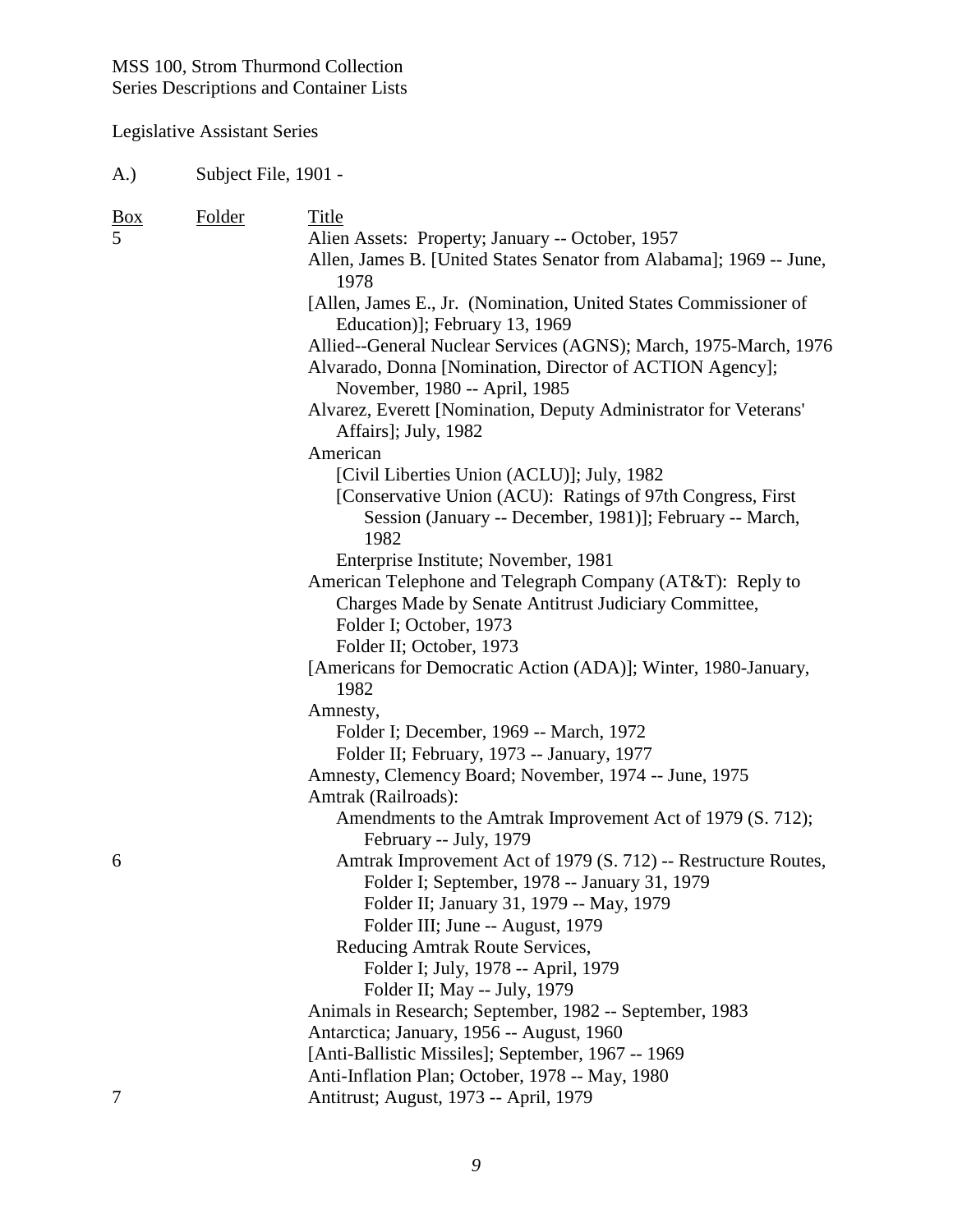## Legislative Assistant Series

| $_{\rm Box}$ | Folder | Title                                                                                                                          |
|--------------|--------|--------------------------------------------------------------------------------------------------------------------------------|
| 5            |        | Alien Assets: Property; January -- October, 1957                                                                               |
|              |        | Allen, James B. [United States Senator from Alabama]; 1969 -- June,<br>1978                                                    |
|              |        | [Allen, James E., Jr. (Nomination, United States Commissioner of<br>Education)]; February 13, 1969                             |
|              |        | Allied--General Nuclear Services (AGNS); March, 1975-March, 1976<br>Alvarado, Donna [Nomination, Director of ACTION Agency];   |
|              |        | November, 1980 -- April, 1985<br>Alvarez, Everett [Nomination, Deputy Administrator for Veterans'                              |
|              |        | Affairs]; July, 1982                                                                                                           |
|              |        | American                                                                                                                       |
|              |        | [Civil Liberties Union (ACLU)]; July, 1982                                                                                     |
|              |        | [Conservative Union (ACU): Ratings of 97th Congress, First<br>Session (January -- December, 1981)]; February -- March,<br>1982 |
|              |        | Enterprise Institute; November, 1981                                                                                           |
|              |        | American Telephone and Telegraph Company (AT&T): Reply to<br>Charges Made by Senate Antitrust Judiciary Committee,             |
|              |        | Folder I; October, 1973                                                                                                        |
|              |        | Folder II; October, 1973                                                                                                       |
|              |        | [Americans for Democratic Action (ADA)]; Winter, 1980-January,<br>1982                                                         |
|              |        | Amnesty,                                                                                                                       |
|              |        | Folder I; December, 1969 -- March, 1972                                                                                        |
|              |        | Folder II; February, 1973 -- January, 1977                                                                                     |
|              |        | Amnesty, Clemency Board; November, 1974 -- June, 1975                                                                          |
|              |        | Amtrak (Railroads):                                                                                                            |
|              |        | Amendments to the Amtrak Improvement Act of 1979 (S. 712);                                                                     |
| 6            |        | February -- July, 1979<br>Amtrak Improvement Act of 1979 (S. 712) -- Restructure Routes,                                       |
|              |        | Folder I; September, 1978 -- January 31, 1979                                                                                  |
|              |        | Folder II; January 31, 1979 -- May, 1979                                                                                       |
|              |        | Folder III; June -- August, 1979                                                                                               |
|              |        | Reducing Amtrak Route Services,                                                                                                |
|              |        | Folder I; July, 1978 -- April, 1979                                                                                            |
|              |        | Folder II; May -- July, 1979                                                                                                   |
|              |        | Animals in Research; September, 1982 -- September, 1983                                                                        |
|              |        | Antarctica; January, 1956 -- August, 1960                                                                                      |
|              |        | [Anti-Ballistic Missiles]; September, 1967 -- 1969                                                                             |
|              |        | Anti-Inflation Plan; October, 1978 -- May, 1980                                                                                |
| 7            |        | Antitrust; August, 1973 -- April, 1979                                                                                         |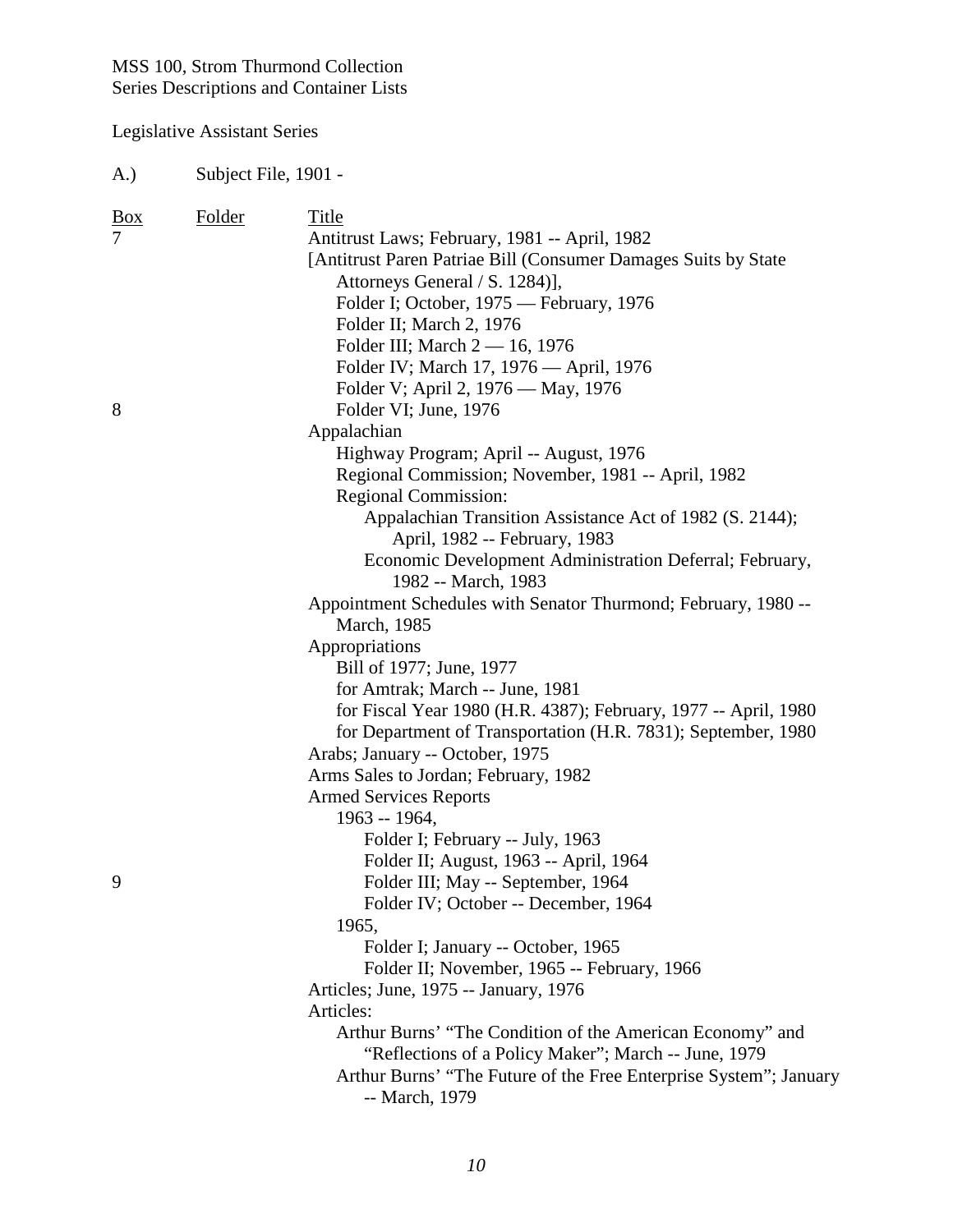Legislative Assistant Series

| <u>Box</u> | Folder | Title                                                             |
|------------|--------|-------------------------------------------------------------------|
|            |        | Antitrust Laws; February, 1981 -- April, 1982                     |
|            |        | [Antitrust Paren Patriae Bill (Consumer Damages Suits by State    |
|            |        | Attorneys General / S. 1284)],                                    |
|            |        | Folder I; October, 1975 — February, 1976                          |
|            |        | Folder II; March 2, 1976                                          |
|            |        | Folder III; March 2 - 16, 1976                                    |
|            |        | Folder IV; March 17, 1976 — April, 1976                           |
|            |        | Folder V; April 2, 1976 — May, 1976                               |
| 8          |        | Folder VI; June, 1976                                             |
|            |        | Appalachian                                                       |
|            |        | Highway Program; April -- August, 1976                            |
|            |        | Regional Commission; November, 1981 -- April, 1982                |
|            |        | <b>Regional Commission:</b>                                       |
|            |        | Appalachian Transition Assistance Act of 1982 (S. 2144);          |
|            |        | April, 1982 -- February, 1983                                     |
|            |        | Economic Development Administration Deferral; February,           |
|            |        | 1982 -- March, 1983                                               |
|            |        | Appointment Schedules with Senator Thurmond; February, 1980 --    |
|            |        | March, 1985                                                       |
|            |        | Appropriations                                                    |
|            |        | Bill of 1977; June, 1977                                          |
|            |        | for Amtrak; March -- June, 1981                                   |
|            |        | for Fiscal Year 1980 (H.R. 4387); February, 1977 -- April, 1980   |
|            |        | for Department of Transportation (H.R. 7831); September, 1980     |
|            |        | Arabs; January -- October, 1975                                   |
|            |        | Arms Sales to Jordan; February, 1982                              |
|            |        | <b>Armed Services Reports</b>                                     |
|            |        | 1963 -- 1964,                                                     |
|            |        | Folder I; February -- July, 1963                                  |
|            |        | Folder II; August, 1963 -- April, 1964                            |
| 9          |        | Folder III; May -- September, 1964                                |
|            |        | Folder IV; October -- December, 1964                              |
|            |        | 1965,                                                             |
|            |        | Folder I; January -- October, 1965                                |
|            |        | Folder II; November, 1965 -- February, 1966                       |
|            |        | Articles; June, 1975 -- January, 1976                             |
|            |        | Articles:                                                         |
|            |        | Arthur Burns' "The Condition of the American Economy" and         |
|            |        | "Reflections of a Policy Maker"; March -- June, 1979              |
|            |        | Arthur Burns' "The Future of the Free Enterprise System"; January |
|            |        | -- March, 1979                                                    |
|            |        |                                                                   |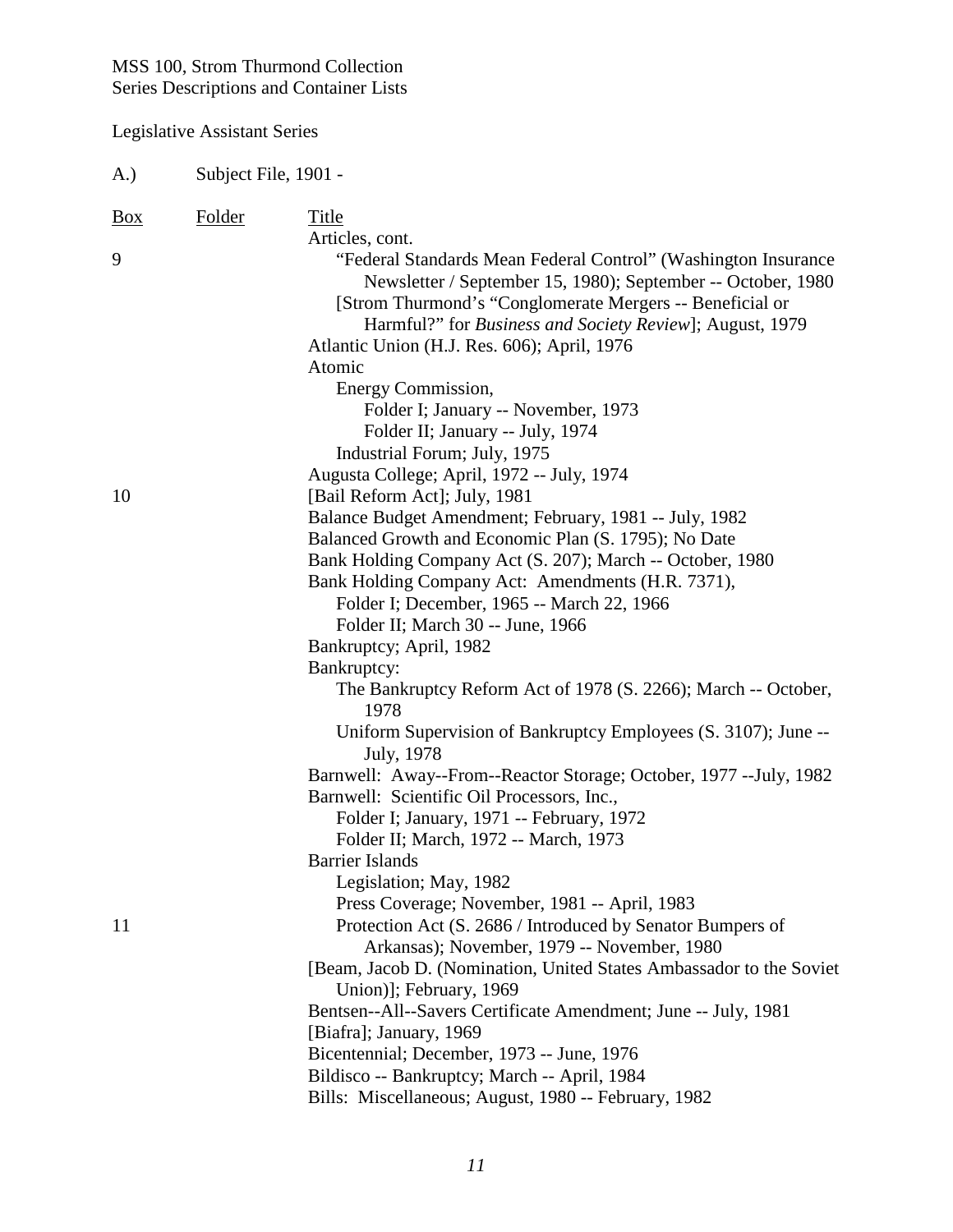| A.)        | Subject File, 1901 - |                                                                                                                                                                                                                                                                                                                                                                                                                                                                                                                                                                                                                                                                                                                                                                                                                                                                |
|------------|----------------------|----------------------------------------------------------------------------------------------------------------------------------------------------------------------------------------------------------------------------------------------------------------------------------------------------------------------------------------------------------------------------------------------------------------------------------------------------------------------------------------------------------------------------------------------------------------------------------------------------------------------------------------------------------------------------------------------------------------------------------------------------------------------------------------------------------------------------------------------------------------|
| <b>Box</b> | <b>Folder</b>        | Title<br>Articles, cont.                                                                                                                                                                                                                                                                                                                                                                                                                                                                                                                                                                                                                                                                                                                                                                                                                                       |
| 9          |                      | "Federal Standards Mean Federal Control" (Washington Insurance<br>Newsletter / September 15, 1980); September -- October, 1980<br>[Strom Thurmond's "Conglomerate Mergers -- Beneficial or<br>Harmful?" for Business and Society Review]; August, 1979<br>Atlantic Union (H.J. Res. 606); April, 1976<br>Atomic                                                                                                                                                                                                                                                                                                                                                                                                                                                                                                                                                |
| 10         |                      | Energy Commission,<br>Folder I; January -- November, 1973<br>Folder II; January -- July, 1974<br>Industrial Forum; July, 1975<br>Augusta College; April, 1972 -- July, 1974<br>[Bail Reform Act]; July, 1981                                                                                                                                                                                                                                                                                                                                                                                                                                                                                                                                                                                                                                                   |
|            |                      | Balance Budget Amendment; February, 1981 -- July, 1982<br>Balanced Growth and Economic Plan (S. 1795); No Date<br>Bank Holding Company Act (S. 207); March -- October, 1980<br>Bank Holding Company Act: Amendments (H.R. 7371),<br>Folder I; December, 1965 -- March 22, 1966<br>Folder II; March 30 -- June, 1966<br>Bankruptcy; April, 1982<br>Bankruptcy:<br>The Bankruptcy Reform Act of 1978 (S. 2266); March -- October,                                                                                                                                                                                                                                                                                                                                                                                                                                |
| 11         |                      | 1978<br>Uniform Supervision of Bankruptcy Employees (S. 3107); June --<br>July, 1978<br>Barnwell: Away--From--Reactor Storage; October, 1977 -- July, 1982<br>Barnwell: Scientific Oil Processors, Inc.,<br>Folder I; January, 1971 -- February, 1972<br>Folder II; March, 1972 -- March, 1973<br>Barrier Islands<br>Legislation; May, 1982<br>Press Coverage; November, 1981 -- April, 1983<br>Protection Act (S. 2686 / Introduced by Senator Bumpers of<br>Arkansas); November, 1979 -- November, 1980<br>[Beam, Jacob D. (Nomination, United States Ambassador to the Soviet<br>Union)]; February, 1969<br>Bentsen--All--Savers Certificate Amendment; June -- July, 1981<br>[Biafra]; January, 1969<br>Bicentennial; December, 1973 -- June, 1976<br>Bildisco -- Bankruptcy; March -- April, 1984<br>Bills: Miscellaneous; August, 1980 -- February, 1982 |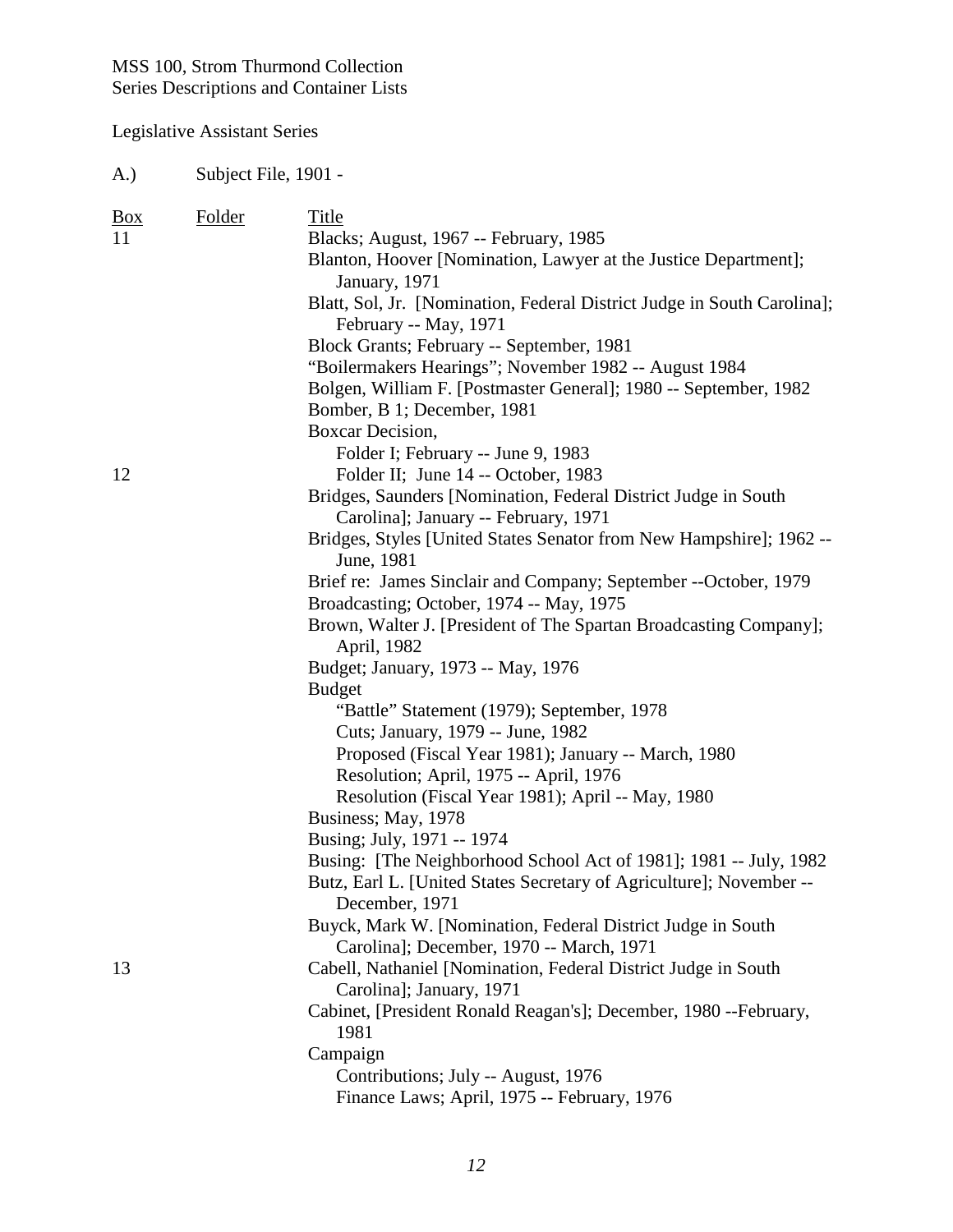## Legislative Assistant Series

| $\underline{Box}$ | Folder | Title                                                                                      |
|-------------------|--------|--------------------------------------------------------------------------------------------|
| 11                |        | Blacks; August, 1967 -- February, 1985                                                     |
|                   |        | Blanton, Hoover [Nomination, Lawyer at the Justice Department];<br>January, 1971           |
|                   |        | Blatt, Sol, Jr. [Nomination, Federal District Judge in South Carolina];                    |
|                   |        | February -- May, 1971<br>Block Grants; February -- September, 1981                         |
|                   |        | "Boilermakers Hearings"; November 1982 -- August 1984                                      |
|                   |        | Bolgen, William F. [Postmaster General]; 1980 -- September, 1982                           |
|                   |        | Bomber, B 1; December, 1981                                                                |
|                   |        | Boxcar Decision,                                                                           |
|                   |        | Folder I; February -- June 9, 1983                                                         |
| 12                |        | Folder II; June 14 -- October, 1983                                                        |
|                   |        | Bridges, Saunders [Nomination, Federal District Judge in South                             |
|                   |        | Carolina]; January -- February, 1971                                                       |
|                   |        | Bridges, Styles [United States Senator from New Hampshire]; 1962 --<br>June, 1981          |
|                   |        | Brief re: James Sinclair and Company; September -- October, 1979                           |
|                   |        | Broadcasting; October, 1974 -- May, 1975                                                   |
|                   |        | Brown, Walter J. [President of The Spartan Broadcasting Company];<br>April, 1982           |
|                   |        | Budget; January, 1973 -- May, 1976                                                         |
|                   |        | <b>Budget</b>                                                                              |
|                   |        | "Battle" Statement (1979); September, 1978                                                 |
|                   |        | Cuts; January, 1979 -- June, 1982                                                          |
|                   |        | Proposed (Fiscal Year 1981); January -- March, 1980                                        |
|                   |        | Resolution; April, 1975 -- April, 1976                                                     |
|                   |        | Resolution (Fiscal Year 1981); April -- May, 1980                                          |
|                   |        | Business; May, 1978                                                                        |
|                   |        | Busing; July, 1971 -- 1974                                                                 |
|                   |        | Busing: [The Neighborhood School Act of 1981]; 1981 -- July, 1982                          |
|                   |        | Butz, Earl L. [United States Secretary of Agriculture]; November --                        |
|                   |        | December, 1971                                                                             |
|                   |        | Buyck, Mark W. [Nomination, Federal District Judge in South                                |
|                   |        | Carolina]; December, 1970 -- March, 1971                                                   |
| 13                |        | Cabell, Nathaniel [Nomination, Federal District Judge in South<br>Carolina]; January, 1971 |
|                   |        | Cabinet, [President Ronald Reagan's]; December, 1980 --February,<br>1981                   |
|                   |        | Campaign                                                                                   |
|                   |        | Contributions; July -- August, 1976                                                        |
|                   |        | Finance Laws; April, 1975 -- February, 1976                                                |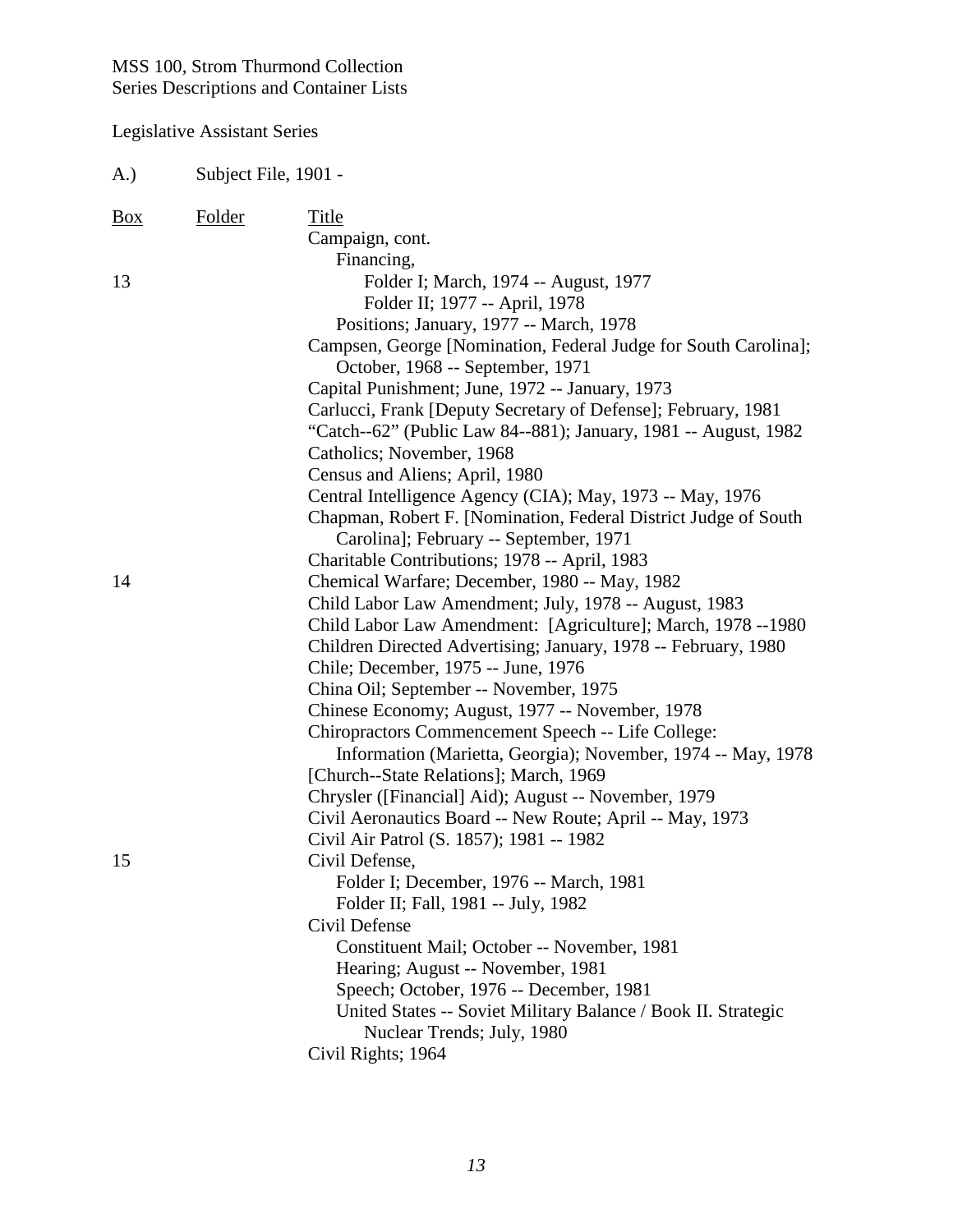| A.)        | Subject File, 1901 - |                                                                                                                                                                                                                                                                                                                                                                                                                                                                                                                                                                                                                                                                                                                                                               |
|------------|----------------------|---------------------------------------------------------------------------------------------------------------------------------------------------------------------------------------------------------------------------------------------------------------------------------------------------------------------------------------------------------------------------------------------------------------------------------------------------------------------------------------------------------------------------------------------------------------------------------------------------------------------------------------------------------------------------------------------------------------------------------------------------------------|
| <u>Box</u> | <b>Folder</b>        | Title<br>Campaign, cont.                                                                                                                                                                                                                                                                                                                                                                                                                                                                                                                                                                                                                                                                                                                                      |
| 13         |                      | Financing,<br>Folder I; March, 1974 -- August, 1977<br>Folder II; 1977 -- April, 1978<br>Positions; January, 1977 -- March, 1978<br>Campsen, George [Nomination, Federal Judge for South Carolina];<br>October, 1968 -- September, 1971<br>Capital Punishment; June, 1972 -- January, 1973<br>Carlucci, Frank [Deputy Secretary of Defense]; February, 1981<br>"Catch--62" (Public Law 84--881); January, 1981 -- August, 1982<br>Catholics; November, 1968<br>Census and Aliens; April, 1980<br>Central Intelligence Agency (CIA); May, 1973 -- May, 1976<br>Chapman, Robert F. [Nomination, Federal District Judge of South<br>Carolina]; February -- September, 1971                                                                                       |
| 14         |                      | Charitable Contributions; 1978 -- April, 1983<br>Chemical Warfare; December, 1980 -- May, 1982<br>Child Labor Law Amendment; July, 1978 -- August, 1983<br>Child Labor Law Amendment: [Agriculture]; March, 1978 --1980<br>Children Directed Advertising; January, 1978 -- February, 1980<br>Chile; December, 1975 -- June, 1976<br>China Oil; September -- November, 1975<br>Chinese Economy; August, 1977 -- November, 1978<br>Chiropractors Commencement Speech -- Life College:<br>Information (Marietta, Georgia); November, 1974 -- May, 1978<br>[Church--State Relations]; March, 1969<br>Chrysler ([Financial] Aid); August -- November, 1979<br>Civil Aeronautics Board -- New Route; April -- May, 1973<br>Civil Air Patrol (S. 1857); 1981 -- 1982 |
| 15         |                      | Civil Defense,<br>Folder I; December, 1976 -- March, 1981<br>Folder II; Fall, 1981 -- July, 1982<br>Civil Defense<br>Constituent Mail; October -- November, 1981<br>Hearing; August -- November, 1981<br>Speech; October, 1976 -- December, 1981<br>United States -- Soviet Military Balance / Book II. Strategic<br>Nuclear Trends; July, 1980<br>Civil Rights; 1964                                                                                                                                                                                                                                                                                                                                                                                         |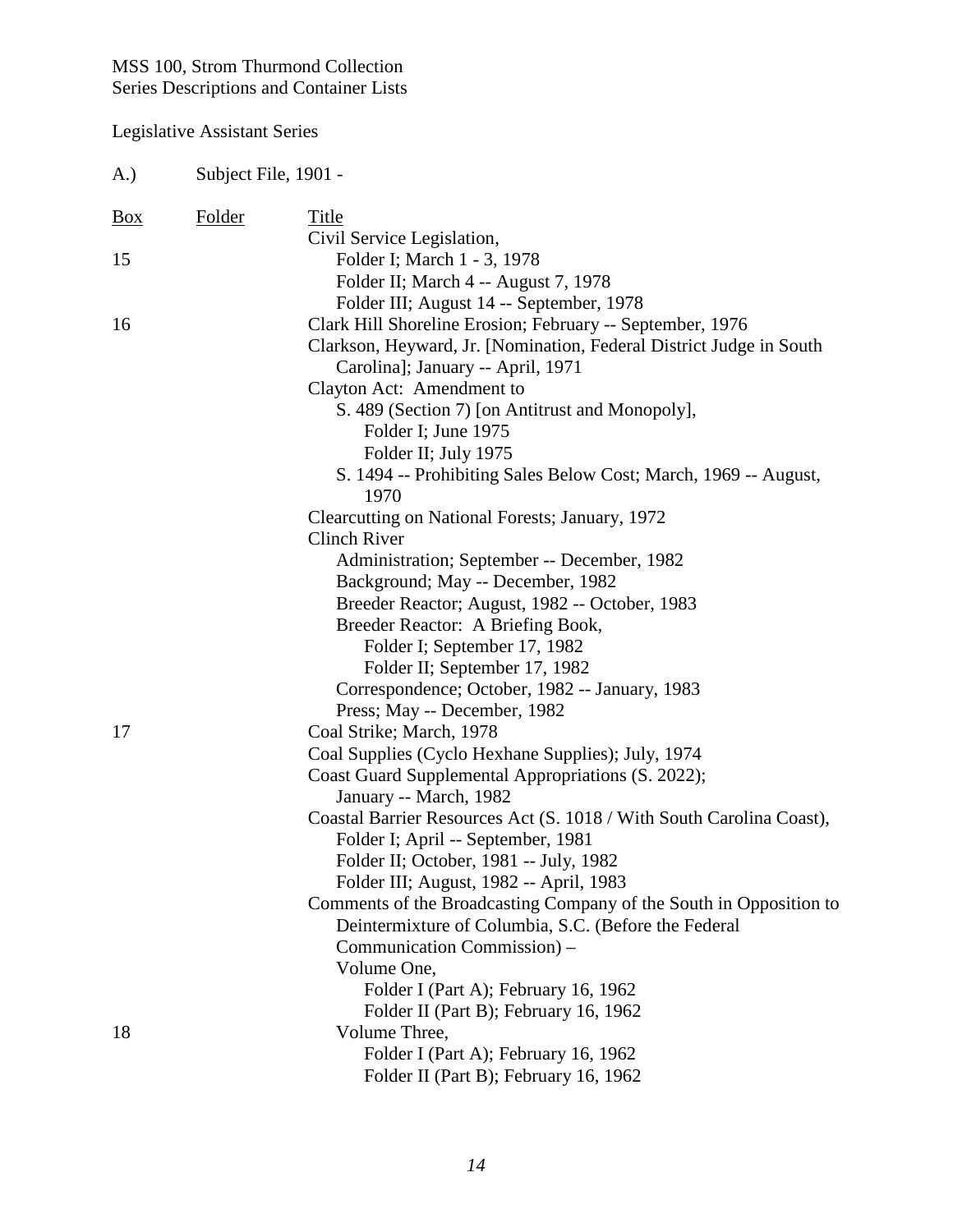| A.)        | Subject File, 1901 - |                                                                                                                                                                                                                                                |
|------------|----------------------|------------------------------------------------------------------------------------------------------------------------------------------------------------------------------------------------------------------------------------------------|
| <u>Box</u> | Folder               | Title<br>Civil Service Legislation,                                                                                                                                                                                                            |
| 15         |                      | Folder I; March 1 - 3, 1978<br>Folder II; March 4 -- August 7, 1978                                                                                                                                                                            |
| 16         |                      | Folder III; August 14 -- September, 1978<br>Clark Hill Shoreline Erosion; February -- September, 1976<br>Clarkson, Heyward, Jr. [Nomination, Federal District Judge in South<br>Carolina]; January -- April, 1971<br>Clayton Act: Amendment to |
|            |                      | S. 489 (Section 7) [on Antitrust and Monopoly],<br>Folder I; June 1975<br>Folder II; July 1975                                                                                                                                                 |
|            |                      | S. 1494 -- Prohibiting Sales Below Cost; March, 1969 -- August,<br>1970                                                                                                                                                                        |
|            |                      | Clearcutting on National Forests; January, 1972<br><b>Clinch River</b>                                                                                                                                                                         |
|            |                      | Administration; September -- December, 1982                                                                                                                                                                                                    |
|            |                      | Background; May -- December, 1982                                                                                                                                                                                                              |
|            |                      | Breeder Reactor; August, 1982 -- October, 1983                                                                                                                                                                                                 |
|            |                      | Breeder Reactor: A Briefing Book,                                                                                                                                                                                                              |
|            |                      | Folder I; September 17, 1982                                                                                                                                                                                                                   |
|            |                      | Folder II; September 17, 1982                                                                                                                                                                                                                  |
|            |                      | Correspondence; October, 1982 -- January, 1983                                                                                                                                                                                                 |
|            |                      | Press; May -- December, 1982                                                                                                                                                                                                                   |
| 17         |                      | Coal Strike; March, 1978                                                                                                                                                                                                                       |
|            |                      | Coal Supplies (Cyclo Hexhane Supplies); July, 1974                                                                                                                                                                                             |
|            |                      | Coast Guard Supplemental Appropriations (S. 2022);<br>January -- March, 1982                                                                                                                                                                   |
|            |                      | Coastal Barrier Resources Act (S. 1018 / With South Carolina Coast),<br>Folder I; April -- September, 1981                                                                                                                                     |
|            |                      | Folder II; October, 1981 -- July, 1982                                                                                                                                                                                                         |
|            |                      | Folder III; August, 1982 -- April, 1983                                                                                                                                                                                                        |
|            |                      | Comments of the Broadcasting Company of the South in Opposition to                                                                                                                                                                             |
|            |                      | Deintermixture of Columbia, S.C. (Before the Federal                                                                                                                                                                                           |
|            |                      | Communication Commission) –                                                                                                                                                                                                                    |
|            |                      | Volume One,                                                                                                                                                                                                                                    |
|            |                      | Folder I (Part A); February 16, 1962                                                                                                                                                                                                           |
|            |                      | Folder II (Part B); February 16, 1962                                                                                                                                                                                                          |
| 18         |                      | Volume Three,                                                                                                                                                                                                                                  |
|            |                      | Folder I (Part A); February 16, 1962<br>Folder II (Part B); February 16, 1962                                                                                                                                                                  |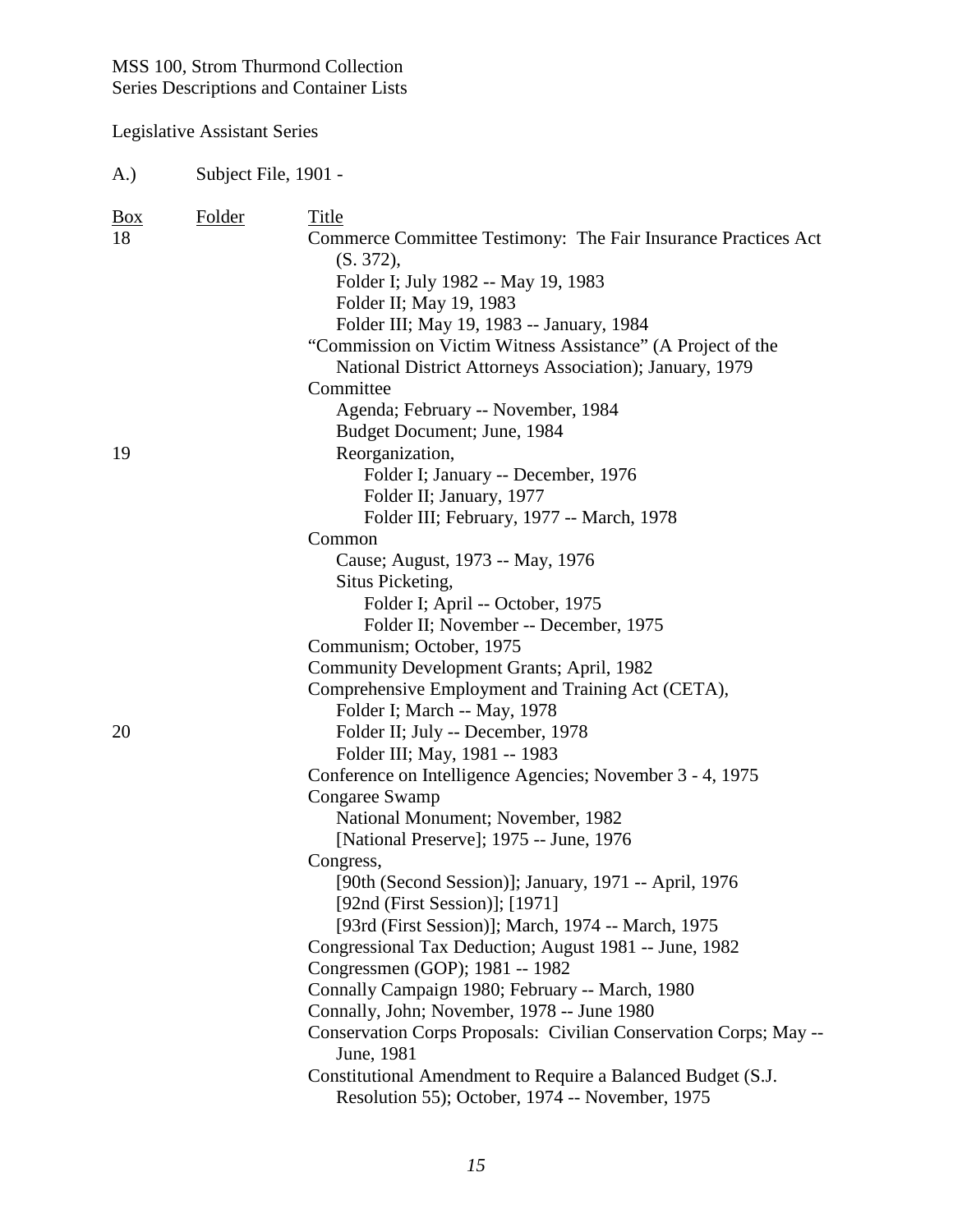Legislative Assistant Series

| $\frac{Box}{}$<br>18 | Folder | Title<br>Commerce Committee Testimony: The Fair Insurance Practices Act<br>(S. 372),<br>Folder I; July 1982 -- May 19, 1983<br>Folder II; May 19, 1983<br>Folder III; May 19, 1983 -- January, 1984<br>"Commission on Victim Witness Assistance" (A Project of the |
|----------------------|--------|--------------------------------------------------------------------------------------------------------------------------------------------------------------------------------------------------------------------------------------------------------------------|
|                      |        | National District Attorneys Association); January, 1979<br>Committee                                                                                                                                                                                               |
|                      |        | Agenda; February -- November, 1984                                                                                                                                                                                                                                 |
|                      |        | Budget Document; June, 1984                                                                                                                                                                                                                                        |
| 19                   |        | Reorganization,                                                                                                                                                                                                                                                    |
|                      |        | Folder I; January -- December, 1976                                                                                                                                                                                                                                |
|                      |        | Folder II; January, 1977                                                                                                                                                                                                                                           |
|                      |        | Folder III; February, 1977 -- March, 1978                                                                                                                                                                                                                          |
|                      |        | Common                                                                                                                                                                                                                                                             |
|                      |        | Cause; August, 1973 -- May, 1976                                                                                                                                                                                                                                   |
|                      |        | Situs Picketing,                                                                                                                                                                                                                                                   |
|                      |        | Folder I; April -- October, 1975                                                                                                                                                                                                                                   |
|                      |        | Folder II; November -- December, 1975                                                                                                                                                                                                                              |
|                      |        | Communism; October, 1975                                                                                                                                                                                                                                           |
|                      |        | Community Development Grants; April, 1982                                                                                                                                                                                                                          |
|                      |        | Comprehensive Employment and Training Act (CETA),                                                                                                                                                                                                                  |
|                      |        | Folder I; March -- May, 1978                                                                                                                                                                                                                                       |
| 20                   |        | Folder II; July -- December, 1978                                                                                                                                                                                                                                  |
|                      |        | Folder III; May, 1981 -- 1983                                                                                                                                                                                                                                      |
|                      |        | Conference on Intelligence Agencies; November 3 - 4, 1975<br>Congaree Swamp                                                                                                                                                                                        |
|                      |        | National Monument; November, 1982                                                                                                                                                                                                                                  |
|                      |        | [National Preserve]; 1975 -- June, 1976                                                                                                                                                                                                                            |
|                      |        | Congress,                                                                                                                                                                                                                                                          |
|                      |        | [90th (Second Session)]; January, 1971 -- April, 1976                                                                                                                                                                                                              |
|                      |        | [92nd (First Session)]; [1971]                                                                                                                                                                                                                                     |
|                      |        | [93rd (First Session)]; March, 1974 -- March, 1975                                                                                                                                                                                                                 |
|                      |        | Congressional Tax Deduction; August 1981 -- June, 1982                                                                                                                                                                                                             |
|                      |        | Congressmen (GOP); 1981 -- 1982                                                                                                                                                                                                                                    |
|                      |        | Connally Campaign 1980; February -- March, 1980                                                                                                                                                                                                                    |
|                      |        | Connally, John; November, 1978 -- June 1980                                                                                                                                                                                                                        |
|                      |        | Conservation Corps Proposals: Civilian Conservation Corps; May --<br>June, 1981                                                                                                                                                                                    |
|                      |        | Constitutional Amendment to Require a Balanced Budget (S.J.<br>Resolution 55); October, 1974 -- November, 1975                                                                                                                                                     |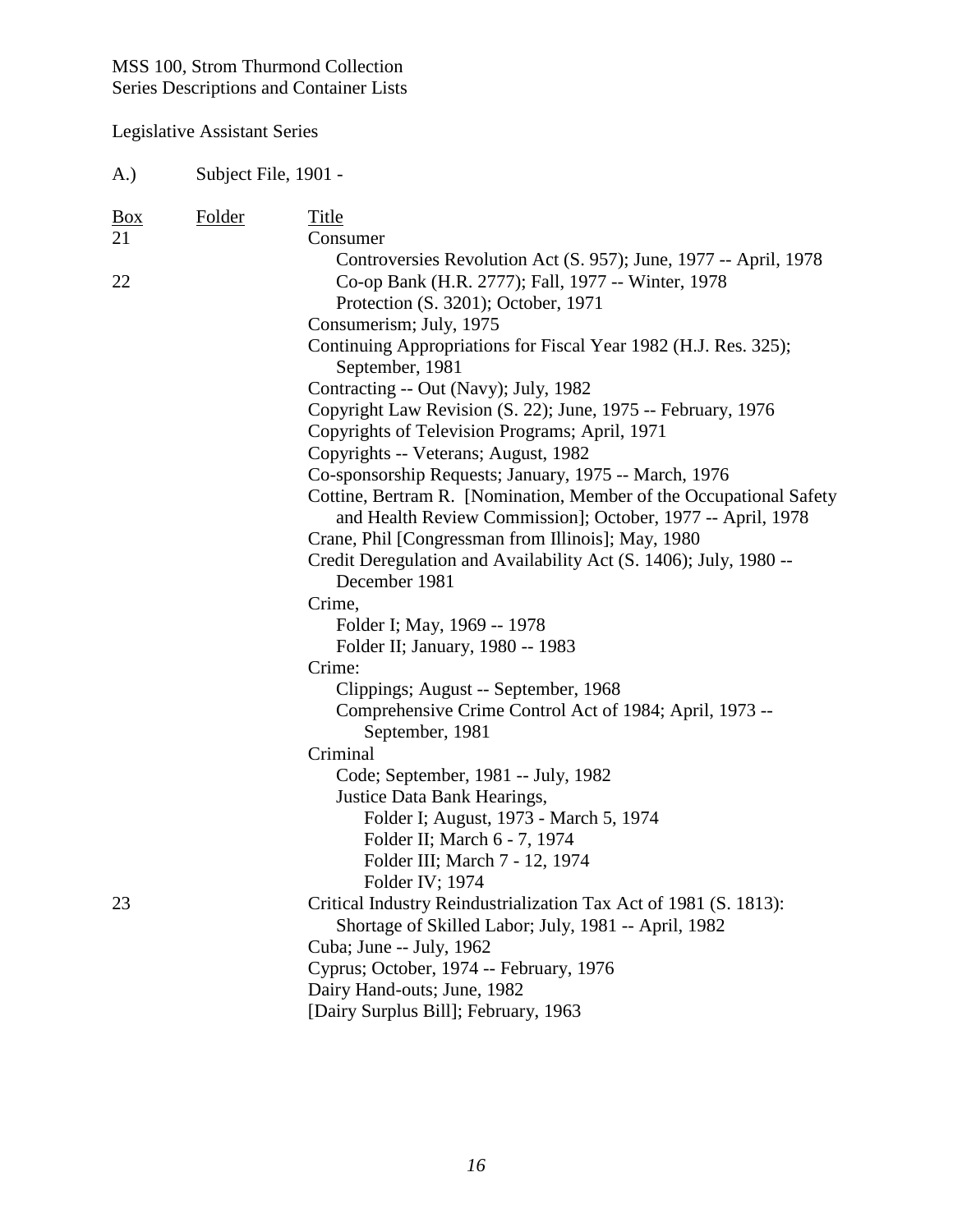| (A.)                       | Subject File, 1901 - |                                                                                                                                                                                            |
|----------------------------|----------------------|--------------------------------------------------------------------------------------------------------------------------------------------------------------------------------------------|
| $\frac{Box}{}$<br>21<br>22 | <b>Folder</b>        | Title<br>Consumer<br>Controversies Revolution Act (S. 957); June, 1977 -- April, 1978<br>Co-op Bank (H.R. 2777); Fall, 1977 -- Winter, 1978                                                |
|                            |                      | Protection (S. 3201); October, 1971<br>Consumerism; July, 1975                                                                                                                             |
|                            |                      | Continuing Appropriations for Fiscal Year 1982 (H.J. Res. 325);<br>September, 1981                                                                                                         |
|                            |                      | Contracting -- Out (Navy); July, 1982                                                                                                                                                      |
|                            |                      | Copyright Law Revision (S. 22); June, 1975 -- February, 1976<br>Copyrights of Television Programs; April, 1971                                                                             |
|                            |                      | Copyrights -- Veterans; August, 1982                                                                                                                                                       |
|                            |                      | Co-sponsorship Requests; January, 1975 -- March, 1976<br>Cottine, Bertram R. [Nomination, Member of the Occupational Safety<br>and Health Review Commission]; October, 1977 -- April, 1978 |
|                            |                      | Crane, Phil [Congressman from Illinois]; May, 1980<br>Credit Deregulation and Availability Act (S. 1406); July, 1980 --                                                                    |
|                            |                      | December 1981                                                                                                                                                                              |
|                            |                      | Crime,                                                                                                                                                                                     |
|                            |                      | Folder I; May, 1969 -- 1978                                                                                                                                                                |
|                            |                      | Folder II; January, 1980 -- 1983<br>Crime:                                                                                                                                                 |
|                            |                      | Clippings; August -- September, 1968                                                                                                                                                       |
|                            |                      | Comprehensive Crime Control Act of 1984; April, 1973 --<br>September, 1981                                                                                                                 |
|                            |                      | Criminal                                                                                                                                                                                   |
|                            |                      | Code; September, 1981 -- July, 1982                                                                                                                                                        |
|                            |                      | Justice Data Bank Hearings,                                                                                                                                                                |
|                            |                      | Folder I; August, 1973 - March 5, 1974                                                                                                                                                     |
|                            |                      | Folder II; March 6 - 7, 1974                                                                                                                                                               |
|                            |                      | Folder III; March 7 - 12, 1974                                                                                                                                                             |
|                            |                      | Folder IV; 1974                                                                                                                                                                            |
| 23                         |                      | Critical Industry Reindustrialization Tax Act of 1981 (S. 1813):                                                                                                                           |
|                            |                      | Shortage of Skilled Labor; July, 1981 -- April, 1982                                                                                                                                       |
|                            |                      | Cuba; June -- July, 1962                                                                                                                                                                   |
|                            |                      | Cyprus; October, 1974 -- February, 1976                                                                                                                                                    |
|                            |                      | Dairy Hand-outs; June, 1982                                                                                                                                                                |
|                            |                      | [Dairy Surplus Bill]; February, 1963                                                                                                                                                       |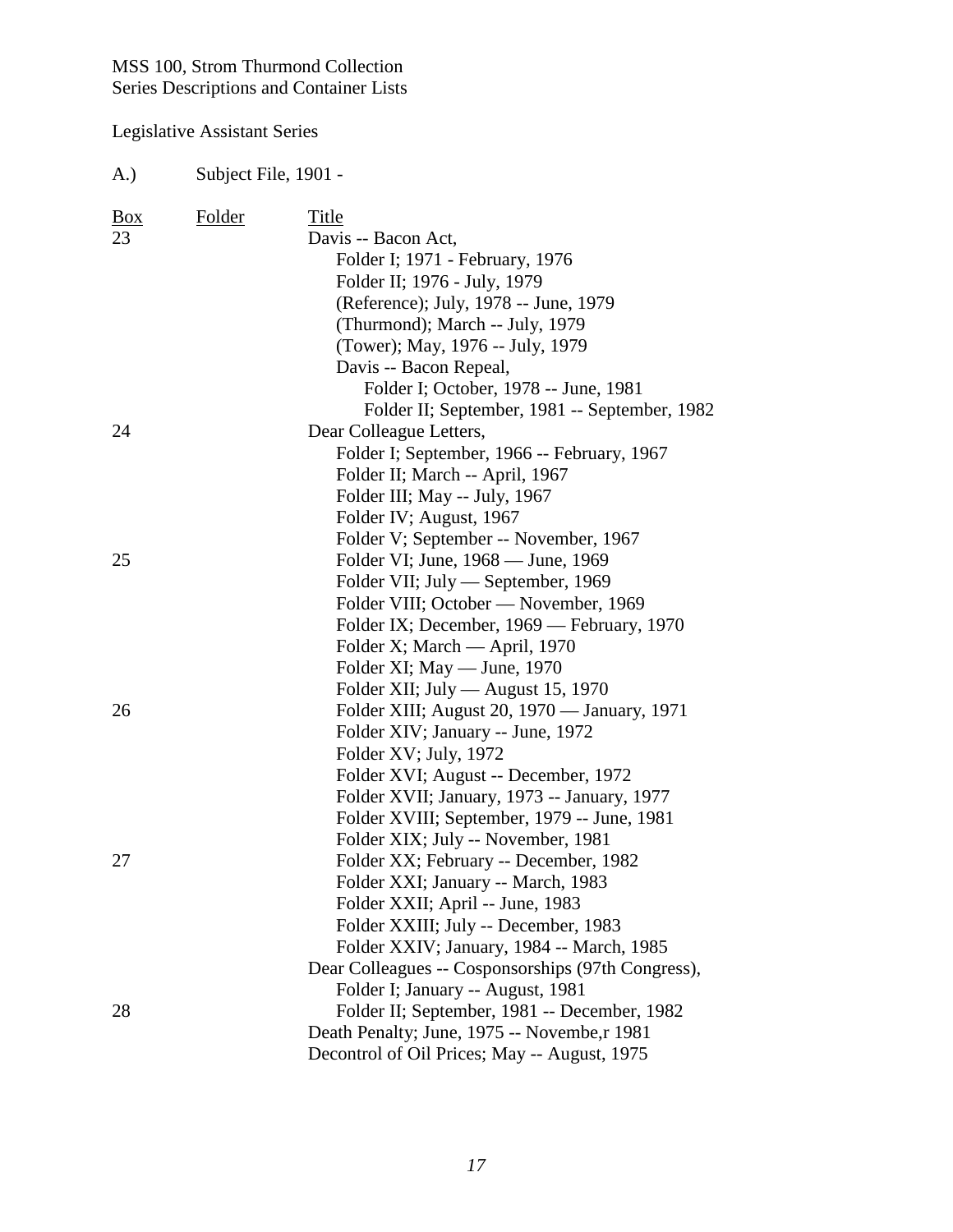#### Legislative Assistant Series

A.) Subject File, 1901 - Box Folder Title 23 Davis -- Bacon Act, Folder I; 1971 - February, 1976 Folder II; 1976 - July, 1979 (Reference); July, 1978 -- June, 1979 (Thurmond); March -- July, 1979 (Tower); May, 1976 -- July, 1979 Davis -- Bacon Repeal, Folder I; October, 1978 -- June, 1981 Folder II; September, 1981 -- September, 1982 24 Dear Colleague Letters, Folder I; September, 1966 -- February, 1967 Folder II; March -- April, 1967 Folder III; May -- July, 1967 Folder IV; August, 1967 Folder V; September -- November, 1967 25 Folder VI; June, 1968 — June, 1969 Folder VII; July — September, 1969 Folder VIII; October — November, 1969 Folder IX; December, 1969 — February, 1970 Folder X; March — April, 1970 Folder XI; May — June, 1970 Folder XII; July — August 15, 1970 26 Folder XIII; August 20, 1970 — January, 1971 Folder XIV; January -- June, 1972 Folder XV; July, 1972 Folder XVI; August -- December, 1972 Folder XVII; January, 1973 -- January, 1977 Folder XVIII; September, 1979 -- June, 1981 Folder XIX; July -- November, 1981 27 Folder XX; February -- December, 1982 Folder XXI; January -- March, 1983 Folder XXII; April -- June, 1983 Folder XXIII; July -- December, 1983 Folder XXIV; January, 1984 -- March, 1985 Dear Colleagues -- Cosponsorships (97th Congress), Folder I; January -- August, 1981 28 Folder II; September, 1981 -- December, 1982 Death Penalty; June, 1975 -- Novembe,r 1981 Decontrol of Oil Prices; May -- August, 1975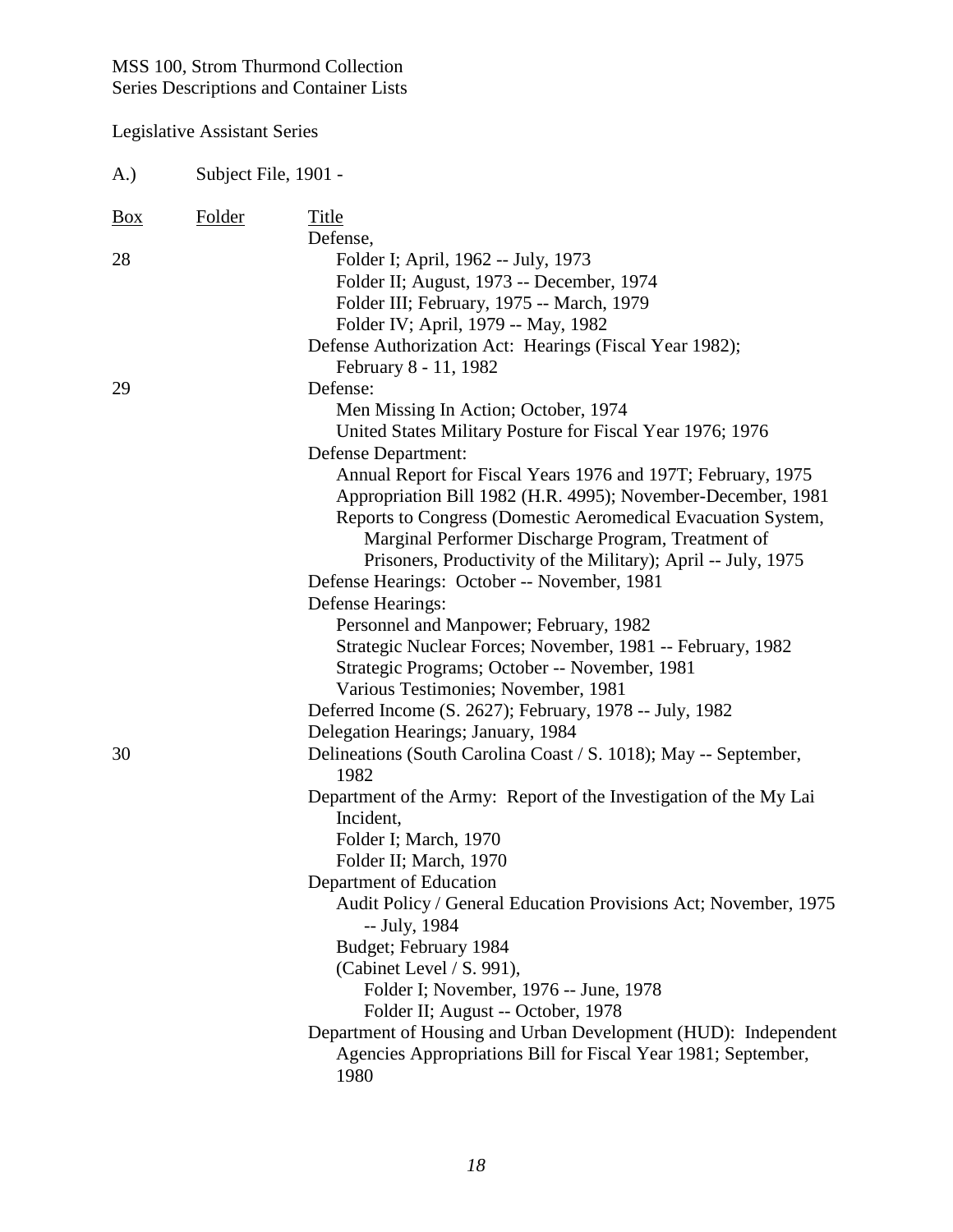| A.)               | Subject File, 1901 - |                                                                                                                                                                                                                                                                                                                                                                                                                                                                                                                                                          |
|-------------------|----------------------|----------------------------------------------------------------------------------------------------------------------------------------------------------------------------------------------------------------------------------------------------------------------------------------------------------------------------------------------------------------------------------------------------------------------------------------------------------------------------------------------------------------------------------------------------------|
| $\underline{Box}$ | <b>Folder</b>        | Title<br>Defense,                                                                                                                                                                                                                                                                                                                                                                                                                                                                                                                                        |
| 28                |                      | Folder I; April, 1962 -- July, 1973<br>Folder II; August, 1973 -- December, 1974<br>Folder III; February, 1975 -- March, 1979<br>Folder IV; April, 1979 -- May, 1982<br>Defense Authorization Act: Hearings (Fiscal Year 1982);                                                                                                                                                                                                                                                                                                                          |
| 29                |                      | February 8 - 11, 1982<br>Defense:<br>Men Missing In Action; October, 1974<br>United States Military Posture for Fiscal Year 1976; 1976<br>Defense Department:<br>Annual Report for Fiscal Years 1976 and 197T; February, 1975<br>Appropriation Bill 1982 (H.R. 4995); November-December, 1981<br>Reports to Congress (Domestic Aeromedical Evacuation System,<br>Marginal Performer Discharge Program, Treatment of<br>Prisoners, Productivity of the Military); April -- July, 1975<br>Defense Hearings: October -- November, 1981<br>Defense Hearings: |
| 30                |                      | Personnel and Manpower; February, 1982<br>Strategic Nuclear Forces; November, 1981 -- February, 1982<br>Strategic Programs; October -- November, 1981<br>Various Testimonies; November, 1981<br>Deferred Income (S. 2627); February, 1978 -- July, 1982<br>Delegation Hearings; January, 1984<br>Delineations (South Carolina Coast / S. 1018); May -- September,                                                                                                                                                                                        |
|                   |                      | 1982<br>Department of the Army: Report of the Investigation of the My Lai<br>Incident,<br>Folder I; March, 1970<br>Folder II; March, 1970<br>Department of Education<br>Audit Policy / General Education Provisions Act; November, 1975<br>-- July, 1984<br>Budget; February 1984<br>(Cabinet Level / S. 991),<br>Folder I; November, 1976 -- June, 1978<br>Folder II; August -- October, 1978<br>Department of Housing and Urban Development (HUD): Independent                                                                                         |
|                   |                      | Agencies Appropriations Bill for Fiscal Year 1981; September,<br>1980                                                                                                                                                                                                                                                                                                                                                                                                                                                                                    |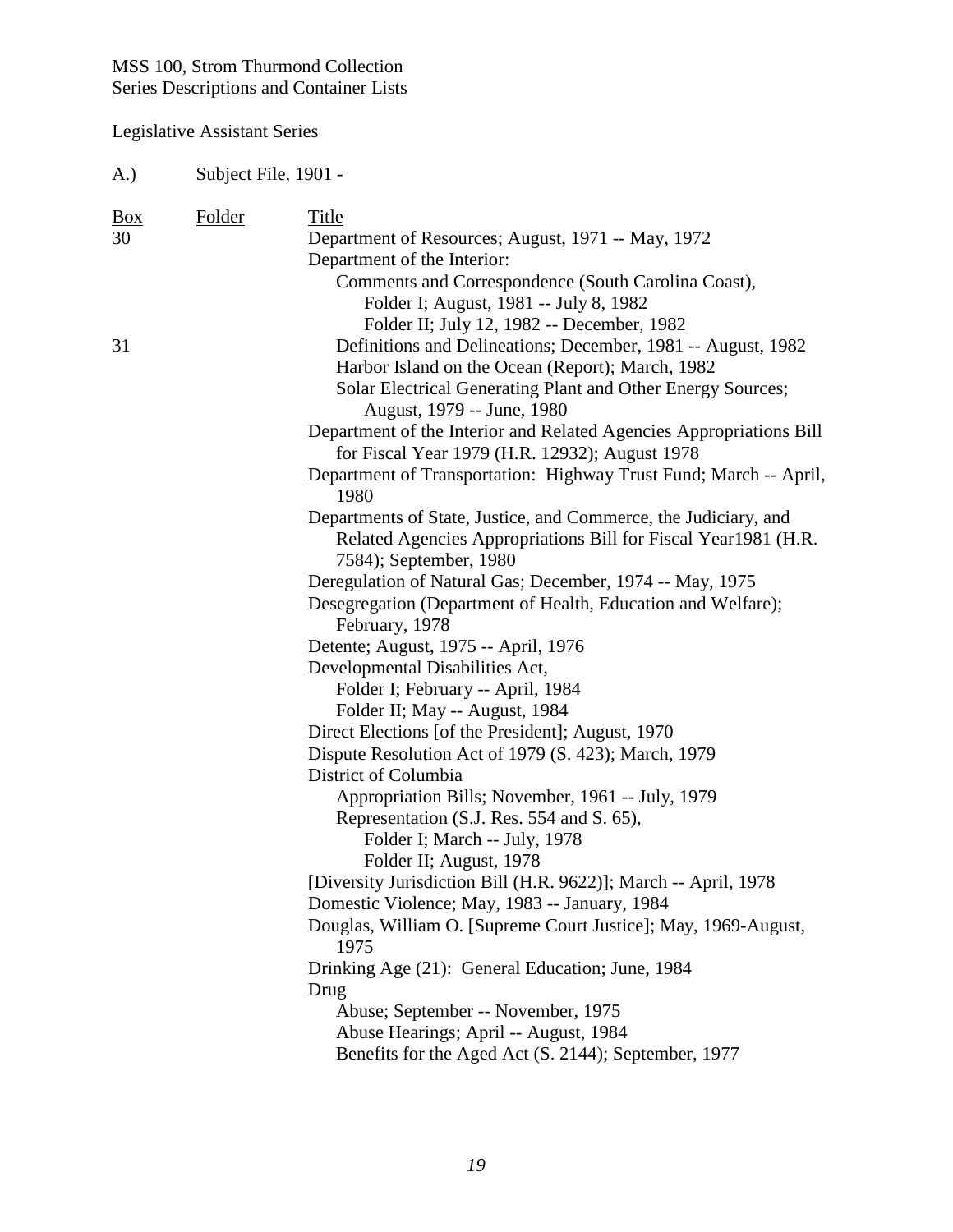Legislative Assistant Series

| <b>Box</b> | <b>Folder</b> | Title                                                                                     |
|------------|---------------|-------------------------------------------------------------------------------------------|
| 30         |               | Department of Resources; August, 1971 -- May, 1972                                        |
|            |               | Department of the Interior:                                                               |
|            |               | Comments and Correspondence (South Carolina Coast),                                       |
|            |               | Folder I; August, 1981 -- July 8, 1982                                                    |
|            |               | Folder II; July 12, 1982 -- December, 1982                                                |
| 31         |               | Definitions and Delineations; December, 1981 -- August, 1982                              |
|            |               | Harbor Island on the Ocean (Report); March, 1982                                          |
|            |               | Solar Electrical Generating Plant and Other Energy Sources;<br>August, 1979 -- June, 1980 |
|            |               | Department of the Interior and Related Agencies Appropriations Bill                       |
|            |               | for Fiscal Year 1979 (H.R. 12932); August 1978                                            |
|            |               | Department of Transportation: Highway Trust Fund; March -- April,<br>1980                 |
|            |               | Departments of State, Justice, and Commerce, the Judiciary, and                           |
|            |               | Related Agencies Appropriations Bill for Fiscal Year1981 (H.R.                            |
|            |               | 7584); September, 1980                                                                    |
|            |               | Deregulation of Natural Gas; December, 1974 -- May, 1975                                  |
|            |               | Desegregation (Department of Health, Education and Welfare);                              |
|            |               | February, 1978                                                                            |
|            |               | Detente; August, 1975 -- April, 1976                                                      |
|            |               | Developmental Disabilities Act,                                                           |
|            |               | Folder I; February -- April, 1984                                                         |
|            |               | Folder II; May -- August, 1984                                                            |
|            |               | Direct Elections [of the President]; August, 1970                                         |
|            |               | Dispute Resolution Act of 1979 (S. 423); March, 1979                                      |
|            |               | District of Columbia                                                                      |
|            |               | Appropriation Bills; November, 1961 -- July, 1979                                         |
|            |               | Representation (S.J. Res. 554 and S. 65),                                                 |
|            |               | Folder I; March -- July, 1978                                                             |
|            |               | Folder II; August, 1978                                                                   |
|            |               | [Diversity Jurisdiction Bill (H.R. 9622)]; March -- April, 1978                           |
|            |               | Domestic Violence; May, 1983 -- January, 1984                                             |
|            |               | Douglas, William O. [Supreme Court Justice]; May, 1969-August,<br>1975                    |
|            |               | Drinking Age (21): General Education; June, 1984                                          |
|            |               | Drug                                                                                      |
|            |               | Abuse; September -- November, 1975                                                        |
|            |               | Abuse Hearings; April -- August, 1984                                                     |
|            |               | Benefits for the Aged Act (S. 2144); September, 1977                                      |
|            |               |                                                                                           |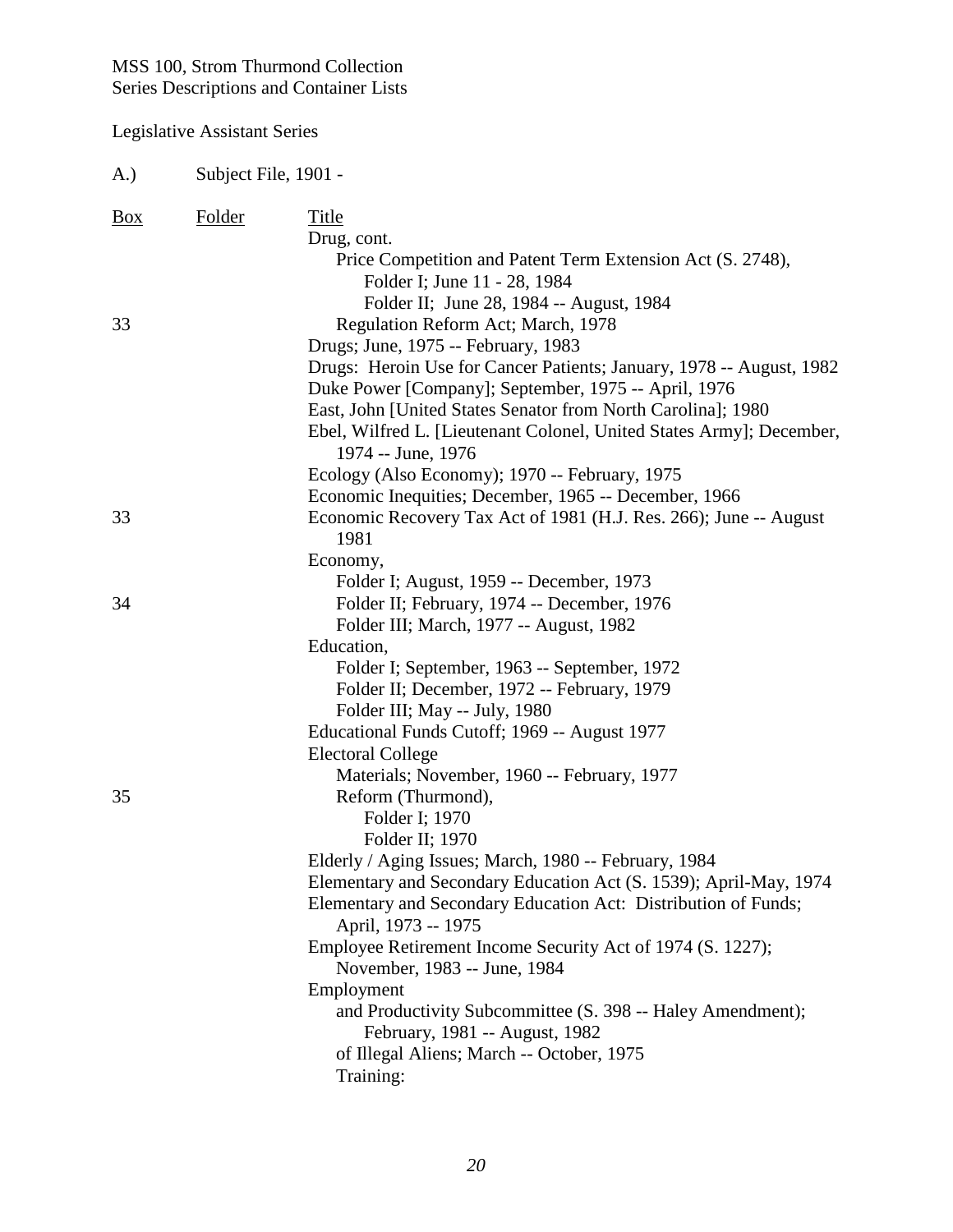#### Legislative Assistant Series

A.) Subject File, 1901 - Box Folder Title Drug, cont. Price Competition and Patent Term Extension Act (S. 2748), Folder I; June 11 - 28, 1984 Folder II; June 28, 1984 -- August, 1984 33 Regulation Reform Act; March, 1978 Drugs; June, 1975 -- February, 1983 Drugs: Heroin Use for Cancer Patients; January, 1978 -- August, 1982 Duke Power [Company]; September, 1975 -- April, 1976 East, John [United States Senator from North Carolina]; 1980 Ebel, Wilfred L. [Lieutenant Colonel, United States Army]; December, 1974 -- June, 1976 Ecology (Also Economy); 1970 -- February, 1975 Economic Inequities; December, 1965 -- December, 1966 33 Economic Recovery Tax Act of 1981 (H.J. Res. 266); June -- August 1981 Economy, Folder I; August, 1959 -- December, 1973 34 Folder II; February, 1974 -- December, 1976 Folder III; March, 1977 -- August, 1982 Education, Folder I; September, 1963 -- September, 1972 Folder II; December, 1972 -- February, 1979 Folder III; May -- July, 1980 Educational Funds Cutoff; 1969 -- August 1977 Electoral College Materials; November, 1960 -- February, 1977 35 Reform (Thurmond), Folder I; 1970 Folder II; 1970 Elderly / Aging Issues; March, 1980 -- February, 1984 Elementary and Secondary Education Act (S. 1539); April-May, 1974 Elementary and Secondary Education Act: Distribution of Funds; April, 1973 -- 1975 Employee Retirement Income Security Act of 1974 (S. 1227); November, 1983 -- June, 1984 Employment and Productivity Subcommittee (S. 398 -- Haley Amendment); February, 1981 -- August, 1982 of Illegal Aliens; March -- October, 1975 Training: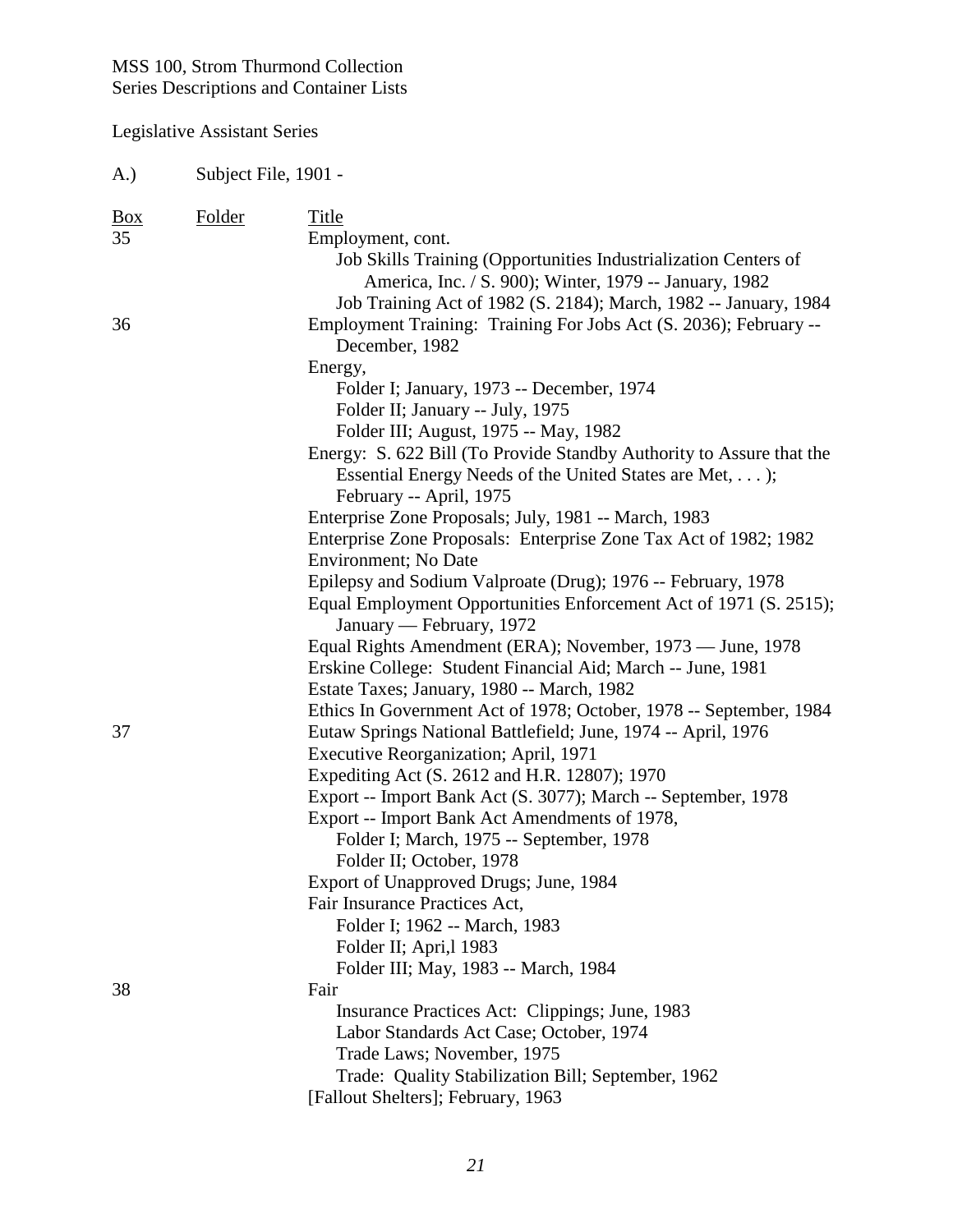| A.)                       | Subject File, 1901 - |                                                                                                                                                                                                                                                                                                                                                                                                                                                                                                                                                                                                                                                                                                                                                                                                                                                                                       |
|---------------------------|----------------------|---------------------------------------------------------------------------------------------------------------------------------------------------------------------------------------------------------------------------------------------------------------------------------------------------------------------------------------------------------------------------------------------------------------------------------------------------------------------------------------------------------------------------------------------------------------------------------------------------------------------------------------------------------------------------------------------------------------------------------------------------------------------------------------------------------------------------------------------------------------------------------------|
| $\frac{Box}{angle}$<br>35 | <b>Folder</b>        | Title<br>Employment, cont.<br>Job Skills Training (Opportunities Industrialization Centers of<br>America, Inc. / S. 900); Winter, 1979 -- January, 1982<br>Job Training Act of 1982 (S. 2184); March, 1982 -- January, 1984                                                                                                                                                                                                                                                                                                                                                                                                                                                                                                                                                                                                                                                           |
| 36                        |                      | Employment Training: Training For Jobs Act (S. 2036); February --<br>December, 1982<br>Energy,<br>Folder I; January, 1973 -- December, 1974<br>Folder II; January -- July, 1975<br>Folder III; August, 1975 -- May, 1982<br>Energy: S. 622 Bill (To Provide Standby Authority to Assure that the<br>Essential Energy Needs of the United States are Met, );<br>February -- April, 1975<br>Enterprise Zone Proposals; July, 1981 -- March, 1983<br>Enterprise Zone Proposals: Enterprise Zone Tax Act of 1982; 1982<br>Environment; No Date<br>Epilepsy and Sodium Valproate (Drug); 1976 -- February, 1978<br>Equal Employment Opportunities Enforcement Act of 1971 (S. 2515);<br>January — February, 1972<br>Equal Rights Amendment (ERA); November, 1973 — June, 1978<br>Erskine College: Student Financial Aid; March -- June, 1981<br>Estate Taxes; January, 1980 -- March, 1982 |
| 37                        |                      | Ethics In Government Act of 1978; October, 1978 -- September, 1984<br>Eutaw Springs National Battlefield; June, 1974 -- April, 1976<br>Executive Reorganization; April, 1971<br>Expediting Act (S. 2612 and H.R. 12807); 1970<br>Export -- Import Bank Act (S. 3077); March -- September, 1978<br>Export -- Import Bank Act Amendments of 1978,<br>Folder I; March, 1975 -- September, 1978<br>Folder II; October, 1978<br>Export of Unapproved Drugs; June, 1984<br>Fair Insurance Practices Act,<br>Folder I; 1962 -- March, 1983<br>Folder II; Apri, 1983                                                                                                                                                                                                                                                                                                                          |
| 38                        |                      | Folder III; May, 1983 -- March, 1984<br>Fair<br>Insurance Practices Act: Clippings; June, 1983<br>Labor Standards Act Case; October, 1974<br>Trade Laws; November, 1975<br>Trade: Quality Stabilization Bill; September, 1962<br>[Fallout Shelters]; February, 1963                                                                                                                                                                                                                                                                                                                                                                                                                                                                                                                                                                                                                   |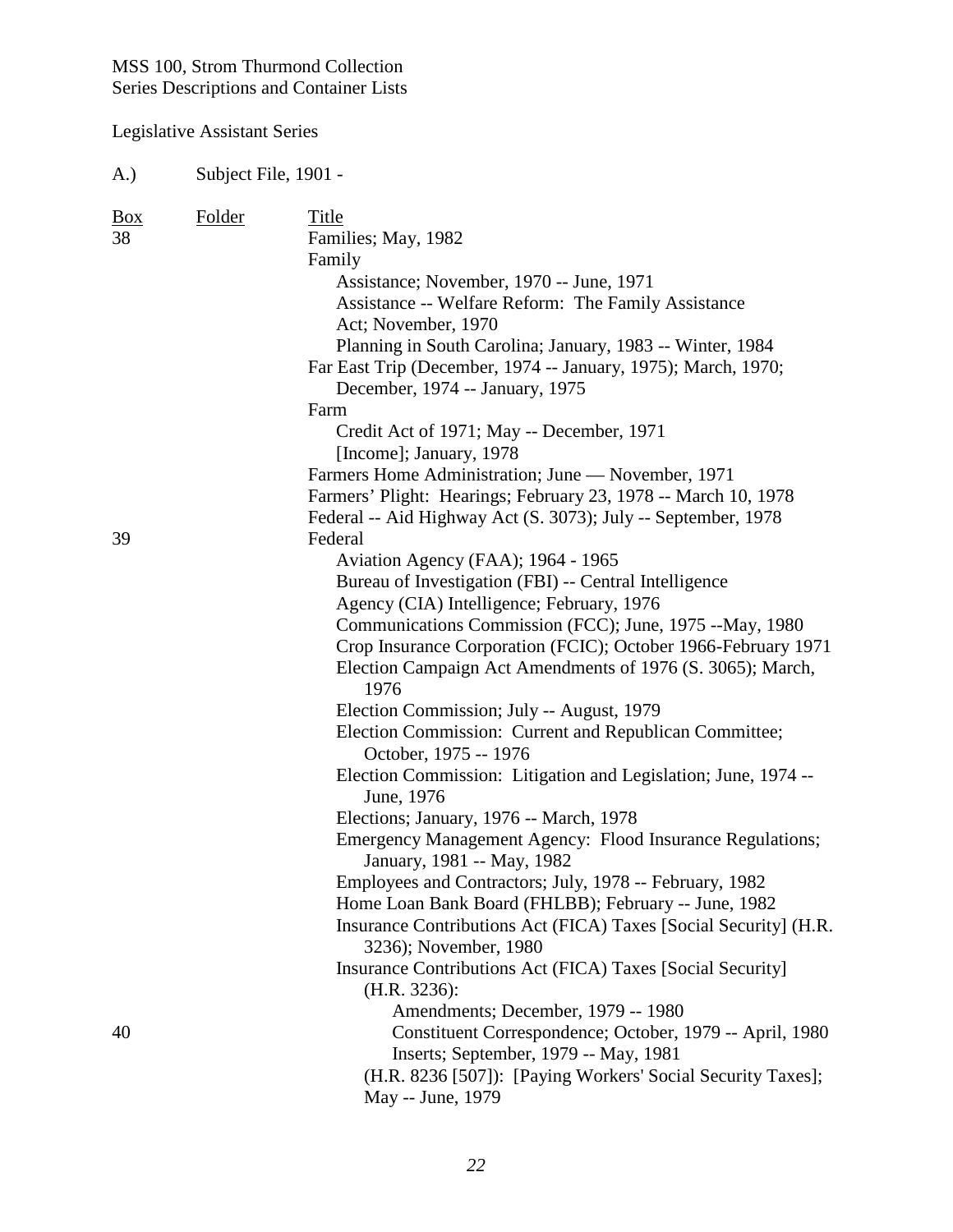| $\frac{Box}{}$<br>Folder<br>Title<br>38<br>Families; May, 1982<br>Family<br>Assistance; November, 1970 -- June, 1971<br>Assistance -- Welfare Reform: The Family Assistance<br>Act; November, 1970 |  |
|----------------------------------------------------------------------------------------------------------------------------------------------------------------------------------------------------|--|
|                                                                                                                                                                                                    |  |
|                                                                                                                                                                                                    |  |
|                                                                                                                                                                                                    |  |
|                                                                                                                                                                                                    |  |
| Planning in South Carolina; January, 1983 -- Winter, 1984                                                                                                                                          |  |
| Far East Trip (December, 1974 -- January, 1975); March, 1970;<br>December, 1974 -- January, 1975                                                                                                   |  |
| Farm                                                                                                                                                                                               |  |
| Credit Act of 1971; May -- December, 1971                                                                                                                                                          |  |
| [Income]; January, 1978                                                                                                                                                                            |  |
| Farmers Home Administration; June — November, 1971                                                                                                                                                 |  |
| Farmers' Plight: Hearings; February 23, 1978 -- March 10, 1978                                                                                                                                     |  |
| Federal -- Aid Highway Act (S. 3073); July -- September, 1978                                                                                                                                      |  |
| 39<br>Federal                                                                                                                                                                                      |  |
| Aviation Agency (FAA); 1964 - 1965                                                                                                                                                                 |  |
| Bureau of Investigation (FBI) -- Central Intelligence                                                                                                                                              |  |
| Agency (CIA) Intelligence; February, 1976                                                                                                                                                          |  |
| Communications Commission (FCC); June, 1975 -- May, 1980                                                                                                                                           |  |
| Crop Insurance Corporation (FCIC); October 1966-February 1971<br>Election Campaign Act Amendments of 1976 (S. 3065); March,<br>1976                                                                |  |
| Election Commission; July -- August, 1979                                                                                                                                                          |  |
| Election Commission: Current and Republican Committee;                                                                                                                                             |  |
| October, 1975 -- 1976                                                                                                                                                                              |  |
| Election Commission: Litigation and Legislation; June, 1974 --<br>June, 1976                                                                                                                       |  |
| Elections; January, 1976 -- March, 1978                                                                                                                                                            |  |
| Emergency Management Agency: Flood Insurance Regulations;<br>January, 1981 -- May, 1982                                                                                                            |  |
| Employees and Contractors; July, 1978 -- February, 1982                                                                                                                                            |  |
| Home Loan Bank Board (FHLBB); February -- June, 1982                                                                                                                                               |  |
| Insurance Contributions Act (FICA) Taxes [Social Security] (H.R.                                                                                                                                   |  |
| 3236); November, 1980                                                                                                                                                                              |  |
| Insurance Contributions Act (FICA) Taxes [Social Security]                                                                                                                                         |  |
| (H.R. 3236):                                                                                                                                                                                       |  |
| Amendments; December, 1979 -- 1980                                                                                                                                                                 |  |
| Constituent Correspondence; October, 1979 -- April, 1980<br>40                                                                                                                                     |  |
| Inserts; September, 1979 -- May, 1981                                                                                                                                                              |  |
| (H.R. 8236 [507]): [Paying Workers' Social Security Taxes];<br>May -- June, 1979                                                                                                                   |  |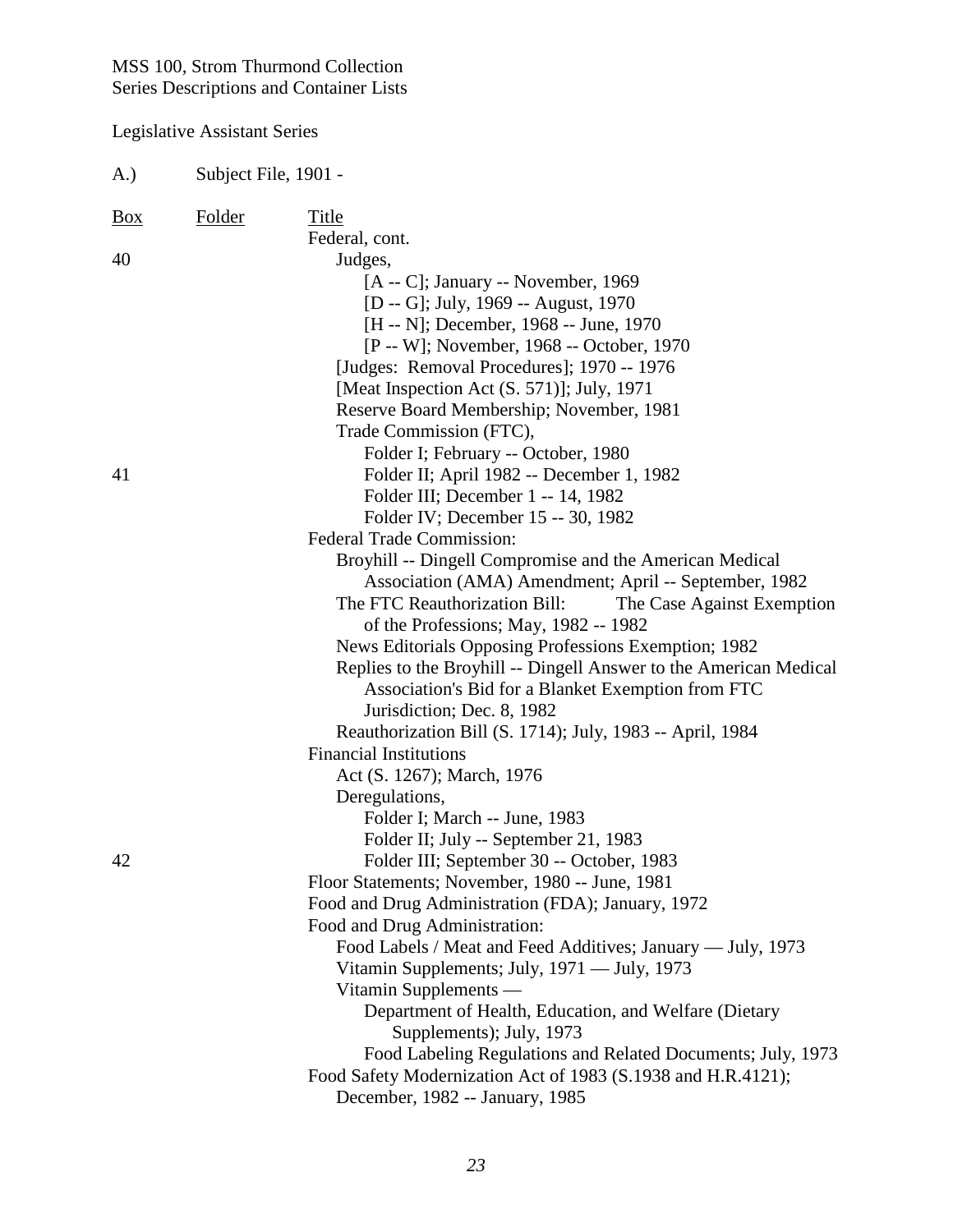| A.)        | Subject File, 1901 - |                                                                                                                                                                                                                                                                                                                                                                                                                                                                                                                                                         |  |
|------------|----------------------|---------------------------------------------------------------------------------------------------------------------------------------------------------------------------------------------------------------------------------------------------------------------------------------------------------------------------------------------------------------------------------------------------------------------------------------------------------------------------------------------------------------------------------------------------------|--|
| <u>Box</u> | <b>Folder</b>        | Title                                                                                                                                                                                                                                                                                                                                                                                                                                                                                                                                                   |  |
| 40         |                      | Federal, cont.<br>Judges,<br>$[A - C]$ ; January -- November, 1969<br>[D -- G]; July, 1969 -- August, 1970<br>[H -- N]; December, 1968 -- June, 1970<br>[P -- W]; November, 1968 -- October, 1970<br>[Judges: Removal Procedures]; 1970 -- 1976<br>[Meat Inspection Act (S. 571)]; July, 1971<br>Reserve Board Membership; November, 1981                                                                                                                                                                                                               |  |
| 41         |                      | Trade Commission (FTC),<br>Folder I; February -- October, 1980<br>Folder II; April 1982 -- December 1, 1982<br>Folder III; December 1 -- 14, 1982<br>Folder IV; December 15 -- 30, 1982<br><b>Federal Trade Commission:</b>                                                                                                                                                                                                                                                                                                                             |  |
|            |                      | Broyhill -- Dingell Compromise and the American Medical<br>Association (AMA) Amendment; April -- September, 1982<br>The FTC Reauthorization Bill:<br>The Case Against Exemption<br>of the Professions; May, 1982 -- 1982<br>News Editorials Opposing Professions Exemption; 1982<br>Replies to the Broyhill -- Dingell Answer to the American Medical<br>Association's Bid for a Blanket Exemption from FTC                                                                                                                                             |  |
|            |                      | Jurisdiction; Dec. 8, 1982<br>Reauthorization Bill (S. 1714); July, 1983 -- April, 1984<br><b>Financial Institutions</b><br>Act (S. 1267); March, 1976<br>Deregulations,                                                                                                                                                                                                                                                                                                                                                                                |  |
| 42         |                      | Folder I; March -- June, 1983<br>Folder II; July -- September 21, 1983<br>Folder III; September 30 -- October, 1983<br>Floor Statements; November, 1980 -- June, 1981<br>Food and Drug Administration (FDA); January, 1972<br>Food and Drug Administration:<br>Food Labels / Meat and Feed Additives; January — July, 1973<br>Vitamin Supplements; July, 1971 — July, 1973<br>Vitamin Supplements —<br>Department of Health, Education, and Welfare (Dietary<br>Supplements); July, 1973<br>Food Labeling Regulations and Related Documents; July, 1973 |  |
|            |                      | Food Safety Modernization Act of 1983 (S.1938 and H.R.4121);<br>December, 1982 -- January, 1985                                                                                                                                                                                                                                                                                                                                                                                                                                                         |  |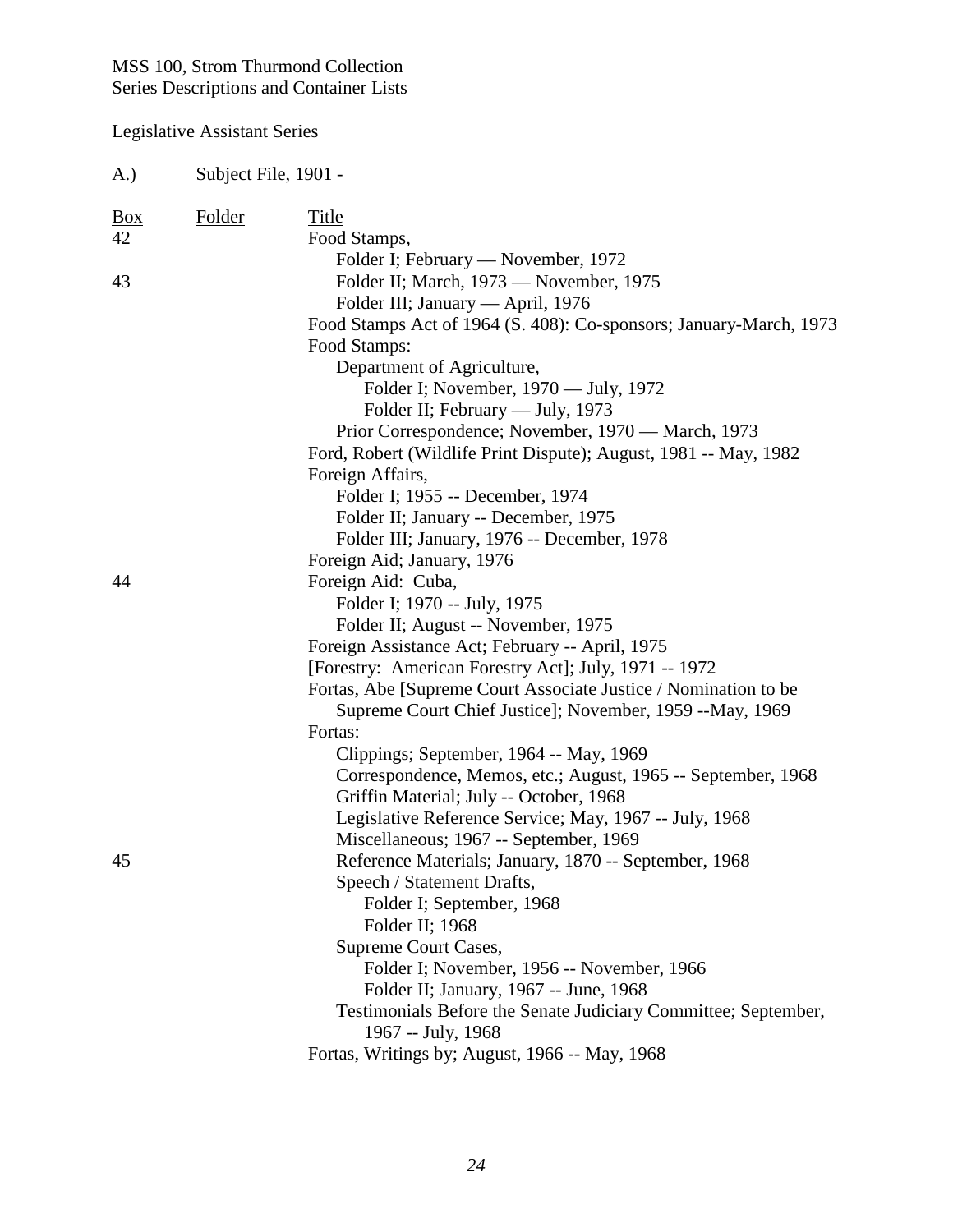| A.)                       | Subject File, 1901 - |                                                                                                                     |
|---------------------------|----------------------|---------------------------------------------------------------------------------------------------------------------|
| $\frac{Box}{angle}$<br>42 | <b>Folder</b>        | Title<br>Food Stamps,                                                                                               |
| 43                        |                      | Folder I; February — November, 1972<br>Folder II; March, 1973 — November, 1975<br>Folder III; January — April, 1976 |
|                           |                      | Food Stamps Act of 1964 (S. 408): Co-sponsors; January-March, 1973<br>Food Stamps:                                  |
|                           |                      | Department of Agriculture,                                                                                          |
|                           |                      | Folder I; November, 1970 — July, 1972                                                                               |
|                           |                      | Folder II; February — July, 1973                                                                                    |
|                           |                      | Prior Correspondence; November, 1970 — March, 1973                                                                  |
|                           |                      | Ford, Robert (Wildlife Print Dispute); August, 1981 -- May, 1982                                                    |
|                           |                      | Foreign Affairs,<br>Folder I; 1955 -- December, 1974                                                                |
|                           |                      | Folder II; January -- December, 1975                                                                                |
|                           |                      | Folder III; January, 1976 -- December, 1978                                                                         |
|                           |                      | Foreign Aid; January, 1976                                                                                          |
| 44                        |                      | Foreign Aid: Cuba,                                                                                                  |
|                           |                      | Folder I; 1970 -- July, 1975                                                                                        |
|                           |                      | Folder II; August -- November, 1975                                                                                 |
|                           |                      | Foreign Assistance Act; February -- April, 1975                                                                     |
|                           |                      | [Forestry: American Forestry Act]; July, 1971 -- 1972                                                               |
|                           |                      | Fortas, Abe [Supreme Court Associate Justice / Nomination to be                                                     |
|                           |                      | Supreme Court Chief Justice]; November, 1959 --May, 1969                                                            |
|                           |                      | Fortas:<br>Clippings; September, 1964 -- May, 1969                                                                  |
|                           |                      | Correspondence, Memos, etc.; August, 1965 -- September, 1968                                                        |
|                           |                      | Griffin Material; July -- October, 1968                                                                             |
|                           |                      | Legislative Reference Service; May, 1967 -- July, 1968                                                              |
|                           |                      | Miscellaneous; 1967 -- September, 1969                                                                              |
| 45                        |                      | Reference Materials; January, 1870 -- September, 1968                                                               |
|                           |                      | Speech / Statement Drafts,                                                                                          |
|                           |                      | Folder I; September, 1968                                                                                           |
|                           |                      | Folder II; 1968                                                                                                     |
|                           |                      | Supreme Court Cases,                                                                                                |
|                           |                      | Folder I; November, 1956 -- November, 1966                                                                          |
|                           |                      | Folder II; January, 1967 -- June, 1968<br>Testimonials Before the Senate Judiciary Committee; September,            |
|                           |                      | 1967 -- July, 1968                                                                                                  |
|                           |                      | Fortas, Writings by; August, 1966 -- May, 1968                                                                      |
|                           |                      |                                                                                                                     |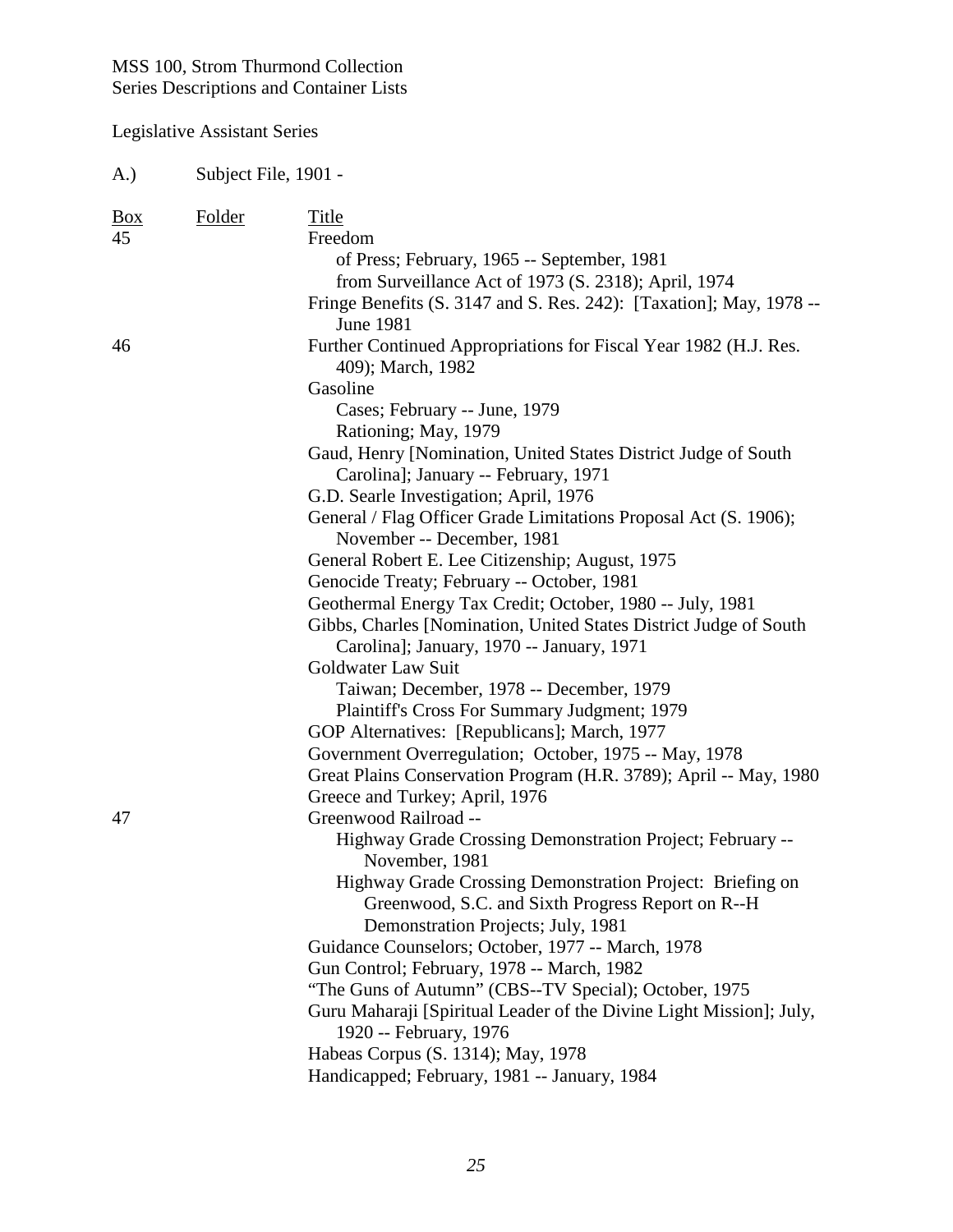| (A.)             | Subject File, 1901 - |                                                                                                                                                                                                                                                                                                                                                                                                                                                                                                                                                                                                                                                                                                                                                                                                                                                                                                                                                                                                                                    |  |
|------------------|----------------------|------------------------------------------------------------------------------------------------------------------------------------------------------------------------------------------------------------------------------------------------------------------------------------------------------------------------------------------------------------------------------------------------------------------------------------------------------------------------------------------------------------------------------------------------------------------------------------------------------------------------------------------------------------------------------------------------------------------------------------------------------------------------------------------------------------------------------------------------------------------------------------------------------------------------------------------------------------------------------------------------------------------------------------|--|
| <u>Box</u><br>45 | Folder               | Title<br>Freedom<br>of Press; February, 1965 -- September, 1981<br>from Surveillance Act of 1973 (S. 2318); April, 1974<br>Fringe Benefits (S. 3147 and S. Res. 242): [Taxation]; May, 1978 --<br><b>June 1981</b>                                                                                                                                                                                                                                                                                                                                                                                                                                                                                                                                                                                                                                                                                                                                                                                                                 |  |
| 46               |                      | Further Continued Appropriations for Fiscal Year 1982 (H.J. Res.<br>409); March, 1982<br>Gasoline<br>Cases; February -- June, 1979<br>Rationing; May, 1979<br>Gaud, Henry [Nomination, United States District Judge of South<br>Carolina]; January -- February, 1971<br>G.D. Searle Investigation; April, 1976<br>General / Flag Officer Grade Limitations Proposal Act (S. 1906);<br>November -- December, 1981<br>General Robert E. Lee Citizenship; August, 1975<br>Genocide Treaty; February -- October, 1981<br>Geothermal Energy Tax Credit; October, 1980 -- July, 1981<br>Gibbs, Charles [Nomination, United States District Judge of South<br>Carolina]; January, 1970 -- January, 1971<br>Goldwater Law Suit<br>Taiwan; December, 1978 -- December, 1979<br>Plaintiff's Cross For Summary Judgment; 1979<br>GOP Alternatives: [Republicans]; March, 1977<br>Government Overregulation; October, 1975 -- May, 1978<br>Great Plains Conservation Program (H.R. 3789); April -- May, 1980<br>Greece and Turkey; April, 1976 |  |
| 47               |                      | Greenwood Railroad --<br>Highway Grade Crossing Demonstration Project; February --<br>November, 1981<br>Highway Grade Crossing Demonstration Project: Briefing on<br>Greenwood, S.C. and Sixth Progress Report on R--H<br>Demonstration Projects; July, 1981<br>Guidance Counselors; October, 1977 -- March, 1978<br>Gun Control; February, 1978 -- March, 1982<br>"The Guns of Autumn" (CBS--TV Special); October, 1975<br>Guru Maharaji [Spiritual Leader of the Divine Light Mission]; July,<br>1920 -- February, 1976<br>Habeas Corpus (S. 1314); May, 1978<br>Handicapped; February, 1981 -- January, 1984                                                                                                                                                                                                                                                                                                                                                                                                                    |  |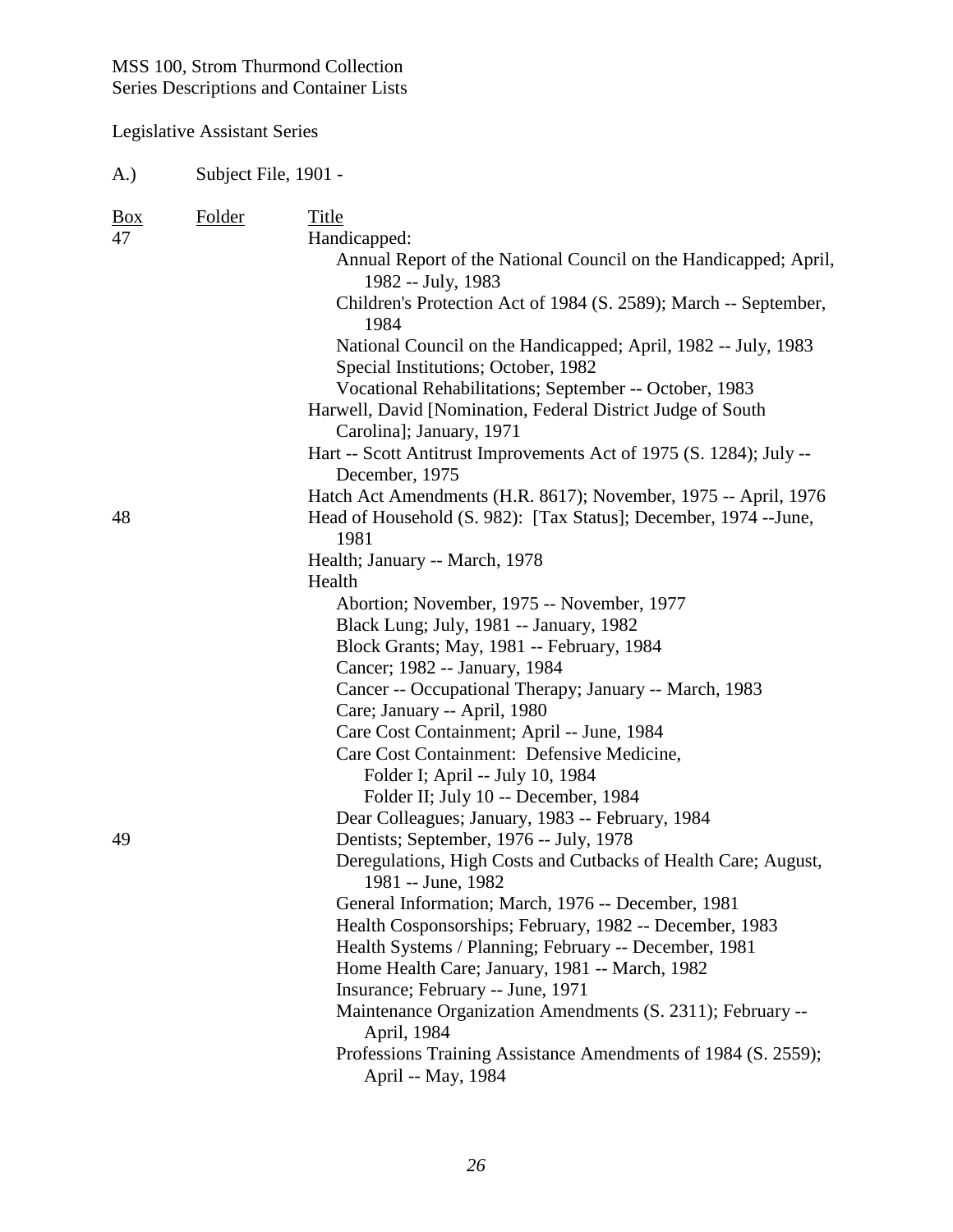Legislative Assistant Series

| <b>Box</b> | Folder | Title                                                                                    |
|------------|--------|------------------------------------------------------------------------------------------|
| 47         |        | Handicapped:                                                                             |
|            |        | Annual Report of the National Council on the Handicapped; April,<br>1982 -- July, 1983   |
|            |        | Children's Protection Act of 1984 (S. 2589); March -- September,                         |
|            |        | 1984                                                                                     |
|            |        | National Council on the Handicapped; April, 1982 -- July, 1983                           |
|            |        | Special Institutions; October, 1982                                                      |
|            |        | Vocational Rehabilitations; September -- October, 1983                                   |
|            |        | Harwell, David [Nomination, Federal District Judge of South                              |
|            |        | Carolina]; January, 1971                                                                 |
|            |        | Hart -- Scott Antitrust Improvements Act of 1975 (S. 1284); July --                      |
|            |        | December, 1975                                                                           |
|            |        | Hatch Act Amendments (H.R. 8617); November, 1975 -- April, 1976                          |
| 48         |        | Head of Household (S. 982): [Tax Status]; December, 1974 -- June,                        |
|            |        | 1981                                                                                     |
|            |        | Health; January -- March, 1978                                                           |
|            |        | Health                                                                                   |
|            |        | Abortion; November, 1975 -- November, 1977                                               |
|            |        | Black Lung; July, 1981 -- January, 1982                                                  |
|            |        | Block Grants; May, 1981 -- February, 1984                                                |
|            |        | Cancer; 1982 -- January, 1984                                                            |
|            |        | Cancer -- Occupational Therapy; January -- March, 1983                                   |
|            |        | Care; January -- April, 1980                                                             |
|            |        | Care Cost Containment; April -- June, 1984                                               |
|            |        | Care Cost Containment: Defensive Medicine,                                               |
|            |        | Folder I; April -- July 10, 1984                                                         |
|            |        | Folder II; July 10 -- December, 1984<br>Dear Colleagues; January, 1983 -- February, 1984 |
| 49         |        | Dentists; September, 1976 -- July, 1978                                                  |
|            |        | Deregulations, High Costs and Cutbacks of Health Care; August,                           |
|            |        | 1981 -- June, 1982                                                                       |
|            |        | General Information; March, 1976 -- December, 1981                                       |
|            |        | Health Cosponsorships; February, 1982 -- December, 1983                                  |
|            |        | Health Systems / Planning; February -- December, 1981                                    |
|            |        | Home Health Care; January, 1981 -- March, 1982                                           |
|            |        | Insurance; February -- June, 1971                                                        |
|            |        | Maintenance Organization Amendments (S. 2311); February --                               |
|            |        | April, 1984                                                                              |
|            |        | Professions Training Assistance Amendments of 1984 (S. 2559);<br>April -- May, 1984      |
|            |        |                                                                                          |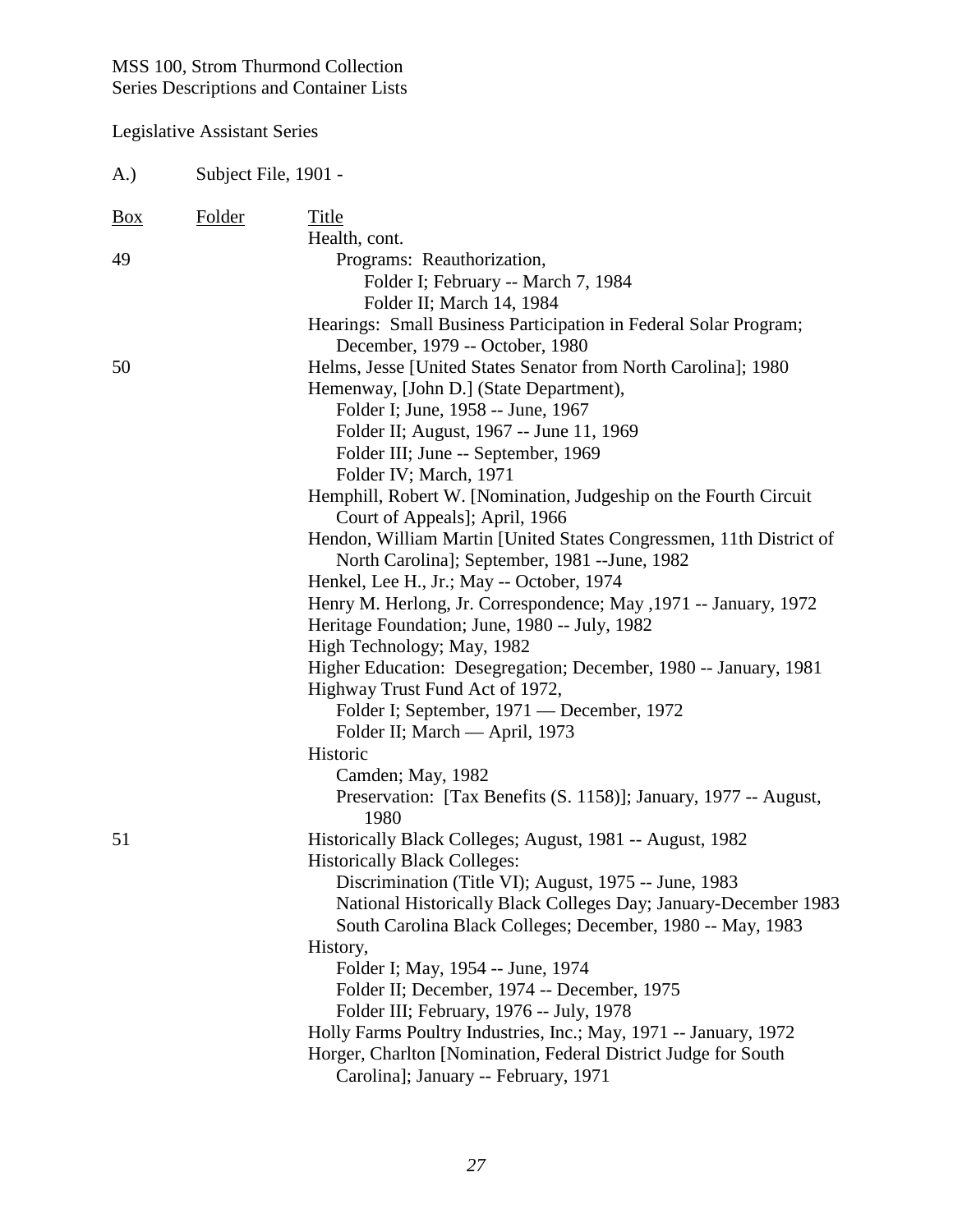| A.)            | Subject File, 1901 - |                                                                                                                                                                                                                                                                                                                                                                                                                                                                                                                                                                                                                                                                                                                                                                                                                                                                                                                                                                                          |
|----------------|----------------------|------------------------------------------------------------------------------------------------------------------------------------------------------------------------------------------------------------------------------------------------------------------------------------------------------------------------------------------------------------------------------------------------------------------------------------------------------------------------------------------------------------------------------------------------------------------------------------------------------------------------------------------------------------------------------------------------------------------------------------------------------------------------------------------------------------------------------------------------------------------------------------------------------------------------------------------------------------------------------------------|
| $\frac{Box}{}$ | Folder               | Title<br>Health, cont.                                                                                                                                                                                                                                                                                                                                                                                                                                                                                                                                                                                                                                                                                                                                                                                                                                                                                                                                                                   |
| 49             |                      | Programs: Reauthorization,<br>Folder I; February -- March 7, 1984<br>Folder II; March 14, 1984<br>Hearings: Small Business Participation in Federal Solar Program;<br>December, 1979 -- October, 1980                                                                                                                                                                                                                                                                                                                                                                                                                                                                                                                                                                                                                                                                                                                                                                                    |
| 50             |                      | Helms, Jesse [United States Senator from North Carolina]; 1980<br>Hemenway, [John D.] (State Department),<br>Folder I; June, 1958 -- June, 1967<br>Folder II; August, 1967 -- June 11, 1969<br>Folder III; June -- September, 1969<br>Folder IV; March, 1971<br>Hemphill, Robert W. [Nomination, Judgeship on the Fourth Circuit<br>Court of Appeals]; April, 1966<br>Hendon, William Martin [United States Congressmen, 11th District of<br>North Carolina]; September, 1981 -- June, 1982<br>Henkel, Lee H., Jr.; May -- October, 1974<br>Henry M. Herlong, Jr. Correspondence; May , 1971 -- January, 1972<br>Heritage Foundation; June, 1980 -- July, 1982<br>High Technology; May, 1982<br>Higher Education: Desegregation; December, 1980 -- January, 1981<br>Highway Trust Fund Act of 1972,<br>Folder I; September, 1971 — December, 1972<br>Folder II; March — April, 1973<br>Historic<br>Camden; May, 1982<br>Preservation: [Tax Benefits (S. 1158)]; January, 1977 -- August, |
| 51             |                      | 1980<br>Historically Black Colleges; August, 1981 -- August, 1982<br><b>Historically Black Colleges:</b><br>Discrimination (Title VI); August, 1975 -- June, 1983<br>National Historically Black Colleges Day; January-December 1983<br>South Carolina Black Colleges; December, 1980 -- May, 1983<br>History,<br>Folder I; May, 1954 -- June, 1974<br>Folder II; December, 1974 -- December, 1975<br>Folder III; February, 1976 -- July, 1978<br>Holly Farms Poultry Industries, Inc.; May, 1971 -- January, 1972<br>Horger, Charlton [Nomination, Federal District Judge for South<br>Carolina]; January -- February, 1971                                                                                                                                                                                                                                                                                                                                                             |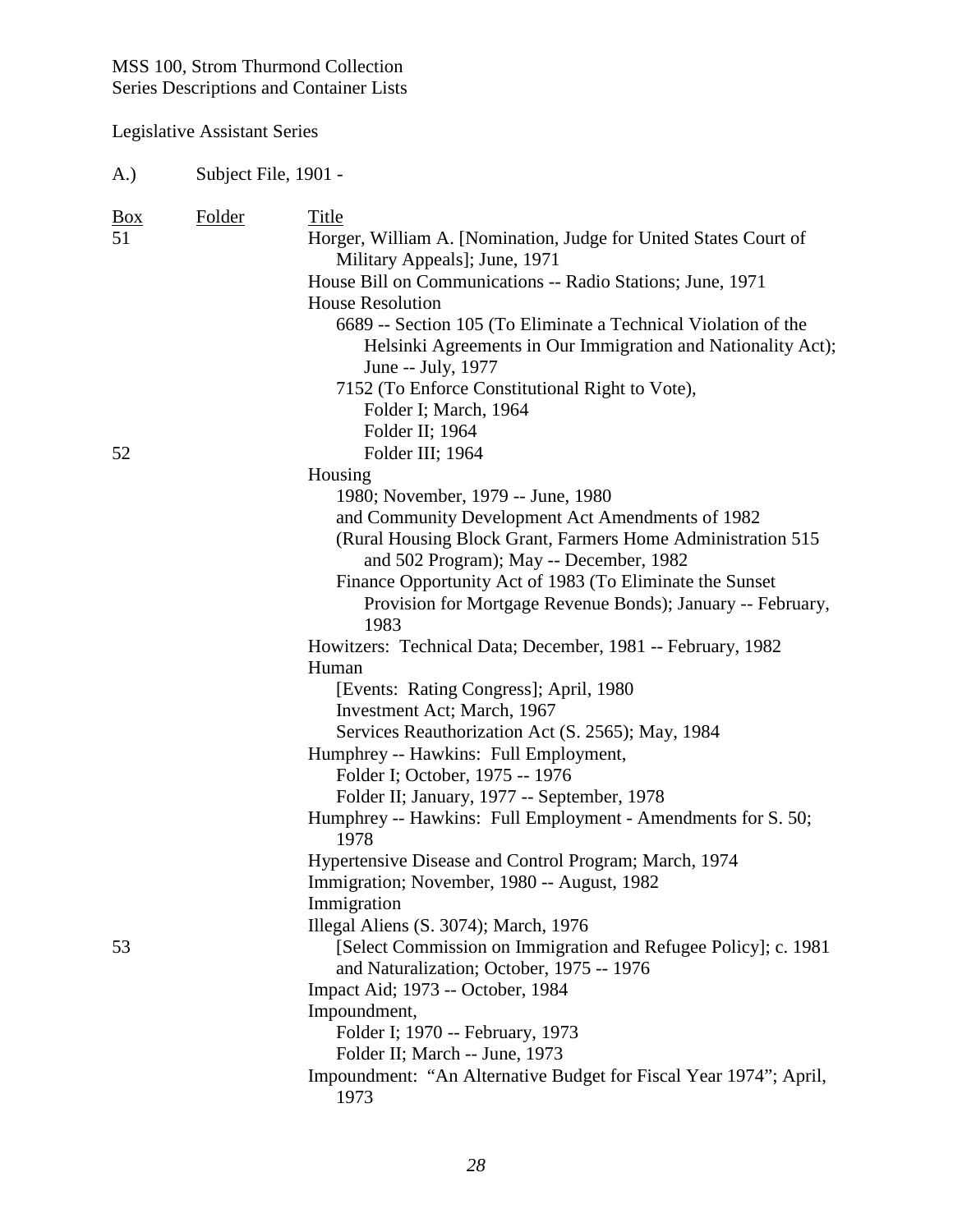## Legislative Assistant Series

| $\frac{Box}{}$<br>51 | Folder | Title<br>Horger, William A. [Nomination, Judge for United States Court of<br>Military Appeals]; June, 1971                                           |
|----------------------|--------|------------------------------------------------------------------------------------------------------------------------------------------------------|
|                      |        | House Bill on Communications -- Radio Stations; June, 1971                                                                                           |
|                      |        | <b>House Resolution</b>                                                                                                                              |
|                      |        | 6689 -- Section 105 (To Eliminate a Technical Violation of the<br>Helsinki Agreements in Our Immigration and Nationality Act);<br>June -- July, 1977 |
|                      |        | 7152 (To Enforce Constitutional Right to Vote),                                                                                                      |
|                      |        | Folder I; March, 1964                                                                                                                                |
|                      |        | Folder II; 1964                                                                                                                                      |
| 52                   |        | Folder III; 1964                                                                                                                                     |
|                      |        | Housing                                                                                                                                              |
|                      |        | 1980; November, 1979 -- June, 1980                                                                                                                   |
|                      |        | and Community Development Act Amendments of 1982                                                                                                     |
|                      |        | (Rural Housing Block Grant, Farmers Home Administration 515)<br>and 502 Program); May -- December, 1982                                              |
|                      |        | Finance Opportunity Act of 1983 (To Eliminate the Sunset                                                                                             |
|                      |        | Provision for Mortgage Revenue Bonds); January -- February,<br>1983                                                                                  |
|                      |        | Howitzers: Technical Data; December, 1981 -- February, 1982                                                                                          |
|                      |        | Human                                                                                                                                                |
|                      |        | [Events: Rating Congress]; April, 1980                                                                                                               |
|                      |        | Investment Act; March, 1967                                                                                                                          |
|                      |        | Services Reauthorization Act (S. 2565); May, 1984                                                                                                    |
|                      |        | Humphrey -- Hawkins: Full Employment,                                                                                                                |
|                      |        | Folder I; October, 1975 -- 1976                                                                                                                      |
|                      |        | Folder II; January, 1977 -- September, 1978                                                                                                          |
|                      |        | Humphrey -- Hawkins: Full Employment - Amendments for S. 50;<br>1978                                                                                 |
|                      |        | Hypertensive Disease and Control Program; March, 1974                                                                                                |
|                      |        | Immigration; November, 1980 -- August, 1982                                                                                                          |
|                      |        | Immigration                                                                                                                                          |
|                      |        | Illegal Aliens (S. 3074); March, 1976                                                                                                                |
| 53                   |        | [Select Commission on Immigration and Refugee Policy]; c. 1981<br>and Naturalization; October, 1975 -- 1976                                          |
|                      |        | Impact Aid; 1973 -- October, 1984                                                                                                                    |
|                      |        | Impoundment,                                                                                                                                         |
|                      |        | Folder I; 1970 -- February, 1973                                                                                                                     |
|                      |        | Folder II; March -- June, 1973                                                                                                                       |
|                      |        | Impoundment: "An Alternative Budget for Fiscal Year 1974"; April,<br>1973                                                                            |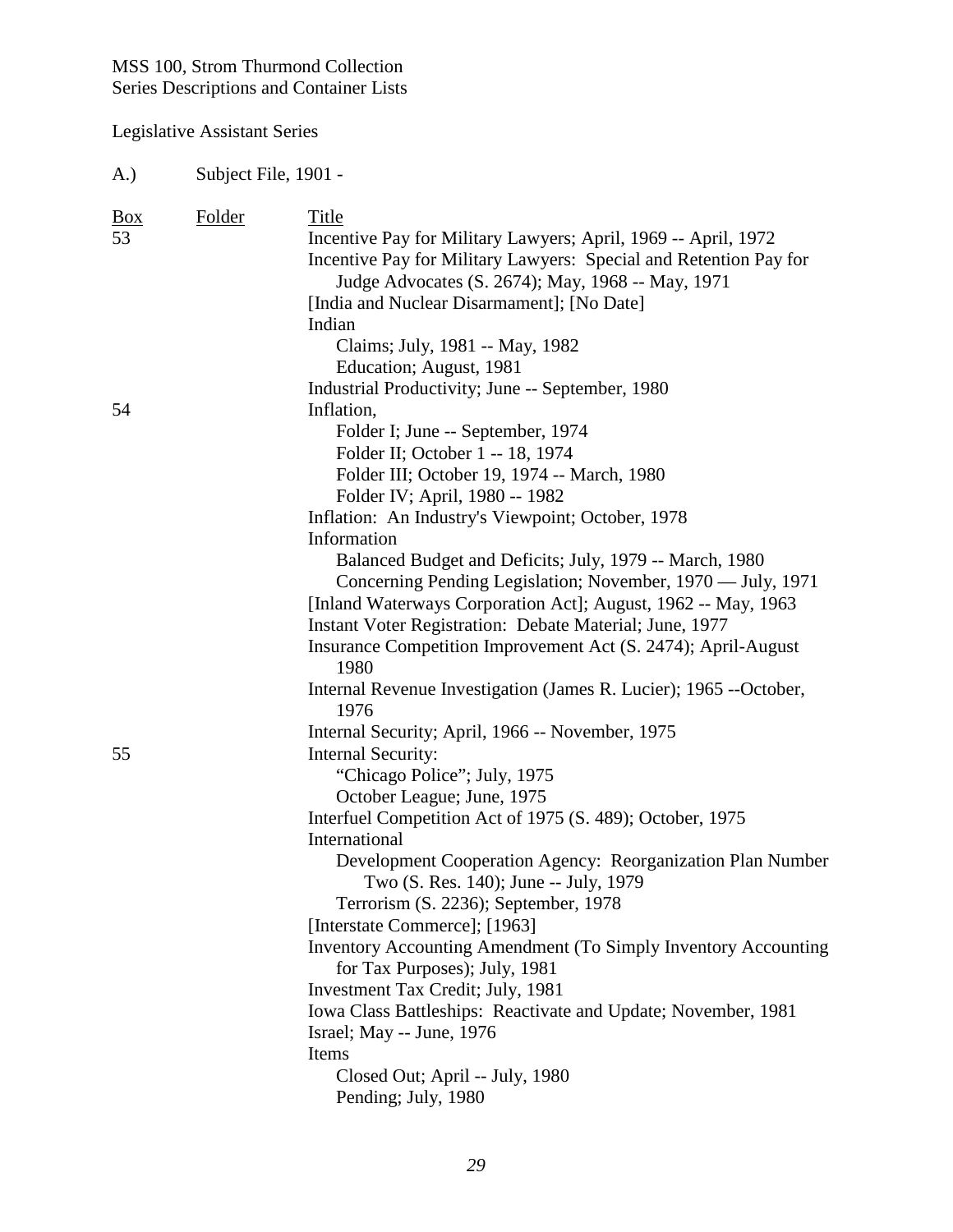Legislative Assistant Series

| <b>Box</b><br>53 | Folder | Title                                                                                                                               |
|------------------|--------|-------------------------------------------------------------------------------------------------------------------------------------|
|                  |        | Incentive Pay for Military Lawyers; April, 1969 -- April, 1972<br>Incentive Pay for Military Lawyers: Special and Retention Pay for |
|                  |        | Judge Advocates (S. 2674); May, 1968 -- May, 1971                                                                                   |
|                  |        | [India and Nuclear Disarmament]; [No Date]                                                                                          |
|                  |        | Indian                                                                                                                              |
|                  |        | Claims; July, 1981 -- May, 1982                                                                                                     |
|                  |        | Education; August, 1981                                                                                                             |
|                  |        | Industrial Productivity; June -- September, 1980                                                                                    |
| 54               |        | Inflation,                                                                                                                          |
|                  |        | Folder I; June -- September, 1974                                                                                                   |
|                  |        | Folder II; October 1 -- 18, 1974                                                                                                    |
|                  |        | Folder III; October 19, 1974 -- March, 1980                                                                                         |
|                  |        | Folder IV; April, 1980 -- 1982                                                                                                      |
|                  |        | Inflation: An Industry's Viewpoint; October, 1978                                                                                   |
|                  |        | Information                                                                                                                         |
|                  |        | Balanced Budget and Deficits; July, 1979 -- March, 1980                                                                             |
|                  |        | Concerning Pending Legislation; November, 1970 — July, 1971                                                                         |
|                  |        | [Inland Waterways Corporation Act]; August, 1962 -- May, 1963                                                                       |
|                  |        | Instant Voter Registration: Debate Material; June, 1977                                                                             |
|                  |        | Insurance Competition Improvement Act (S. 2474); April-August<br>1980                                                               |
|                  |        | Internal Revenue Investigation (James R. Lucier); 1965 --October,<br>1976                                                           |
|                  |        |                                                                                                                                     |
| 55               |        | Internal Security; April, 1966 -- November, 1975<br><b>Internal Security:</b>                                                       |
|                  |        | "Chicago Police"; July, 1975                                                                                                        |
|                  |        | October League; June, 1975                                                                                                          |
|                  |        |                                                                                                                                     |
|                  |        | Interfuel Competition Act of 1975 (S. 489); October, 1975<br>International                                                          |
|                  |        | Development Cooperation Agency: Reorganization Plan Number                                                                          |
|                  |        | Two (S. Res. 140); June -- July, 1979                                                                                               |
|                  |        | Terrorism (S. 2236); September, 1978                                                                                                |
|                  |        | [Interstate Commerce]; [1963]                                                                                                       |
|                  |        | Inventory Accounting Amendment (To Simply Inventory Accounting                                                                      |
|                  |        | for Tax Purposes); July, 1981                                                                                                       |
|                  |        | Investment Tax Credit; July, 1981                                                                                                   |
|                  |        | Iowa Class Battleships: Reactivate and Update; November, 1981                                                                       |
|                  |        | Israel; May -- June, 1976                                                                                                           |
|                  |        | Items                                                                                                                               |
|                  |        | Closed Out; April -- July, 1980                                                                                                     |
|                  |        | Pending; July, 1980                                                                                                                 |
|                  |        |                                                                                                                                     |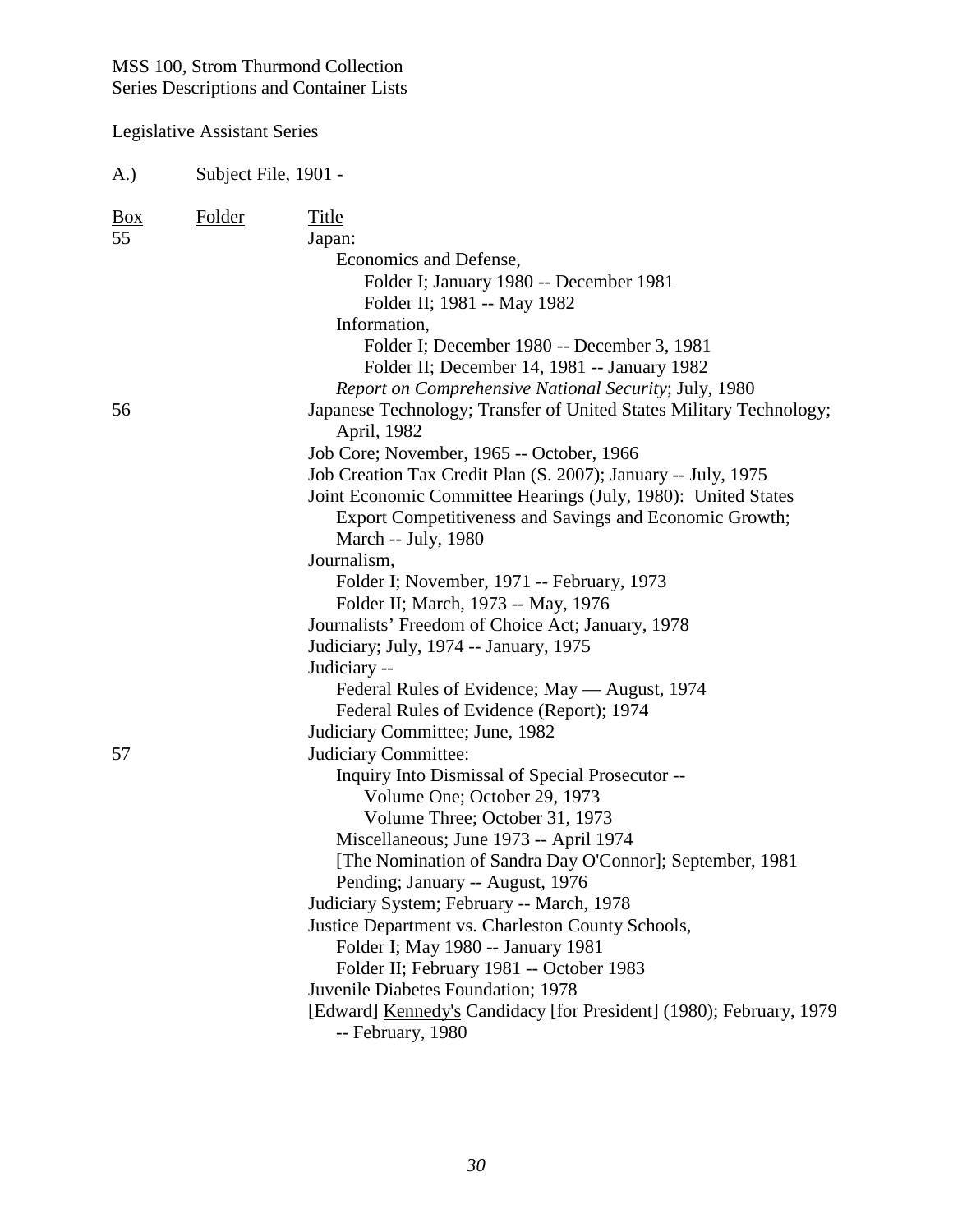| A.)                       | Subject File, 1901 - |                                                                                                                                                                                                                                                                                                                                                                                                                                                                                                                                                                                                                                                                     |
|---------------------------|----------------------|---------------------------------------------------------------------------------------------------------------------------------------------------------------------------------------------------------------------------------------------------------------------------------------------------------------------------------------------------------------------------------------------------------------------------------------------------------------------------------------------------------------------------------------------------------------------------------------------------------------------------------------------------------------------|
| $\frac{Box}{angle}$<br>55 | <b>Folder</b>        | <b>Title</b><br>Japan:<br>Economics and Defense,<br>Folder I; January 1980 -- December 1981<br>Folder II; 1981 -- May 1982<br>Information,<br>Folder I; December 1980 -- December 3, 1981<br>Folder II; December 14, 1981 -- January 1982<br>Report on Comprehensive National Security; July, 1980                                                                                                                                                                                                                                                                                                                                                                  |
| 56                        |                      | Japanese Technology; Transfer of United States Military Technology;<br>April, 1982<br>Job Core; November, 1965 -- October, 1966<br>Job Creation Tax Credit Plan (S. 2007); January -- July, 1975<br>Joint Economic Committee Hearings (July, 1980): United States<br>Export Competitiveness and Savings and Economic Growth;<br>March -- July, 1980<br>Journalism,<br>Folder I; November, 1971 -- February, 1973<br>Folder II; March, 1973 -- May, 1976<br>Journalists' Freedom of Choice Act; January, 1978<br>Judiciary; July, 1974 -- January, 1975<br>Judiciary --<br>Federal Rules of Evidence; May — August, 1974<br>Federal Rules of Evidence (Report); 1974 |
| 57                        |                      | Judiciary Committee; June, 1982<br>Judiciary Committee:<br>Inquiry Into Dismissal of Special Prosecutor --<br>Volume One; October 29, 1973<br>Volume Three; October 31, 1973<br>Miscellaneous; June 1973 -- April 1974<br>[The Nomination of Sandra Day O'Connor]; September, 1981<br>Pending; January -- August, 1976<br>Judiciary System; February -- March, 1978<br>Justice Department vs. Charleston County Schools,<br>Folder I; May 1980 -- January 1981<br>Folder II; February 1981 -- October 1983<br>Juvenile Diabetes Foundation; 1978<br>[Edward] Kennedy's Candidacy [for President] (1980); February, 1979<br>-- February, 1980                        |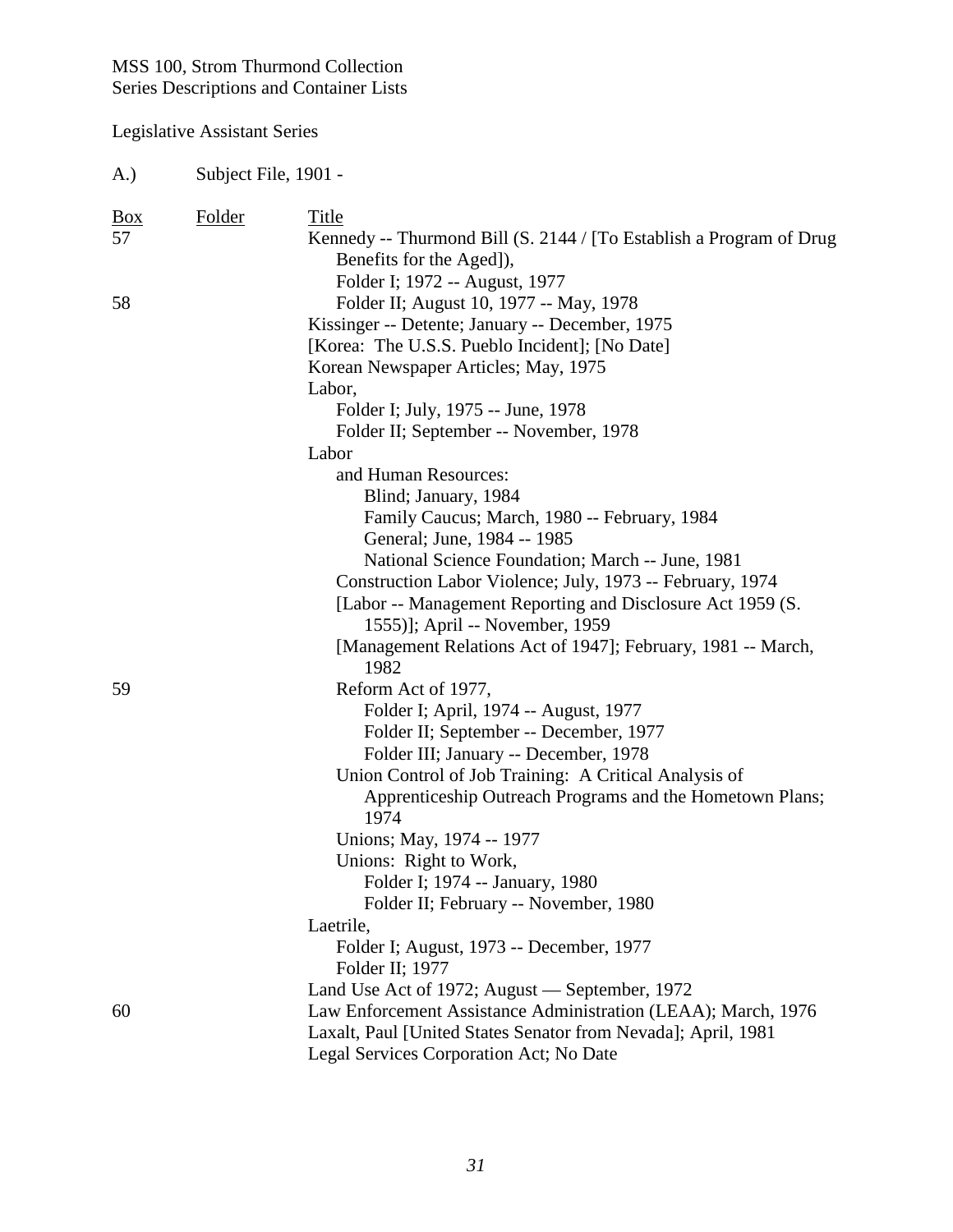| A.)                     | Subject File, 1901 - |                                                                                                                                                                                                                                                                                                                                                                                                                                                                                                                                               |
|-------------------------|----------------------|-----------------------------------------------------------------------------------------------------------------------------------------------------------------------------------------------------------------------------------------------------------------------------------------------------------------------------------------------------------------------------------------------------------------------------------------------------------------------------------------------------------------------------------------------|
| $\underline{Box}$<br>57 | <b>Folder</b>        | Title<br>Kennedy -- Thurmond Bill (S. 2144 / [To Establish a Program of Drug<br>Benefits for the Aged]),<br>Folder I; 1972 -- August, 1977                                                                                                                                                                                                                                                                                                                                                                                                    |
| 58                      |                      | Folder II; August 10, 1977 -- May, 1978<br>Kissinger -- Detente; January -- December, 1975<br>[Korea: The U.S.S. Pueblo Incident]; [No Date]<br>Korean Newspaper Articles; May, 1975<br>Labor,<br>Folder I; July, 1975 -- June, 1978<br>Folder II; September -- November, 1978<br>Labor<br>and Human Resources:                                                                                                                                                                                                                               |
|                         |                      | Blind; January, 1984<br>Family Caucus; March, 1980 -- February, 1984<br>General; June, 1984 -- 1985<br>National Science Foundation; March -- June, 1981<br>Construction Labor Violence; July, 1973 -- February, 1974<br>[Labor -- Management Reporting and Disclosure Act 1959 (S.<br>1555)]; April -- November, 1959<br>[Management Relations Act of 1947]; February, 1981 -- March,<br>1982                                                                                                                                                 |
| 59                      |                      | Reform Act of 1977,<br>Folder I; April, 1974 -- August, 1977<br>Folder II; September -- December, 1977<br>Folder III; January -- December, 1978<br>Union Control of Job Training: A Critical Analysis of<br>Apprenticeship Outreach Programs and the Hometown Plans;<br>1974<br>Unions; May, 1974 -- 1977<br>Unions: Right to Work,<br>Folder I; 1974 -- January, 1980<br>Folder II; February -- November, 1980<br>Laetrile,<br>Folder I; August, 1973 -- December, 1977<br>Folder II; 1977<br>Land Use Act of 1972; August — September, 1972 |
| 60                      |                      | Law Enforcement Assistance Administration (LEAA); March, 1976<br>Laxalt, Paul [United States Senator from Nevada]; April, 1981<br>Legal Services Corporation Act; No Date                                                                                                                                                                                                                                                                                                                                                                     |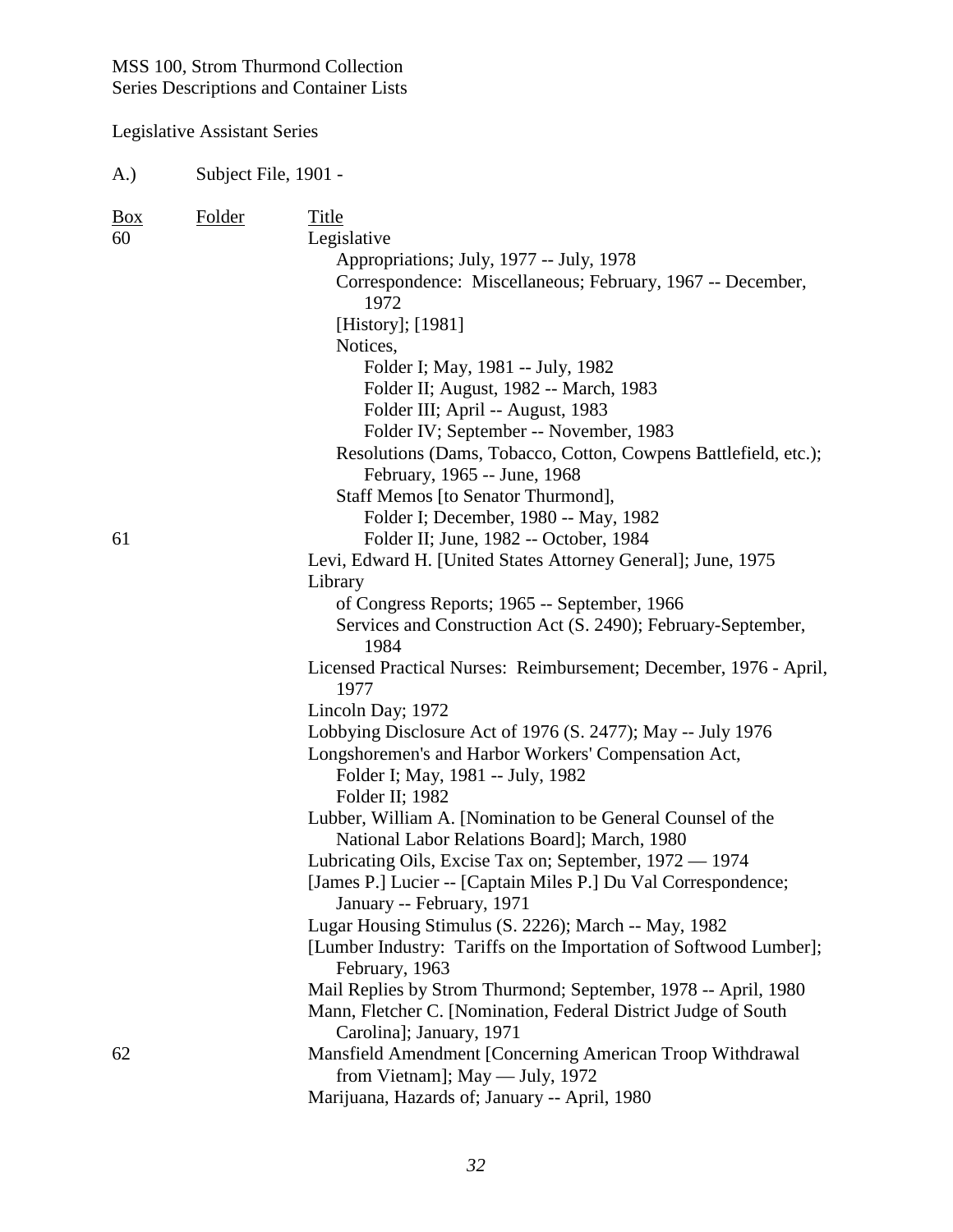Legislative Assistant Series

A.) Subject File, 1901 - Box Folder Title 60 Legislative Appropriations; July, 1977 -- July, 1978 Correspondence: Miscellaneous; February, 1967 -- December, 1972 [History]; [1981] Notices, Folder I; May, 1981 -- July, 1982 Folder II; August, 1982 -- March, 1983 Folder III; April -- August, 1983 Folder IV; September -- November, 1983 Resolutions (Dams, Tobacco, Cotton, Cowpens Battlefield, etc.); February, 1965 -- June, 1968 Staff Memos [to Senator Thurmond], Folder I; December, 1980 -- May, 1982 61 Folder II; June, 1982 -- October, 1984 Levi, Edward H. [United States Attorney General]; June, 1975 Library of Congress Reports; 1965 -- September, 1966 Services and Construction Act (S. 2490); February-September, 1984 Licensed Practical Nurses: Reimbursement; December, 1976 - April, 1977 Lincoln Day; 1972 Lobbying Disclosure Act of 1976 (S. 2477); May -- July 1976 Longshoremen's and Harbor Workers' Compensation Act, Folder I; May, 1981 -- July, 1982 Folder II; 1982 Lubber, William A. [Nomination to be General Counsel of the National Labor Relations Board]; March, 1980 Lubricating Oils, Excise Tax on; September, 1972 — 1974 [James P.] Lucier -- [Captain Miles P.] Du Val Correspondence; January -- February, 1971 Lugar Housing Stimulus (S. 2226); March -- May, 1982 [Lumber Industry: Tariffs on the Importation of Softwood Lumber]; February, 1963 Mail Replies by Strom Thurmond; September, 1978 -- April, 1980 Mann, Fletcher C. [Nomination, Federal District Judge of South Carolina]; January, 1971 62 Mansfield Amendment [Concerning American Troop Withdrawal from Vietnam]; May — July, 1972 Marijuana, Hazards of; January -- April, 1980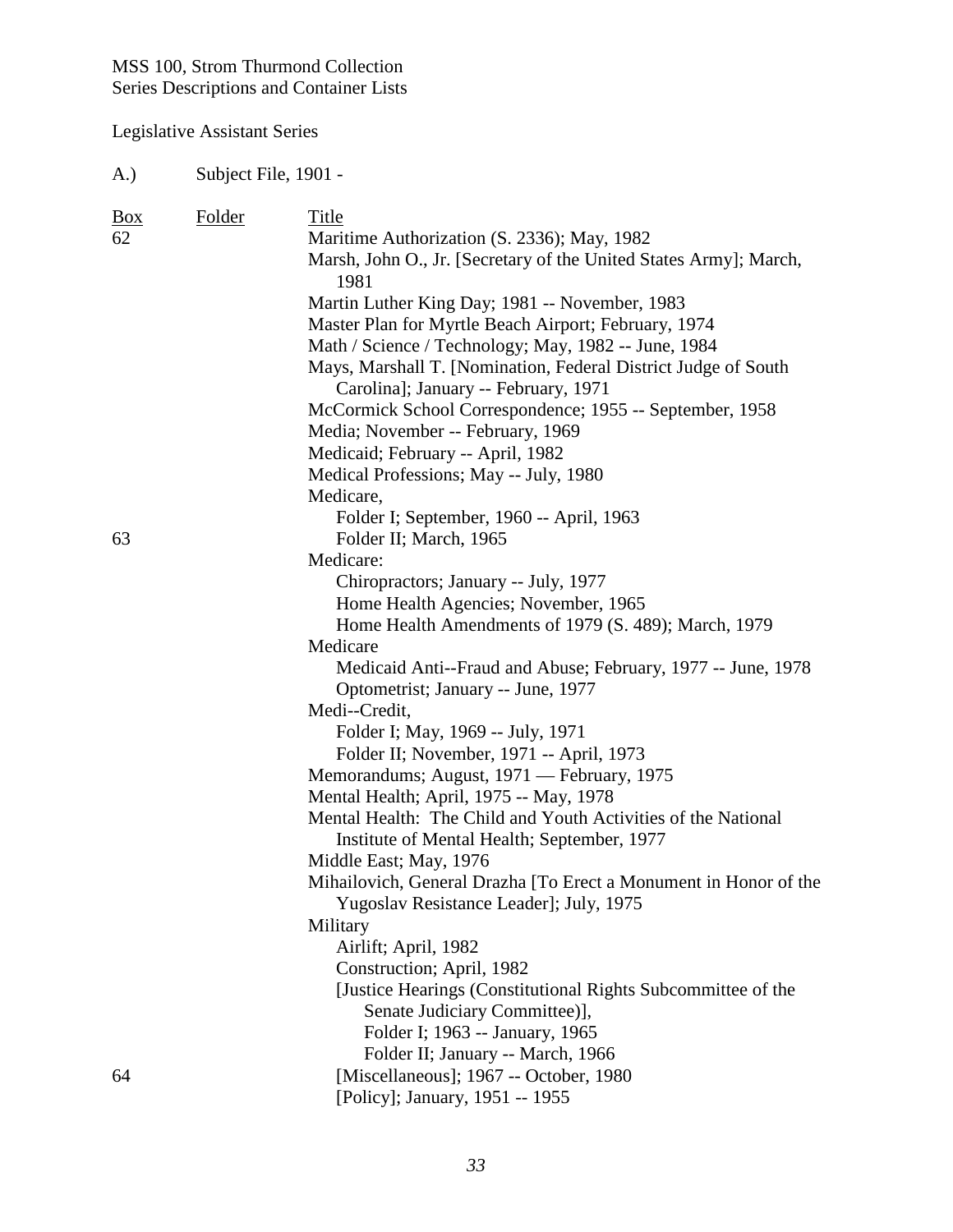## Legislative Assistant Series

| $\frac{Box}{}$ | Folder | <b>Title</b>                                                                                                     |
|----------------|--------|------------------------------------------------------------------------------------------------------------------|
| 62             |        | Maritime Authorization (S. 2336); May, 1982<br>Marsh, John O., Jr. [Secretary of the United States Army]; March, |
|                |        | 1981                                                                                                             |
|                |        | Martin Luther King Day; 1981 -- November, 1983                                                                   |
|                |        | Master Plan for Myrtle Beach Airport; February, 1974                                                             |
|                |        | Math / Science / Technology; May, 1982 -- June, 1984                                                             |
|                |        | Mays, Marshall T. [Nomination, Federal District Judge of South<br>Carolina]; January -- February, 1971           |
|                |        | McCormick School Correspondence; 1955 -- September, 1958                                                         |
|                |        | Media; November -- February, 1969                                                                                |
|                |        | Medicaid; February -- April, 1982                                                                                |
|                |        | Medical Professions; May -- July, 1980                                                                           |
|                |        | Medicare,                                                                                                        |
|                |        | Folder I; September, 1960 -- April, 1963                                                                         |
| 63             |        | Folder II; March, 1965                                                                                           |
|                |        | Medicare:                                                                                                        |
|                |        | Chiropractors; January -- July, 1977                                                                             |
|                |        | Home Health Agencies; November, 1965                                                                             |
|                |        | Home Health Amendments of 1979 (S. 489); March, 1979                                                             |
|                |        | Medicare                                                                                                         |
|                |        | Medicaid Anti--Fraud and Abuse; February, 1977 -- June, 1978                                                     |
|                |        | Optometrist; January -- June, 1977                                                                               |
|                |        | Medi--Credit,                                                                                                    |
|                |        | Folder I; May, 1969 -- July, 1971                                                                                |
|                |        | Folder II; November, 1971 -- April, 1973                                                                         |
|                |        | Memorandums; August, 1971 - February, 1975                                                                       |
|                |        | Mental Health; April, 1975 -- May, 1978                                                                          |
|                |        | Mental Health: The Child and Youth Activities of the National                                                    |
|                |        | Institute of Mental Health; September, 1977                                                                      |
|                |        | Middle East; May, 1976                                                                                           |
|                |        | Mihailovich, General Drazha [To Erect a Monument in Honor of the                                                 |
|                |        | Yugoslav Resistance Leader]; July, 1975                                                                          |
|                |        | Military                                                                                                         |
|                |        | Airlift; April, 1982                                                                                             |
|                |        | Construction; April, 1982                                                                                        |
|                |        | [Justice Hearings (Constitutional Rights Subcommittee of the                                                     |
|                |        | Senate Judiciary Committee)],                                                                                    |
|                |        | Folder I; 1963 -- January, 1965                                                                                  |
|                |        | Folder II; January -- March, 1966                                                                                |
| 64             |        | [Miscellaneous]; 1967 -- October, 1980                                                                           |
|                |        | [Policy]; January, 1951 -- 1955                                                                                  |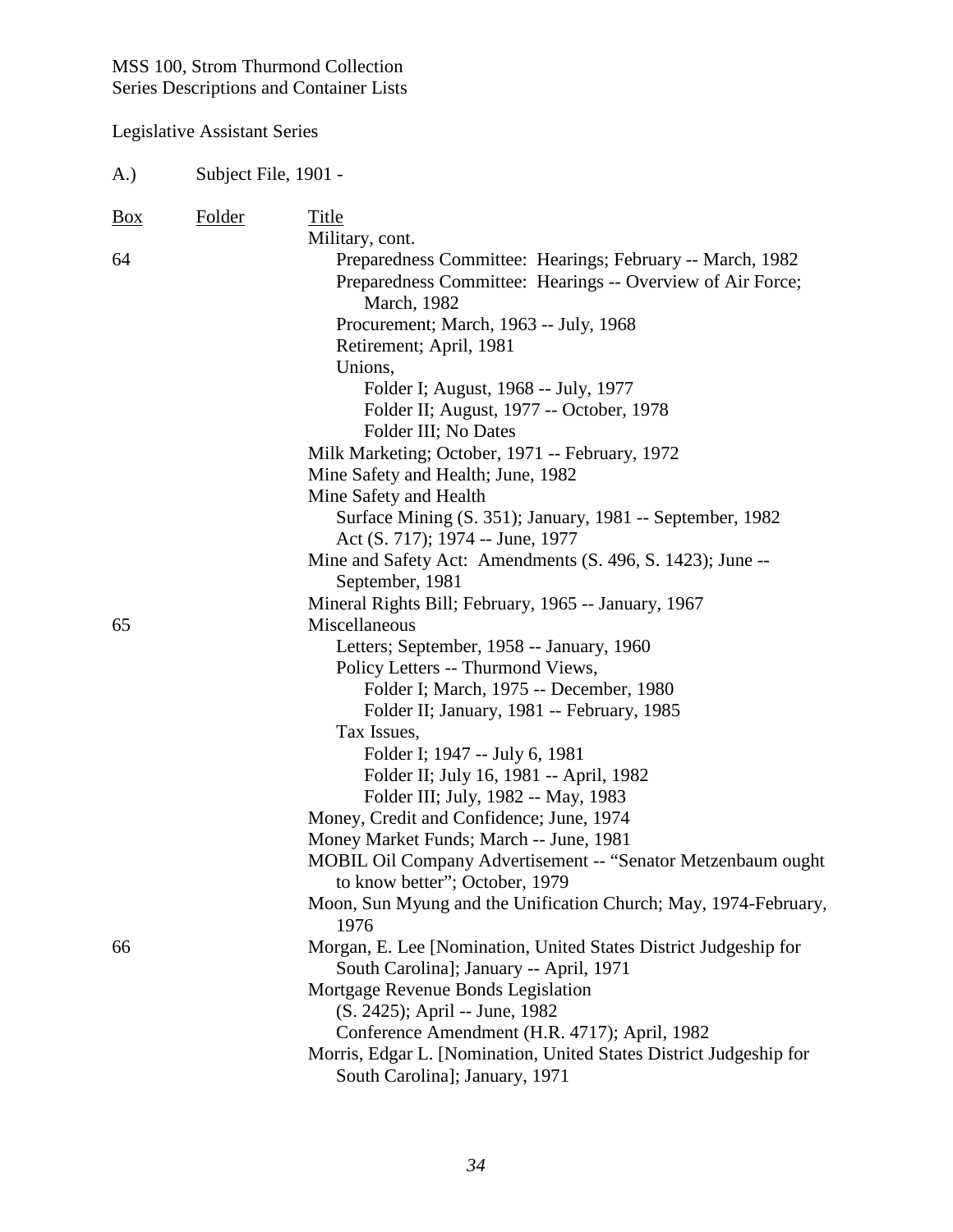| Subject File, 1901 -<br>A.) |               |                                                                       |
|-----------------------------|---------------|-----------------------------------------------------------------------|
| $\frac{Box}{}$              | <b>Folder</b> | Title                                                                 |
|                             |               | Military, cont.                                                       |
| 64                          |               | Preparedness Committee: Hearings; February -- March, 1982             |
|                             |               | Preparedness Committee: Hearings -- Overview of Air Force;            |
|                             |               | March, 1982                                                           |
|                             |               | Procurement; March, 1963 -- July, 1968                                |
|                             |               | Retirement; April, 1981                                               |
|                             |               | Unions,                                                               |
|                             |               | Folder I; August, 1968 -- July, 1977                                  |
|                             |               | Folder II; August, 1977 -- October, 1978                              |
|                             |               | Folder III; No Dates                                                  |
|                             |               | Milk Marketing; October, 1971 -- February, 1972                       |
|                             |               | Mine Safety and Health; June, 1982                                    |
|                             |               | Mine Safety and Health                                                |
|                             |               | Surface Mining (S. 351); January, 1981 -- September, 1982             |
|                             |               | Act (S. 717); 1974 -- June, 1977                                      |
|                             |               | Mine and Safety Act: Amendments (S. 496, S. 1423); June --            |
|                             |               | September, 1981                                                       |
|                             |               | Mineral Rights Bill; February, 1965 -- January, 1967                  |
| 65                          |               | Miscellaneous                                                         |
|                             |               | Letters; September, 1958 -- January, 1960                             |
|                             |               | Policy Letters -- Thurmond Views,                                     |
|                             |               | Folder I; March, 1975 -- December, 1980                               |
|                             |               | Folder II; January, 1981 -- February, 1985                            |
|                             |               | Tax Issues,                                                           |
|                             |               | Folder I; 1947 -- July 6, 1981                                        |
|                             |               | Folder II; July 16, 1981 -- April, 1982                               |
|                             |               | Folder III; July, 1982 -- May, 1983                                   |
|                             |               | Money, Credit and Confidence; June, 1974                              |
|                             |               | Money Market Funds; March -- June, 1981                               |
|                             |               | <b>MOBIL Oil Company Advertisement -- "Senator Metzenbaum ought</b> " |
|                             |               | to know better"; October, 1979                                        |
|                             |               | Moon, Sun Myung and the Unification Church; May, 1974-February,       |
|                             |               | 1976                                                                  |
| 66                          |               | Morgan, E. Lee [Nomination, United States District Judgeship for      |
|                             |               | South Carolina]; January -- April, 1971                               |
|                             |               | Mortgage Revenue Bonds Legislation                                    |
|                             |               | (S. 2425); April -- June, 1982                                        |
|                             |               | Conference Amendment (H.R. 4717); April, 1982                         |
|                             |               | Morris, Edgar L. [Nomination, United States District Judgeship for    |
|                             |               | South Carolina]; January, 1971                                        |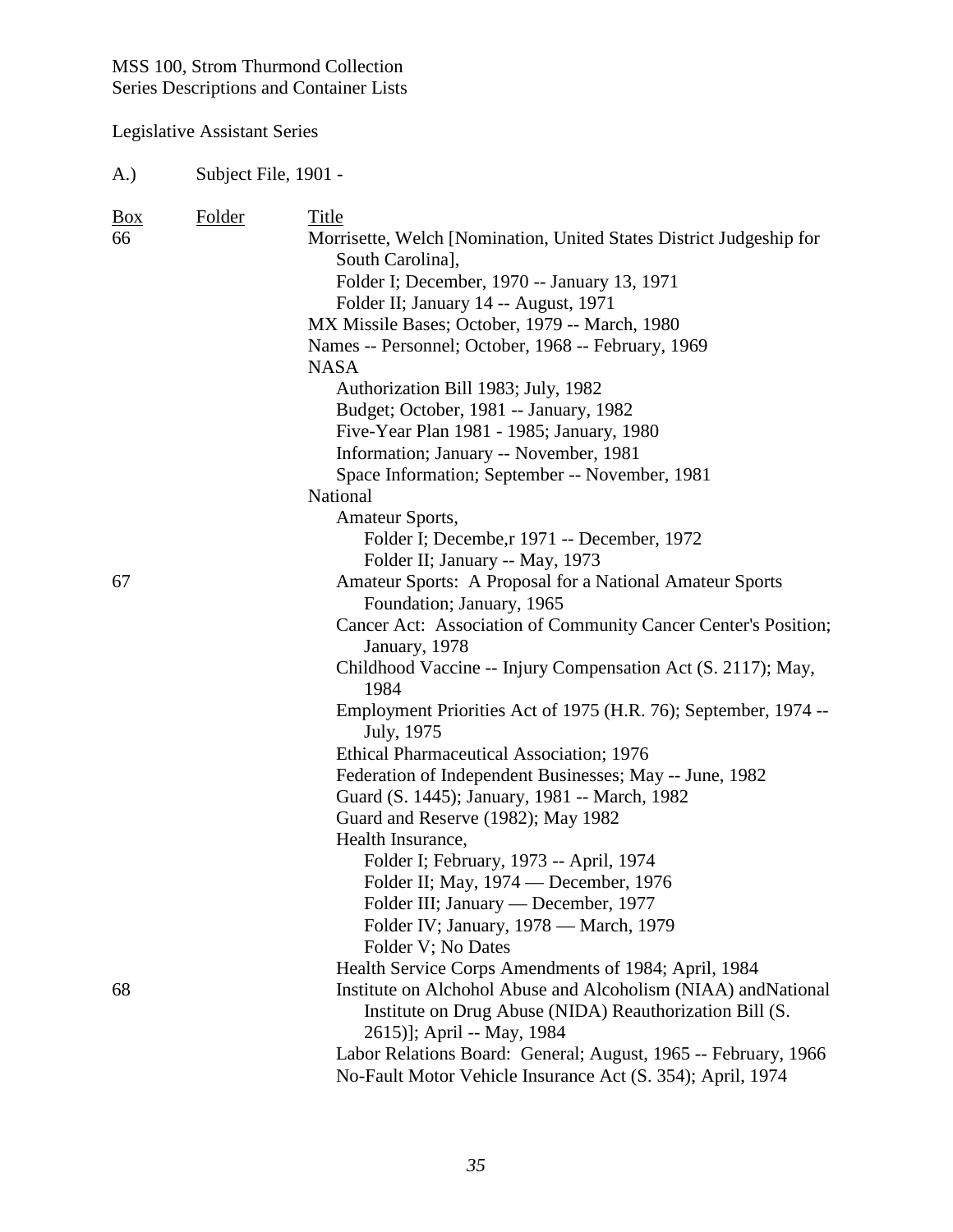Legislative Assistant Series

| Box<br>66 | Folder | Title<br>Morrisette, Welch [Nomination, United States District Judgeship for<br>South Carolina],<br>Folder I; December, 1970 -- January 13, 1971<br>Folder II; January 14 -- August, 1971<br>MX Missile Bases; October, 1979 -- March, 1980<br>Names -- Personnel; October, 1968 -- February, 1969<br><b>NASA</b><br>Authorization Bill 1983; July, 1982<br>Budget; October, 1981 -- January, 1982<br>Five-Year Plan 1981 - 1985; January, 1980<br>Information; January -- November, 1981<br>Space Information; September -- November, 1981<br>National<br>Amateur Sports, |
|-----------|--------|----------------------------------------------------------------------------------------------------------------------------------------------------------------------------------------------------------------------------------------------------------------------------------------------------------------------------------------------------------------------------------------------------------------------------------------------------------------------------------------------------------------------------------------------------------------------------|
|           |        | Folder I; Decembe, r 1971 -- December, 1972                                                                                                                                                                                                                                                                                                                                                                                                                                                                                                                                |
|           |        | Folder II; January -- May, 1973                                                                                                                                                                                                                                                                                                                                                                                                                                                                                                                                            |
| 67        |        | Amateur Sports: A Proposal for a National Amateur Sports                                                                                                                                                                                                                                                                                                                                                                                                                                                                                                                   |
|           |        | Foundation; January, 1965                                                                                                                                                                                                                                                                                                                                                                                                                                                                                                                                                  |
|           |        | Cancer Act: Association of Community Cancer Center's Position;<br>January, 1978                                                                                                                                                                                                                                                                                                                                                                                                                                                                                            |
|           |        | Childhood Vaccine -- Injury Compensation Act (S. 2117); May,<br>1984                                                                                                                                                                                                                                                                                                                                                                                                                                                                                                       |
|           |        | Employment Priorities Act of 1975 (H.R. 76); September, 1974 --<br>July, 1975                                                                                                                                                                                                                                                                                                                                                                                                                                                                                              |
|           |        | Ethical Pharmaceutical Association; 1976                                                                                                                                                                                                                                                                                                                                                                                                                                                                                                                                   |
|           |        | Federation of Independent Businesses; May -- June, 1982                                                                                                                                                                                                                                                                                                                                                                                                                                                                                                                    |
|           |        | Guard (S. 1445); January, 1981 -- March, 1982                                                                                                                                                                                                                                                                                                                                                                                                                                                                                                                              |
|           |        | Guard and Reserve (1982); May 1982                                                                                                                                                                                                                                                                                                                                                                                                                                                                                                                                         |
|           |        | Health Insurance,                                                                                                                                                                                                                                                                                                                                                                                                                                                                                                                                                          |
|           |        | Folder I; February, 1973 -- April, 1974                                                                                                                                                                                                                                                                                                                                                                                                                                                                                                                                    |
|           |        | Folder II; May, 1974 — December, 1976                                                                                                                                                                                                                                                                                                                                                                                                                                                                                                                                      |
|           |        | Folder III; January — December, 1977                                                                                                                                                                                                                                                                                                                                                                                                                                                                                                                                       |
|           |        | Folder IV; January, 1978 - March, 1979                                                                                                                                                                                                                                                                                                                                                                                                                                                                                                                                     |
|           |        | Folder V; No Dates                                                                                                                                                                                                                                                                                                                                                                                                                                                                                                                                                         |
|           |        | Health Service Corps Amendments of 1984; April, 1984                                                                                                                                                                                                                                                                                                                                                                                                                                                                                                                       |
| 68        |        | Institute on Alchohol Abuse and Alcoholism (NIAA) and National                                                                                                                                                                                                                                                                                                                                                                                                                                                                                                             |
|           |        | Institute on Drug Abuse (NIDA) Reauthorization Bill (S.<br>2615)]; April -- May, 1984                                                                                                                                                                                                                                                                                                                                                                                                                                                                                      |
|           |        | Labor Relations Board: General; August, 1965 -- February, 1966                                                                                                                                                                                                                                                                                                                                                                                                                                                                                                             |
|           |        | No-Fault Motor Vehicle Insurance Act (S. 354); April, 1974                                                                                                                                                                                                                                                                                                                                                                                                                                                                                                                 |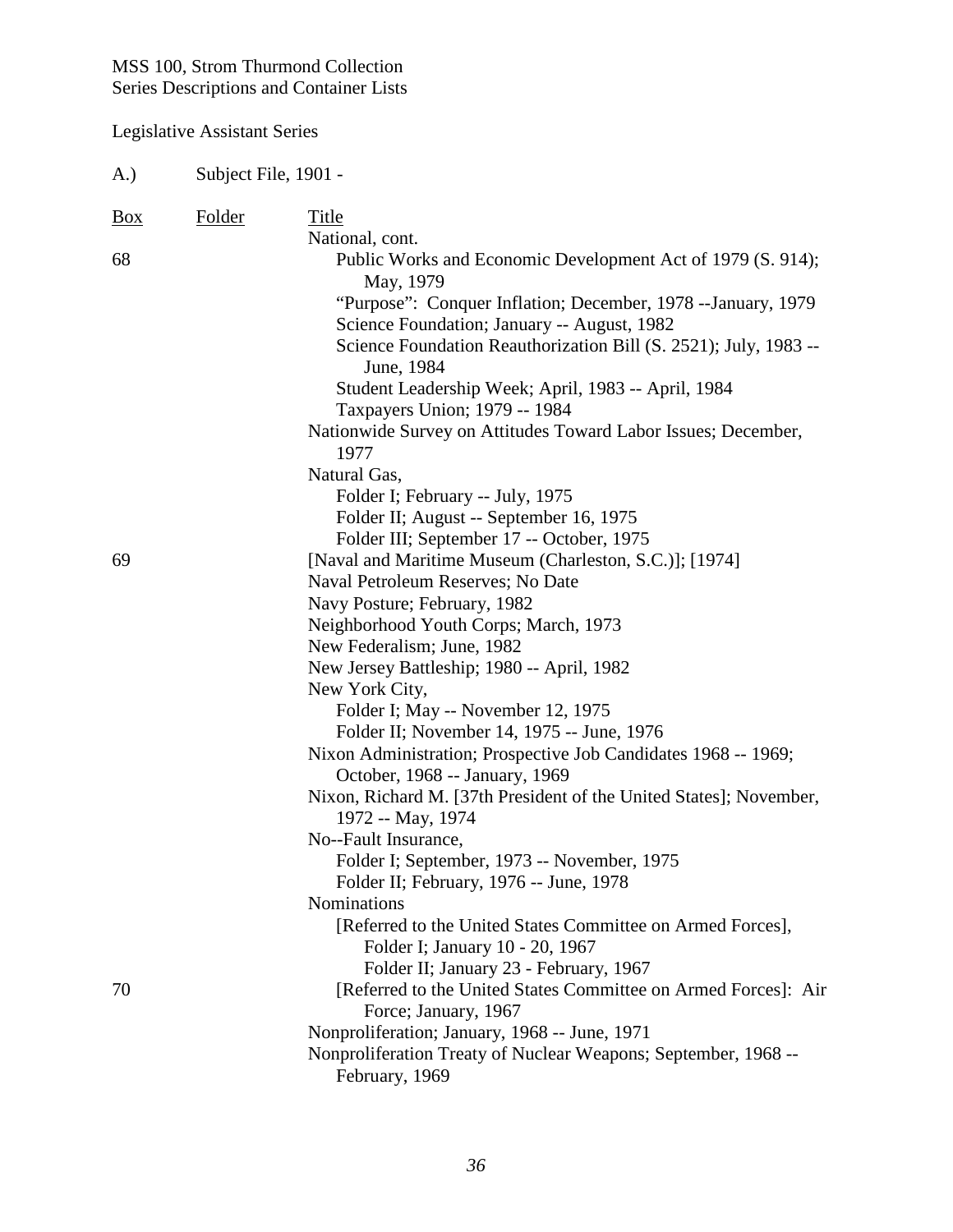| A.)            | Subject File, 1901 - |                                                                                                              |
|----------------|----------------------|--------------------------------------------------------------------------------------------------------------|
| $\frac{Box}{}$ | <b>Folder</b>        | Title<br>National, cont.                                                                                     |
| 68             |                      | Public Works and Economic Development Act of 1979 (S. 914);<br>May, 1979                                     |
|                |                      | "Purpose": Conquer Inflation; December, 1978 -- January, 1979<br>Science Foundation; January -- August, 1982 |
|                |                      | Science Foundation Reauthorization Bill (S. 2521); July, 1983 --<br>June, 1984                               |
|                |                      | Student Leadership Week; April, 1983 -- April, 1984<br>Taxpayers Union; 1979 -- 1984                         |
|                |                      | Nationwide Survey on Attitudes Toward Labor Issues; December,<br>1977                                        |
|                |                      | Natural Gas,                                                                                                 |
|                |                      | Folder I; February -- July, 1975                                                                             |
|                |                      | Folder II; August -- September 16, 1975                                                                      |
|                |                      | Folder III; September 17 -- October, 1975                                                                    |
| 69             |                      | [Naval and Maritime Museum (Charleston, S.C.)]; [1974]                                                       |
|                |                      | Naval Petroleum Reserves; No Date                                                                            |
|                |                      | Navy Posture; February, 1982                                                                                 |
|                |                      | Neighborhood Youth Corps; March, 1973<br>New Federalism; June, 1982                                          |
|                |                      | New Jersey Battleship; 1980 -- April, 1982                                                                   |
|                |                      | New York City,                                                                                               |
|                |                      | Folder I; May -- November 12, 1975                                                                           |
|                |                      | Folder II; November 14, 1975 -- June, 1976                                                                   |
|                |                      | Nixon Administration; Prospective Job Candidates 1968 -- 1969;                                               |
|                |                      | October, 1968 -- January, 1969                                                                               |
|                |                      | Nixon, Richard M. [37th President of the United States]; November,                                           |
|                |                      | 1972 -- May, 1974                                                                                            |
|                |                      | No--Fault Insurance,                                                                                         |
|                |                      | Folder I; September, 1973 -- November, 1975                                                                  |
|                |                      | Folder II; February, 1976 -- June, 1978                                                                      |
|                |                      | Nominations                                                                                                  |
|                |                      | [Referred to the United States Committee on Armed Forces],                                                   |
|                |                      | Folder I; January 10 - 20, 1967                                                                              |
|                |                      | Folder II; January 23 - February, 1967                                                                       |
| 70             |                      | [Referred to the United States Committee on Armed Forces]: Air                                               |
|                |                      | Force; January, 1967                                                                                         |
|                |                      | Nonproliferation; January, 1968 -- June, 1971                                                                |
|                |                      | Nonproliferation Treaty of Nuclear Weapons; September, 1968 --<br>February, 1969                             |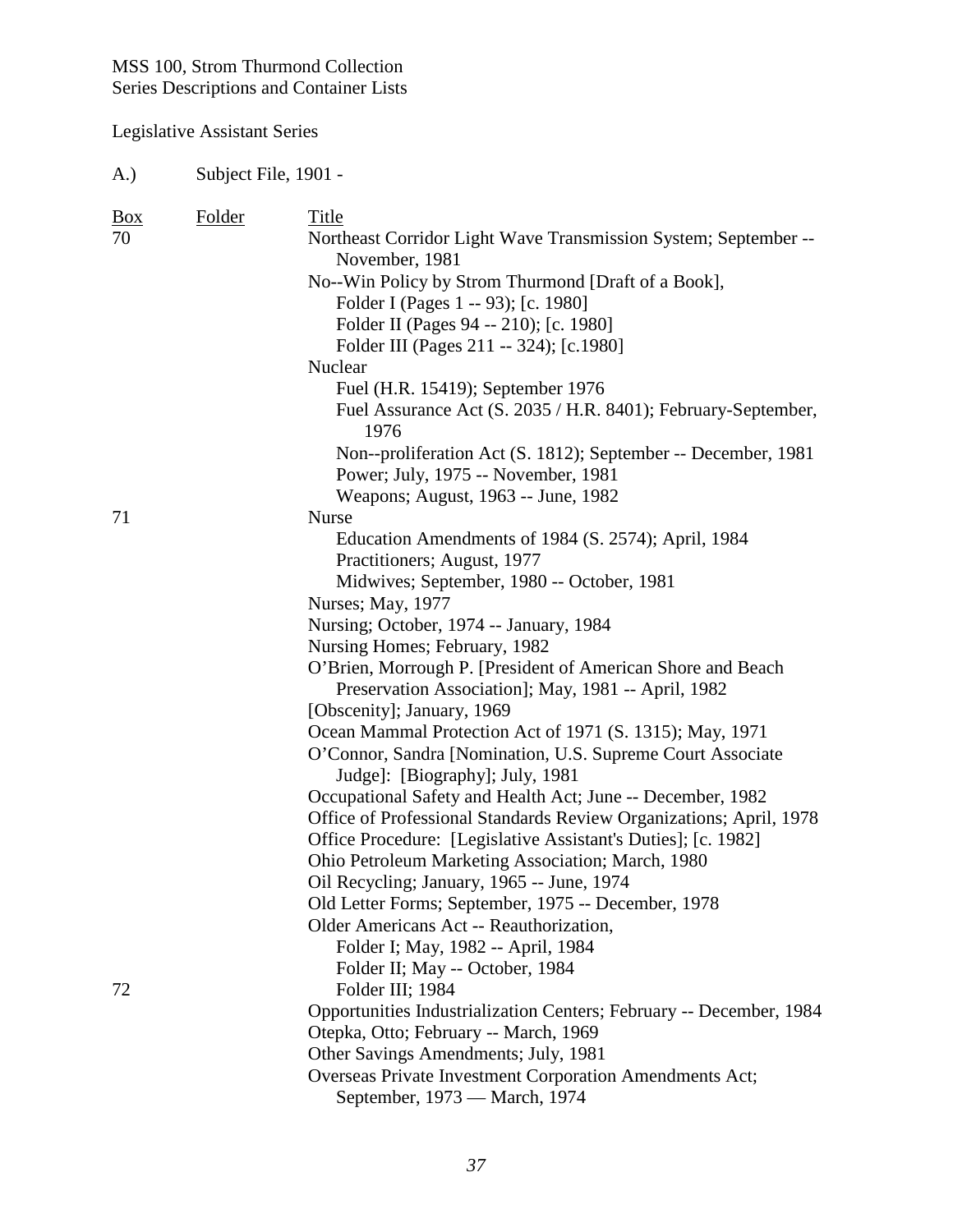#### Legislative Assistant Series

A.) Subject File, 1901 - Box Folder Title 70 Northeast Corridor Light Wave Transmission System; September -- November, 1981 No--Win Policy by Strom Thurmond [Draft of a Book], Folder I (Pages 1 -- 93); [c. 1980] Folder II (Pages 94 -- 210); [c. 1980] Folder III (Pages 211 -- 324); [c.1980] **Nuclear**  Fuel (H.R. 15419); September 1976 Fuel Assurance Act (S. 2035 / H.R. 8401); February-September, 1976 Non--proliferation Act (S. 1812); September -- December, 1981 Power; July, 1975 -- November, 1981 Weapons; August, 1963 -- June, 1982 71 Nurse Education Amendments of 1984 (S. 2574); April, 1984 Practitioners; August, 1977 Midwives; September, 1980 -- October, 1981 Nurses; May, 1977 Nursing; October, 1974 -- January, 1984 Nursing Homes; February, 1982 O'Brien, Morrough P. [President of American Shore and Beach Preservation Association]; May, 1981 -- April, 1982 [Obscenity]; January, 1969 Ocean Mammal Protection Act of 1971 (S. 1315); May, 1971 O'Connor, Sandra [Nomination, U.S. Supreme Court Associate Judge]: [Biography]; July, 1981 Occupational Safety and Health Act; June -- December, 1982 Office of Professional Standards Review Organizations; April, 1978 Office Procedure: [Legislative Assistant's Duties]; [c. 1982] Ohio Petroleum Marketing Association; March, 1980 Oil Recycling; January, 1965 -- June, 1974 Old Letter Forms; September, 1975 -- December, 1978 Older Americans Act -- Reauthorization, Folder I; May, 1982 -- April, 1984 Folder II; May -- October, 1984 72 Folder III; 1984 Opportunities Industrialization Centers; February -- December, 1984 Otepka, Otto; February -- March, 1969 Other Savings Amendments; July, 1981 Overseas Private Investment Corporation Amendments Act; September, 1973 — March, 1974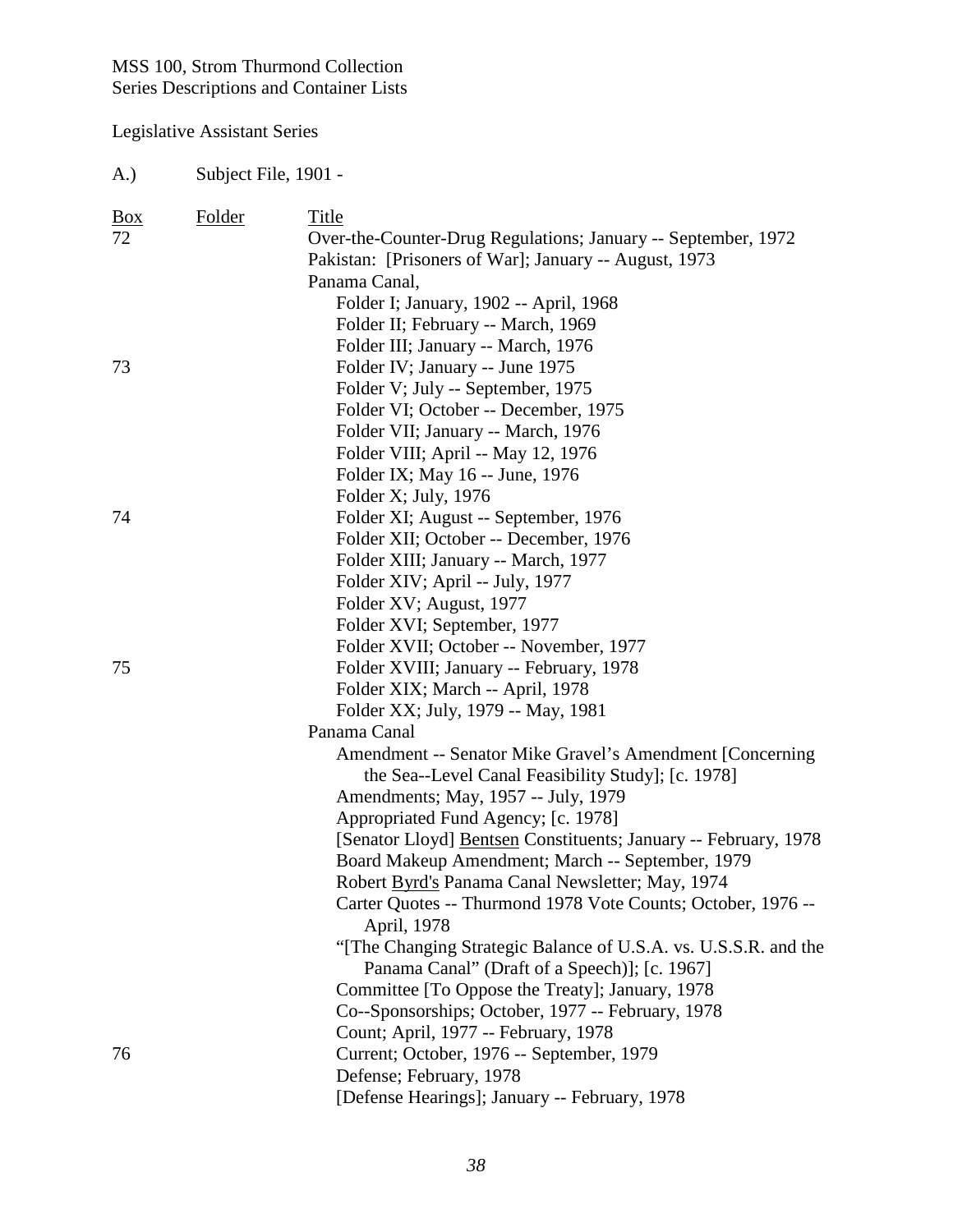# Legislative Assistant Series

A.) Subject File, 1901 -

| $\frac{Box}{angle}$<br>72 | <b>Folder</b> | <b>Title</b><br>Over-the-Counter-Drug Regulations; January -- September, 1972                                   |
|---------------------------|---------------|-----------------------------------------------------------------------------------------------------------------|
|                           |               | Pakistan: [Prisoners of War]; January -- August, 1973                                                           |
|                           |               | Panama Canal,                                                                                                   |
|                           |               | Folder I; January, 1902 -- April, 1968                                                                          |
|                           |               | Folder II; February -- March, 1969                                                                              |
|                           |               | Folder III; January -- March, 1976                                                                              |
| 73                        |               | Folder IV; January -- June 1975                                                                                 |
|                           |               | Folder V; July -- September, 1975                                                                               |
|                           |               | Folder VI; October -- December, 1975                                                                            |
|                           |               | Folder VII; January -- March, 1976                                                                              |
|                           |               | Folder VIII; April -- May 12, 1976                                                                              |
|                           |               | Folder IX; May 16 -- June, 1976                                                                                 |
|                           |               | Folder X; July, 1976                                                                                            |
| 74                        |               | Folder XI; August -- September, 1976                                                                            |
|                           |               | Folder XII; October -- December, 1976                                                                           |
|                           |               | Folder XIII; January -- March, 1977                                                                             |
|                           |               | Folder XIV; April -- July, 1977                                                                                 |
|                           |               | Folder XV; August, 1977                                                                                         |
|                           |               | Folder XVI; September, 1977                                                                                     |
|                           |               | Folder XVII; October -- November, 1977                                                                          |
| 75                        |               | Folder XVIII; January -- February, 1978                                                                         |
|                           |               | Folder XIX; March -- April, 1978                                                                                |
|                           |               | Folder XX; July, 1979 -- May, 1981                                                                              |
|                           |               | Panama Canal                                                                                                    |
|                           |               | Amendment -- Senator Mike Gravel's Amendment [Concerning]                                                       |
|                           |               | the Sea--Level Canal Feasibility Study]; [c. 1978]                                                              |
|                           |               | Amendments; May, 1957 -- July, 1979                                                                             |
|                           |               | Appropriated Fund Agency; [c. 1978]                                                                             |
|                           |               | [Senator Lloyd] <b>Bentsen</b> Constituents; January -- February, 1978                                          |
|                           |               | Board Makeup Amendment; March -- September, 1979                                                                |
|                           |               | Robert Byrd's Panama Canal Newsletter; May, 1974                                                                |
|                           |               | Carter Quotes -- Thurmond 1978 Vote Counts; October, 1976 --<br>April, 1978                                     |
|                           |               | "The Changing Strategic Balance of U.S.A. vs. U.S.S.R. and the<br>Panama Canal" (Draft of a Speech)]; [c. 1967] |
|                           |               | Committee [To Oppose the Treaty]; January, 1978                                                                 |
|                           |               | Co--Sponsorships; October, 1977 -- February, 1978                                                               |
|                           |               | Count; April, 1977 -- February, 1978                                                                            |
| 76                        |               | Current; October, 1976 -- September, 1979                                                                       |
|                           |               | Defense; February, 1978                                                                                         |
|                           |               | [Defense Hearings]; January -- February, 1978                                                                   |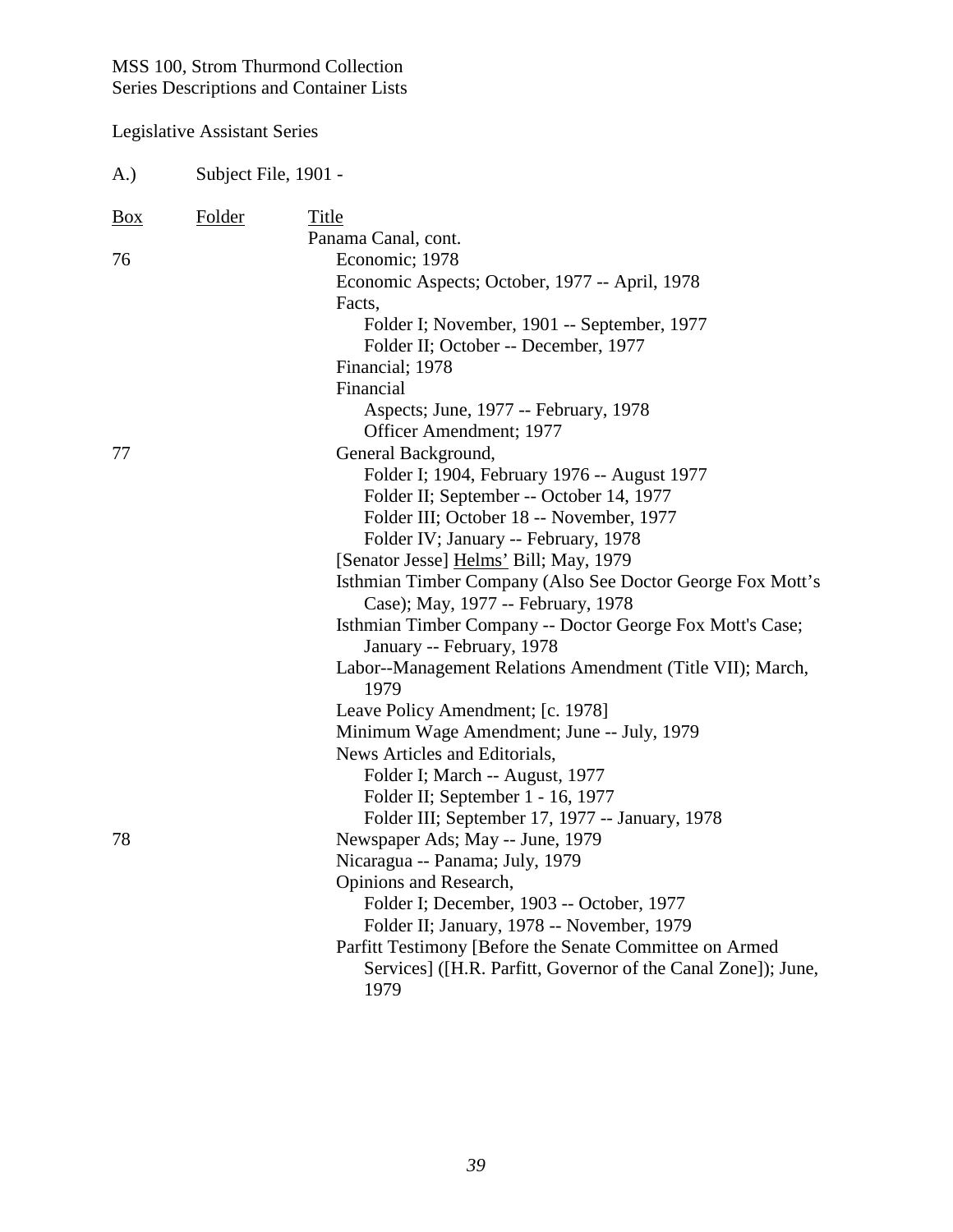| A.)        | Subject File, 1901 - |                                                                   |
|------------|----------------------|-------------------------------------------------------------------|
| <u>Box</u> | <b>Folder</b>        | Title                                                             |
|            |                      | Panama Canal, cont.                                               |
| 76         |                      | Economic; 1978                                                    |
|            |                      | Economic Aspects; October, 1977 -- April, 1978                    |
|            |                      | Facts,                                                            |
|            |                      | Folder I; November, 1901 -- September, 1977                       |
|            |                      | Folder II; October -- December, 1977                              |
|            |                      | Financial; 1978                                                   |
|            |                      | Financial                                                         |
|            |                      | Aspects; June, 1977 -- February, 1978                             |
|            |                      | Officer Amendment; 1977                                           |
| 77         |                      | General Background,                                               |
|            |                      | Folder I; 1904, February 1976 -- August 1977                      |
|            |                      | Folder II; September -- October 14, 1977                          |
|            |                      | Folder III; October 18 -- November, 1977                          |
|            |                      | Folder IV; January -- February, 1978                              |
|            |                      | [Senator Jesse] Helms' Bill; May, 1979                            |
|            |                      | Isthmian Timber Company (Also See Doctor George Fox Mott's        |
|            |                      | Case); May, 1977 -- February, 1978                                |
|            |                      | Isthmian Timber Company -- Doctor George Fox Mott's Case;         |
|            |                      | January -- February, 1978                                         |
|            |                      | Labor--Management Relations Amendment (Title VII); March,<br>1979 |
|            |                      | Leave Policy Amendment; [c. 1978]                                 |
|            |                      | Minimum Wage Amendment; June -- July, 1979                        |
|            |                      | News Articles and Editorials,                                     |
|            |                      | Folder I; March -- August, 1977                                   |
|            |                      | Folder II; September 1 - 16, 1977                                 |
|            |                      | Folder III; September 17, 1977 -- January, 1978                   |
| 78         |                      | Newspaper Ads; May -- June, 1979                                  |
|            |                      | Nicaragua -- Panama; July, 1979                                   |
|            |                      | Opinions and Research,                                            |
|            |                      | Folder I; December, 1903 -- October, 1977                         |
|            |                      | Folder II; January, 1978 -- November, 1979                        |
|            |                      | Parfitt Testimony [Before the Senate Committee on Armed           |
|            |                      | Services] ([H.R. Parfitt, Governor of the Canal Zone]); June,     |
|            |                      | 1979                                                              |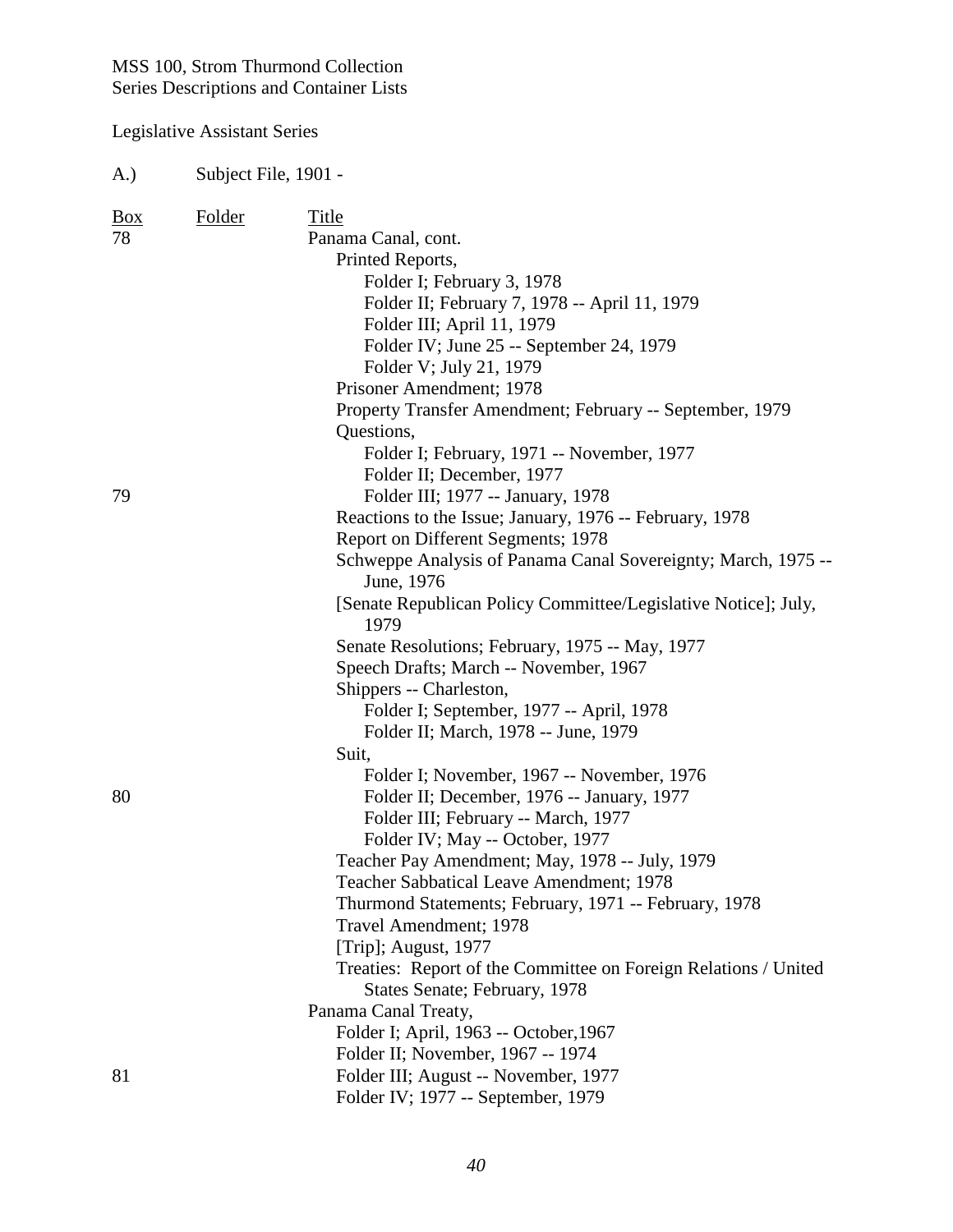Legislative Assistant Series

A.) Subject File, 1901 - Box Folder Title 78 Panama Canal, cont. Printed Reports, Folder I; February 3, 1978 Folder II; February 7, 1978 -- April 11, 1979 Folder III; April 11, 1979 Folder IV; June 25 -- September 24, 1979 Folder V; July 21, 1979 Prisoner Amendment; 1978 Property Transfer Amendment; February -- September, 1979 Questions, Folder I; February, 1971 -- November, 1977 Folder II; December, 1977 79 Folder III; 1977 -- January, 1978 Reactions to the Issue; January, 1976 -- February, 1978 Report on Different Segments; 1978 Schweppe Analysis of Panama Canal Sovereignty; March, 1975 -- June, 1976 [Senate Republican Policy Committee/Legislative Notice]; July, 1979 Senate Resolutions; February, 1975 -- May, 1977 Speech Drafts; March -- November, 1967 Shippers -- Charleston, Folder I; September, 1977 -- April, 1978 Folder II; March, 1978 -- June, 1979 Suit, Folder I; November, 1967 -- November, 1976 80 Folder II; December, 1976 -- January, 1977 Folder III; February -- March, 1977 Folder IV; May -- October, 1977 Teacher Pay Amendment; May, 1978 -- July, 1979 Teacher Sabbatical Leave Amendment; 1978 Thurmond Statements; February, 1971 -- February, 1978 Travel Amendment; 1978 [Trip]; August, 1977 Treaties: Report of the Committee on Foreign Relations / United States Senate; February, 1978 Panama Canal Treaty, Folder I; April, 1963 -- October,1967 Folder II; November, 1967 -- 1974 81 Folder III; August -- November, 1977 Folder IV; 1977 -- September, 1979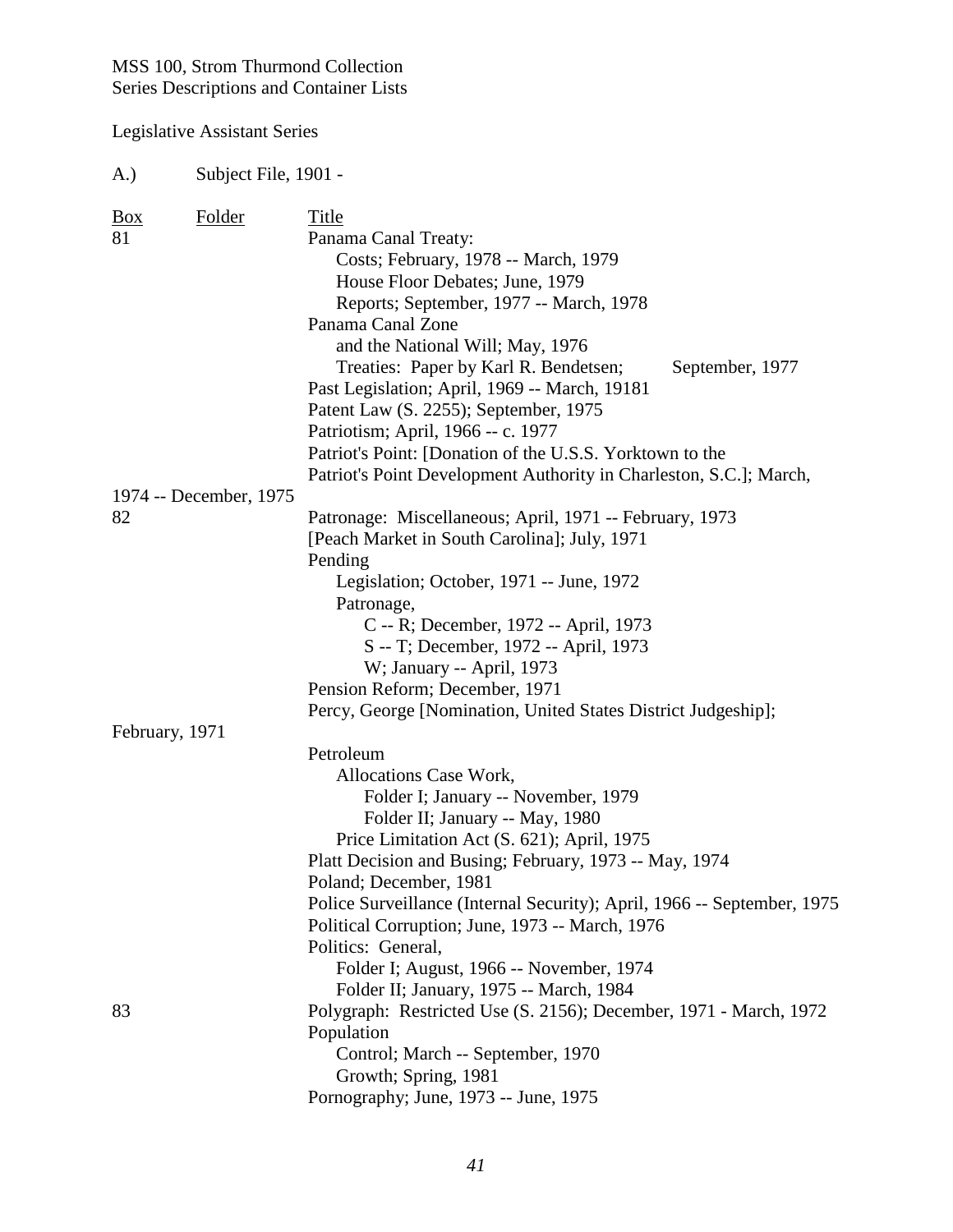| (A.)           | Subject File, 1901 -   |                                                                         |
|----------------|------------------------|-------------------------------------------------------------------------|
| <u>Box</u>     | <b>Folder</b>          | Title                                                                   |
| 81             |                        | Panama Canal Treaty:                                                    |
|                |                        | Costs; February, 1978 -- March, 1979                                    |
|                |                        | House Floor Debates; June, 1979                                         |
|                |                        | Reports; September, 1977 -- March, 1978                                 |
|                |                        | Panama Canal Zone                                                       |
|                |                        | and the National Will; May, 1976                                        |
|                |                        | Treaties: Paper by Karl R. Bendetsen;<br>September, 1977                |
|                |                        | Past Legislation; April, 1969 -- March, 19181                           |
|                |                        | Patent Law (S. 2255); September, 1975                                   |
|                |                        | Patriotism; April, 1966 -- c. 1977                                      |
|                |                        | Patriot's Point: [Donation of the U.S.S. Yorktown to the                |
|                |                        | Patriot's Point Development Authority in Charleston, S.C.]; March,      |
|                | 1974 -- December, 1975 |                                                                         |
| 82             |                        | Patronage: Miscellaneous; April, 1971 -- February, 1973                 |
|                |                        | [Peach Market in South Carolina]; July, 1971                            |
|                |                        | Pending                                                                 |
|                |                        | Legislation; October, 1971 -- June, 1972                                |
|                |                        | Patronage,                                                              |
|                |                        | C -- R; December, 1972 -- April, 1973                                   |
|                |                        | S -- T; December, 1972 -- April, 1973                                   |
|                |                        | W; January -- April, 1973                                               |
|                |                        | Pension Reform; December, 1971                                          |
|                |                        | Percy, George [Nomination, United States District Judgeship];           |
| February, 1971 |                        | Petroleum                                                               |
|                |                        | Allocations Case Work,                                                  |
|                |                        | Folder I; January -- November, 1979                                     |
|                |                        | Folder II; January -- May, 1980                                         |
|                |                        | Price Limitation Act (S. 621); April, 1975                              |
|                |                        | Platt Decision and Busing; February, 1973 -- May, 1974                  |
|                |                        | Poland; December, 1981                                                  |
|                |                        | Police Surveillance (Internal Security); April, 1966 -- September, 1975 |
|                |                        | Political Corruption; June, 1973 -- March, 1976                         |
|                |                        | Politics: General,                                                      |
|                |                        | Folder I; August, 1966 -- November, 1974                                |
|                |                        | Folder II; January, 1975 -- March, 1984                                 |
| 83             |                        | Polygraph: Restricted Use (S. 2156); December, 1971 - March, 1972       |
|                |                        | Population                                                              |
|                |                        | Control; March -- September, 1970                                       |
|                |                        | Growth; Spring, 1981                                                    |
|                |                        | Pornography; June, 1973 -- June, 1975                                   |
|                |                        |                                                                         |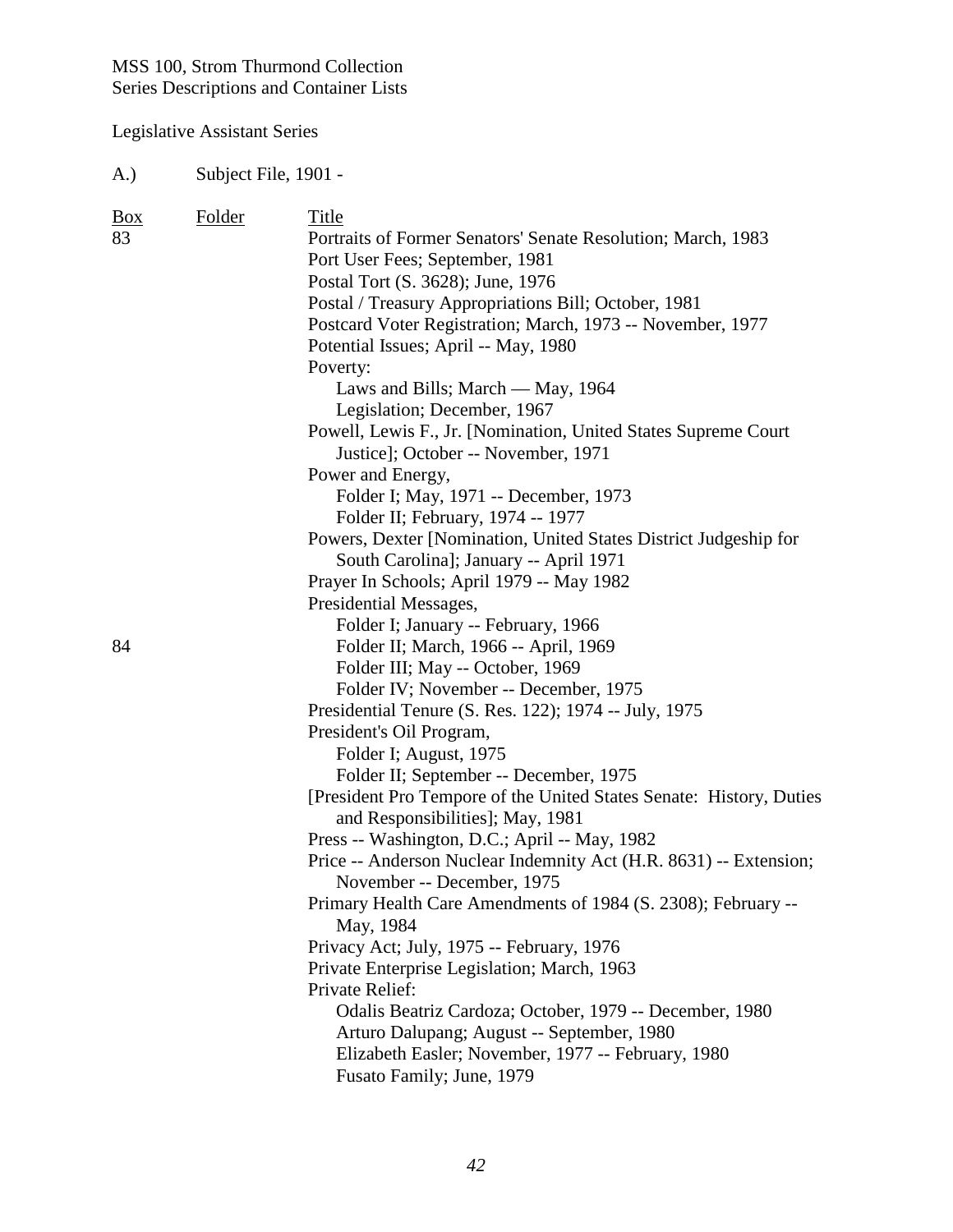Legislative Assistant Series

A.) Subject File, 1901 -

| <b>Box</b> | Folder | Title                                                               |
|------------|--------|---------------------------------------------------------------------|
| 83         |        | Portraits of Former Senators' Senate Resolution; March, 1983        |
|            |        | Port User Fees; September, 1981                                     |
|            |        | Postal Tort (S. 3628); June, 1976                                   |
|            |        | Postal / Treasury Appropriations Bill; October, 1981                |
|            |        | Postcard Voter Registration; March, 1973 -- November, 1977          |
|            |        | Potential Issues; April -- May, 1980                                |
|            |        | Poverty:                                                            |
|            |        | Laws and Bills; March — May, 1964                                   |
|            |        | Legislation; December, 1967                                         |
|            |        | Powell, Lewis F., Jr. [Nomination, United States Supreme Court      |
|            |        | Justice]; October -- November, 1971                                 |
|            |        | Power and Energy,                                                   |
|            |        | Folder I; May, 1971 -- December, 1973                               |
|            |        | Folder II; February, 1974 -- 1977                                   |
|            |        | Powers, Dexter [Nomination, United States District Judgeship for    |
|            |        | South Carolina]; January -- April 1971                              |
|            |        | Prayer In Schools; April 1979 -- May 1982                           |
|            |        | Presidential Messages,                                              |
|            |        | Folder I; January -- February, 1966                                 |
| 84         |        | Folder II; March, 1966 -- April, 1969                               |
|            |        | Folder III; May -- October, 1969                                    |
|            |        | Folder IV; November -- December, 1975                               |
|            |        | Presidential Tenure (S. Res. 122); 1974 -- July, 1975               |
|            |        | President's Oil Program,                                            |
|            |        | Folder I; August, 1975                                              |
|            |        | Folder II; September -- December, 1975                              |
|            |        | [President Pro Tempore of the United States Senate: History, Duties |
|            |        | and Responsibilities]; May, 1981                                    |
|            |        | Press -- Washington, D.C.; April -- May, 1982                       |
|            |        | Price -- Anderson Nuclear Indemnity Act (H.R. 8631) -- Extension;   |
|            |        | November -- December, 1975                                          |
|            |        | Primary Health Care Amendments of 1984 (S. 2308); February --       |
|            |        | May, 1984                                                           |
|            |        | Privacy Act; July, 1975 -- February, 1976                           |
|            |        | Private Enterprise Legislation; March, 1963                         |
|            |        | Private Relief:                                                     |
|            |        | Odalis Beatriz Cardoza; October, 1979 -- December, 1980             |
|            |        | Arturo Dalupang; August -- September, 1980                          |
|            |        | Elizabeth Easler; November, 1977 -- February, 1980                  |
|            |        | Fusato Family; June, 1979                                           |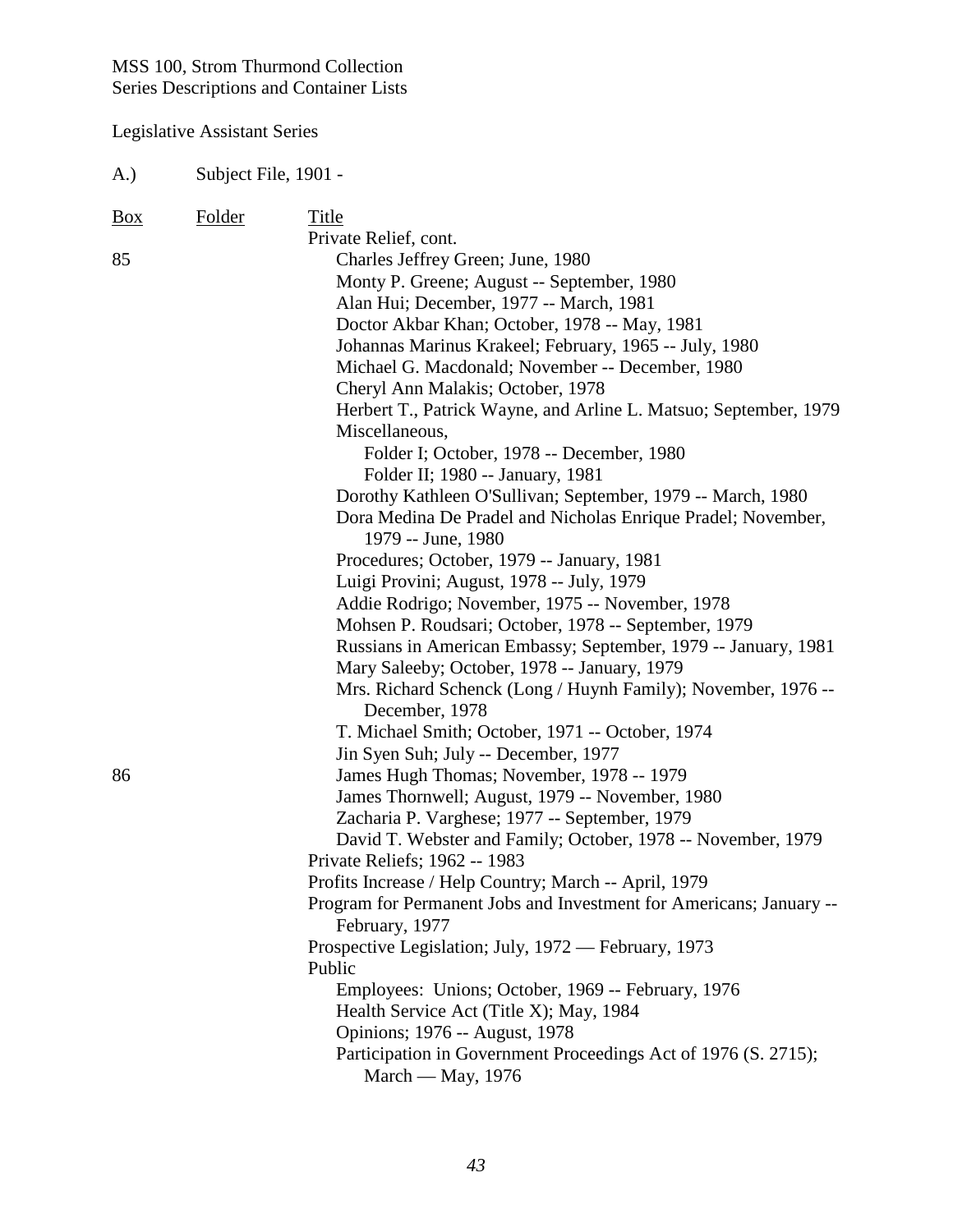Legislative Assistant Series

A.) Subject File, 1901 - Box Folder Title Private Relief, cont. 85 Charles Jeffrey Green; June, 1980 Monty P. Greene; August -- September, 1980 Alan Hui; December, 1977 -- March, 1981 Doctor Akbar Khan; October, 1978 -- May, 1981 Johannas Marinus Krakeel; February, 1965 -- July, 1980 Michael G. Macdonald; November -- December, 1980 Cheryl Ann Malakis; October, 1978 Herbert T., Patrick Wayne, and Arline L. Matsuo; September, 1979 Miscellaneous, Folder I; October, 1978 -- December, 1980 Folder II; 1980 -- January, 1981 Dorothy Kathleen O'Sullivan; September, 1979 -- March, 1980 Dora Medina De Pradel and Nicholas Enrique Pradel; November, 1979 -- June, 1980 Procedures; October, 1979 -- January, 1981 Luigi Provini; August, 1978 -- July, 1979 Addie Rodrigo; November, 1975 -- November, 1978 Mohsen P. Roudsari; October, 1978 -- September, 1979 Russians in American Embassy; September, 1979 -- January, 1981 Mary Saleeby; October, 1978 -- January, 1979 Mrs. Richard Schenck (Long / Huynh Family); November, 1976 -- December, 1978 T. Michael Smith; October, 1971 -- October, 1974 Jin Syen Suh; July -- December, 1977 86 James Hugh Thomas; November, 1978 -- 1979 James Thornwell; August, 1979 -- November, 1980 Zacharia P. Varghese; 1977 -- September, 1979 David T. Webster and Family; October, 1978 -- November, 1979 Private Reliefs; 1962 -- 1983 Profits Increase / Help Country; March -- April, 1979 Program for Permanent Jobs and Investment for Americans; January -- February, 1977 Prospective Legislation; July, 1972 — February, 1973 Public Employees: Unions; October, 1969 -- February, 1976 Health Service Act (Title X); May, 1984 Opinions; 1976 -- August, 1978 Participation in Government Proceedings Act of 1976 (S. 2715); March — May, 1976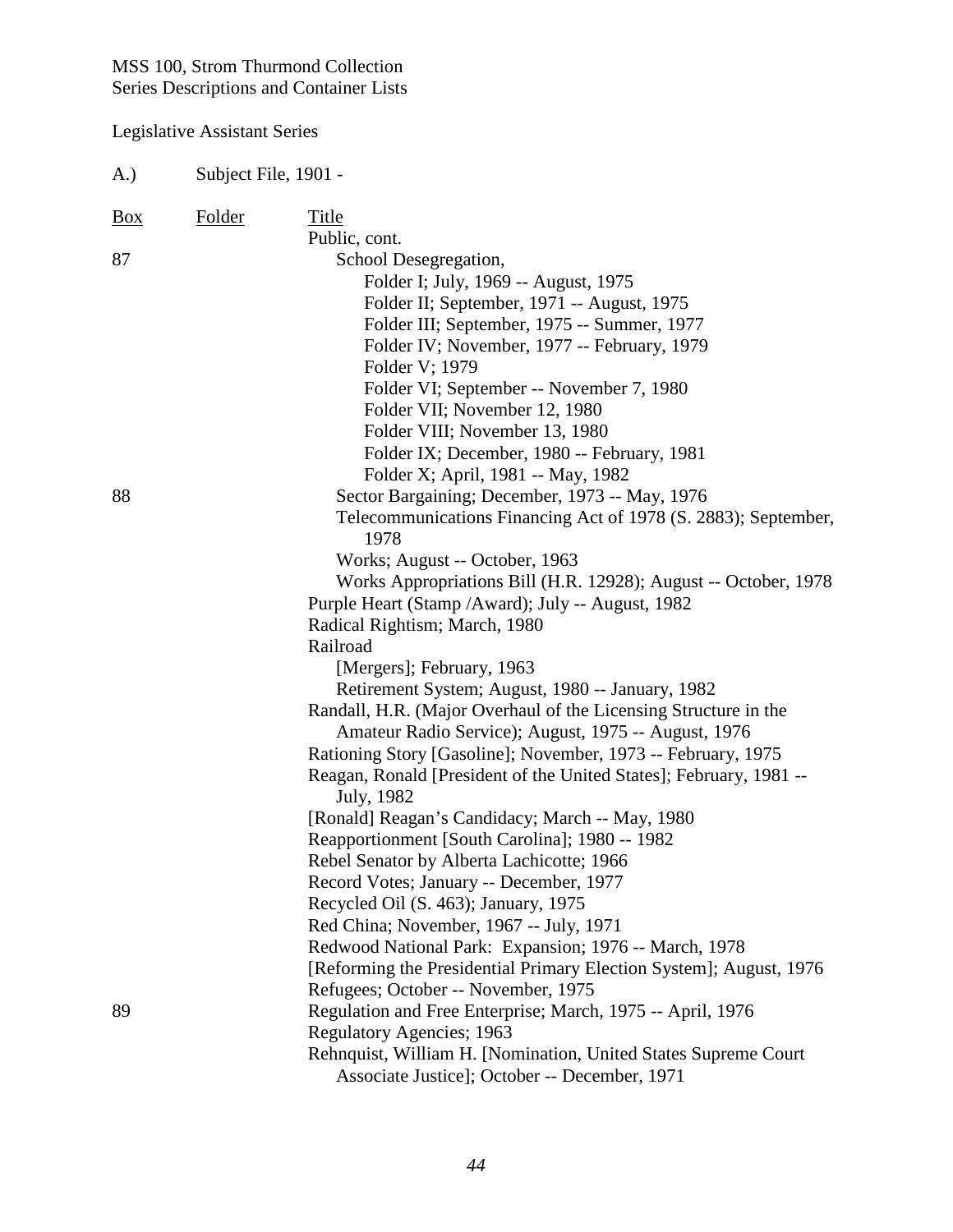| A.)        | Subject File, 1901 - |                                                                                                                                                                                                                                                                                                                                                                                                                                                                                                                                                                                                                                                                                                                                                                                                                    |
|------------|----------------------|--------------------------------------------------------------------------------------------------------------------------------------------------------------------------------------------------------------------------------------------------------------------------------------------------------------------------------------------------------------------------------------------------------------------------------------------------------------------------------------------------------------------------------------------------------------------------------------------------------------------------------------------------------------------------------------------------------------------------------------------------------------------------------------------------------------------|
| <b>Box</b> | <b>Folder</b>        | Title<br>Public, cont.                                                                                                                                                                                                                                                                                                                                                                                                                                                                                                                                                                                                                                                                                                                                                                                             |
| 87         |                      | School Desegregation,<br>Folder I; July, 1969 -- August, 1975<br>Folder II; September, 1971 -- August, 1975<br>Folder III; September, 1975 -- Summer, 1977<br>Folder IV; November, 1977 -- February, 1979<br>Folder V; 1979<br>Folder VI; September -- November 7, 1980<br>Folder VII; November 12, 1980<br>Folder VIII; November 13, 1980<br>Folder IX; December, 1980 -- February, 1981<br>Folder X; April, 1981 -- May, 1982                                                                                                                                                                                                                                                                                                                                                                                    |
| 88         |                      | Sector Bargaining; December, 1973 -- May, 1976<br>Telecommunications Financing Act of 1978 (S. 2883); September,<br>1978<br>Works; August -- October, 1963<br>Works Appropriations Bill (H.R. 12928); August -- October, 1978<br>Purple Heart (Stamp / Award); July -- August, 1982<br>Radical Rightism; March, 1980<br>Railroad                                                                                                                                                                                                                                                                                                                                                                                                                                                                                   |
|            |                      | [Mergers]; February, 1963<br>Retirement System; August, 1980 -- January, 1982<br>Randall, H.R. (Major Overhaul of the Licensing Structure in the<br>Amateur Radio Service); August, 1975 -- August, 1976<br>Rationing Story [Gasoline]; November, 1973 -- February, 1975<br>Reagan, Ronald [President of the United States]; February, 1981 --<br>July, 1982<br>[Ronald] Reagan's Candidacy; March -- May, 1980<br>Reapportionment [South Carolina]; 1980 -- 1982<br>Rebel Senator by Alberta Lachicotte; 1966<br>Record Votes; January -- December, 1977<br>Recycled Oil (S. 463); January, 1975<br>Red China; November, 1967 -- July, 1971<br>Redwood National Park: Expansion; 1976 -- March, 1978<br>[Reforming the Presidential Primary Election System]; August, 1976<br>Refugees; October -- November, 1975 |
| 89         |                      | Regulation and Free Enterprise; March, 1975 -- April, 1976<br><b>Regulatory Agencies; 1963</b><br>Rehnquist, William H. [Nomination, United States Supreme Court<br>Associate Justice]; October -- December, 1971                                                                                                                                                                                                                                                                                                                                                                                                                                                                                                                                                                                                  |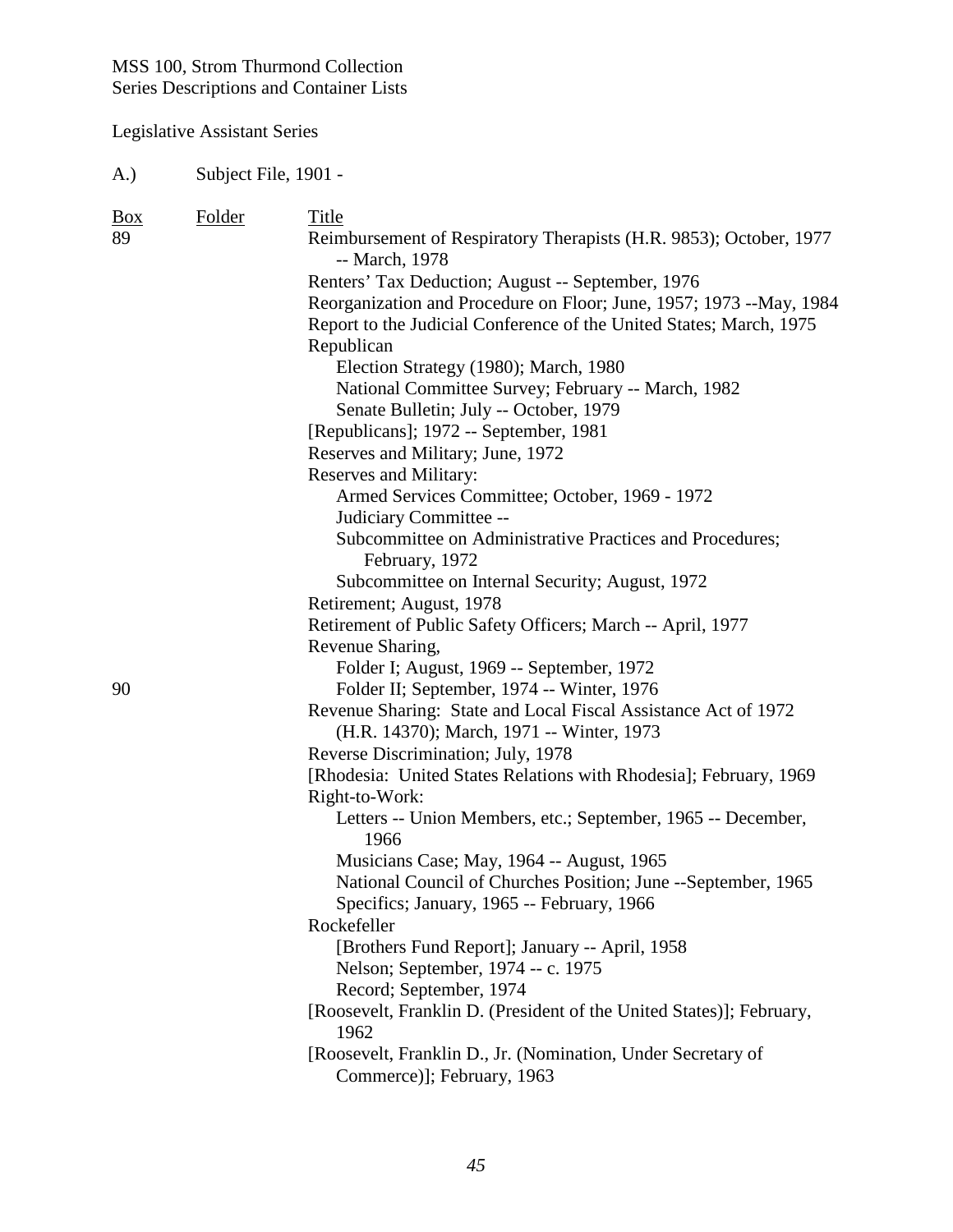# Legislative Assistant Series

A.) Subject File, 1901 -

|                                                                                                             | Report to the Judicial Conference of the United States; March, 1975<br>Subcommittee on Administrative Practices and Procedures; |
|-------------------------------------------------------------------------------------------------------------|---------------------------------------------------------------------------------------------------------------------------------|
| Retirement; August, 1978                                                                                    |                                                                                                                                 |
| Retirement of Public Safety Officers; March -- April, 1977<br>Revenue Sharing,                              |                                                                                                                                 |
| Folder I; August, 1969 -- September, 1972                                                                   |                                                                                                                                 |
| 90<br>Folder II; September, 1974 -- Winter, 1976                                                            |                                                                                                                                 |
| Revenue Sharing: State and Local Fiscal Assistance Act of 1972<br>(H.R. 14370); March, 1971 -- Winter, 1973 |                                                                                                                                 |
| Reverse Discrimination; July, 1978                                                                          |                                                                                                                                 |
| [Rhodesia: United States Relations with Rhodesia]; February, 1969                                           |                                                                                                                                 |
| Right-to-Work:                                                                                              |                                                                                                                                 |
| Letters -- Union Members, etc.; September, 1965 -- December,<br>1966                                        |                                                                                                                                 |
| Musicians Case; May, 1964 -- August, 1965                                                                   |                                                                                                                                 |
| National Council of Churches Position; June --September, 1965                                               |                                                                                                                                 |
| Specifics; January, 1965 -- February, 1966                                                                  |                                                                                                                                 |
| Rockefeller                                                                                                 |                                                                                                                                 |
| [Brothers Fund Report]; January -- April, 1958<br>Nelson; September, 1974 -- c. 1975                        |                                                                                                                                 |
| Record; September, 1974<br>[Roosevelt, Franklin D. (President of the United States)]; February,<br>1962     |                                                                                                                                 |
| [Roosevelt, Franklin D., Jr. (Nomination, Under Secretary of<br>Commerce)]; February, 1963                  |                                                                                                                                 |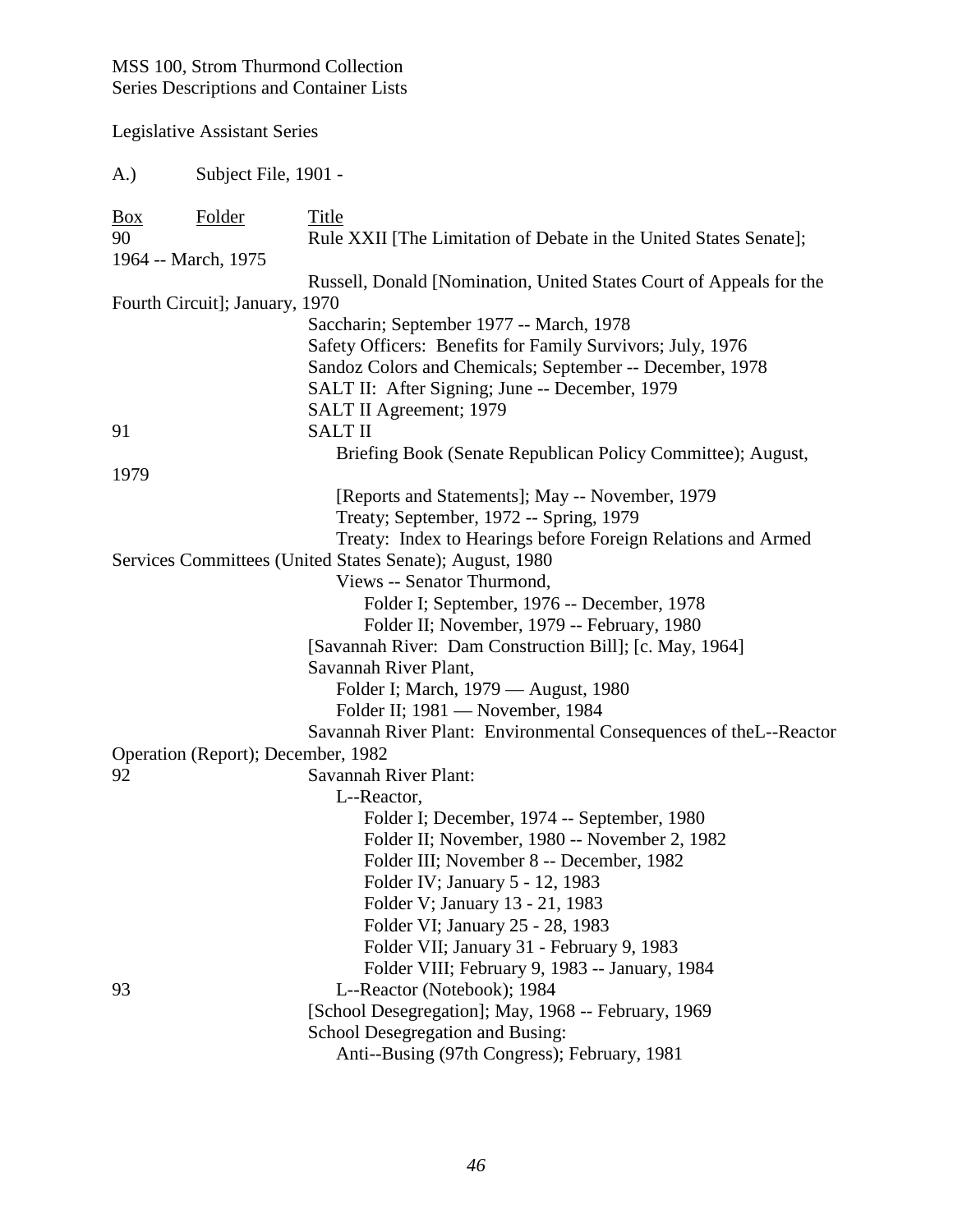Legislative Assistant Series

A.) Subject File, 1901 -

| $\frac{Box}{}$<br>90 | Folder                             | Title<br>Rule XXII [The Limitation of Debate in the United States Senate]; |
|----------------------|------------------------------------|----------------------------------------------------------------------------|
|                      | 1964 -- March, 1975                |                                                                            |
|                      |                                    | Russell, Donald [Nomination, United States Court of Appeals for the        |
|                      | Fourth Circuit]; January, 1970     |                                                                            |
|                      |                                    | Saccharin; September 1977 -- March, 1978                                   |
|                      |                                    | Safety Officers: Benefits for Family Survivors; July, 1976                 |
|                      |                                    | Sandoz Colors and Chemicals; September -- December, 1978                   |
|                      |                                    | SALT II: After Signing; June -- December, 1979                             |
|                      |                                    | SALT II Agreement; 1979                                                    |
| 91                   |                                    | <b>SALT II</b>                                                             |
|                      |                                    | Briefing Book (Senate Republican Policy Committee); August,                |
| 1979                 |                                    |                                                                            |
|                      |                                    | [Reports and Statements]; May -- November, 1979                            |
|                      |                                    | Treaty; September, 1972 -- Spring, 1979                                    |
|                      |                                    | Treaty: Index to Hearings before Foreign Relations and Armed               |
|                      |                                    | Services Committees (United States Senate); August, 1980                   |
|                      |                                    | Views -- Senator Thurmond,                                                 |
|                      |                                    | Folder I; September, 1976 -- December, 1978                                |
|                      |                                    | Folder II; November, 1979 -- February, 1980                                |
|                      |                                    | [Savannah River: Dam Construction Bill]; [c. May, 1964]                    |
|                      |                                    | Savannah River Plant,                                                      |
|                      |                                    | Folder I; March, 1979 - August, 1980                                       |
|                      |                                    | Folder II; 1981 - November, 1984                                           |
|                      |                                    | Savannah River Plant: Environmental Consequences of the L--Reactor         |
|                      | Operation (Report); December, 1982 |                                                                            |
| 92                   |                                    | Savannah River Plant:                                                      |
|                      |                                    | L--Reactor,                                                                |
|                      |                                    | Folder I; December, 1974 -- September, 1980                                |
|                      |                                    | Folder II; November, 1980 -- November 2, 1982                              |
|                      |                                    | Folder III; November 8 -- December, 1982                                   |
|                      |                                    | Folder IV; January 5 - 12, 1983                                            |
|                      |                                    | Folder V; January 13 - 21, 1983                                            |
|                      |                                    | Folder VI; January 25 - 28, 1983                                           |
|                      |                                    | Folder VII; January 31 - February 9, 1983                                  |
|                      |                                    | Folder VIII; February 9, 1983 -- January, 1984                             |
| 93                   |                                    | L--Reactor (Notebook); 1984                                                |
|                      |                                    | [School Desegregation]; May, 1968 -- February, 1969                        |
|                      |                                    | School Desegregation and Busing:                                           |
|                      |                                    | Anti--Busing (97th Congress); February, 1981                               |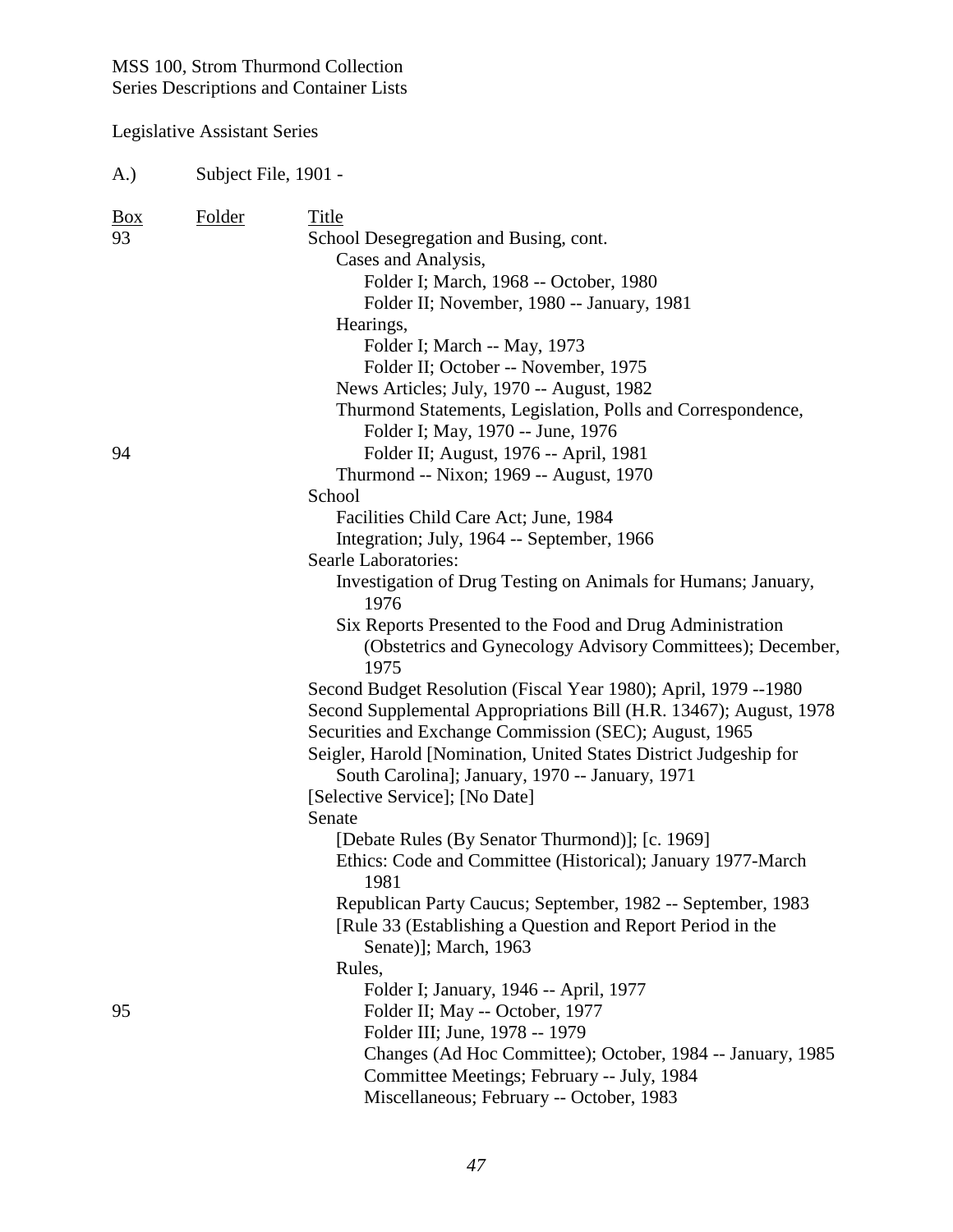| A.)              | Subject File, 1901 - |                                                                                                                                                                                                                                                                                                                                                                     |
|------------------|----------------------|---------------------------------------------------------------------------------------------------------------------------------------------------------------------------------------------------------------------------------------------------------------------------------------------------------------------------------------------------------------------|
| <b>Box</b><br>93 | Folder               | Title<br>School Desegregation and Busing, cont.<br>Cases and Analysis,<br>Folder I; March, 1968 -- October, 1980<br>Folder II; November, 1980 -- January, 1981<br>Hearings,<br>Folder I; March -- May, 1973<br>Folder II; October -- November, 1975<br>News Articles; July, 1970 -- August, 1982<br>Thurmond Statements, Legislation, Polls and Correspondence,     |
| 94               |                      | Folder I; May, 1970 -- June, 1976<br>Folder II; August, 1976 -- April, 1981<br>Thurmond -- Nixon; 1969 -- August, 1970<br>School<br>Facilities Child Care Act; June, 1984                                                                                                                                                                                           |
|                  |                      | Integration; July, 1964 -- September, 1966<br><b>Searle Laboratories:</b><br>Investigation of Drug Testing on Animals for Humans; January,<br>1976<br>Six Reports Presented to the Food and Drug Administration<br>(Obstetrics and Gynecology Advisory Committees); December,<br>1975                                                                               |
|                  |                      | Second Budget Resolution (Fiscal Year 1980); April, 1979 --1980<br>Second Supplemental Appropriations Bill (H.R. 13467); August, 1978<br>Securities and Exchange Commission (SEC); August, 1965<br>Seigler, Harold [Nomination, United States District Judgeship for<br>South Carolina]; January, 1970 -- January, 1971<br>[Selective Service]; [No Date]<br>Senate |
|                  |                      | [Debate Rules (By Senator Thurmond)]; [c. 1969]<br>Ethics: Code and Committee (Historical); January 1977-March<br>1981<br>Republican Party Caucus; September, 1982 -- September, 1983<br>[Rule 33 (Establishing a Question and Report Period in the<br>Senate)]; March, 1963                                                                                        |
| 95               |                      | Rules,<br>Folder I; January, 1946 -- April, 1977<br>Folder II; May -- October, 1977<br>Folder III; June, 1978 -- 1979<br>Changes (Ad Hoc Committee); October, 1984 -- January, 1985<br>Committee Meetings; February -- July, 1984<br>Miscellaneous; February -- October, 1983                                                                                       |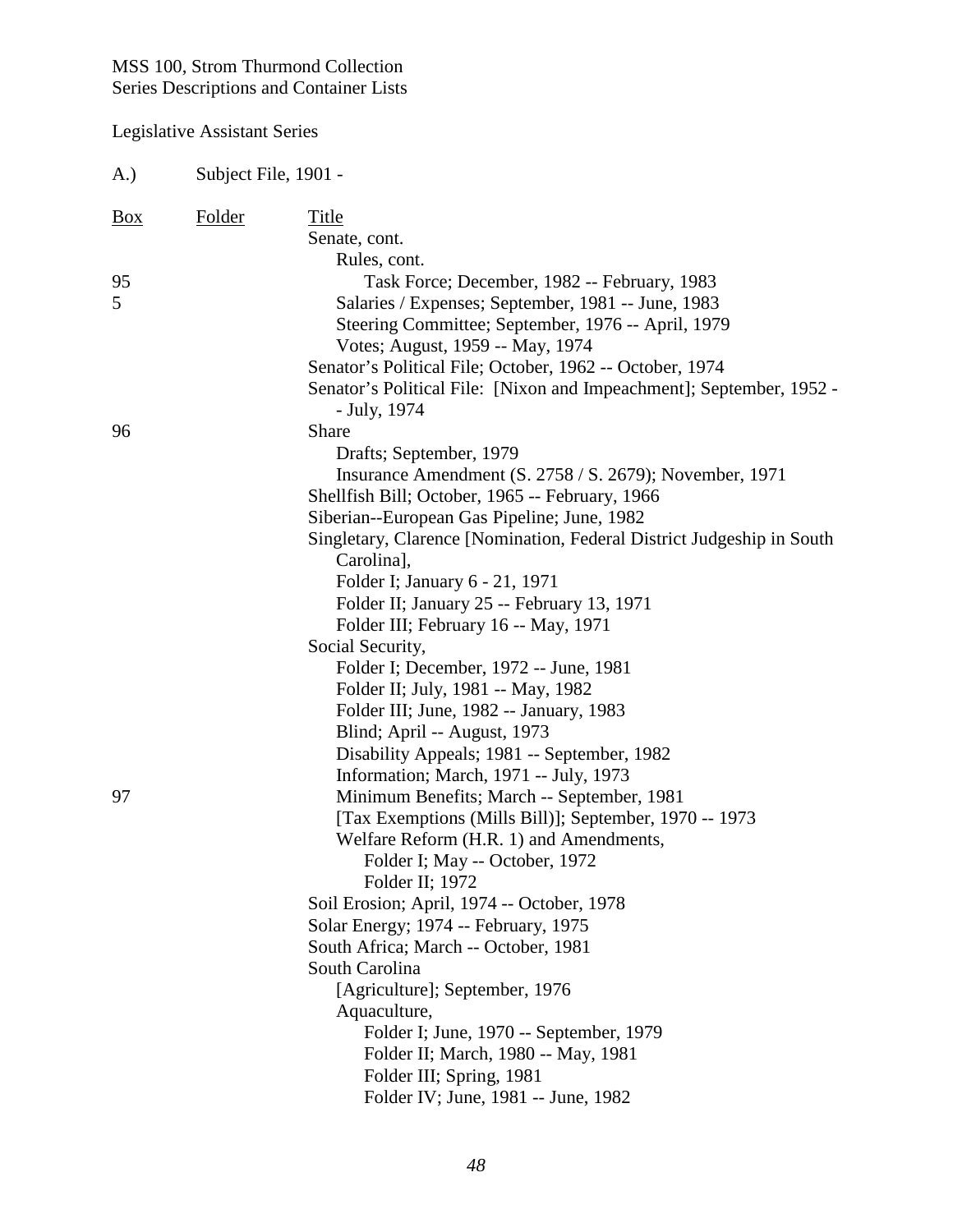| A.) | Subject File, 1901 - |                                                                                      |
|-----|----------------------|--------------------------------------------------------------------------------------|
| Box | <b>Folder</b>        | Title<br>Senate, cont.<br>Rules, cont.                                               |
| 95  |                      | Task Force; December, 1982 -- February, 1983                                         |
| 5   |                      | Salaries / Expenses; September, 1981 -- June, 1983                                   |
|     |                      | Steering Committee; September, 1976 -- April, 1979                                   |
|     |                      | Votes; August, 1959 -- May, 1974                                                     |
|     |                      | Senator's Political File; October, 1962 -- October, 1974                             |
|     |                      | Senator's Political File: [Nixon and Impeachment]; September, 1952 -<br>- July, 1974 |
| 96  |                      | Share                                                                                |
|     |                      | Drafts; September, 1979                                                              |
|     |                      | Insurance Amendment (S. 2758 / S. 2679); November, 1971                              |
|     |                      | Shellfish Bill; October, 1965 -- February, 1966                                      |
|     |                      | Siberian--European Gas Pipeline; June, 1982                                          |
|     |                      | Singletary, Clarence [Nomination, Federal District Judgeship in South                |
|     |                      | Carolina],<br>Folder I; January 6 - 21, 1971                                         |
|     |                      | Folder II; January 25 -- February 13, 1971                                           |
|     |                      | Folder III; February 16 -- May, 1971                                                 |
|     |                      | Social Security,                                                                     |
|     |                      | Folder I; December, 1972 -- June, 1981                                               |
|     |                      | Folder II; July, 1981 -- May, 1982                                                   |
|     |                      | Folder III; June, 1982 -- January, 1983                                              |
|     |                      | Blind; April -- August, 1973                                                         |
|     |                      | Disability Appeals; 1981 -- September, 1982                                          |
|     |                      | Information; March, 1971 -- July, 1973                                               |
| 97  |                      | Minimum Benefits; March -- September, 1981                                           |
|     |                      | [Tax Exemptions (Mills Bill)]; September, 1970 -- 1973                               |
|     |                      | Welfare Reform (H.R. 1) and Amendments,                                              |
|     |                      | Folder I; May -- October, 1972                                                       |
|     |                      | Folder II; 1972                                                                      |
|     |                      | Soil Erosion; April, 1974 -- October, 1978                                           |
|     |                      | Solar Energy; 1974 -- February, 1975                                                 |
|     |                      | South Africa; March -- October, 1981                                                 |
|     |                      | South Carolina                                                                       |
|     |                      | [Agriculture]; September, 1976                                                       |
|     |                      | Aquaculture,                                                                         |
|     |                      | Folder I; June, 1970 -- September, 1979                                              |
|     |                      | Folder II; March, 1980 -- May, 1981                                                  |
|     |                      | Folder III; Spring, 1981                                                             |
|     |                      | Folder IV; June, 1981 -- June, 1982                                                  |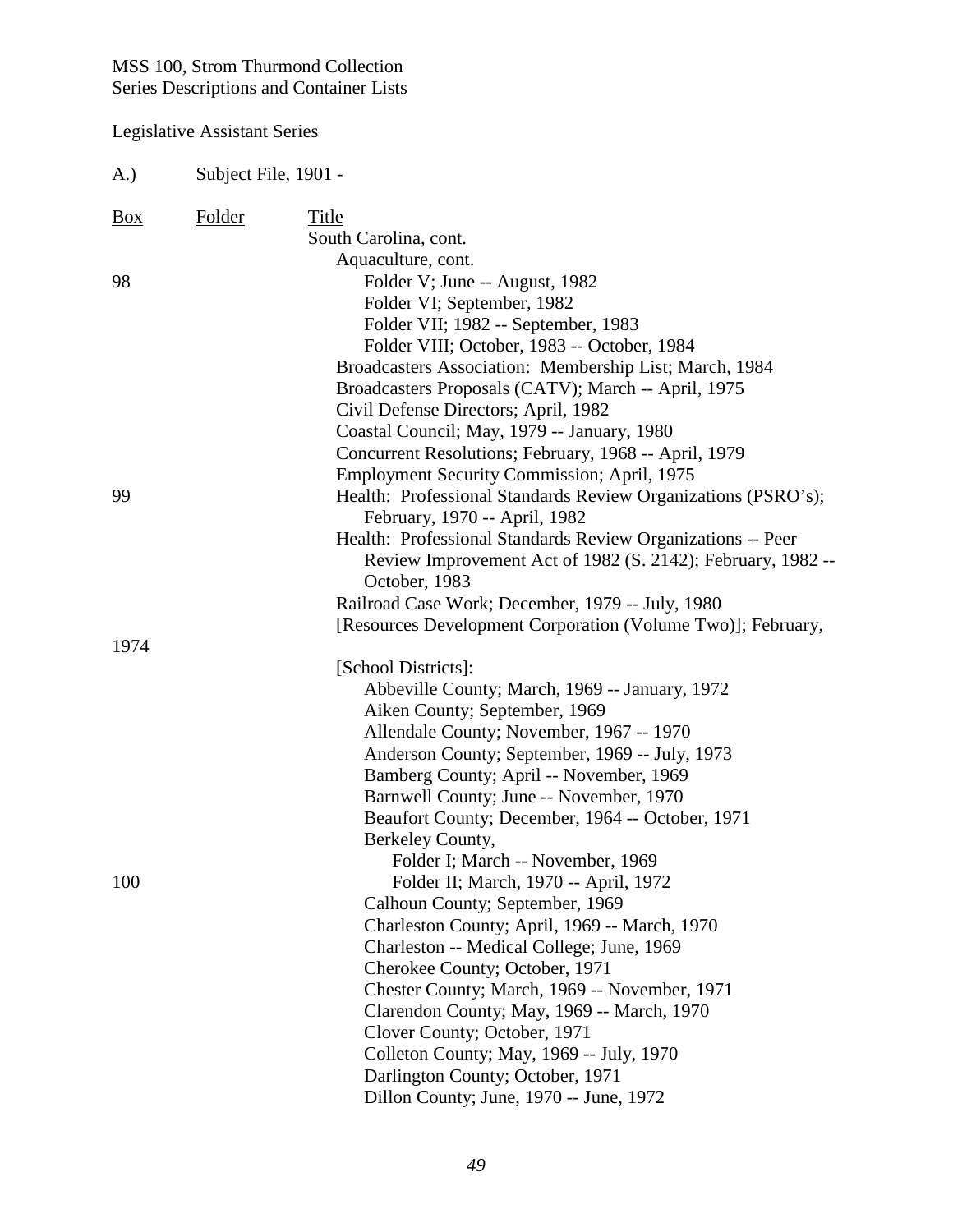| A.)            | Subject File, 1901 - |                                                                                                               |
|----------------|----------------------|---------------------------------------------------------------------------------------------------------------|
| $\frac{Box}{}$ | <b>Folder</b>        | Title                                                                                                         |
|                |                      | South Carolina, cont.                                                                                         |
|                |                      | Aquaculture, cont.                                                                                            |
| 98             |                      | Folder V; June -- August, 1982                                                                                |
|                |                      | Folder VI; September, 1982                                                                                    |
|                |                      | Folder VII; 1982 -- September, 1983                                                                           |
|                |                      | Folder VIII; October, 1983 -- October, 1984                                                                   |
|                |                      | Broadcasters Association: Membership List; March, 1984<br>Broadcasters Proposals (CATV); March -- April, 1975 |
|                |                      | Civil Defense Directors; April, 1982                                                                          |
|                |                      | Coastal Council; May, 1979 -- January, 1980                                                                   |
|                |                      | Concurrent Resolutions; February, 1968 -- April, 1979                                                         |
|                |                      | Employment Security Commission; April, 1975                                                                   |
| 99             |                      | Health: Professional Standards Review Organizations (PSRO's);                                                 |
|                |                      | February, 1970 -- April, 1982                                                                                 |
|                |                      | Health: Professional Standards Review Organizations -- Peer                                                   |
|                |                      | Review Improvement Act of 1982 (S. 2142); February, 1982 --                                                   |
|                |                      | October, 1983                                                                                                 |
|                |                      | Railroad Case Work; December, 1979 -- July, 1980                                                              |
|                |                      | [Resources Development Corporation (Volume Two)]; February,                                                   |
| 1974           |                      |                                                                                                               |
|                |                      | [School Districts]:                                                                                           |
|                |                      | Abbeville County; March, 1969 -- January, 1972                                                                |
|                |                      | Aiken County; September, 1969                                                                                 |
|                |                      | Allendale County; November, 1967 -- 1970                                                                      |
|                |                      | Anderson County; September, 1969 -- July, 1973<br>Bamberg County; April -- November, 1969                     |
|                |                      | Barnwell County; June -- November, 1970                                                                       |
|                |                      | Beaufort County; December, 1964 -- October, 1971                                                              |
|                |                      | Berkeley County,                                                                                              |
|                |                      | Folder I; March -- November, 1969                                                                             |
| 100            |                      | Folder II; March, 1970 -- April, 1972                                                                         |
|                |                      | Calhoun County; September, 1969                                                                               |
|                |                      | Charleston County; April, 1969 -- March, 1970                                                                 |
|                |                      | Charleston -- Medical College; June, 1969                                                                     |
|                |                      | Cherokee County; October, 1971                                                                                |
|                |                      | Chester County; March, 1969 -- November, 1971                                                                 |
|                |                      | Clarendon County; May, 1969 -- March, 1970                                                                    |
|                |                      | Clover County; October, 1971                                                                                  |
|                |                      | Colleton County; May, 1969 -- July, 1970                                                                      |
|                |                      | Darlington County; October, 1971                                                                              |
|                |                      | Dillon County; June, 1970 -- June, 1972                                                                       |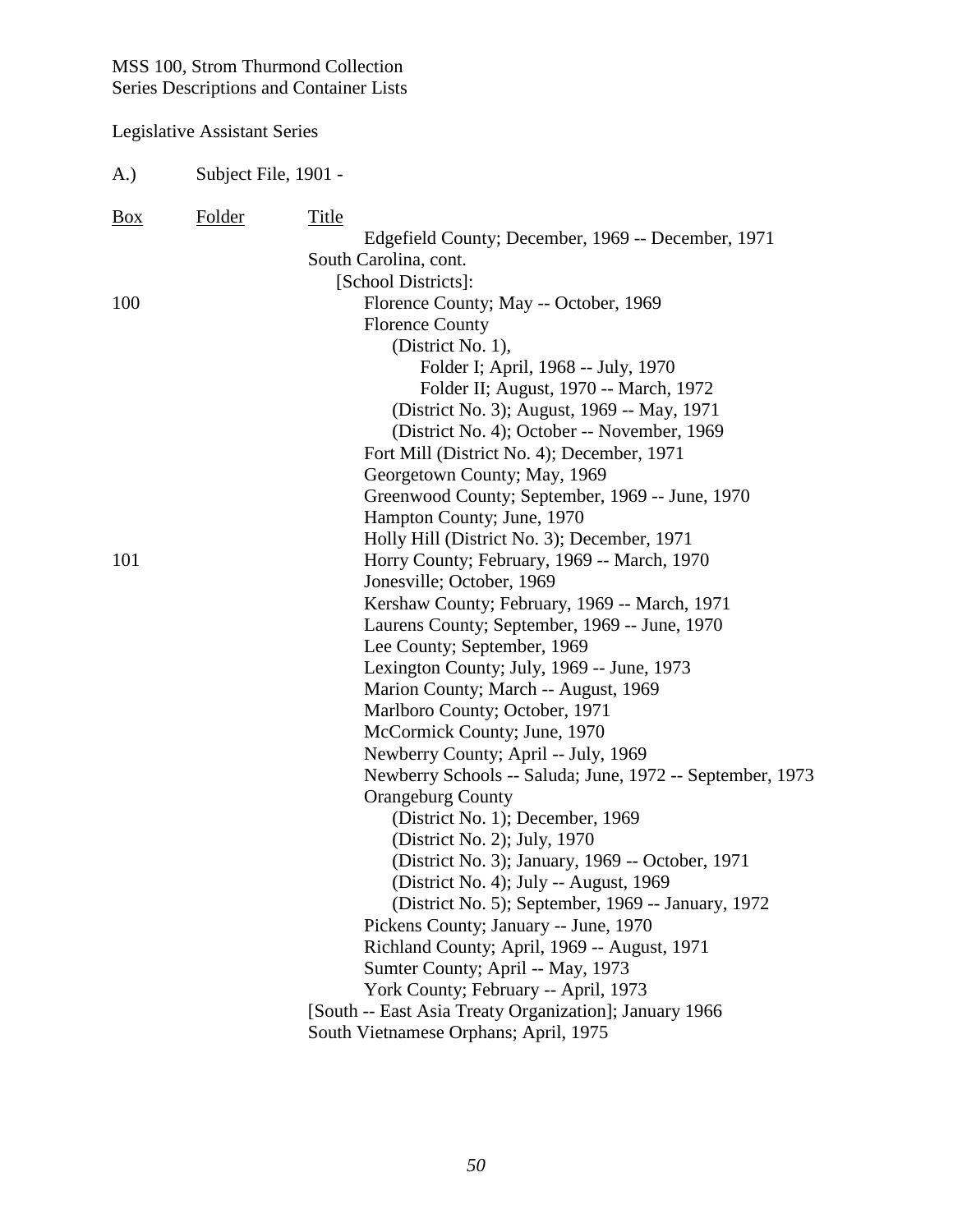| A.)        | Subject File, 1901 - |                                                                                             |
|------------|----------------------|---------------------------------------------------------------------------------------------|
| <u>Box</u> | Folder               | <b>Title</b><br>Edgefield County; December, 1969 -- December, 1971<br>South Carolina, cont. |
|            |                      | [School Districts]:                                                                         |
| 100        |                      | Florence County; May -- October, 1969                                                       |
|            |                      | <b>Florence County</b>                                                                      |
|            |                      | (District No. 1),                                                                           |
|            |                      | Folder I; April, 1968 -- July, 1970                                                         |
|            |                      | Folder II; August, 1970 -- March, 1972                                                      |
|            |                      | (District No. 3); August, 1969 -- May, 1971                                                 |
|            |                      | (District No. 4); October -- November, 1969                                                 |
|            |                      | Fort Mill (District No. 4); December, 1971                                                  |
|            |                      | Georgetown County; May, 1969                                                                |
|            |                      | Greenwood County; September, 1969 -- June, 1970                                             |
|            |                      | Hampton County; June, 1970                                                                  |
|            |                      | Holly Hill (District No. 3); December, 1971                                                 |
| 101        |                      | Horry County; February, 1969 -- March, 1970                                                 |
|            |                      | Jonesville; October, 1969                                                                   |
|            |                      | Kershaw County; February, 1969 -- March, 1971                                               |
|            |                      | Laurens County; September, 1969 -- June, 1970                                               |
|            |                      | Lee County; September, 1969                                                                 |
|            |                      | Lexington County; July, 1969 -- June, 1973                                                  |
|            |                      | Marion County; March -- August, 1969                                                        |
|            |                      | Marlboro County; October, 1971                                                              |
|            |                      | McCormick County; June, 1970<br>Newberry County; April -- July, 1969                        |
|            |                      | Newberry Schools -- Saluda; June, 1972 -- September, 1973                                   |
|            |                      | <b>Orangeburg County</b>                                                                    |
|            |                      | (District No. 1); December, 1969                                                            |
|            |                      | (District No. 2); July, 1970                                                                |
|            |                      | (District No. 3); January, 1969 -- October, 1971                                            |
|            |                      | (District No. 4); July -- August, 1969                                                      |
|            |                      | (District No. 5); September, 1969 -- January, 1972                                          |
|            |                      | Pickens County; January -- June, 1970                                                       |
|            |                      | Richland County; April, 1969 -- August, 1971                                                |
|            |                      | Sumter County; April -- May, 1973                                                           |
|            |                      | York County; February -- April, 1973                                                        |
|            |                      | [South -- East Asia Treaty Organization]; January 1966                                      |
|            |                      | South Vietnamese Orphans; April, 1975                                                       |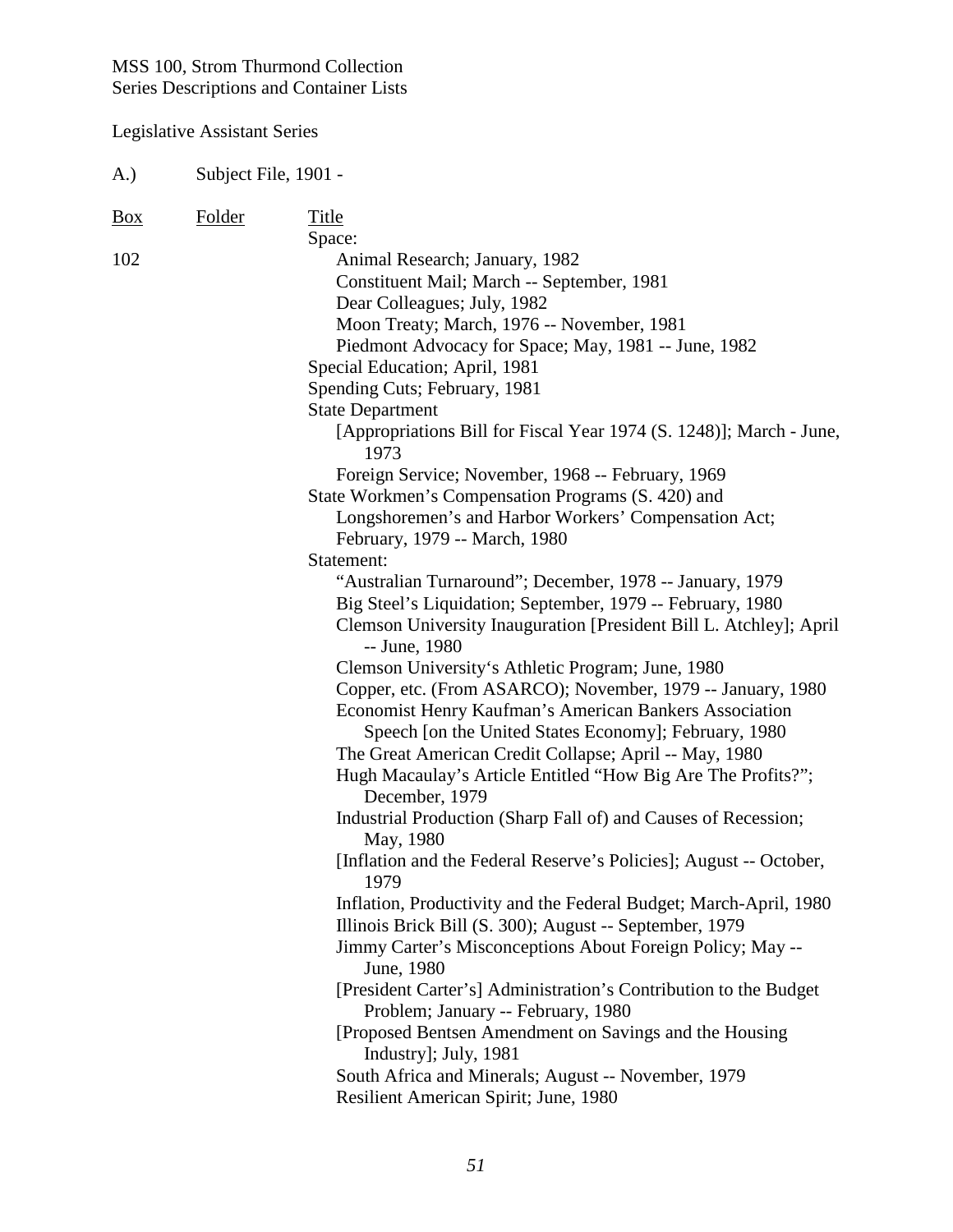| A.)               | Subject File, 1901 - |                                                                                                                                                                                                                                                                                                                                                                                                                                                                                                                                                                                                                                                                                                                                                                                                                                                                                                                                                                                                                                                                                                                                                                                                              |
|-------------------|----------------------|--------------------------------------------------------------------------------------------------------------------------------------------------------------------------------------------------------------------------------------------------------------------------------------------------------------------------------------------------------------------------------------------------------------------------------------------------------------------------------------------------------------------------------------------------------------------------------------------------------------------------------------------------------------------------------------------------------------------------------------------------------------------------------------------------------------------------------------------------------------------------------------------------------------------------------------------------------------------------------------------------------------------------------------------------------------------------------------------------------------------------------------------------------------------------------------------------------------|
| $\underline{Box}$ | <b>Folder</b>        | <b>Title</b>                                                                                                                                                                                                                                                                                                                                                                                                                                                                                                                                                                                                                                                                                                                                                                                                                                                                                                                                                                                                                                                                                                                                                                                                 |
| 102               |                      | Space:<br>Animal Research; January, 1982<br>Constituent Mail; March -- September, 1981<br>Dear Colleagues; July, 1982<br>Moon Treaty; March, 1976 -- November, 1981<br>Piedmont Advocacy for Space; May, 1981 -- June, 1982<br>Special Education; April, 1981<br>Spending Cuts; February, 1981<br><b>State Department</b><br>[Appropriations Bill for Fiscal Year 1974 (S. 1248)]; March - June,<br>1973<br>Foreign Service; November, 1968 -- February, 1969<br>State Workmen's Compensation Programs (S. 420) and<br>Longshoremen's and Harbor Workers' Compensation Act;<br>February, 1979 -- March, 1980<br>Statement:<br>"Australian Turnaround"; December, 1978 -- January, 1979<br>Big Steel's Liquidation; September, 1979 -- February, 1980<br>Clemson University Inauguration [President Bill L. Atchley]; April<br>-- June, 1980<br>Clemson University's Athletic Program; June, 1980<br>Copper, etc. (From ASARCO); November, 1979 -- January, 1980<br>Economist Henry Kaufman's American Bankers Association<br>Speech [on the United States Economy]; February, 1980<br>The Great American Credit Collapse; April -- May, 1980<br>Hugh Macaulay's Article Entitled "How Big Are The Profits?"; |
|                   |                      | December, 1979<br>Industrial Production (Sharp Fall of) and Causes of Recession;<br>May, 1980<br>[Inflation and the Federal Reserve's Policies]; August -- October,                                                                                                                                                                                                                                                                                                                                                                                                                                                                                                                                                                                                                                                                                                                                                                                                                                                                                                                                                                                                                                          |
|                   |                      | 1979<br>Inflation, Productivity and the Federal Budget; March-April, 1980<br>Illinois Brick Bill (S. 300); August -- September, 1979<br>Jimmy Carter's Misconceptions About Foreign Policy; May --<br>June, 1980<br>[President Carter's] Administration's Contribution to the Budget<br>Problem; January -- February, 1980<br>[Proposed Bentsen Amendment on Savings and the Housing<br>Industry]; July, 1981<br>South Africa and Minerals; August -- November, 1979<br>Resilient American Spirit; June, 1980                                                                                                                                                                                                                                                                                                                                                                                                                                                                                                                                                                                                                                                                                                |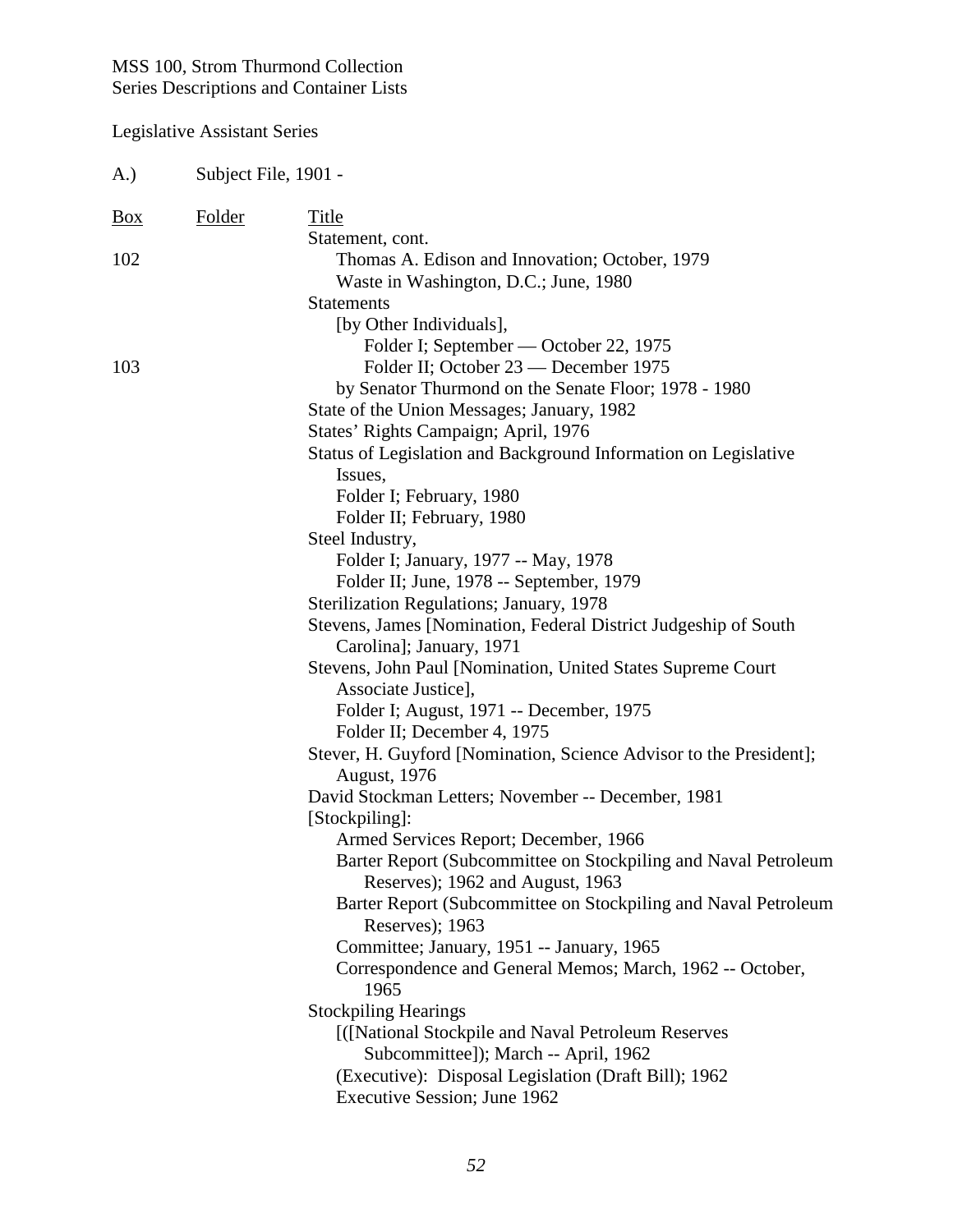| A.)        | Subject File, 1901 - |                                                                                                    |
|------------|----------------------|----------------------------------------------------------------------------------------------------|
| <u>Box</u> | <b>Folder</b>        | Title                                                                                              |
|            |                      | Statement, cont.                                                                                   |
| 102        |                      | Thomas A. Edison and Innovation; October, 1979                                                     |
|            |                      | Waste in Washington, D.C.; June, 1980                                                              |
|            |                      | <b>Statements</b>                                                                                  |
|            |                      | [by Other Individuals],                                                                            |
|            |                      | Folder I; September — October 22, 1975                                                             |
| 103        |                      | Folder II; October 23 — December 1975                                                              |
|            |                      | by Senator Thurmond on the Senate Floor; 1978 - 1980                                               |
|            |                      | State of the Union Messages; January, 1982                                                         |
|            |                      | States' Rights Campaign; April, 1976                                                               |
|            |                      | Status of Legislation and Background Information on Legislative                                    |
|            |                      | Issues,                                                                                            |
|            |                      | Folder I; February, 1980                                                                           |
|            |                      | Folder II; February, 1980                                                                          |
|            |                      | Steel Industry,                                                                                    |
|            |                      | Folder I; January, 1977 -- May, 1978                                                               |
|            |                      | Folder II; June, 1978 -- September, 1979                                                           |
|            |                      | Sterilization Regulations; January, 1978                                                           |
|            |                      | Stevens, James [Nomination, Federal District Judgeship of South<br>Carolina]; January, 1971        |
|            |                      | Stevens, John Paul [Nomination, United States Supreme Court                                        |
|            |                      | Associate Justice],                                                                                |
|            |                      | Folder I; August, 1971 -- December, 1975                                                           |
|            |                      | Folder II; December 4, 1975                                                                        |
|            |                      | Stever, H. Guyford [Nomination, Science Advisor to the President];                                 |
|            |                      | <b>August</b> , 1976                                                                               |
|            |                      | David Stockman Letters; November -- December, 1981                                                 |
|            |                      | [Stockpiling]:                                                                                     |
|            |                      | Armed Services Report; December, 1966                                                              |
|            |                      | Barter Report (Subcommittee on Stockpiling and Naval Petroleum<br>Reserves); 1962 and August, 1963 |
|            |                      | Barter Report (Subcommittee on Stockpiling and Naval Petroleum<br>Reserves); 1963                  |
|            |                      | Committee; January, 1951 -- January, 1965                                                          |
|            |                      | Correspondence and General Memos; March, 1962 -- October,<br>1965                                  |
|            |                      | <b>Stockpiling Hearings</b>                                                                        |
|            |                      | [([National Stockpile and Naval Petroleum Reserves<br>Subcommittee]); March -- April, 1962         |
|            |                      | (Executive): Disposal Legislation (Draft Bill); 1962                                               |
|            |                      | Executive Session; June 1962                                                                       |
|            |                      |                                                                                                    |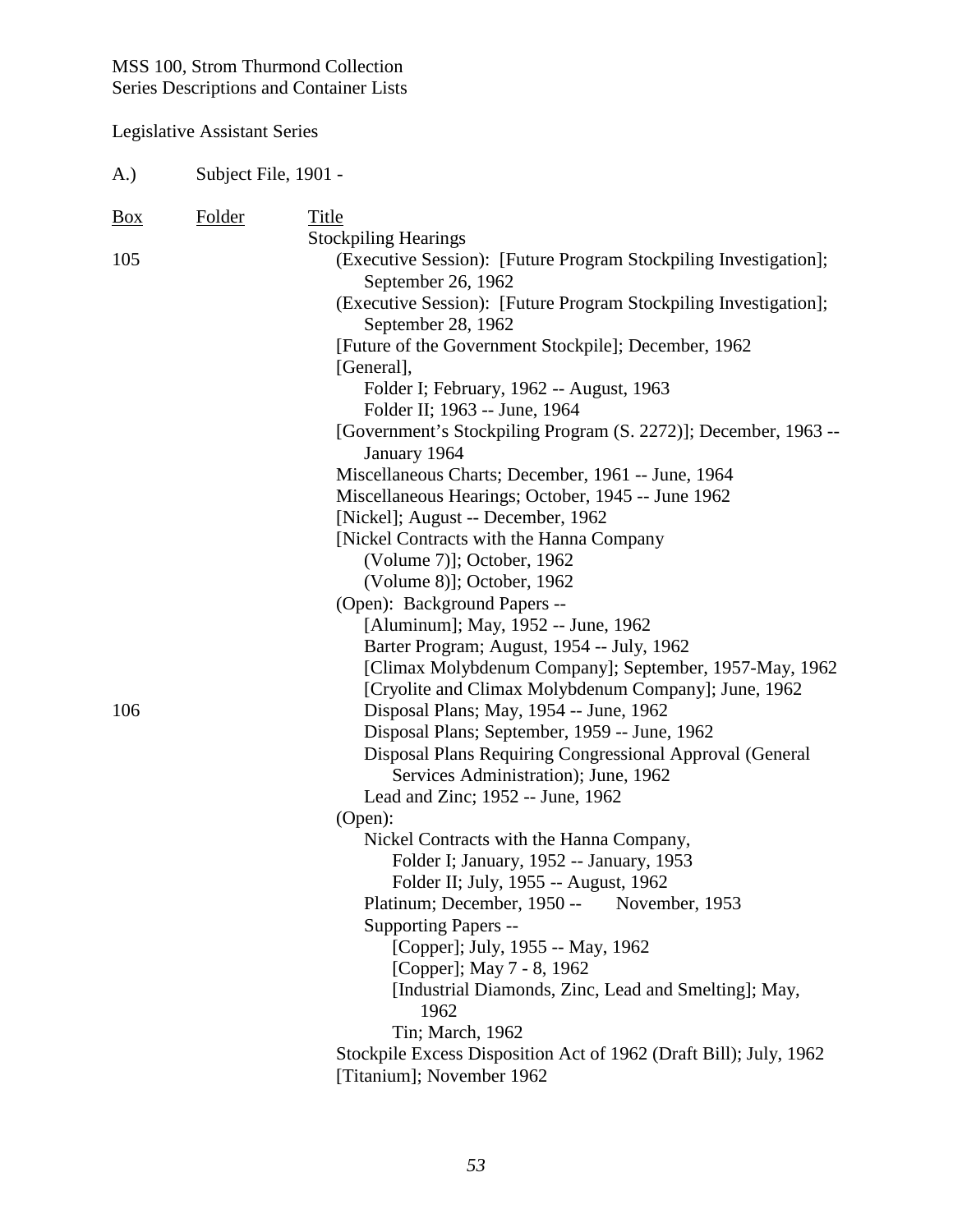| (A.)       | Subject File, 1901 - |                                                                                                                                                                                                                                                                                                                                                                                                                                                                                                                                                                                                                                                                                                                                                                                                                                                                                                                                                                                                                                                                                                                                                                                                                                                                                                                                                                                                                  |  |
|------------|----------------------|------------------------------------------------------------------------------------------------------------------------------------------------------------------------------------------------------------------------------------------------------------------------------------------------------------------------------------------------------------------------------------------------------------------------------------------------------------------------------------------------------------------------------------------------------------------------------------------------------------------------------------------------------------------------------------------------------------------------------------------------------------------------------------------------------------------------------------------------------------------------------------------------------------------------------------------------------------------------------------------------------------------------------------------------------------------------------------------------------------------------------------------------------------------------------------------------------------------------------------------------------------------------------------------------------------------------------------------------------------------------------------------------------------------|--|
| Box        | <b>Folder</b>        | Title                                                                                                                                                                                                                                                                                                                                                                                                                                                                                                                                                                                                                                                                                                                                                                                                                                                                                                                                                                                                                                                                                                                                                                                                                                                                                                                                                                                                            |  |
| 105<br>106 |                      | <b>Stockpiling Hearings</b><br>(Executive Session): [Future Program Stockpiling Investigation];<br>September 26, 1962<br>(Executive Session): [Future Program Stockpiling Investigation];<br>September 28, 1962<br>[Future of the Government Stockpile]; December, 1962<br>[General],<br>Folder I; February, 1962 -- August, 1963<br>Folder II; 1963 -- June, 1964<br>[Government's Stockpiling Program (S. 2272)]; December, 1963 --<br>January 1964<br>Miscellaneous Charts; December, 1961 -- June, 1964<br>Miscellaneous Hearings; October, 1945 -- June 1962<br>[Nickel]; August -- December, 1962<br>[Nickel Contracts with the Hanna Company<br>(Volume 7)]; October, 1962<br>(Volume 8)]; October, 1962<br>(Open): Background Papers --<br>[Aluminum]; May, 1952 -- June, 1962<br>Barter Program; August, 1954 -- July, 1962<br>[Climax Molybdenum Company]; September, 1957-May, 1962<br>[Cryolite and Climax Molybdenum Company]; June, 1962<br>Disposal Plans; May, 1954 -- June, 1962<br>Disposal Plans; September, 1959 -- June, 1962<br>Disposal Plans Requiring Congressional Approval (General<br>Services Administration); June, 1962<br>Lead and Zinc; 1952 -- June, 1962<br>(Open):<br>Nickel Contracts with the Hanna Company,<br>Folder I; January, 1952 -- January, 1953<br>Folder II; July, 1955 -- August, 1962<br>Platinum; December, 1950 --<br>November, 1953<br>Supporting Papers -- |  |
|            |                      | [Copper]; July, 1955 -- May, 1962                                                                                                                                                                                                                                                                                                                                                                                                                                                                                                                                                                                                                                                                                                                                                                                                                                                                                                                                                                                                                                                                                                                                                                                                                                                                                                                                                                                |  |
|            |                      | [Copper]; May 7 - 8, 1962<br>[Industrial Diamonds, Zinc, Lead and Smelting]; May,<br>1962<br>Tin; March, 1962                                                                                                                                                                                                                                                                                                                                                                                                                                                                                                                                                                                                                                                                                                                                                                                                                                                                                                                                                                                                                                                                                                                                                                                                                                                                                                    |  |
|            |                      | Stockpile Excess Disposition Act of 1962 (Draft Bill); July, 1962<br>[Titanium]; November 1962                                                                                                                                                                                                                                                                                                                                                                                                                                                                                                                                                                                                                                                                                                                                                                                                                                                                                                                                                                                                                                                                                                                                                                                                                                                                                                                   |  |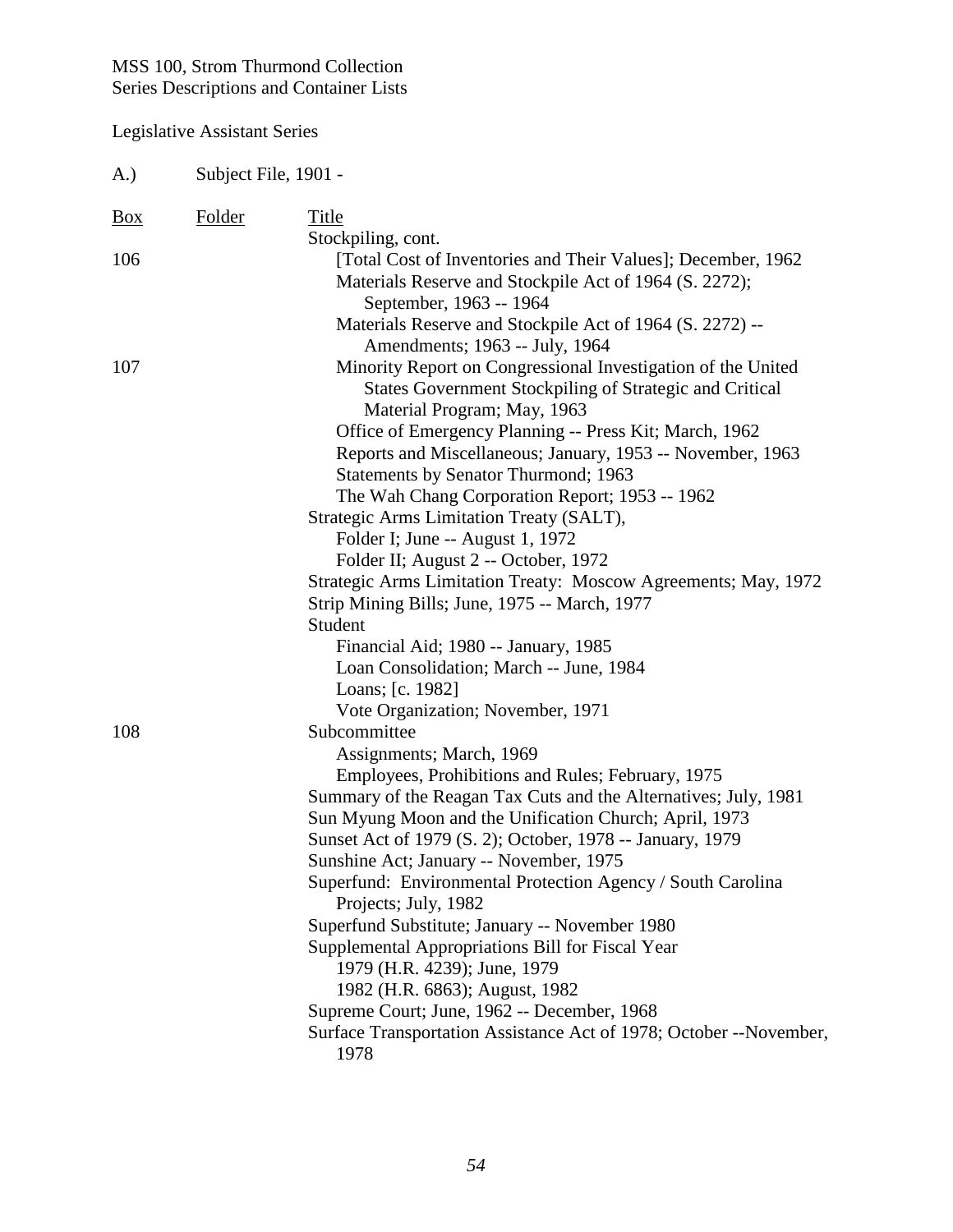| A.)        | Subject File, 1901 - |                                                                                                                                                                                                                                                                                                                                                                                                                                                                                                                                                                                                                                                                                                                 |
|------------|----------------------|-----------------------------------------------------------------------------------------------------------------------------------------------------------------------------------------------------------------------------------------------------------------------------------------------------------------------------------------------------------------------------------------------------------------------------------------------------------------------------------------------------------------------------------------------------------------------------------------------------------------------------------------------------------------------------------------------------------------|
| <u>Box</u> | Folder               | Title<br>Stockpiling, cont.                                                                                                                                                                                                                                                                                                                                                                                                                                                                                                                                                                                                                                                                                     |
| 106        |                      | [Total Cost of Inventories and Their Values]; December, 1962<br>Materials Reserve and Stockpile Act of 1964 (S. 2272);<br>September, 1963 -- 1964<br>Materials Reserve and Stockpile Act of 1964 (S. 2272) --                                                                                                                                                                                                                                                                                                                                                                                                                                                                                                   |
| 107        |                      | Amendments; 1963 -- July, 1964<br>Minority Report on Congressional Investigation of the United<br><b>States Government Stockpiling of Strategic and Critical</b><br>Material Program; May, 1963<br>Office of Emergency Planning -- Press Kit; March, 1962<br>Reports and Miscellaneous; January, 1953 -- November, 1963<br>Statements by Senator Thurmond; 1963<br>The Wah Chang Corporation Report; 1953 -- 1962<br>Strategic Arms Limitation Treaty (SALT),<br>Folder I; June -- August 1, 1972<br>Folder II; August 2 -- October, 1972<br>Strategic Arms Limitation Treaty: Moscow Agreements; May, 1972<br>Strip Mining Bills; June, 1975 -- March, 1977<br>Student<br>Financial Aid; 1980 -- January, 1985 |
| 108        |                      | Loan Consolidation; March -- June, 1984<br>Loans; [c. 1982]<br>Vote Organization; November, 1971<br>Subcommittee                                                                                                                                                                                                                                                                                                                                                                                                                                                                                                                                                                                                |
|            |                      | Assignments; March, 1969<br>Employees, Prohibitions and Rules; February, 1975<br>Summary of the Reagan Tax Cuts and the Alternatives; July, 1981<br>Sun Myung Moon and the Unification Church; April, 1973<br>Sunset Act of 1979 (S. 2); October, 1978 -- January, 1979<br>Sunshine Act; January -- November, 1975<br>Superfund: Environmental Protection Agency / South Carolina<br>Projects; July, 1982<br>Superfund Substitute; January -- November 1980<br>Supplemental Appropriations Bill for Fiscal Year<br>1979 (H.R. 4239); June, 1979<br>1982 (H.R. 6863); August, 1982<br>Supreme Court; June, 1962 -- December, 1968<br>Surface Transportation Assistance Act of 1978; October --November,<br>1978  |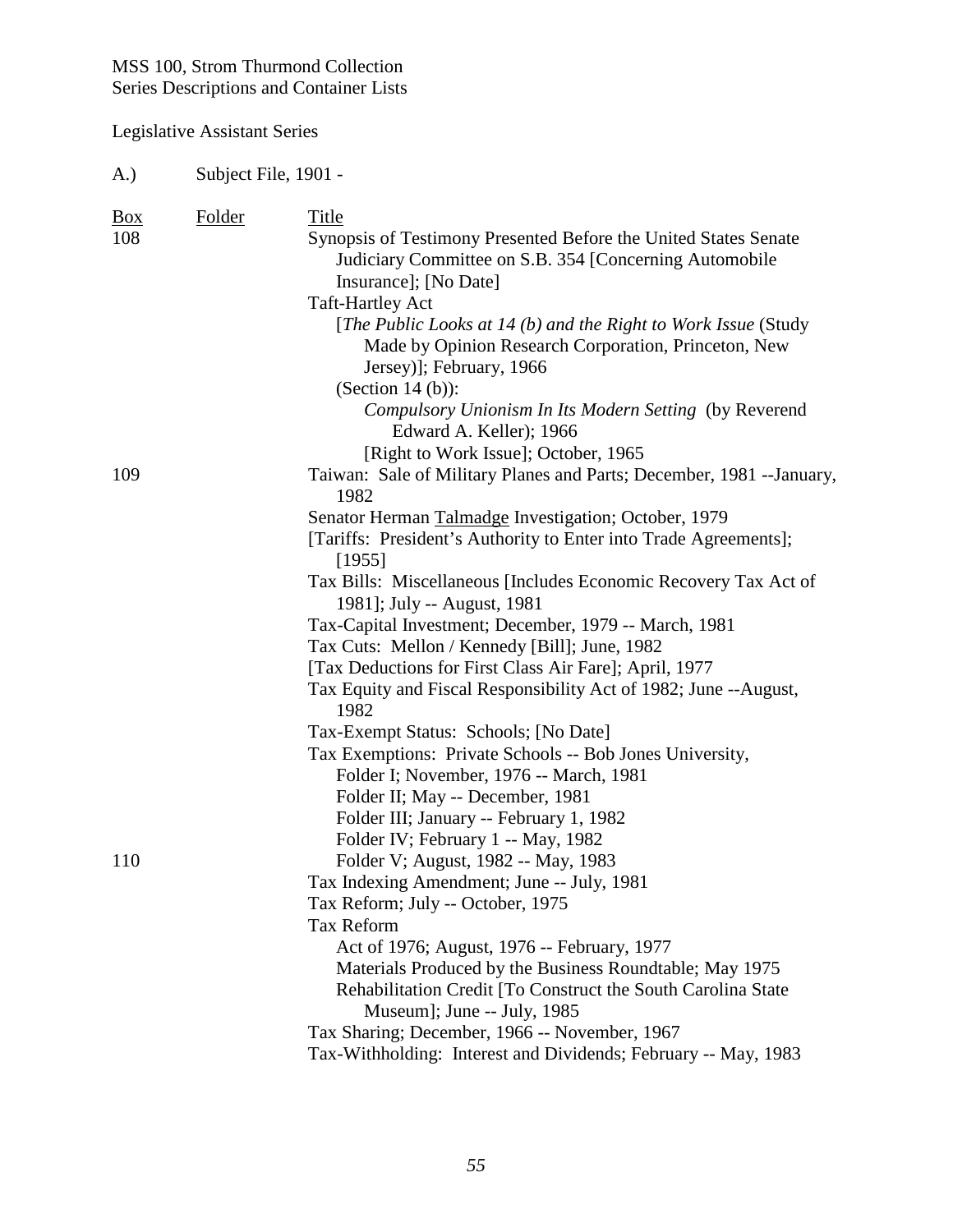| A.)                      | Subject File, 1901 - |                                                                                                                                                                           |  |
|--------------------------|----------------------|---------------------------------------------------------------------------------------------------------------------------------------------------------------------------|--|
| $\underline{Box}$<br>108 | <b>Folder</b>        | Title                                                                                                                                                                     |  |
|                          |                      | Synopsis of Testimony Presented Before the United States Senate<br>Judiciary Committee on S.B. 354 [Concerning Automobile<br>Insurance]; [No Date]                        |  |
|                          |                      | <b>Taft-Hartley Act</b>                                                                                                                                                   |  |
|                          |                      | [The Public Looks at 14 (b) and the Right to Work Issue (Study<br>Made by Opinion Research Corporation, Princeton, New<br>Jersey)]; February, 1966<br>(Section $14(b)$ ): |  |
|                          |                      | Compulsory Unionism In Its Modern Setting (by Reverend<br>Edward A. Keller); 1966                                                                                         |  |
|                          |                      | [Right to Work Issue]; October, 1965                                                                                                                                      |  |
| 109                      |                      | Taiwan: Sale of Military Planes and Parts; December, 1981 --January,<br>1982                                                                                              |  |
|                          |                      | Senator Herman Talmadge Investigation; October, 1979                                                                                                                      |  |
|                          |                      | [Tariffs: President's Authority to Enter into Trade Agreements];<br>[1955]                                                                                                |  |
|                          |                      | Tax Bills: Miscellaneous [Includes Economic Recovery Tax Act of                                                                                                           |  |
|                          |                      | 1981]; July -- August, 1981                                                                                                                                               |  |
|                          |                      | Tax-Capital Investment; December, 1979 -- March, 1981                                                                                                                     |  |
|                          |                      | Tax Cuts: Mellon / Kennedy [Bill]; June, 1982                                                                                                                             |  |
|                          |                      | [Tax Deductions for First Class Air Fare]; April, 1977                                                                                                                    |  |
|                          |                      | Tax Equity and Fiscal Responsibility Act of 1982; June --August,<br>1982                                                                                                  |  |
|                          |                      | Tax-Exempt Status: Schools; [No Date]                                                                                                                                     |  |
|                          |                      | Tax Exemptions: Private Schools -- Bob Jones University,                                                                                                                  |  |
|                          |                      | Folder I; November, 1976 -- March, 1981                                                                                                                                   |  |
|                          |                      | Folder II; May -- December, 1981                                                                                                                                          |  |
|                          |                      | Folder III; January -- February 1, 1982                                                                                                                                   |  |
|                          |                      | Folder IV; February 1 -- May, 1982                                                                                                                                        |  |
| <b>110</b>               |                      | Folder V; August, 1982 -- May, 1983                                                                                                                                       |  |
|                          |                      | Tax Indexing Amendment; June -- July, 1981                                                                                                                                |  |
|                          |                      | Tax Reform; July -- October, 1975                                                                                                                                         |  |
|                          |                      | <b>Tax Reform</b>                                                                                                                                                         |  |
|                          |                      | Act of 1976; August, 1976 -- February, 1977                                                                                                                               |  |
|                          |                      | Materials Produced by the Business Roundtable; May 1975<br>Rehabilitation Credit [To Construct the South Carolina State<br>Museum]; June -- July, 1985                    |  |
|                          |                      | Tax Sharing; December, 1966 -- November, 1967                                                                                                                             |  |
|                          |                      | Tax-Withholding: Interest and Dividends; February -- May, 1983                                                                                                            |  |
|                          |                      |                                                                                                                                                                           |  |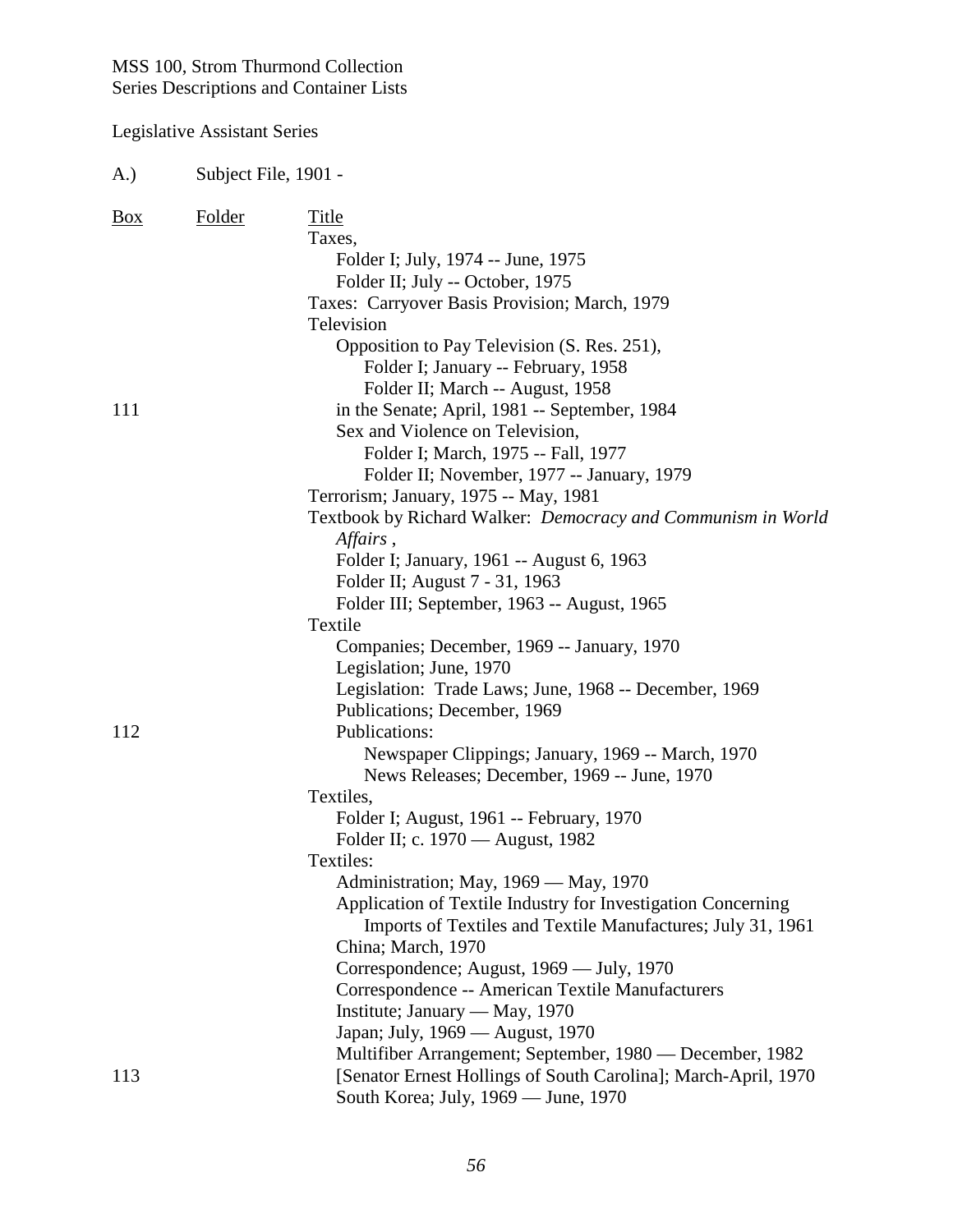#### Legislative Assistant Series

A.) Subject File, 1901 - Box Folder Title Taxes, Folder I; July, 1974 -- June, 1975 Folder II; July -- October, 1975 Taxes: Carryover Basis Provision; March, 1979 Television Opposition to Pay Television (S. Res. 251), Folder I; January -- February, 1958 Folder II; March -- August, 1958 111 in the Senate; April, 1981 -- September, 1984 Sex and Violence on Television, Folder I; March, 1975 -- Fall, 1977 Folder II; November, 1977 -- January, 1979 Terrorism; January, 1975 -- May, 1981 Textbook by Richard Walker: *Democracy and Communism in World Affairs* , Folder I; January, 1961 -- August 6, 1963 Folder II; August 7 - 31, 1963 Folder III; September, 1963 -- August, 1965 Textile Companies; December, 1969 -- January, 1970 Legislation; June, 1970 Legislation: Trade Laws; June, 1968 -- December, 1969 Publications; December, 1969 112 Publications: Newspaper Clippings; January, 1969 -- March, 1970 News Releases; December, 1969 -- June, 1970 Textiles, Folder I; August, 1961 -- February, 1970 Folder II; c. 1970 — August, 1982 Textiles: Administration; May, 1969 — May, 1970 Application of Textile Industry for Investigation Concerning Imports of Textiles and Textile Manufactures; July 31, 1961 China; March, 1970 Correspondence; August, 1969 — July, 1970 Correspondence -- American Textile Manufacturers Institute; January — May, 1970 Japan; July, 1969 — August, 1970 Multifiber Arrangement; September, 1980 — December, 1982 113 [Senator Ernest Hollings of South Carolina]; March-April, 1970 South Korea; July, 1969 — June, 1970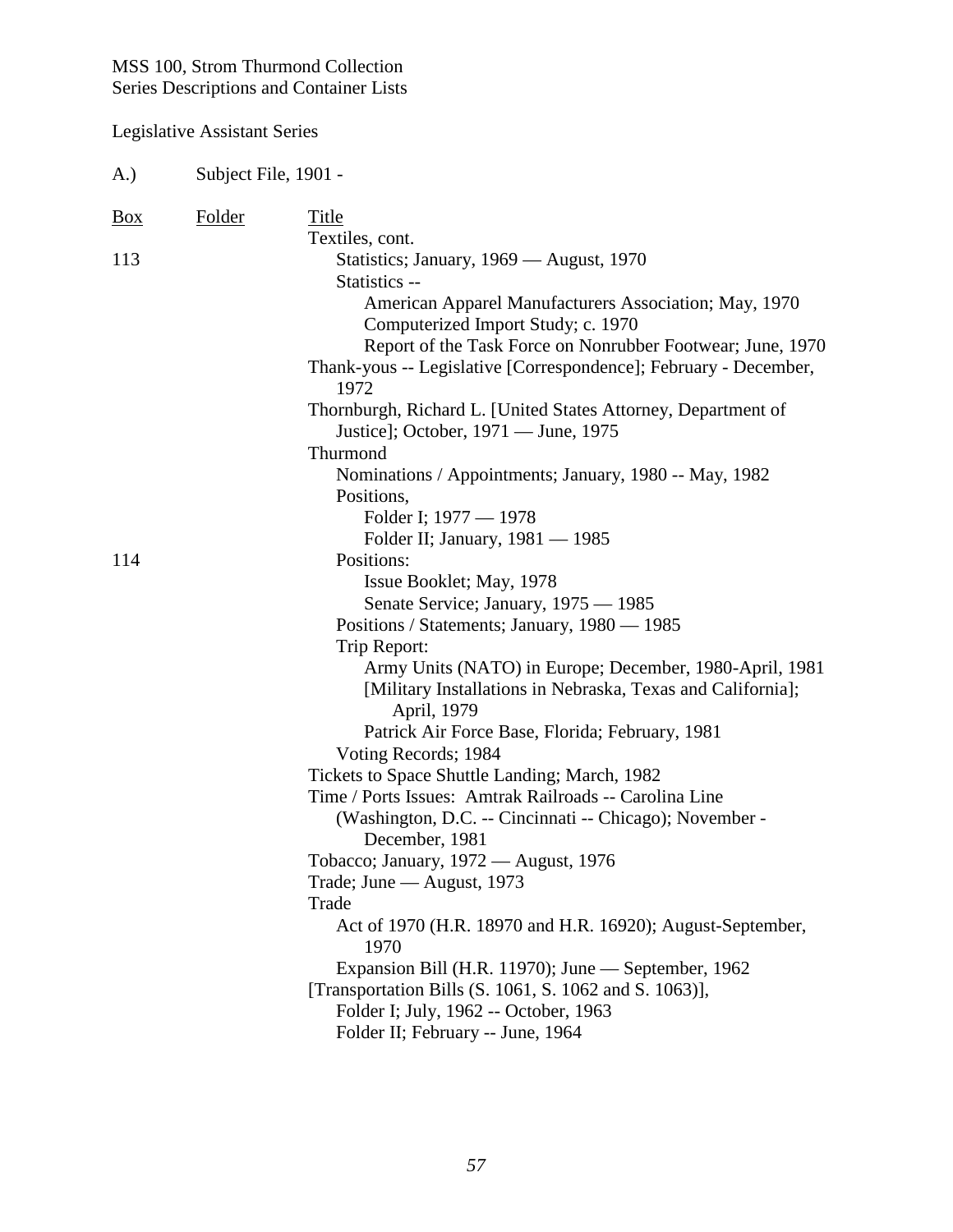| A.)            | Subject File, 1901 - |                                                                                                                                                                                                                                                                                                                                                                                                                                                                                   |
|----------------|----------------------|-----------------------------------------------------------------------------------------------------------------------------------------------------------------------------------------------------------------------------------------------------------------------------------------------------------------------------------------------------------------------------------------------------------------------------------------------------------------------------------|
| $\frac{Box}{}$ | <b>Folder</b>        | Title<br>Textiles, cont.                                                                                                                                                                                                                                                                                                                                                                                                                                                          |
| 113            |                      | Statistics; January, 1969 — August, 1970<br>Statistics --<br>American Apparel Manufacturers Association; May, 1970<br>Computerized Import Study; c. 1970<br>Report of the Task Force on Nonrubber Footwear; June, 1970<br>Thank-yous -- Legislative [Correspondence]; February - December,<br>1972<br>Thornburgh, Richard L. [United States Attorney, Department of<br>Justice]; October, 1971 — June, 1975<br>Thurmond<br>Nominations / Appointments; January, 1980 -- May, 1982 |
|                |                      | Positions,<br>Folder I; 1977 — 1978<br>Folder II; January, 1981 — 1985                                                                                                                                                                                                                                                                                                                                                                                                            |
| 114            |                      | Positions:<br>Issue Booklet; May, 1978<br>Senate Service; January, 1975 - 1985<br>Positions / Statements; January, 1980 - 1985<br>Trip Report:<br>Army Units (NATO) in Europe; December, 1980-April, 1981                                                                                                                                                                                                                                                                         |
|                |                      | [Military Installations in Nebraska, Texas and California];<br>April, 1979<br>Patrick Air Force Base, Florida; February, 1981<br>Voting Records; 1984<br>Tickets to Space Shuttle Landing; March, 1982                                                                                                                                                                                                                                                                            |
|                |                      | Time / Ports Issues: Amtrak Railroads -- Carolina Line<br>(Washington, D.C. -- Cincinnati -- Chicago); November -<br>December, 1981<br>Tobacco; January, 1972 — August, 1976                                                                                                                                                                                                                                                                                                      |
|                |                      | Trade; June — August, 1973<br>Trade<br>Act of 1970 (H.R. 18970 and H.R. 16920); August-September,<br>1970<br>Expansion Bill (H.R. 11970); June — September, 1962<br>[Transportation Bills (S. 1061, S. 1062 and S. 1063)],<br>Folder I; July, 1962 -- October, 1963<br>Folder II; February -- June, 1964                                                                                                                                                                          |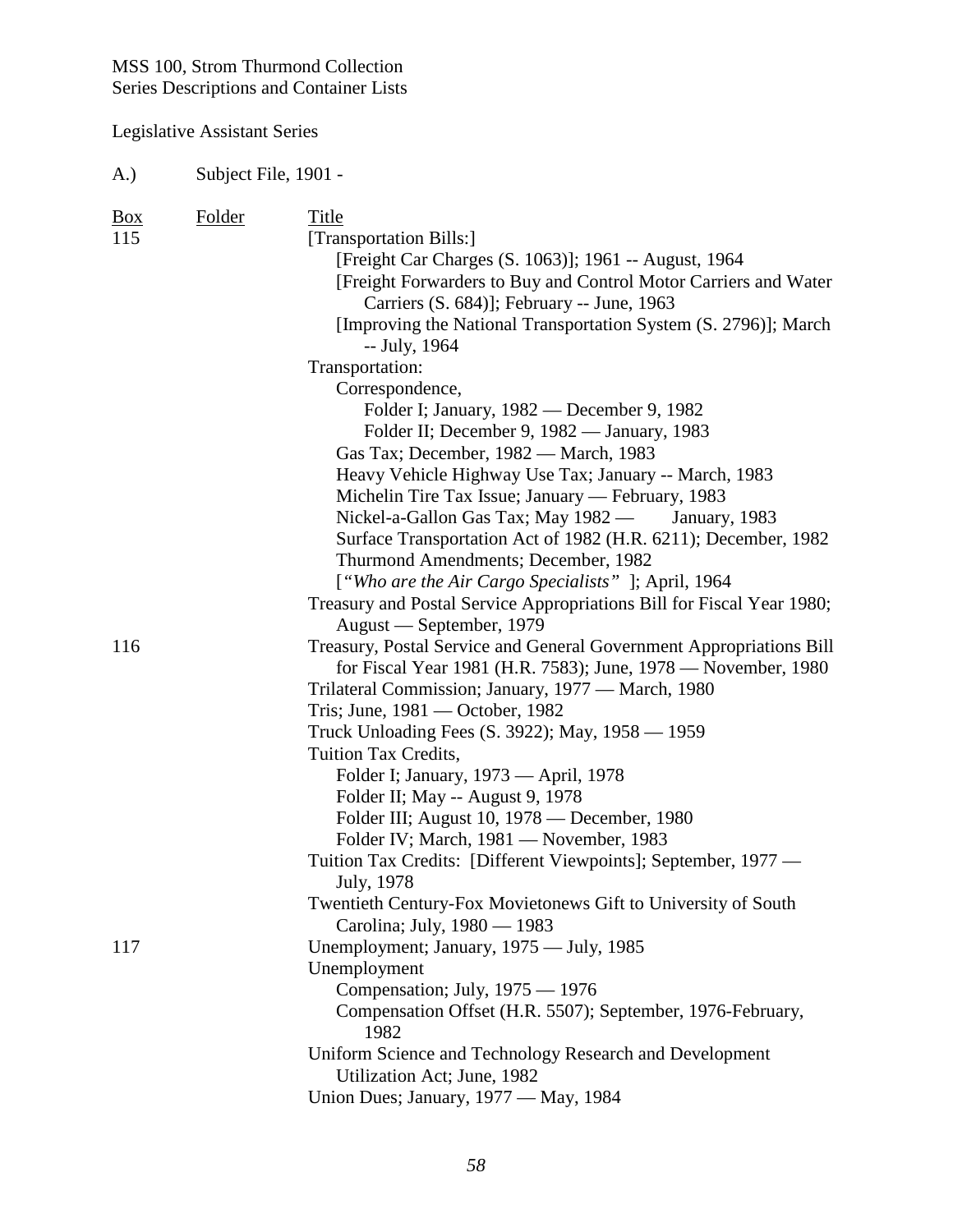| A.)               | Subject File, 1901 - |                                                                                                                                                                                                                                                                                                                   |
|-------------------|----------------------|-------------------------------------------------------------------------------------------------------------------------------------------------------------------------------------------------------------------------------------------------------------------------------------------------------------------|
| <u>Box</u><br>115 | <b>Folder</b>        | Title<br>[Transportation Bills:]<br>[Freight Car Charges (S. 1063)]; 1961 -- August, 1964<br>[Freight Forwarders to Buy and Control Motor Carriers and Water<br>Carriers (S. 684)]; February -- June, 1963<br>[Improving the National Transportation System (S. 2796)]; March<br>-- July, 1964<br>Transportation: |
|                   |                      | Correspondence,<br>Folder I; January, 1982 — December 9, 1982<br>Folder II; December 9, 1982 - January, 1983<br>Gas Tax; December, 1982 — March, 1983<br>Heavy Vehicle Highway Use Tax; January -- March, 1983<br>Michelin Tire Tax Issue; January — February, 1983                                               |
|                   |                      | Nickel-a-Gallon Gas Tax; May 1982 —<br>January, 1983<br>Surface Transportation Act of 1982 (H.R. 6211); December, 1982<br>Thurmond Amendments; December, 1982<br>["Who are the Air Cargo Specialists"]; April, 1964                                                                                               |
|                   |                      | Treasury and Postal Service Appropriations Bill for Fiscal Year 1980;<br>August — September, 1979                                                                                                                                                                                                                 |
| 116               |                      | Treasury, Postal Service and General Government Appropriations Bill<br>for Fiscal Year 1981 (H.R. 7583); June, 1978 — November, 1980<br>Trilateral Commission; January, 1977 — March, 1980                                                                                                                        |
|                   |                      | Tris; June, 1981 — October, 1982<br>Truck Unloading Fees (S. 3922); May, 1958 — 1959<br>Tuition Tax Credits,                                                                                                                                                                                                      |
|                   |                      | Folder I; January, 1973 — April, 1978<br>Folder II; May -- August 9, 1978                                                                                                                                                                                                                                         |
|                   |                      | Folder III; August 10, 1978 — December, 1980<br>Folder IV; March, 1981 — November, 1983<br>Tuition Tax Credits: [Different Viewpoints]; September, 1977 —<br>July, 1978                                                                                                                                           |
|                   |                      | Twentieth Century-Fox Movietonews Gift to University of South                                                                                                                                                                                                                                                     |
| 117               |                      | Carolina; July, 1980 — 1983<br>Unemployment; January, 1975 — July, 1985<br>Unemployment<br>Compensation; July, 1975 — 1976<br>Compensation Offset (H.R. 5507); September, 1976-February,<br>1982                                                                                                                  |
|                   |                      | Uniform Science and Technology Research and Development<br>Utilization Act; June, 1982<br>Union Dues; January, 1977 — May, 1984                                                                                                                                                                                   |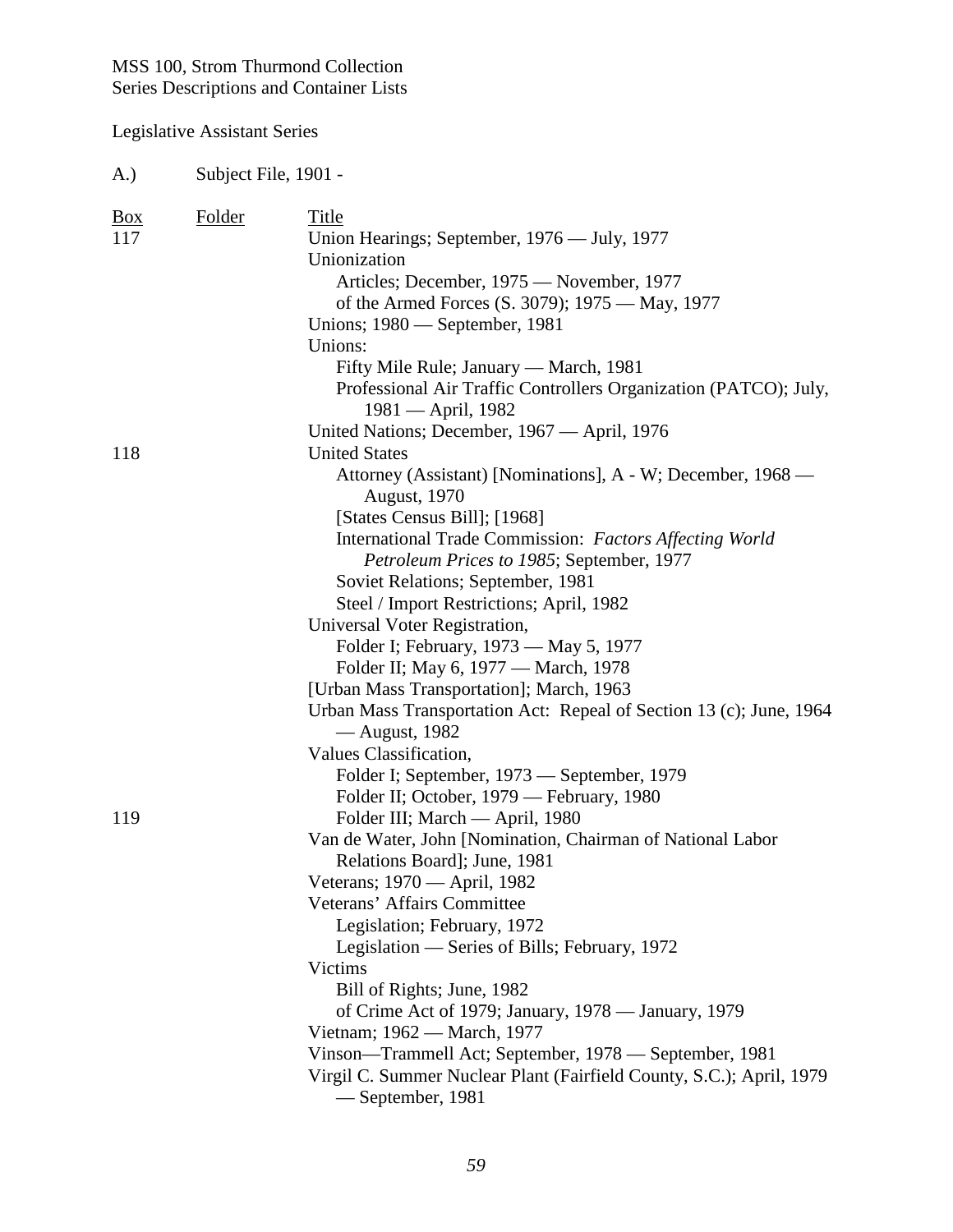#### Legislative Assistant Series

A.) Subject File, 1901 - Box Folder Title 117 Union Hearings; September, 1976 — July, 1977 Unionization Articles; December, 1975 — November, 1977 of the Armed Forces (S. 3079); 1975 — May, 1977 Unions; 1980 — September, 1981 Unions: Fifty Mile Rule; January — March, 1981 Professional Air Traffic Controllers Organization (PATCO); July, 1981 — April, 1982 United Nations; December, 1967 — April, 1976 118 United States Attorney (Assistant) [Nominations], A - W; December, 1968 — August, 1970 [States Census Bill]; [1968] International Trade Commission: *Factors Affecting World Petroleum Prices to 1985*; September, 1977 Soviet Relations; September, 1981 Steel / Import Restrictions; April, 1982 Universal Voter Registration, Folder I; February, 1973 — May 5, 1977 Folder II; May 6, 1977 — March, 1978 [Urban Mass Transportation]; March, 1963 Urban Mass Transportation Act: Repeal of Section 13 (c); June, 1964 — August, 1982 Values Classification, Folder I; September, 1973 — September, 1979 Folder II; October, 1979 — February, 1980 119 Folder III; March — April, 1980 Van de Water, John [Nomination, Chairman of National Labor Relations Board]; June, 1981 Veterans; 1970 — April, 1982 Veterans' Affairs Committee Legislation; February, 1972 Legislation — Series of Bills; February, 1972 Victims Bill of Rights; June, 1982 of Crime Act of 1979; January, 1978 — January, 1979 Vietnam; 1962 — March, 1977 Vinson—Trammell Act; September, 1978 — September, 1981 Virgil C. Summer Nuclear Plant (Fairfield County, S.C.); April, 1979 — September, 1981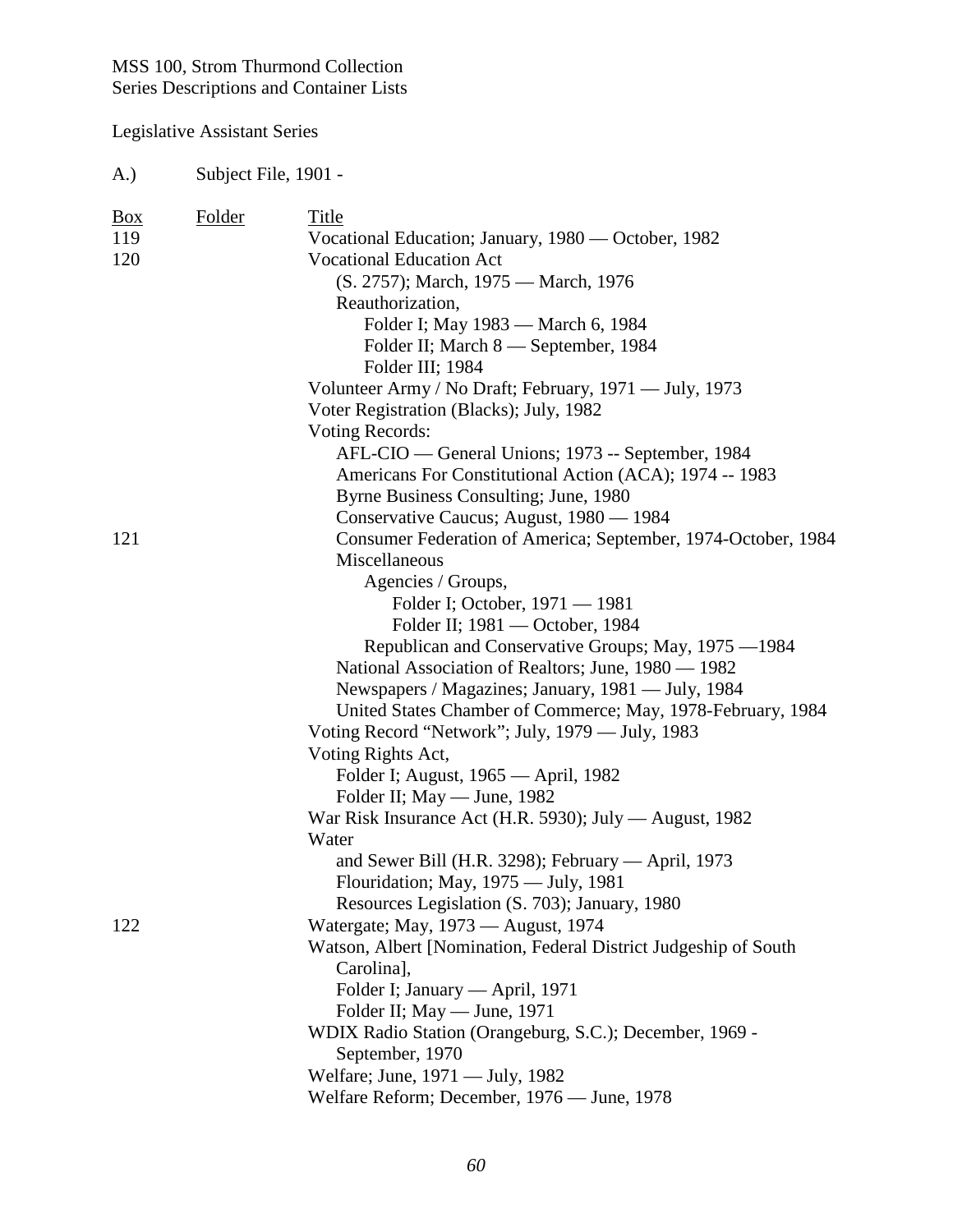Legislative Assistant Series

A.) Subject File, 1901 -

| <b>Box</b> | <b>Folder</b> | Title                                                           |
|------------|---------------|-----------------------------------------------------------------|
| 119        |               | Vocational Education; January, 1980 — October, 1982             |
| 120        |               | <b>Vocational Education Act</b>                                 |
|            |               | (S. 2757); March, 1975 — March, 1976                            |
|            |               | Reauthorization,                                                |
|            |               | Folder I; May 1983 — March 6, 1984                              |
|            |               | Folder II; March 8 — September, 1984                            |
|            |               | Folder III; 1984                                                |
|            |               | Volunteer Army / No Draft; February, 1971 — July, 1973          |
|            |               | Voter Registration (Blacks); July, 1982                         |
|            |               | <b>Voting Records:</b>                                          |
|            |               | AFL-CIO — General Unions; 1973 -- September, 1984               |
|            |               | Americans For Constitutional Action (ACA); 1974 -- 1983         |
|            |               | Byrne Business Consulting; June, 1980                           |
|            |               | Conservative Caucus; August, 1980 — 1984                        |
| 121        |               | Consumer Federation of America; September, 1974-October, 1984   |
|            |               | Miscellaneous                                                   |
|            |               |                                                                 |
|            |               | Agencies / Groups,                                              |
|            |               | Folder I; October, 1971 - 1981                                  |
|            |               | Folder II; 1981 — October, 1984                                 |
|            |               | Republican and Conservative Groups; May, 1975 -1984             |
|            |               | National Association of Realtors; June, 1980 — 1982             |
|            |               | Newspapers / Magazines; January, 1981 — July, 1984              |
|            |               | United States Chamber of Commerce; May, 1978-February, 1984     |
|            |               | Voting Record "Network"; July, 1979 - July, 1983                |
|            |               | Voting Rights Act,                                              |
|            |               | Folder I; August, 1965 — April, 1982                            |
|            |               | Folder II; May — June, 1982                                     |
|            |               | War Risk Insurance Act (H.R. 5930); July — August, 1982         |
|            |               | Water                                                           |
|            |               | and Sewer Bill (H.R. 3298); February — April, 1973              |
|            |               | Flouridation; May, 1975 - July, 1981                            |
|            |               | Resources Legislation (S. 703); January, 1980                   |
| 122        |               | Watergate; May, 1973 — August, 1974                             |
|            |               | Watson, Albert [Nomination, Federal District Judgeship of South |
|            |               | Carolina],                                                      |
|            |               | Folder I; January — April, 1971                                 |
|            |               | Folder II; May — June, 1971                                     |
|            |               | WDIX Radio Station (Orangeburg, S.C.); December, 1969 -         |
|            |               | September, 1970                                                 |
|            |               | Welfare; June, 1971 - July, 1982                                |
|            |               | Welfare Reform; December, 1976 — June, 1978                     |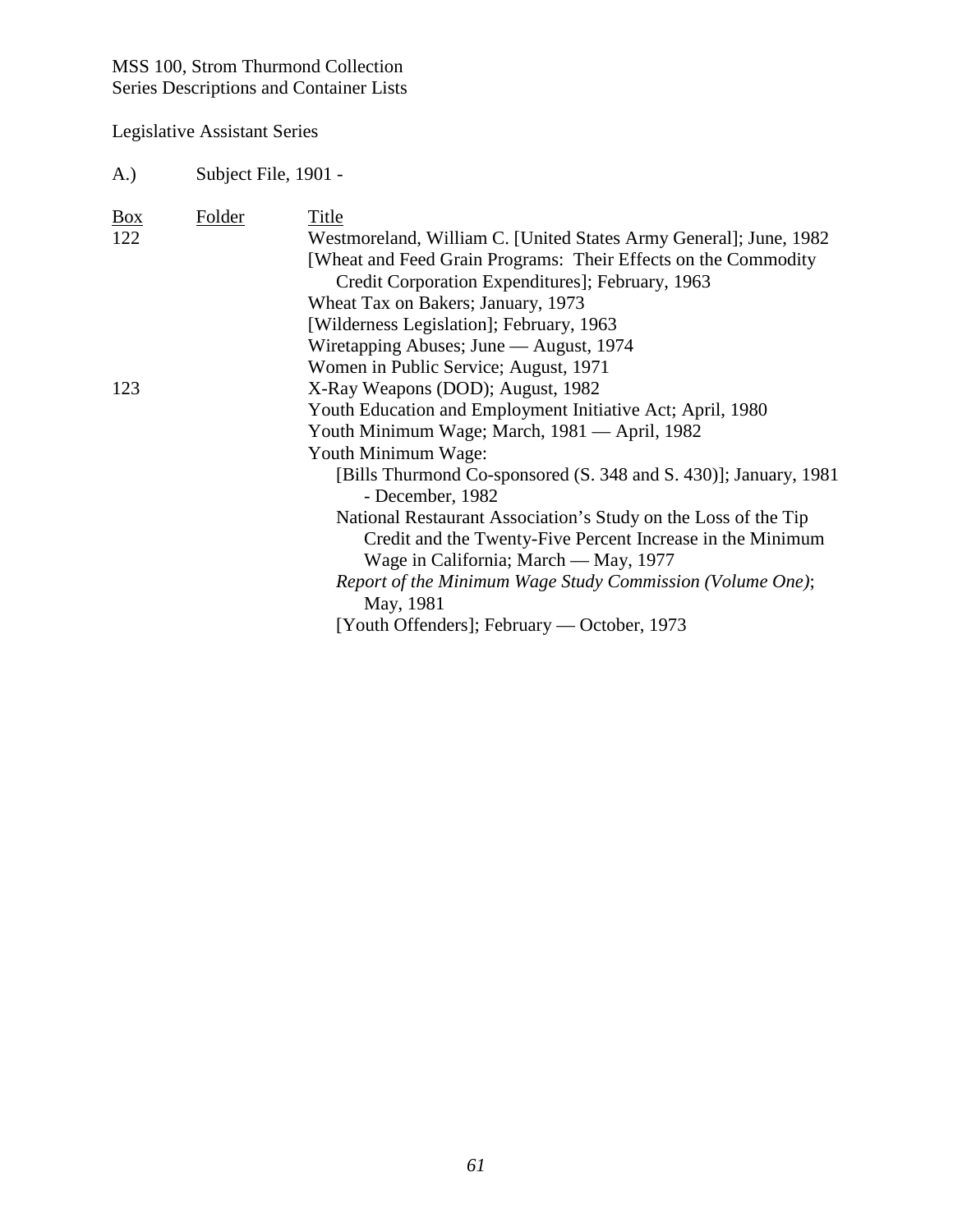Legislative Assistant Series

A.) Subject File, 1901 -

| $\underline{Box}$ | Folder | Title                                                             |
|-------------------|--------|-------------------------------------------------------------------|
| 122               |        | Westmoreland, William C. [United States Army General]; June, 1982 |
|                   |        | [Wheat and Feed Grain Programs: Their Effects on the Commodity    |
|                   |        | Credit Corporation Expenditures]; February, 1963                  |
|                   |        | Wheat Tax on Bakers; January, 1973                                |
|                   |        | [Wilderness Legislation]; February, 1963                          |
|                   |        | Wiretapping Abuses; June — August, 1974                           |
|                   |        | Women in Public Service; August, 1971                             |
| 123               |        | X-Ray Weapons (DOD); August, 1982                                 |
|                   |        | Youth Education and Employment Initiative Act; April, 1980        |
|                   |        | Youth Minimum Wage; March, 1981 — April, 1982                     |
|                   |        | Youth Minimum Wage:                                               |
|                   |        | [Bills Thurmond Co-sponsored (S. 348 and S. 430)]; January, 1981  |
|                   |        | - December, 1982                                                  |
|                   |        | National Restaurant Association's Study on the Loss of the Tip    |
|                   |        | Credit and the Twenty-Five Percent Increase in the Minimum        |
|                   |        | Wage in California; March — May, 1977                             |
|                   |        | Report of the Minimum Wage Study Commission (Volume One);         |
|                   |        | May, 1981                                                         |
|                   |        | [Youth Offenders]; February — October, 1973                       |
|                   |        |                                                                   |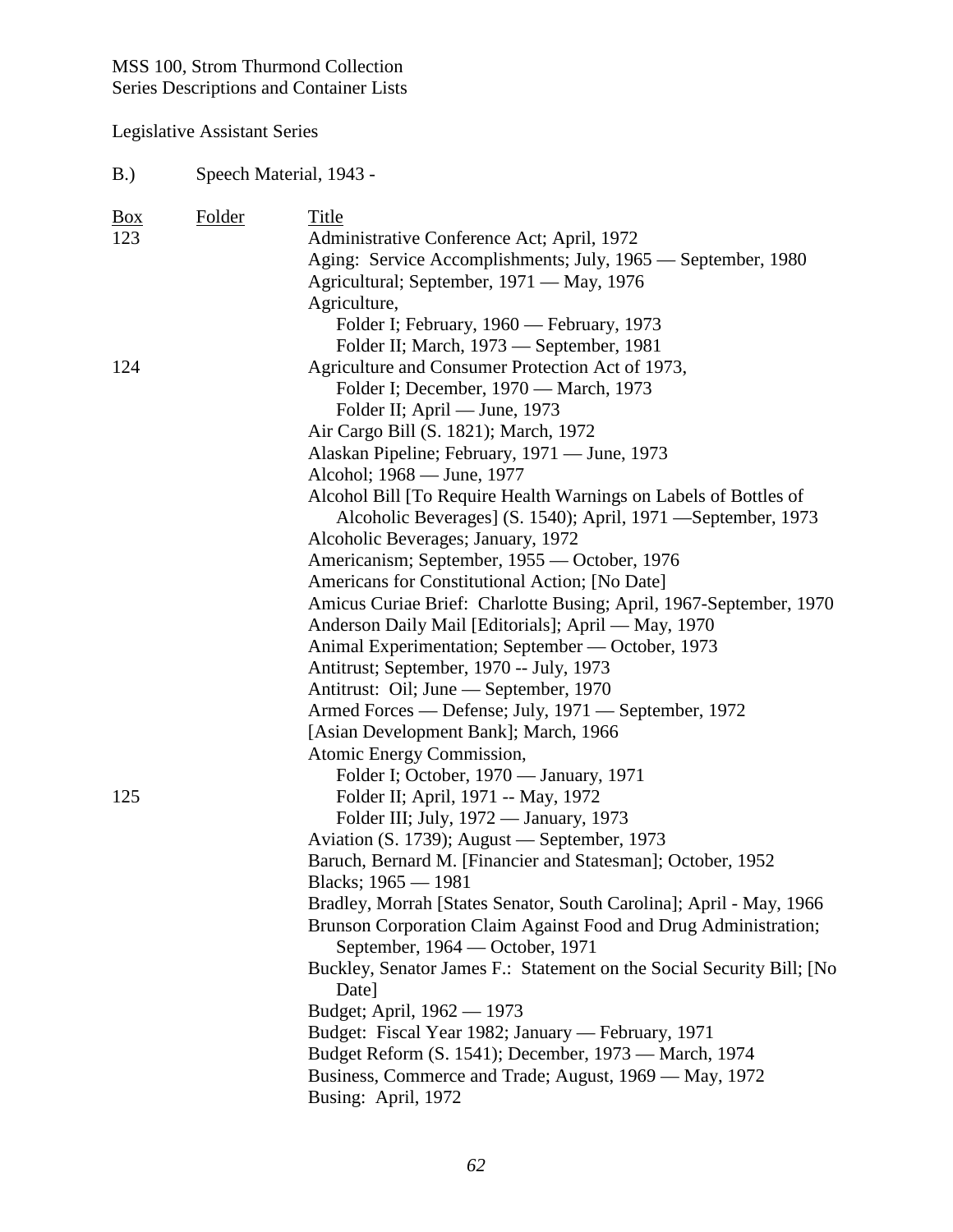| B.) | Speech Material, 1943 - |
|-----|-------------------------|
|-----|-------------------------|

| $\frac{Box}{angle}$ | Folder | Title                                                                 |
|---------------------|--------|-----------------------------------------------------------------------|
| 123                 |        | Administrative Conference Act; April, 1972                            |
|                     |        | Aging: Service Accomplishments; July, 1965 — September, 1980          |
|                     |        | Agricultural; September, 1971 — May, 1976                             |
|                     |        | Agriculture,                                                          |
|                     |        | Folder I; February, 1960 — February, 1973                             |
|                     |        | Folder II; March, 1973 - September, 1981                              |
| 124                 |        | Agriculture and Consumer Protection Act of 1973,                      |
|                     |        | Folder I; December, 1970 — March, 1973                                |
|                     |        | Folder II; April — June, 1973                                         |
|                     |        | Air Cargo Bill (S. 1821); March, 1972                                 |
|                     |        | Alaskan Pipeline; February, 1971 — June, 1973                         |
|                     |        | Alcohol; 1968 — June, 1977                                            |
|                     |        | Alcohol Bill [To Require Health Warnings on Labels of Bottles of      |
|                     |        | Alcoholic Beverages] (S. 1540); April, 1971 —September, 1973          |
|                     |        | Alcoholic Beverages; January, 1972                                    |
|                     |        | Americanism; September, 1955 — October, 1976                          |
|                     |        | Americans for Constitutional Action; [No Date]                        |
|                     |        | Amicus Curiae Brief: Charlotte Busing; April, 1967-September, 1970    |
|                     |        | Anderson Daily Mail [Editorials]; April - May, 1970                   |
|                     |        | Animal Experimentation; September — October, 1973                     |
|                     |        | Antitrust; September, 1970 -- July, 1973                              |
|                     |        | Antitrust: Oil; June — September, 1970                                |
|                     |        | Armed Forces — Defense; July, 1971 — September, 1972                  |
|                     |        | [Asian Development Bank]; March, 1966                                 |
|                     |        | Atomic Energy Commission,                                             |
|                     |        | Folder I; October, 1970 — January, 1971                               |
| 125                 |        | Folder II; April, 1971 -- May, 1972                                   |
|                     |        | Folder III; July, 1972 — January, 1973                                |
|                     |        | Aviation (S. 1739); August — September, 1973                          |
|                     |        | Baruch, Bernard M. [Financier and Statesman]; October, 1952           |
|                     |        | Blacks; 1965 - 1981                                                   |
|                     |        | Bradley, Morrah [States Senator, South Carolina]; April - May, 1966   |
|                     |        | Brunson Corporation Claim Against Food and Drug Administration;       |
|                     |        | September, 1964 — October, 1971                                       |
|                     |        | Buckley, Senator James F.: Statement on the Social Security Bill; [No |
|                     |        | Date]                                                                 |
|                     |        | Budget; April, 1962 — 1973                                            |
|                     |        | Budget: Fiscal Year 1982; January — February, 1971                    |
|                     |        | Budget Reform (S. 1541); December, 1973 — March, 1974                 |
|                     |        | Business, Commerce and Trade; August, 1969 — May, 1972                |
|                     |        | Busing: April, 1972                                                   |
|                     |        |                                                                       |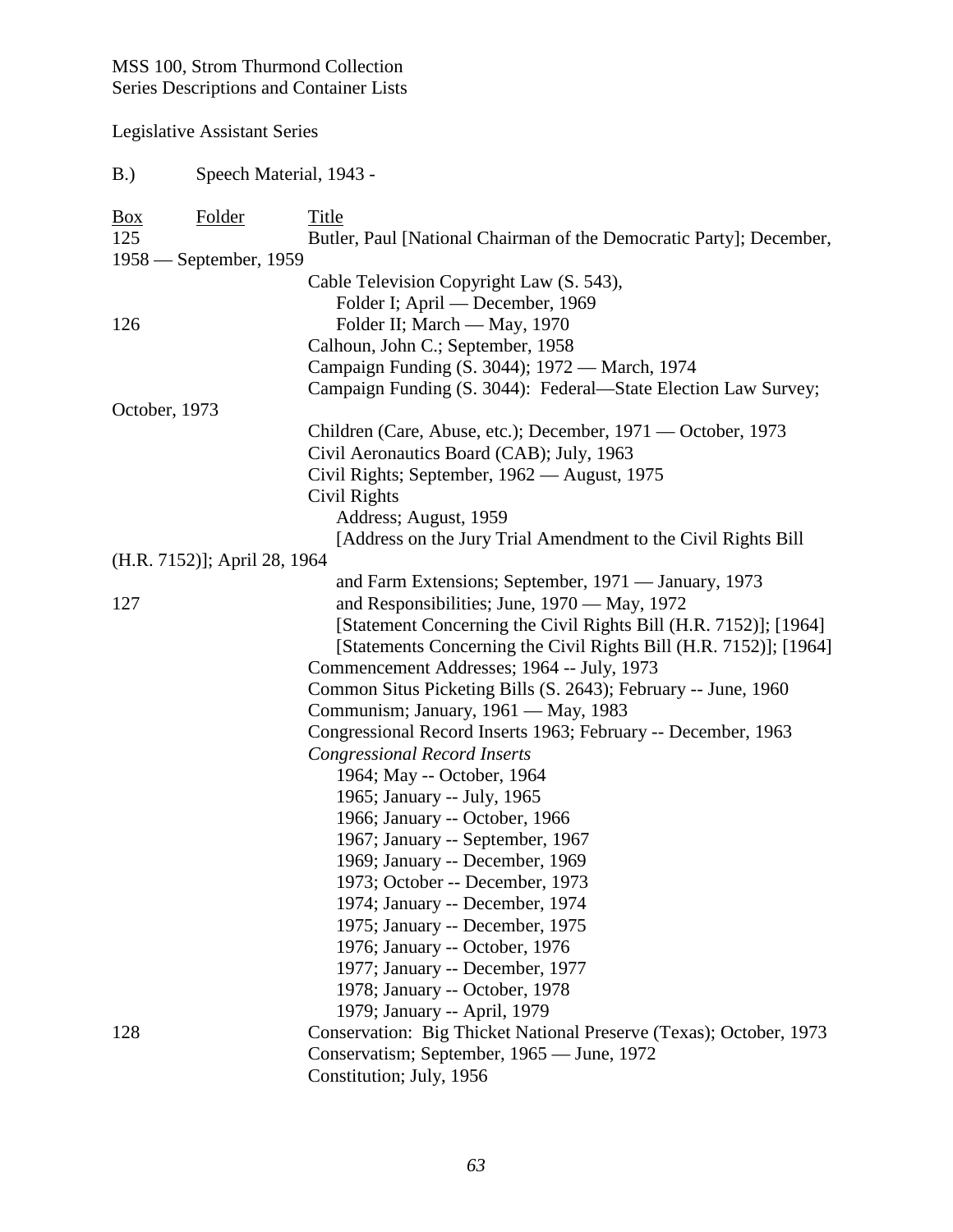| B.)                 | Speech Material, 1943 -      |                                                                     |
|---------------------|------------------------------|---------------------------------------------------------------------|
| $\frac{Box}{angle}$ | <b>Folder</b>                | <b>Title</b>                                                        |
| 125                 |                              | Butler, Paul [National Chairman of the Democratic Party]; December, |
|                     | $1958$ — September, 1959     |                                                                     |
|                     |                              | Cable Television Copyright Law (S. 543),                            |
|                     |                              | Folder I; April — December, 1969                                    |
| 126                 |                              | Folder II; March - May, 1970                                        |
|                     |                              | Calhoun, John C.; September, 1958                                   |
|                     |                              | Campaign Funding (S. 3044); 1972 — March, 1974                      |
|                     |                              | Campaign Funding (S. 3044): Federal—State Election Law Survey;      |
| October, 1973       |                              |                                                                     |
|                     |                              | Children (Care, Abuse, etc.); December, 1971 — October, 1973        |
|                     |                              | Civil Aeronautics Board (CAB); July, 1963                           |
|                     |                              | Civil Rights; September, 1962 — August, 1975                        |
|                     |                              | Civil Rights                                                        |
|                     |                              | Address; August, 1959                                               |
|                     |                              | [Address on the Jury Trial Amendment to the Civil Rights Bill       |
|                     | (H.R. 7152)]; April 28, 1964 |                                                                     |
|                     |                              | and Farm Extensions; September, 1971 — January, 1973                |
| 127                 |                              | and Responsibilities; June, 1970 — May, 1972                        |
|                     |                              | [Statement Concerning the Civil Rights Bill (H.R. 7152)]; [1964]    |
|                     |                              | [Statements Concerning the Civil Rights Bill (H.R. 7152)]; [1964]   |
|                     |                              | Commencement Addresses; 1964 -- July, 1973                          |
|                     |                              | Common Situs Picketing Bills (S. 2643); February -- June, 1960      |
|                     |                              | Communism; January, 1961 — May, 1983                                |
|                     |                              | Congressional Record Inserts 1963; February -- December, 1963       |
|                     |                              | <b>Congressional Record Inserts</b>                                 |
|                     |                              | 1964; May -- October, 1964                                          |
|                     |                              | 1965; January -- July, 1965                                         |
|                     |                              | 1966; January -- October, 1966                                      |
|                     |                              | 1967; January -- September, 1967<br>1969; January -- December, 1969 |
|                     |                              | 1973; October -- December, 1973                                     |
|                     |                              | 1974; January -- December, 1974                                     |
|                     |                              | 1975; January -- December, 1975                                     |
|                     |                              | 1976; January -- October, 1976                                      |
|                     |                              | 1977; January -- December, 1977                                     |
|                     |                              | 1978; January -- October, 1978                                      |
|                     |                              | 1979; January -- April, 1979                                        |
| 128                 |                              | Conservation: Big Thicket National Preserve (Texas); October, 1973  |
|                     |                              | Conservatism; September, 1965 — June, 1972                          |
|                     |                              | Constitution; July, 1956                                            |
|                     |                              |                                                                     |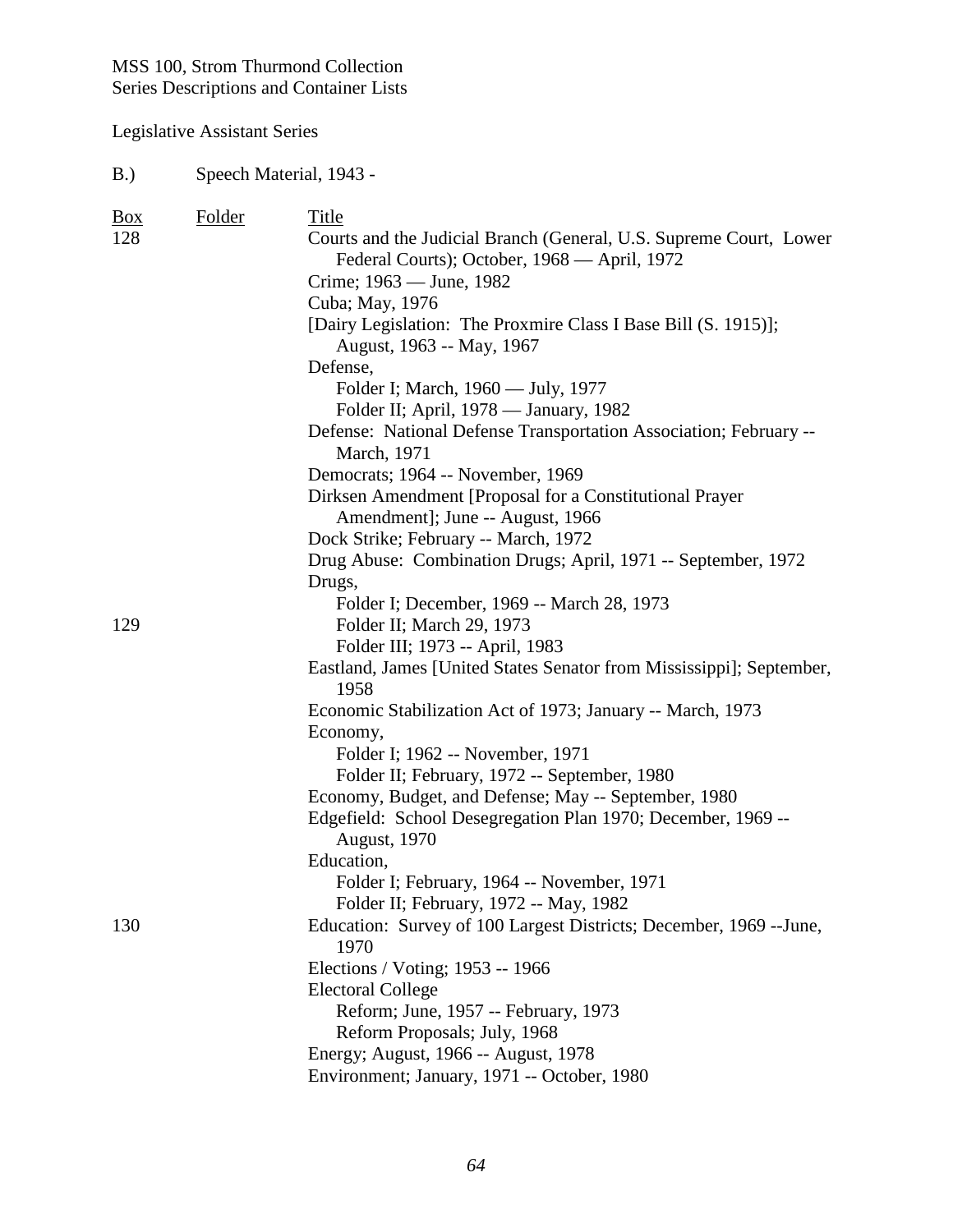# Legislative Assistant Series

#### B.) Speech Material, 1943 -

| $\frac{Box}{angle}$ | Folder | Title                                                                                                              |
|---------------------|--------|--------------------------------------------------------------------------------------------------------------------|
| 128                 |        | Courts and the Judicial Branch (General, U.S. Supreme Court, Lower<br>Federal Courts); October, 1968 — April, 1972 |
|                     |        | Crime; 1963 — June, 1982                                                                                           |
|                     |        | Cuba; May, 1976                                                                                                    |
|                     |        | [Dairy Legislation: The Proxmire Class I Base Bill (S. 1915)];                                                     |
|                     |        | August, 1963 -- May, 1967                                                                                          |
|                     |        | Defense,                                                                                                           |
|                     |        | Folder I; March, 1960 — July, 1977                                                                                 |
|                     |        | Folder II; April, 1978 — January, 1982                                                                             |
|                     |        | Defense: National Defense Transportation Association; February --<br>March, 1971                                   |
|                     |        | Democrats; 1964 -- November, 1969                                                                                  |
|                     |        | Dirksen Amendment [Proposal for a Constitutional Prayer                                                            |
|                     |        | Amendment]; June -- August, 1966                                                                                   |
|                     |        | Dock Strike; February -- March, 1972                                                                               |
|                     |        | Drug Abuse: Combination Drugs; April, 1971 -- September, 1972                                                      |
|                     |        | Drugs,                                                                                                             |
|                     |        | Folder I; December, 1969 -- March 28, 1973                                                                         |
| 129                 |        | Folder II; March 29, 1973                                                                                          |
|                     |        | Folder III; 1973 -- April, 1983                                                                                    |
|                     |        | Eastland, James [United States Senator from Mississippi]; September,<br>1958                                       |
|                     |        | Economic Stabilization Act of 1973; January -- March, 1973                                                         |
|                     |        | Economy,                                                                                                           |
|                     |        | Folder I; 1962 -- November, 1971                                                                                   |
|                     |        | Folder II; February, 1972 -- September, 1980                                                                       |
|                     |        | Economy, Budget, and Defense; May -- September, 1980                                                               |
|                     |        | Edgefield: School Desegregation Plan 1970; December, 1969 --<br><b>August</b> , 1970                               |
|                     |        | Education,                                                                                                         |
|                     |        | Folder I; February, 1964 -- November, 1971                                                                         |
|                     |        | Folder II; February, 1972 -- May, 1982                                                                             |
| 130                 |        | Education: Survey of 100 Largest Districts; December, 1969 -- June,<br>1970                                        |
|                     |        | Elections / Voting; 1953 -- 1966                                                                                   |
|                     |        | <b>Electoral College</b>                                                                                           |
|                     |        | Reform; June, 1957 -- February, 1973                                                                               |
|                     |        | Reform Proposals; July, 1968                                                                                       |
|                     |        | Energy; August, 1966 -- August, 1978                                                                               |
|                     |        | Environment; January, 1971 -- October, 1980                                                                        |
|                     |        |                                                                                                                    |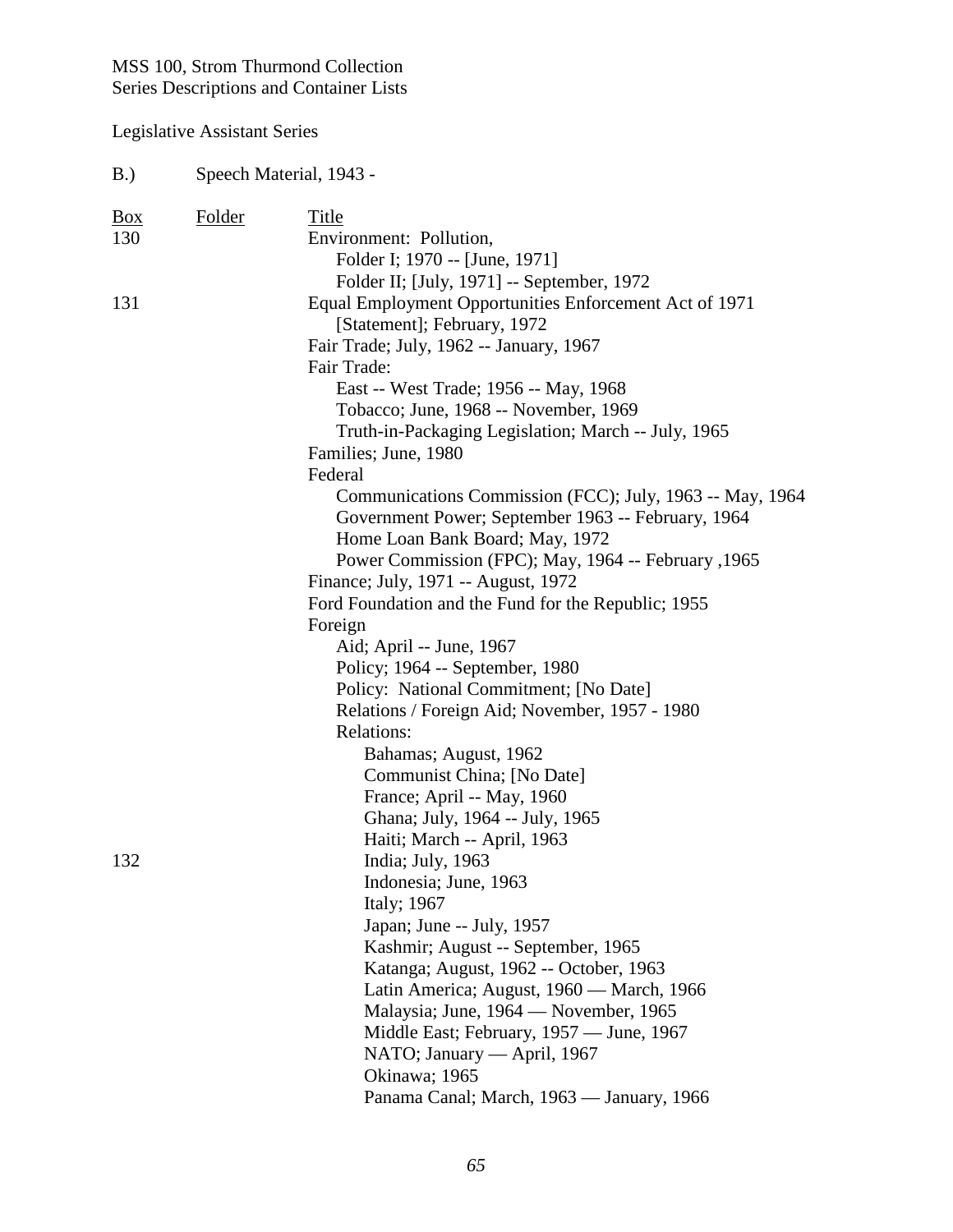| B.)               | Speech Material, 1943 - |                                                                                                                |  |
|-------------------|-------------------------|----------------------------------------------------------------------------------------------------------------|--|
| <u>Box</u><br>130 | <b>Folder</b>           | Title<br>Environment: Pollution,<br>Folder I; 1970 -- [June, 1971]                                             |  |
| 131               |                         | Folder II; [July, 1971] -- September, 1972<br>Equal Employment Opportunities Enforcement Act of 1971           |  |
|                   |                         | [Statement]; February, 1972                                                                                    |  |
|                   |                         | Fair Trade; July, 1962 -- January, 1967<br>Fair Trade:                                                         |  |
|                   |                         | East -- West Trade; 1956 -- May, 1968                                                                          |  |
|                   |                         | Tobacco; June, 1968 -- November, 1969                                                                          |  |
|                   |                         | Truth-in-Packaging Legislation; March -- July, 1965                                                            |  |
|                   |                         | Families; June, 1980                                                                                           |  |
|                   |                         | Federal                                                                                                        |  |
|                   |                         | Communications Commission (FCC); July, 1963 -- May, 1964<br>Government Power; September 1963 -- February, 1964 |  |
|                   |                         | Home Loan Bank Board; May, 1972                                                                                |  |
|                   |                         | Power Commission (FPC); May, 1964 -- February , 1965                                                           |  |
|                   |                         | Finance; July, 1971 -- August, 1972                                                                            |  |
|                   |                         | Ford Foundation and the Fund for the Republic; 1955                                                            |  |
|                   |                         | Foreign                                                                                                        |  |
|                   |                         | Aid; April -- June, 1967                                                                                       |  |
|                   |                         | Policy; 1964 -- September, 1980                                                                                |  |
|                   |                         | Policy: National Commitment; [No Date]                                                                         |  |
|                   |                         | Relations / Foreign Aid; November, 1957 - 1980<br>Relations:                                                   |  |
|                   |                         | Bahamas; August, 1962                                                                                          |  |
|                   |                         | Communist China; [No Date]                                                                                     |  |
|                   |                         | France; April -- May, 1960                                                                                     |  |
|                   |                         | Ghana; July, 1964 -- July, 1965                                                                                |  |
|                   |                         | Haiti; March -- April, 1963                                                                                    |  |
| 132               |                         | India; July, 1963                                                                                              |  |
|                   |                         | Indonesia; June, 1963                                                                                          |  |
|                   |                         | Italy; 1967                                                                                                    |  |
|                   |                         | Japan; June -- July, 1957                                                                                      |  |
|                   |                         | Kashmir; August -- September, 1965                                                                             |  |
|                   |                         | Katanga; August, 1962 -- October, 1963                                                                         |  |
|                   |                         | Latin America; August, 1960 — March, 1966                                                                      |  |
|                   |                         | Malaysia; June, 1964 — November, 1965                                                                          |  |
|                   |                         | Middle East; February, 1957 — June, 1967                                                                       |  |
|                   |                         | NATO; January — April, 1967                                                                                    |  |
|                   |                         | Okinawa; 1965                                                                                                  |  |
|                   |                         | Panama Canal; March, 1963 — January, 1966                                                                      |  |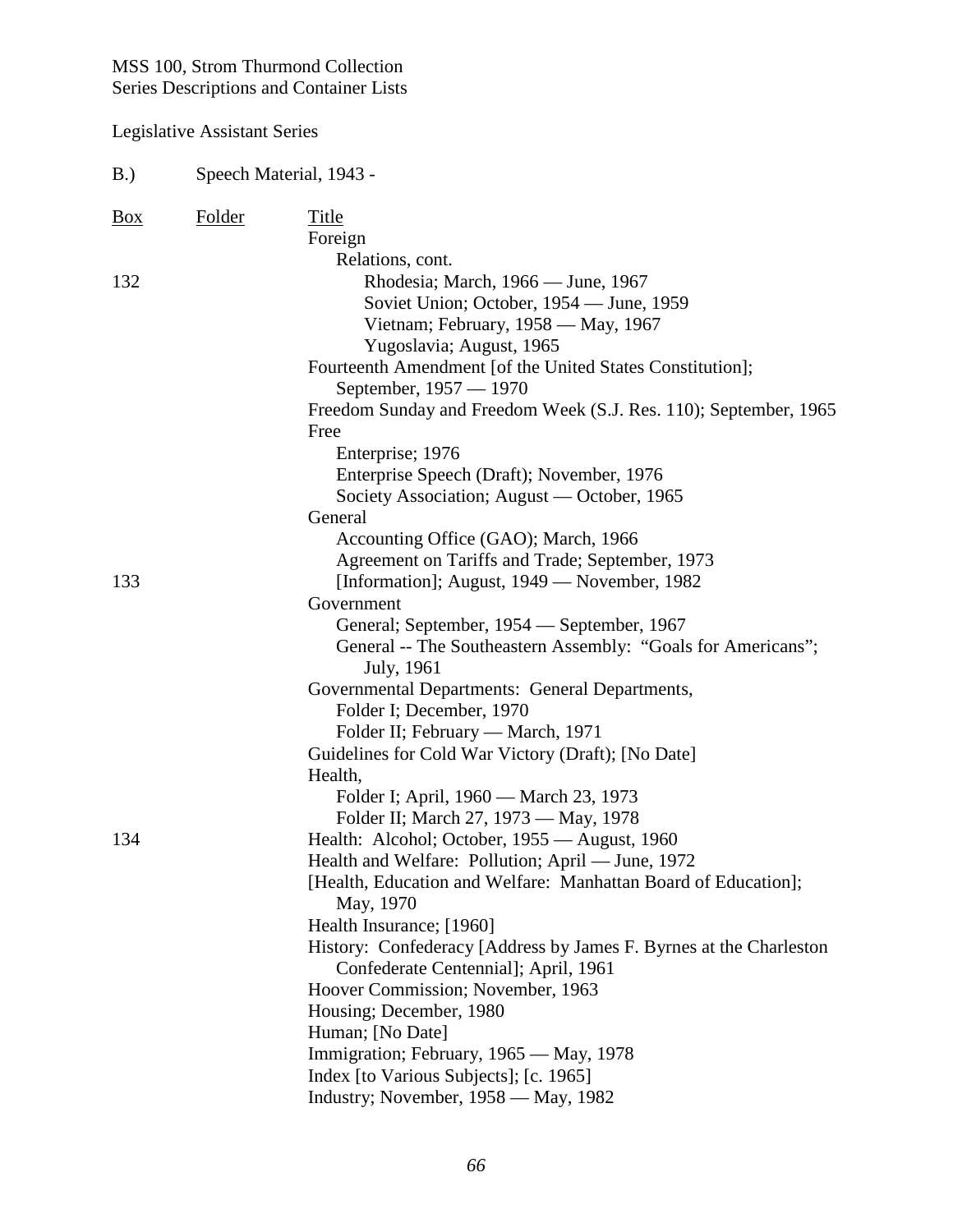| B.)<br>Speech Material, 1943 - |               |                                                                                                                     |
|--------------------------------|---------------|---------------------------------------------------------------------------------------------------------------------|
| $\frac{Box}{}$                 | <b>Folder</b> | Title                                                                                                               |
|                                |               | Foreign                                                                                                             |
|                                |               | Relations, cont.                                                                                                    |
| 132                            |               | Rhodesia; March, 1966 — June, 1967                                                                                  |
|                                |               | Soviet Union; October, 1954 — June, 1959                                                                            |
|                                |               | Vietnam; February, 1958 — May, 1967                                                                                 |
|                                |               | Yugoslavia; August, 1965                                                                                            |
|                                |               | Fourteenth Amendment [of the United States Constitution];                                                           |
|                                |               | September, 1957 - 1970                                                                                              |
|                                |               | Freedom Sunday and Freedom Week (S.J. Res. 110); September, 1965                                                    |
|                                |               | Free                                                                                                                |
|                                |               | Enterprise; 1976                                                                                                    |
|                                |               | Enterprise Speech (Draft); November, 1976                                                                           |
|                                |               | Society Association; August — October, 1965                                                                         |
|                                |               | General                                                                                                             |
|                                |               | Accounting Office (GAO); March, 1966                                                                                |
|                                |               | Agreement on Tariffs and Trade; September, 1973                                                                     |
| 133                            |               | [Information]; August, 1949 — November, 1982                                                                        |
|                                |               | Government                                                                                                          |
|                                |               | General; September, 1954 — September, 1967                                                                          |
|                                |               | General -- The Southeastern Assembly: "Goals for Americans";                                                        |
|                                |               | July, 1961                                                                                                          |
|                                |               | Governmental Departments: General Departments,                                                                      |
|                                |               | Folder I; December, 1970                                                                                            |
|                                |               | Folder II; February — March, 1971                                                                                   |
|                                |               | Guidelines for Cold War Victory (Draft); [No Date]                                                                  |
|                                |               | Health,                                                                                                             |
|                                |               | Folder I; April, 1960 — March 23, 1973                                                                              |
|                                |               | Folder II; March 27, 1973 - May, 1978                                                                               |
| 134                            |               | Health: Alcohol; October, 1955 — August, 1960                                                                       |
|                                |               | Health and Welfare: Pollution; April - June, 1972<br>[Health, Education and Welfare: Manhattan Board of Education]; |
|                                |               | May, 1970                                                                                                           |
|                                |               | Health Insurance; [1960]                                                                                            |
|                                |               | History: Confederacy [Address by James F. Byrnes at the Charleston                                                  |
|                                |               | Confederate Centennial]; April, 1961                                                                                |
|                                |               | Hoover Commission; November, 1963                                                                                   |
|                                |               | Housing; December, 1980                                                                                             |
|                                |               | Human; [No Date]                                                                                                    |
|                                |               | Immigration; February, 1965 — May, 1978                                                                             |
|                                |               | Index [to Various Subjects]; [c. 1965]                                                                              |
|                                |               | Industry; November, 1958 — May, 1982                                                                                |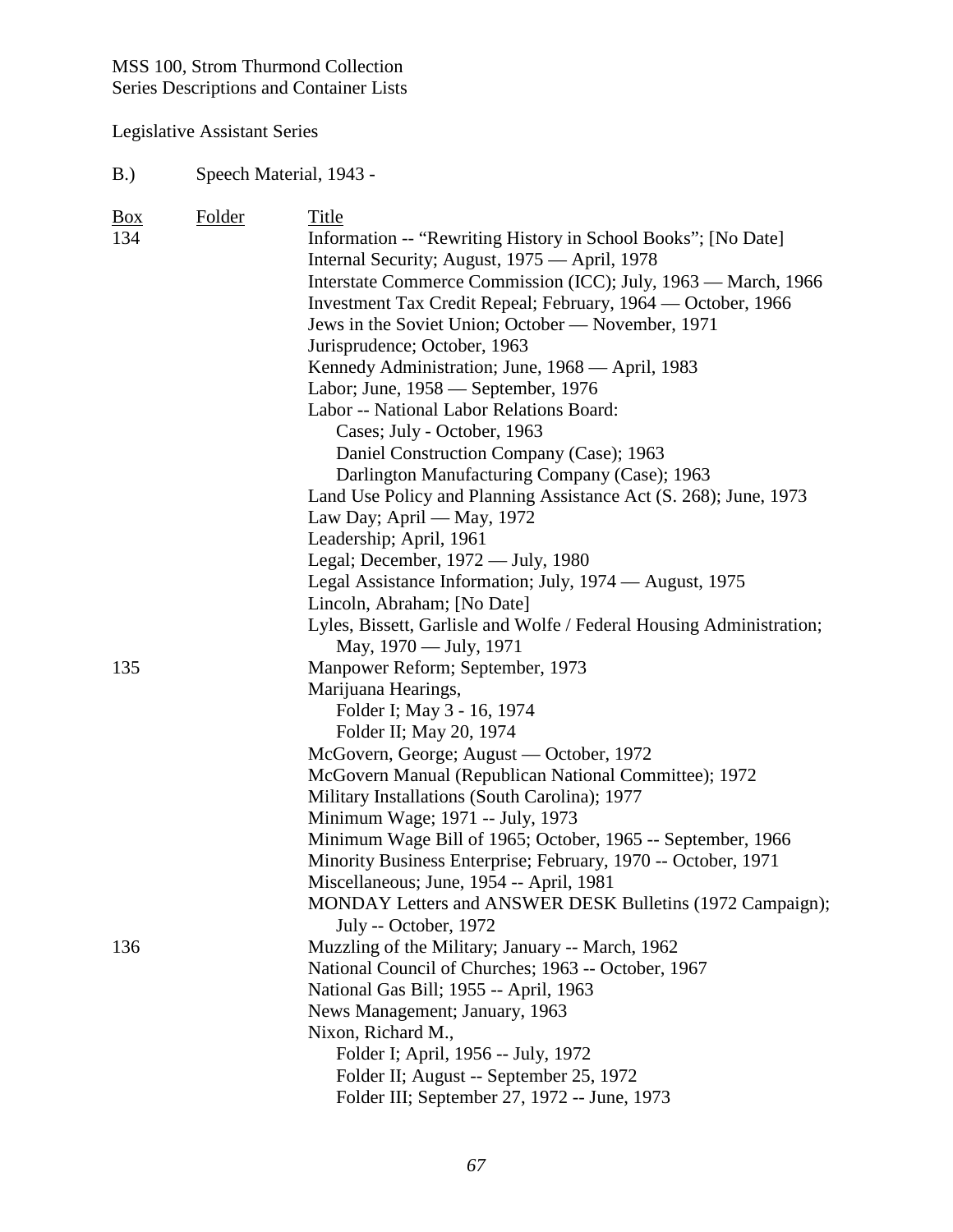Legislative Assistant Series

#### B.) Speech Material, 1943 -

| $\underline{Box}$ | Folder | Title                                                                |
|-------------------|--------|----------------------------------------------------------------------|
| 134               |        | Information -- "Rewriting History in School Books"; [No Date]        |
|                   |        | Internal Security; August, 1975 — April, 1978                        |
|                   |        | Interstate Commerce Commission (ICC); July, 1963 - March, 1966       |
|                   |        | Investment Tax Credit Repeal; February, 1964 — October, 1966         |
|                   |        | Jews in the Soviet Union; October — November, 1971                   |
|                   |        | Jurisprudence; October, 1963                                         |
|                   |        | Kennedy Administration; June, 1968 — April, 1983                     |
|                   |        | Labor; June, 1958 — September, 1976                                  |
|                   |        | Labor -- National Labor Relations Board:                             |
|                   |        | Cases; July - October, 1963                                          |
|                   |        | Daniel Construction Company (Case); 1963                             |
|                   |        | Darlington Manufacturing Company (Case); 1963                        |
|                   |        | Land Use Policy and Planning Assistance Act (S. 268); June, 1973     |
|                   |        | Law Day; April — May, 1972                                           |
|                   |        | Leadership; April, 1961                                              |
|                   |        | Legal; December, 1972 — July, 1980                                   |
|                   |        | Legal Assistance Information; July, 1974 — August, 1975              |
|                   |        | Lincoln, Abraham; [No Date]                                          |
|                   |        | Lyles, Bissett, Garlisle and Wolfe / Federal Housing Administration; |
|                   |        | May, 1970 — July, 1971                                               |
| 135               |        | Manpower Reform; September, 1973                                     |
|                   |        | Marijuana Hearings,                                                  |
|                   |        | Folder I; May 3 - 16, 1974                                           |
|                   |        | Folder II; May 20, 1974                                              |
|                   |        | McGovern, George; August — October, 1972                             |
|                   |        | McGovern Manual (Republican National Committee); 1972                |
|                   |        | Military Installations (South Carolina); 1977                        |
|                   |        | Minimum Wage; 1971 -- July, 1973                                     |
|                   |        | Minimum Wage Bill of 1965; October, 1965 -- September, 1966          |
|                   |        | Minority Business Enterprise; February, 1970 -- October, 1971        |
|                   |        | Miscellaneous; June, 1954 -- April, 1981                             |
|                   |        | MONDAY Letters and ANSWER DESK Bulletins (1972 Campaign);            |
|                   |        | July -- October, 1972                                                |
| 136               |        | Muzzling of the Military; January -- March, 1962                     |
|                   |        | National Council of Churches; 1963 -- October, 1967                  |
|                   |        | National Gas Bill; 1955 -- April, 1963                               |
|                   |        | News Management; January, 1963                                       |
|                   |        | Nixon, Richard M.,                                                   |
|                   |        | Folder I; April, 1956 -- July, 1972                                  |
|                   |        | Folder II; August -- September 25, 1972                              |
|                   |        | Folder III; September 27, 1972 -- June, 1973                         |
|                   |        |                                                                      |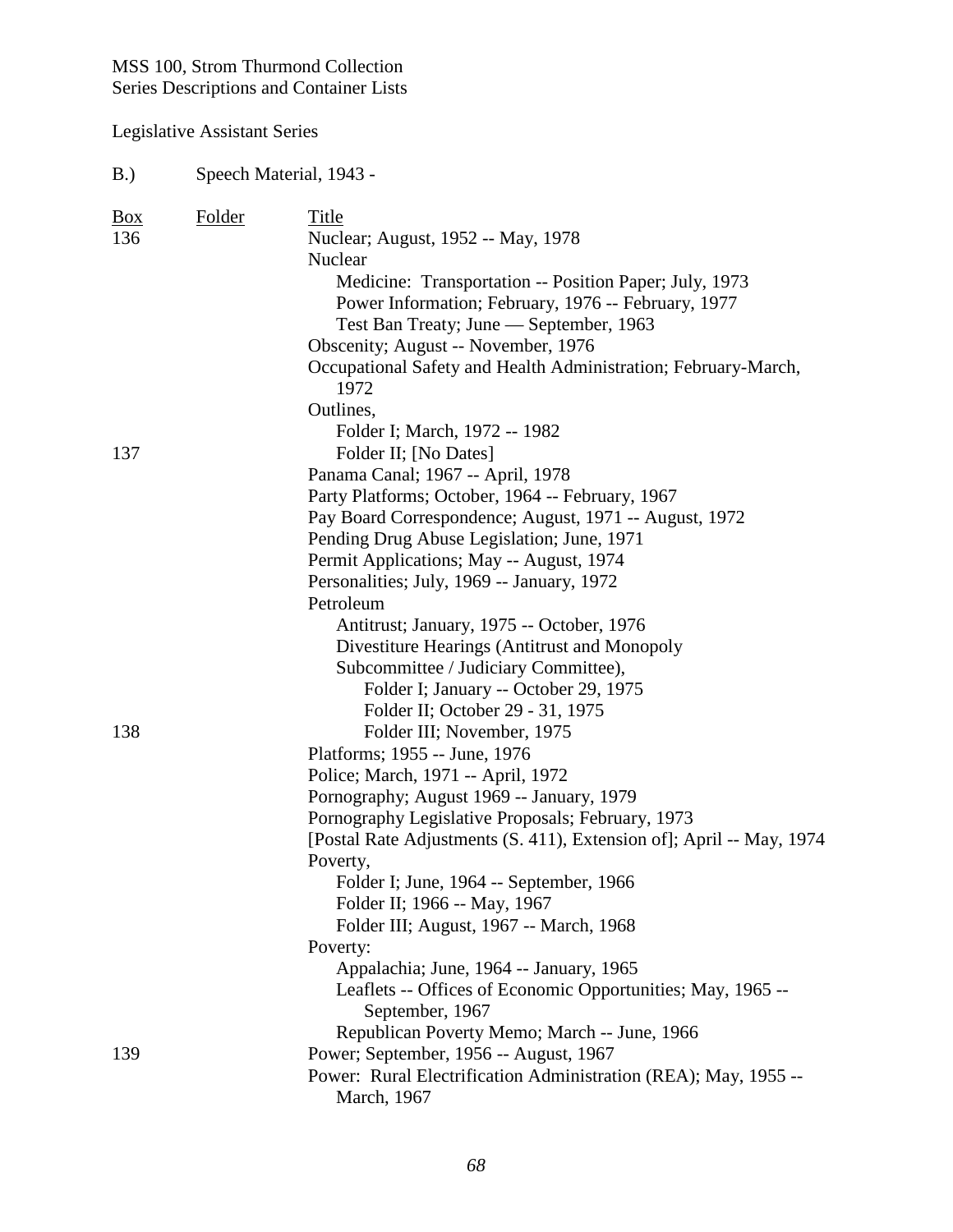B.) Speech Material, 1943 -

| <b>Box</b> | Folder | Title                                                                |
|------------|--------|----------------------------------------------------------------------|
| 136        |        | Nuclear; August, 1952 -- May, 1978                                   |
|            |        | Nuclear                                                              |
|            |        | Medicine: Transportation -- Position Paper; July, 1973               |
|            |        | Power Information; February, 1976 -- February, 1977                  |
|            |        | Test Ban Treaty; June — September, 1963                              |
|            |        | Obscenity; August -- November, 1976                                  |
|            |        | Occupational Safety and Health Administration; February-March,       |
|            |        | 1972                                                                 |
|            |        | Outlines,                                                            |
|            |        | Folder I; March, 1972 -- 1982                                        |
| 137        |        | Folder II; [No Dates]                                                |
|            |        | Panama Canal; 1967 -- April, 1978                                    |
|            |        | Party Platforms; October, 1964 -- February, 1967                     |
|            |        | Pay Board Correspondence; August, 1971 -- August, 1972               |
|            |        | Pending Drug Abuse Legislation; June, 1971                           |
|            |        | Permit Applications; May -- August, 1974                             |
|            |        | Personalities; July, 1969 -- January, 1972                           |
|            |        | Petroleum                                                            |
|            |        | Antitrust; January, 1975 -- October, 1976                            |
|            |        | Divestiture Hearings (Antitrust and Monopoly                         |
|            |        | Subcommittee / Judiciary Committee),                                 |
|            |        | Folder I; January -- October 29, 1975                                |
|            |        | Folder II; October 29 - 31, 1975                                     |
| 138        |        | Folder III; November, 1975                                           |
|            |        | Platforms; 1955 -- June, 1976                                        |
|            |        | Police; March, 1971 -- April, 1972                                   |
|            |        | Pornography; August 1969 -- January, 1979                            |
|            |        | Pornography Legislative Proposals; February, 1973                    |
|            |        | [Postal Rate Adjustments (S. 411), Extension of]; April -- May, 1974 |
|            |        | Poverty,                                                             |
|            |        | Folder I; June, 1964 -- September, 1966                              |
|            |        | Folder II; 1966 -- May, 1967                                         |
|            |        | Folder III; August, 1967 -- March, 1968                              |
|            |        | Poverty:                                                             |
|            |        | Appalachia; June, 1964 -- January, 1965                              |
|            |        | Leaflets -- Offices of Economic Opportunities; May, 1965 --          |
|            |        | September, 1967                                                      |
|            |        | Republican Poverty Memo; March -- June, 1966                         |
| 139        |        | Power; September, 1956 -- August, 1967                               |
|            |        | Power: Rural Electrification Administration (REA); May, 1955 --      |
|            |        | March, 1967                                                          |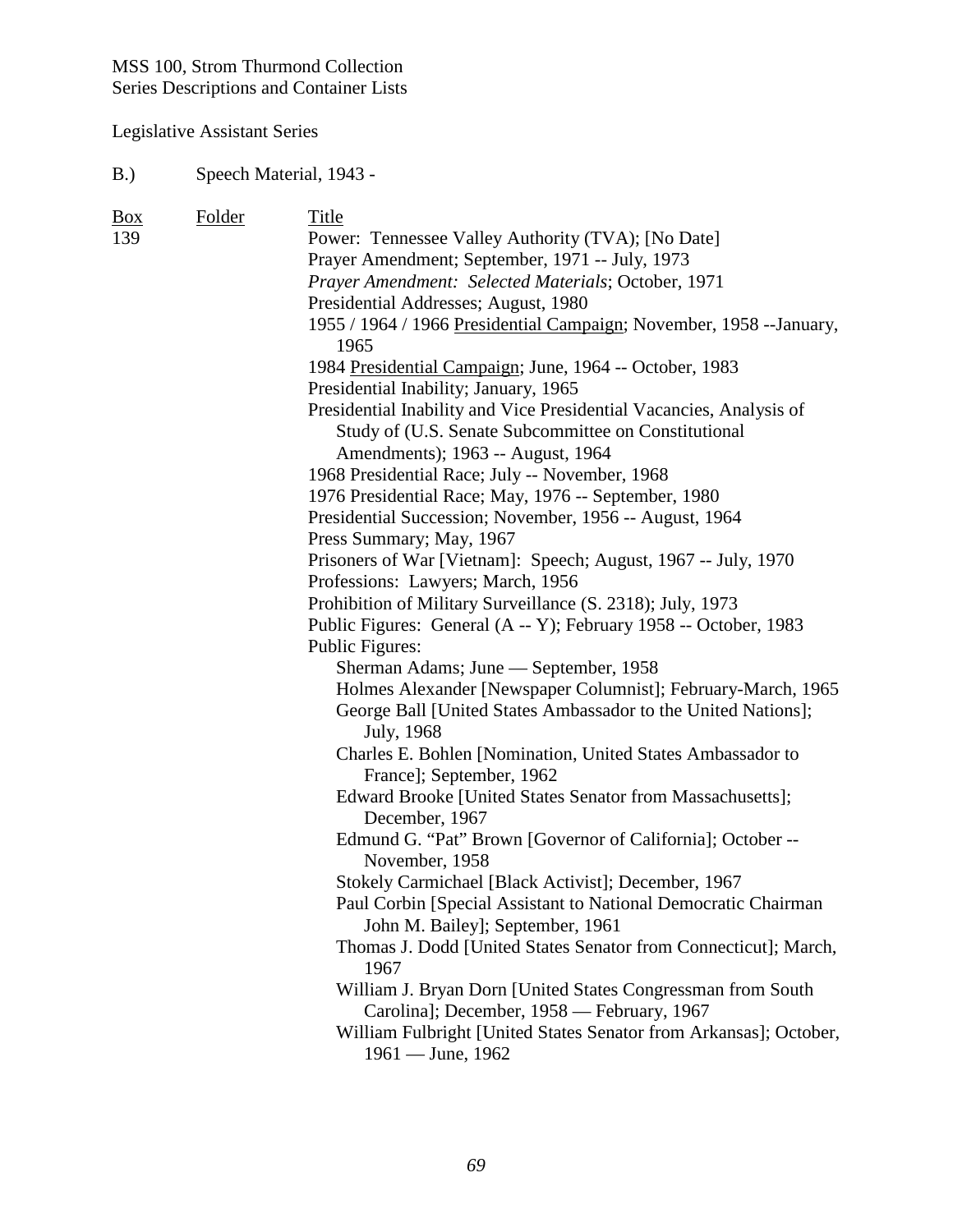Legislative Assistant Series

#### B.) Speech Material, 1943 -

| $\frac{Box}{angle}$ | Folder | Title                                                                                    |
|---------------------|--------|------------------------------------------------------------------------------------------|
| 139                 |        | Power: Tennessee Valley Authority (TVA); [No Date]                                       |
|                     |        | Prayer Amendment; September, 1971 -- July, 1973                                          |
|                     |        | Prayer Amendment: Selected Materials; October, 1971                                      |
|                     |        | Presidential Addresses; August, 1980                                                     |
|                     |        | 1955 / 1964 / 1966 Presidential Campaign; November, 1958 -- January,<br>1965             |
|                     |        | 1984 Presidential Campaign; June, 1964 -- October, 1983                                  |
|                     |        | Presidential Inability; January, 1965                                                    |
|                     |        | Presidential Inability and Vice Presidential Vacancies, Analysis of                      |
|                     |        | Study of (U.S. Senate Subcommittee on Constitutional                                     |
|                     |        | Amendments); 1963 -- August, 1964                                                        |
|                     |        | 1968 Presidential Race; July -- November, 1968                                           |
|                     |        | 1976 Presidential Race; May, 1976 -- September, 1980                                     |
|                     |        | Presidential Succession; November, 1956 -- August, 1964                                  |
|                     |        | Press Summary; May, 1967                                                                 |
|                     |        | Prisoners of War [Vietnam]: Speech; August, 1967 -- July, 1970                           |
|                     |        | Professions: Lawyers; March, 1956                                                        |
|                     |        | Prohibition of Military Surveillance (S. 2318); July, 1973                               |
|                     |        | Public Figures: General (A -- Y); February 1958 -- October, 1983                         |
|                     |        | Public Figures:                                                                          |
|                     |        | Sherman Adams; June — September, 1958                                                    |
|                     |        | Holmes Alexander [Newspaper Columnist]; February-March, 1965                             |
|                     |        | George Ball [United States Ambassador to the United Nations];<br>July, 1968              |
|                     |        | Charles E. Bohlen [Nomination, United States Ambassador to<br>France]; September, 1962   |
|                     |        | Edward Brooke [United States Senator from Massachusetts];                                |
|                     |        | December, 1967                                                                           |
|                     |        | Edmund G. "Pat" Brown [Governor of California]; October --<br>November, 1958             |
|                     |        | Stokely Carmichael [Black Activist]; December, 1967                                      |
|                     |        | Paul Corbin [Special Assistant to National Democratic Chairman                           |
|                     |        | John M. Bailey]; September, 1961                                                         |
|                     |        | Thomas J. Dodd [United States Senator from Connecticut]; March,<br>1967                  |
|                     |        | William J. Bryan Dorn [United States Congressman from South                              |
|                     |        | Carolina]; December, 1958 — February, 1967                                               |
|                     |        | William Fulbright [United States Senator from Arkansas]; October,<br>$1961 -$ June, 1962 |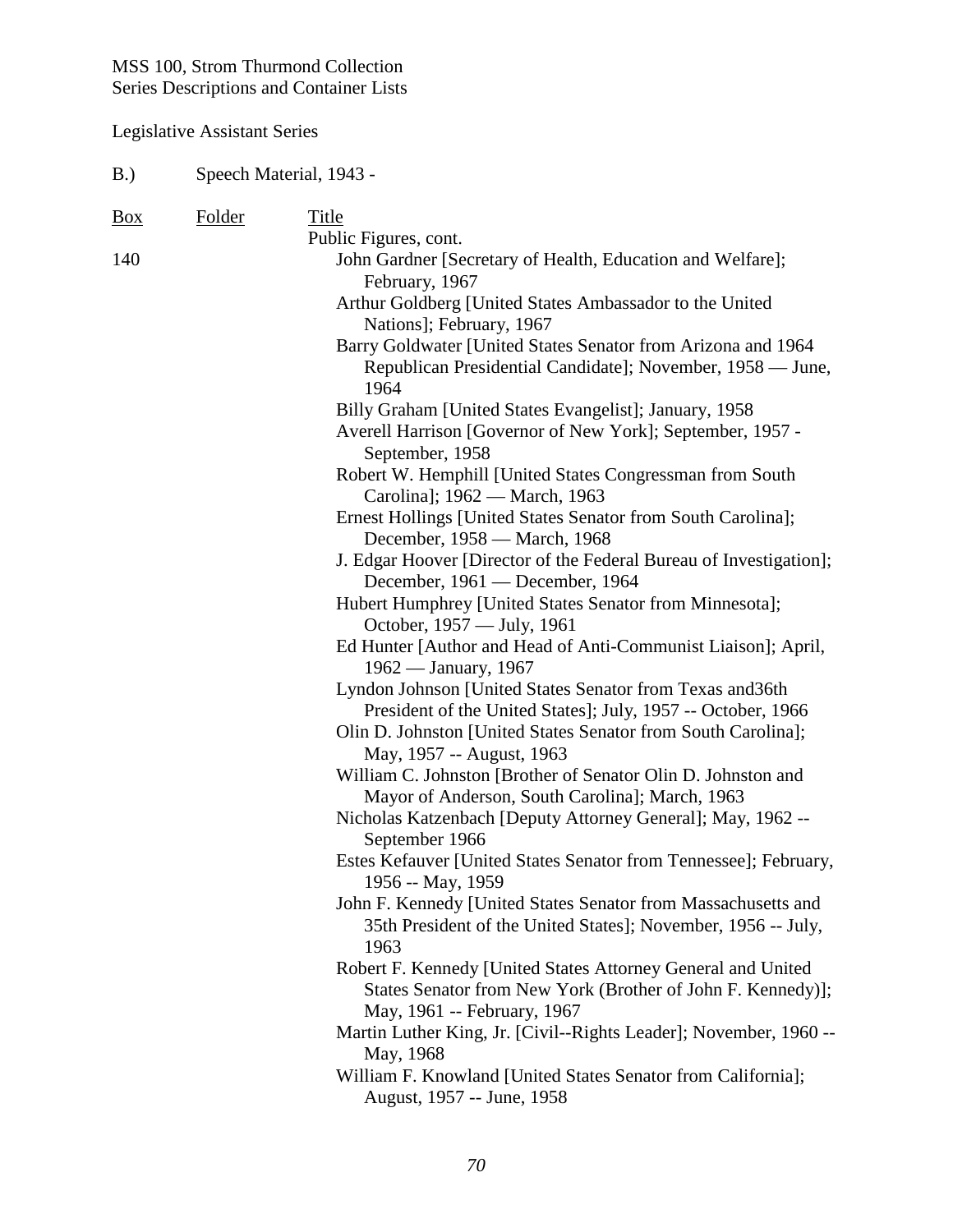| B.)            | Speech Material, 1943 - |                                                                                                                                                                                                                                                                                                                                                                                                                                                                                                                                                                                                                                                                                                                                                                                                                                                                                                                                                                                                                                                                                                                                                                                                                                                                                                                               |  |
|----------------|-------------------------|-------------------------------------------------------------------------------------------------------------------------------------------------------------------------------------------------------------------------------------------------------------------------------------------------------------------------------------------------------------------------------------------------------------------------------------------------------------------------------------------------------------------------------------------------------------------------------------------------------------------------------------------------------------------------------------------------------------------------------------------------------------------------------------------------------------------------------------------------------------------------------------------------------------------------------------------------------------------------------------------------------------------------------------------------------------------------------------------------------------------------------------------------------------------------------------------------------------------------------------------------------------------------------------------------------------------------------|--|
| $\frac{Box}{}$ | Folder                  | Title                                                                                                                                                                                                                                                                                                                                                                                                                                                                                                                                                                                                                                                                                                                                                                                                                                                                                                                                                                                                                                                                                                                                                                                                                                                                                                                         |  |
| 140            |                         | Public Figures, cont.<br>John Gardner [Secretary of Health, Education and Welfare];<br>February, 1967<br>Arthur Goldberg [United States Ambassador to the United                                                                                                                                                                                                                                                                                                                                                                                                                                                                                                                                                                                                                                                                                                                                                                                                                                                                                                                                                                                                                                                                                                                                                              |  |
|                |                         | Nations]; February, 1967<br>Barry Goldwater [United States Senator from Arizona and 1964<br>Republican Presidential Candidate]; November, 1958 — June,<br>1964<br>Billy Graham [United States Evangelist]; January, 1958<br>Averell Harrison [Governor of New York]; September, 1957 -<br>September, 1958<br>Robert W. Hemphill [United States Congressman from South                                                                                                                                                                                                                                                                                                                                                                                                                                                                                                                                                                                                                                                                                                                                                                                                                                                                                                                                                         |  |
|                |                         | Carolina]; 1962 — March, 1963<br>Ernest Hollings [United States Senator from South Carolina];<br>December, 1958 — March, 1968<br>J. Edgar Hoover [Director of the Federal Bureau of Investigation];<br>December, 1961 — December, 1964<br>Hubert Humphrey [United States Senator from Minnesota];<br>October, 1957 — July, 1961<br>Ed Hunter [Author and Head of Anti-Communist Liaison]; April,<br>1962 — January, 1967<br>Lyndon Johnson [United States Senator from Texas and 36th<br>President of the United States]; July, 1957 -- October, 1966<br>Olin D. Johnston [United States Senator from South Carolina];<br>May, 1957 -- August, 1963<br>William C. Johnston [Brother of Senator Olin D. Johnston and<br>Mayor of Anderson, South Carolina]; March, 1963<br>Nicholas Katzenbach [Deputy Attorney General]; May, 1962 --<br>September 1966<br>Estes Kefauver [United States Senator from Tennessee]; February,<br>1956 -- May, 1959<br>John F. Kennedy [United States Senator from Massachusetts and<br>35th President of the United States]; November, 1956 -- July,<br>1963<br>Robert F. Kennedy [United States Attorney General and United<br>States Senator from New York (Brother of John F. Kennedy)];<br>May, 1961 -- February, 1967<br>Martin Luther King, Jr. [Civil--Rights Leader]; November, 1960 -- |  |
|                |                         | May, 1968<br>William F. Knowland [United States Senator from California];<br>August, 1957 -- June, 1958                                                                                                                                                                                                                                                                                                                                                                                                                                                                                                                                                                                                                                                                                                                                                                                                                                                                                                                                                                                                                                                                                                                                                                                                                       |  |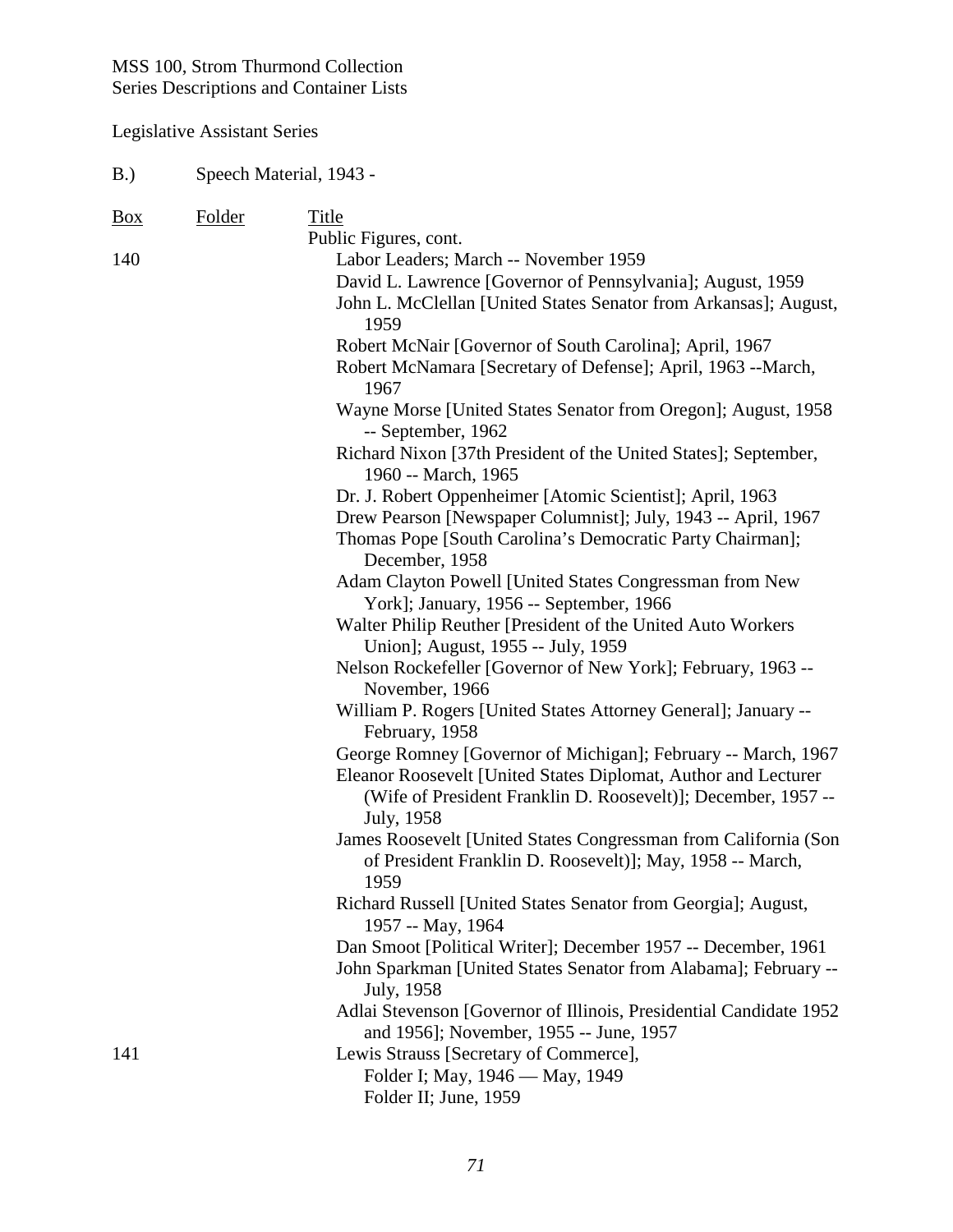B.) Speech Material, 1943 -

| Box | Folder | Title                                                                                                                                         |
|-----|--------|-----------------------------------------------------------------------------------------------------------------------------------------------|
|     |        | Public Figures, cont.                                                                                                                         |
| 140 |        | Labor Leaders; March -- November 1959                                                                                                         |
|     |        | David L. Lawrence [Governor of Pennsylvania]; August, 1959                                                                                    |
|     |        | John L. McClellan [United States Senator from Arkansas]; August,                                                                              |
|     |        | 1959                                                                                                                                          |
|     |        | Robert McNair [Governor of South Carolina]; April, 1967                                                                                       |
|     |        | Robert McNamara [Secretary of Defense]; April, 1963 --March,<br>1967                                                                          |
|     |        | Wayne Morse [United States Senator from Oregon]; August, 1958<br>-- September, 1962                                                           |
|     |        | Richard Nixon [37th President of the United States]; September,<br>1960 -- March, 1965                                                        |
|     |        | Dr. J. Robert Oppenheimer [Atomic Scientist]; April, 1963                                                                                     |
|     |        | Drew Pearson [Newspaper Columnist]; July, 1943 -- April, 1967                                                                                 |
|     |        | Thomas Pope [South Carolina's Democratic Party Chairman];<br>December, 1958                                                                   |
|     |        | Adam Clayton Powell [United States Congressman from New                                                                                       |
|     |        | York]; January, 1956 -- September, 1966                                                                                                       |
|     |        | Walter Philip Reuther [President of the United Auto Workers                                                                                   |
|     |        | Union]; August, 1955 -- July, 1959                                                                                                            |
|     |        | Nelson Rockefeller [Governor of New York]; February, 1963 --                                                                                  |
|     |        | November, 1966                                                                                                                                |
|     |        | William P. Rogers [United States Attorney General]; January --                                                                                |
|     |        | February, 1958                                                                                                                                |
|     |        | George Romney [Governor of Michigan]; February -- March, 1967                                                                                 |
|     |        | Eleanor Roosevelt [United States Diplomat, Author and Lecturer<br>(Wife of President Franklin D. Roosevelt)]; December, 1957 --<br>July, 1958 |
|     |        | James Roosevelt [United States Congressman from California (Son                                                                               |
|     |        | of President Franklin D. Roosevelt)]; May, 1958 -- March,<br>1959                                                                             |
|     |        | Richard Russell [United States Senator from Georgia]; August,<br>1957 -- May, 1964                                                            |
|     |        | Dan Smoot [Political Writer]; December 1957 -- December, 1961                                                                                 |
|     |        | John Sparkman [United States Senator from Alabama]; February --<br>July, 1958                                                                 |
|     |        | Adlai Stevenson [Governor of Illinois, Presidential Candidate 1952                                                                            |
|     |        | and 1956]; November, 1955 -- June, 1957                                                                                                       |
| 141 |        | Lewis Strauss [Secretary of Commerce],                                                                                                        |
|     |        | Folder I; May, 1946 — May, 1949                                                                                                               |
|     |        | Folder II; June, 1959                                                                                                                         |
|     |        |                                                                                                                                               |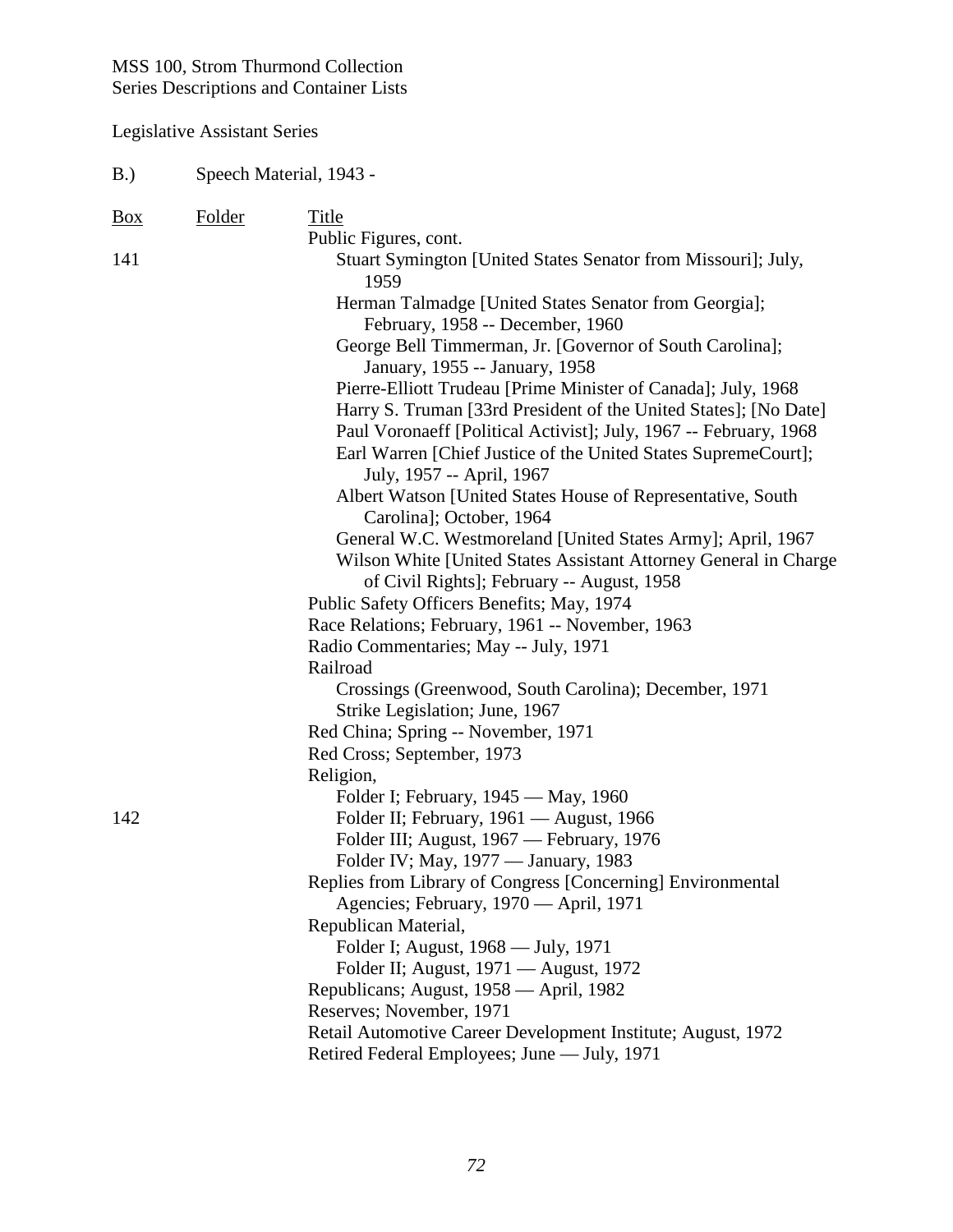| B.)               | Speech Material, 1943 - |                                                                                                                                     |  |
|-------------------|-------------------------|-------------------------------------------------------------------------------------------------------------------------------------|--|
| $\underline{Box}$ | <b>Folder</b>           | Title                                                                                                                               |  |
| 141               |                         | Public Figures, cont.<br>Stuart Symington [United States Senator from Missouri]; July,<br>1959                                      |  |
|                   |                         | Herman Talmadge [United States Senator from Georgia];<br>February, 1958 -- December, 1960                                           |  |
|                   |                         | George Bell Timmerman, Jr. [Governor of South Carolina];<br>January, 1955 -- January, 1958                                          |  |
|                   |                         | Pierre-Elliott Trudeau [Prime Minister of Canada]; July, 1968                                                                       |  |
|                   |                         | Harry S. Truman [33rd President of the United States]; [No Date]                                                                    |  |
|                   |                         | Paul Voronaeff [Political Activist]; July, 1967 -- February, 1968<br>Earl Warren [Chief Justice of the United States SupremeCourt]; |  |
|                   |                         | July, 1957 -- April, 1967                                                                                                           |  |
|                   |                         | Albert Watson [United States House of Representative, South                                                                         |  |
|                   |                         | Carolina]; October, 1964<br>General W.C. Westmoreland [United States Army]; April, 1967                                             |  |
|                   |                         | Wilson White [United States Assistant Attorney General in Charge                                                                    |  |
|                   |                         | of Civil Rights]; February -- August, 1958                                                                                          |  |
|                   |                         | Public Safety Officers Benefits; May, 1974                                                                                          |  |
|                   |                         | Race Relations; February, 1961 -- November, 1963                                                                                    |  |
|                   |                         | Radio Commentaries; May -- July, 1971                                                                                               |  |
|                   |                         | Railroad                                                                                                                            |  |
|                   |                         | Crossings (Greenwood, South Carolina); December, 1971                                                                               |  |
|                   |                         | Strike Legislation; June, 1967                                                                                                      |  |
|                   |                         | Red China; Spring -- November, 1971                                                                                                 |  |
|                   |                         | Red Cross; September, 1973                                                                                                          |  |
|                   |                         | Religion,                                                                                                                           |  |
|                   |                         | Folder I; February, 1945 — May, 1960                                                                                                |  |
| 142               |                         | Folder II; February, 1961 - August, 1966                                                                                            |  |
|                   |                         | Folder III; August, 1967 — February, 1976                                                                                           |  |
|                   |                         | Folder IV; May, 1977 — January, 1983                                                                                                |  |
|                   |                         | Replies from Library of Congress [Concerning] Environmental                                                                         |  |
|                   |                         | Agencies; February, 1970 - April, 1971                                                                                              |  |
|                   |                         | Republican Material,                                                                                                                |  |
|                   |                         | Folder I; August, 1968 — July, 1971                                                                                                 |  |
|                   |                         | Folder II; August, 1971 — August, 1972                                                                                              |  |
|                   |                         | Republicans; August, 1958 — April, 1982<br>Reserves; November, 1971                                                                 |  |
|                   |                         | Retail Automotive Career Development Institute; August, 1972                                                                        |  |
|                   |                         | Retired Federal Employees; June — July, 1971                                                                                        |  |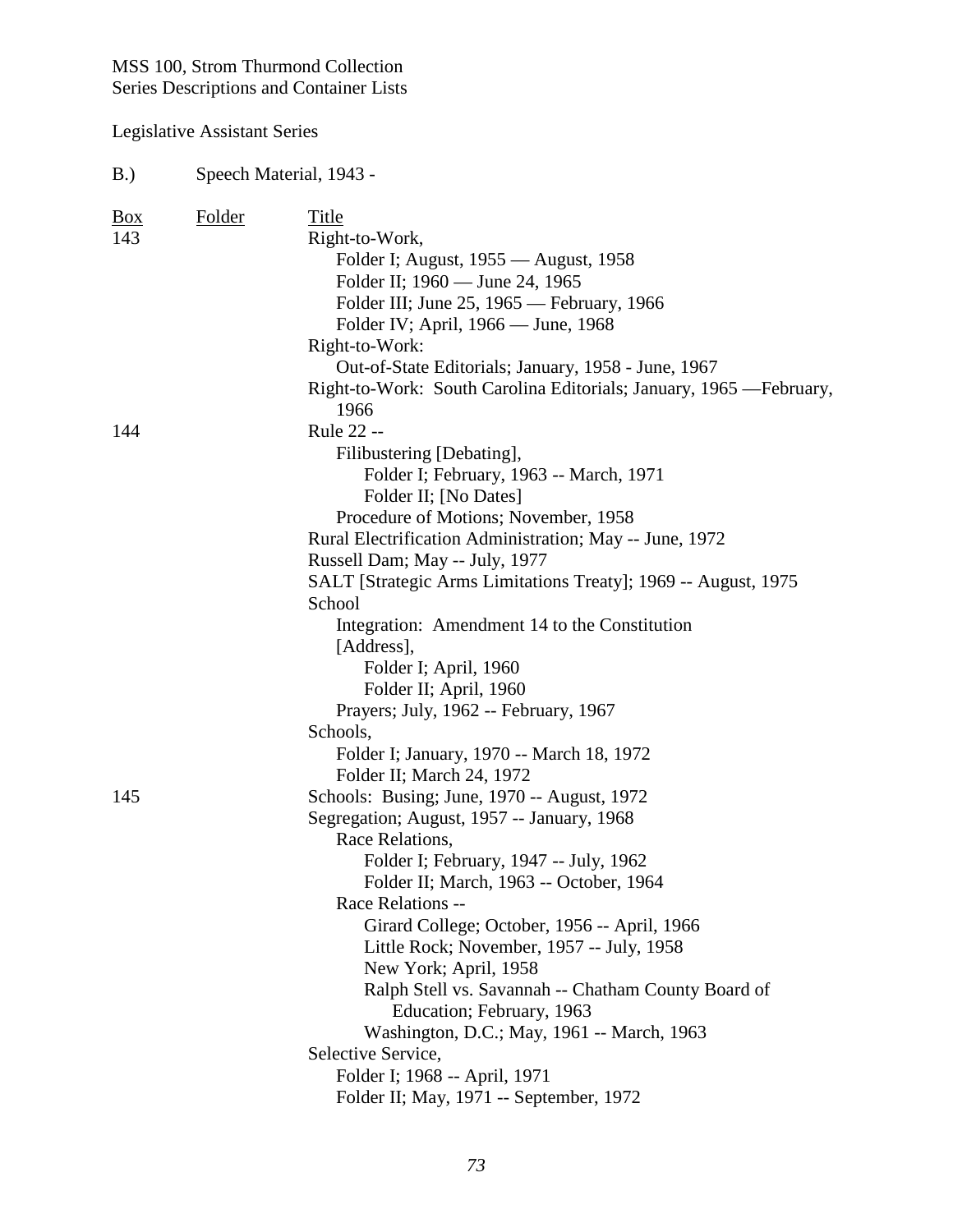| B.)                        | Speech Material, 1943 - |                                                                                                                                                                                                                                                                                                                                                                                                                                                                                                                                                                                                               |  |
|----------------------------|-------------------------|---------------------------------------------------------------------------------------------------------------------------------------------------------------------------------------------------------------------------------------------------------------------------------------------------------------------------------------------------------------------------------------------------------------------------------------------------------------------------------------------------------------------------------------------------------------------------------------------------------------|--|
| $\frac{Box}{angle}$<br>143 | <b>Folder</b>           | Title<br>Right-to-Work,<br>Folder I; August, 1955 — August, 1958<br>Folder II; 1960 — June 24, 1965<br>Folder III; June 25, 1965 — February, 1966<br>Folder IV; April, 1966 — June, 1968<br>Right-to-Work:<br>Out-of-State Editorials; January, 1958 - June, 1967<br>Right-to-Work: South Carolina Editorials; January, 1965 - February,                                                                                                                                                                                                                                                                      |  |
| 144                        |                         | 1966<br>Rule 22 --<br>Filibustering [Debating],<br>Folder I; February, 1963 -- March, 1971<br>Folder II; [No Dates]<br>Procedure of Motions; November, 1958<br>Rural Electrification Administration; May -- June, 1972<br>Russell Dam; May -- July, 1977<br>SALT [Strategic Arms Limitations Treaty]; 1969 -- August, 1975<br>School<br>Integration: Amendment 14 to the Constitution<br>[Address],<br>Folder I; April, 1960<br>Folder II; April, 1960<br>Prayers; July, 1962 -- February, 1967<br>Schools,<br>Folder I; January, 1970 -- March 18, 1972                                                      |  |
| 145                        |                         | Folder II; March 24, 1972<br>Schools: Busing; June, 1970 -- August, 1972<br>Segregation; August, 1957 -- January, 1968<br>Race Relations,<br>Folder I; February, 1947 -- July, 1962<br>Folder II; March, 1963 -- October, 1964<br>Race Relations --<br>Girard College; October, 1956 -- April, 1966<br>Little Rock; November, 1957 -- July, 1958<br>New York; April, 1958<br>Ralph Stell vs. Savannah -- Chatham County Board of<br>Education; February, 1963<br>Washington, D.C.; May, 1961 -- March, 1963<br>Selective Service,<br>Folder I; 1968 -- April, 1971<br>Folder II; May, 1971 -- September, 1972 |  |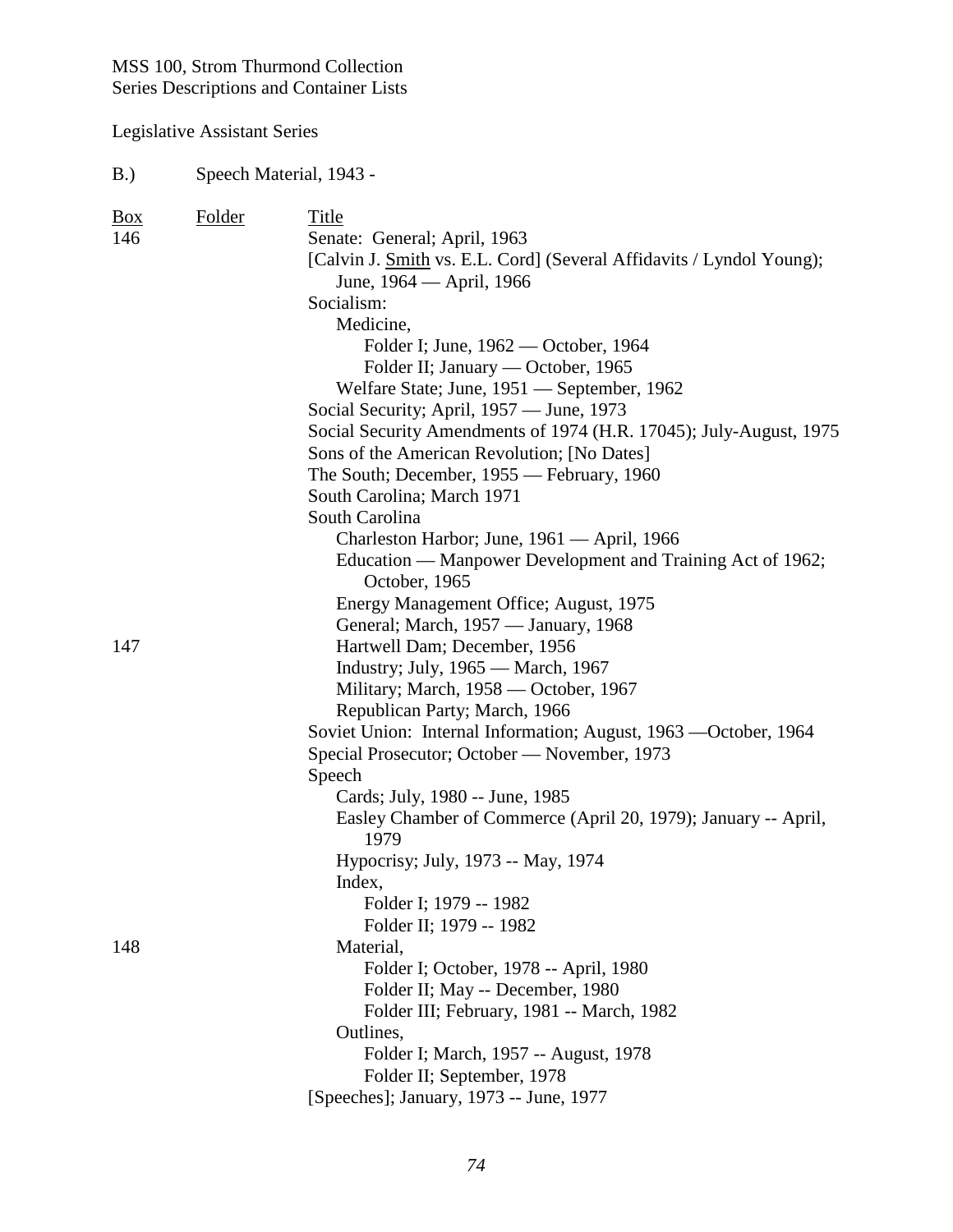# Legislative Assistant Series

# B.) Speech Material, 1943 -

| <b>Box</b> | Folder | Title                                                                |
|------------|--------|----------------------------------------------------------------------|
| 146        |        | Senate: General; April, 1963                                         |
|            |        | [Calvin J. Smith vs. E.L. Cord] (Several Affidavits / Lyndol Young); |
|            |        | June, 1964 — April, 1966                                             |
|            |        | Socialism:                                                           |
|            |        | Medicine,                                                            |
|            |        | Folder I; June, 1962 — October, 1964                                 |
|            |        | Folder II; January — October, 1965                                   |
|            |        | Welfare State; June, 1951 — September, 1962                          |
|            |        | Social Security; April, 1957 — June, 1973                            |
|            |        | Social Security Amendments of 1974 (H.R. 17045); July-August, 1975   |
|            |        | Sons of the American Revolution; [No Dates]                          |
|            |        | The South; December, 1955 - February, 1960                           |
|            |        | South Carolina; March 1971                                           |
|            |        | South Carolina                                                       |
|            |        | Charleston Harbor; June, 1961 — April, 1966                          |
|            |        | Education — Manpower Development and Training Act of 1962;           |
|            |        | October, 1965                                                        |
|            |        | Energy Management Office; August, 1975                               |
|            |        | General; March, 1957 — January, 1968                                 |
| 147        |        | Hartwell Dam; December, 1956                                         |
|            |        | Industry; July, 1965 — March, 1967                                   |
|            |        | Military; March, 1958 — October, 1967                                |
|            |        | Republican Party; March, 1966                                        |
|            |        | Soviet Union: Internal Information; August, 1963 — October, 1964     |
|            |        | Special Prosecutor; October - November, 1973                         |
|            |        | Speech                                                               |
|            |        | Cards; July, 1980 -- June, 1985                                      |
|            |        | Easley Chamber of Commerce (April 20, 1979); January -- April,       |
|            |        | 1979                                                                 |
|            |        | Hypocrisy; July, 1973 -- May, 1974                                   |
|            |        | Index,                                                               |
|            |        | Folder I; 1979 -- 1982                                               |
|            |        | Folder II; 1979 -- 1982                                              |
| 148        |        | Material,                                                            |
|            |        | Folder I; October, 1978 -- April, 1980                               |
|            |        | Folder II; May -- December, 1980                                     |
|            |        | Folder III; February, 1981 -- March, 1982                            |
|            |        | Outlines,                                                            |
|            |        | Folder I; March, 1957 -- August, 1978                                |
|            |        | Folder II; September, 1978                                           |
|            |        | [Speeches]; January, 1973 -- June, 1977                              |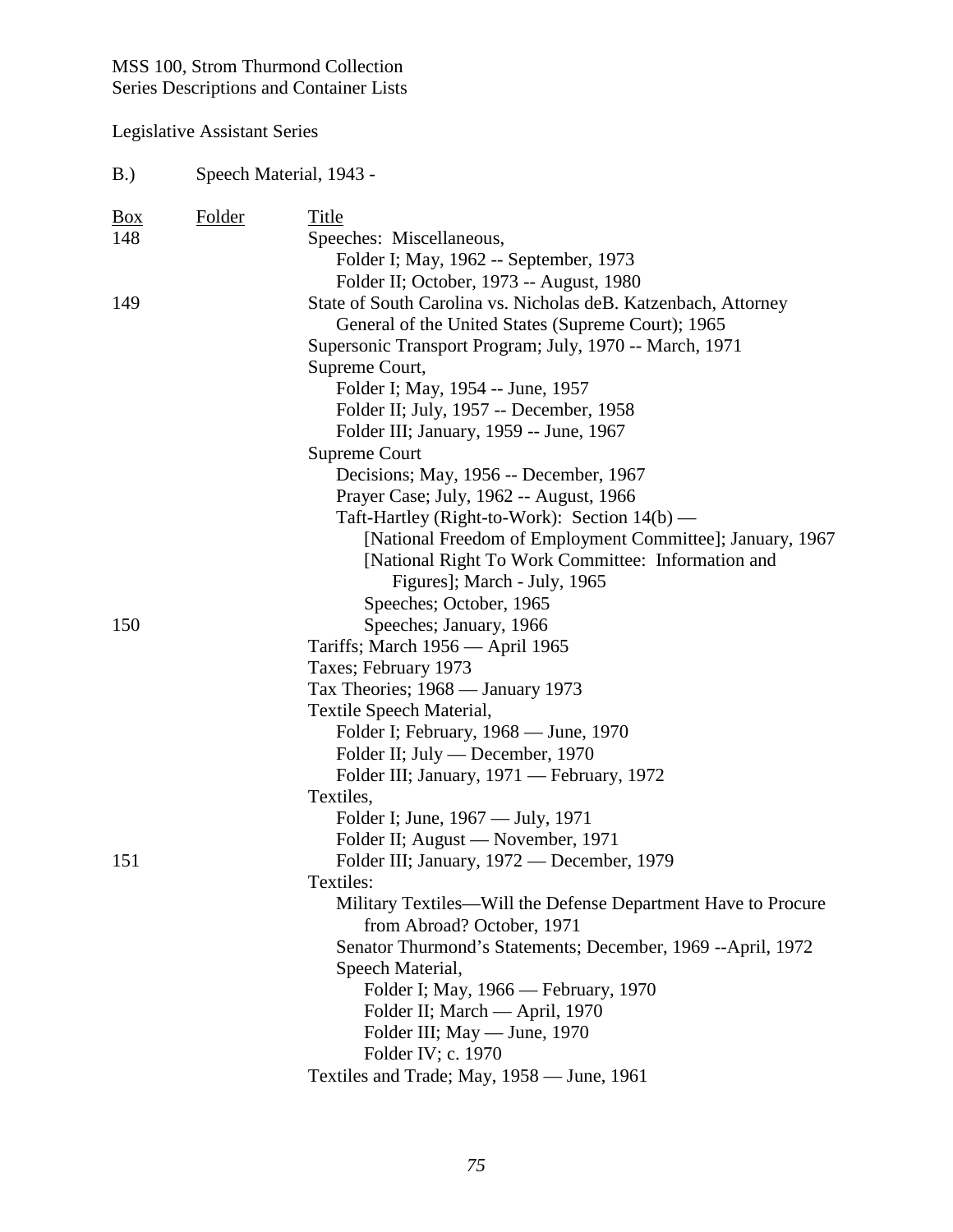| B.)                        | Speech Material, 1943 - |                                                                                                                                                                                                                                                                                                                                                                                                                                                                                                                                                                                                                                        |  |
|----------------------------|-------------------------|----------------------------------------------------------------------------------------------------------------------------------------------------------------------------------------------------------------------------------------------------------------------------------------------------------------------------------------------------------------------------------------------------------------------------------------------------------------------------------------------------------------------------------------------------------------------------------------------------------------------------------------|--|
| $\frac{Box}{angle}$<br>148 | Folder                  | Title<br>Speeches: Miscellaneous,<br>Folder I; May, 1962 -- September, 1973<br>Folder II; October, 1973 -- August, 1980                                                                                                                                                                                                                                                                                                                                                                                                                                                                                                                |  |
| 149                        |                         | State of South Carolina vs. Nicholas deB. Katzenbach, Attorney<br>General of the United States (Supreme Court); 1965<br>Supersonic Transport Program; July, 1970 -- March, 1971<br>Supreme Court,<br>Folder I; May, 1954 -- June, 1957<br>Folder II; July, 1957 -- December, 1958<br>Folder III; January, 1959 -- June, 1967<br>Supreme Court<br>Decisions; May, 1956 -- December, 1967<br>Prayer Case; July, 1962 -- August, 1966<br>Taft-Hartley (Right-to-Work): Section 14(b) —<br>[National Freedom of Employment Committee]; January, 1967<br>[National Right To Work Committee: Information and<br>Figures]; March - July, 1965 |  |
| 150                        |                         | Speeches; October, 1965<br>Speeches; January, 1966<br>Tariffs; March 1956 — April 1965<br>Taxes; February 1973<br>Tax Theories; 1968 — January 1973<br>Textile Speech Material,<br>Folder I; February, 1968 — June, 1970<br>Folder II; July — December, 1970<br>Folder III; January, 1971 — February, 1972<br>Textiles,<br>Folder I; June, 1967 — July, 1971                                                                                                                                                                                                                                                                           |  |
| 151                        |                         | Folder II; August — November, 1971<br>Folder III; January, 1972 — December, 1979<br>Textiles:<br>Military Textiles—Will the Defense Department Have to Procure<br>from Abroad? October, 1971<br>Senator Thurmond's Statements; December, 1969 --April, 1972<br>Speech Material,<br>Folder I; May, 1966 — February, 1970<br>Folder II; March — April, 1970<br>Folder III; May — June, 1970<br>Folder IV; c. 1970<br>Textiles and Trade; May, 1958 — June, 1961                                                                                                                                                                          |  |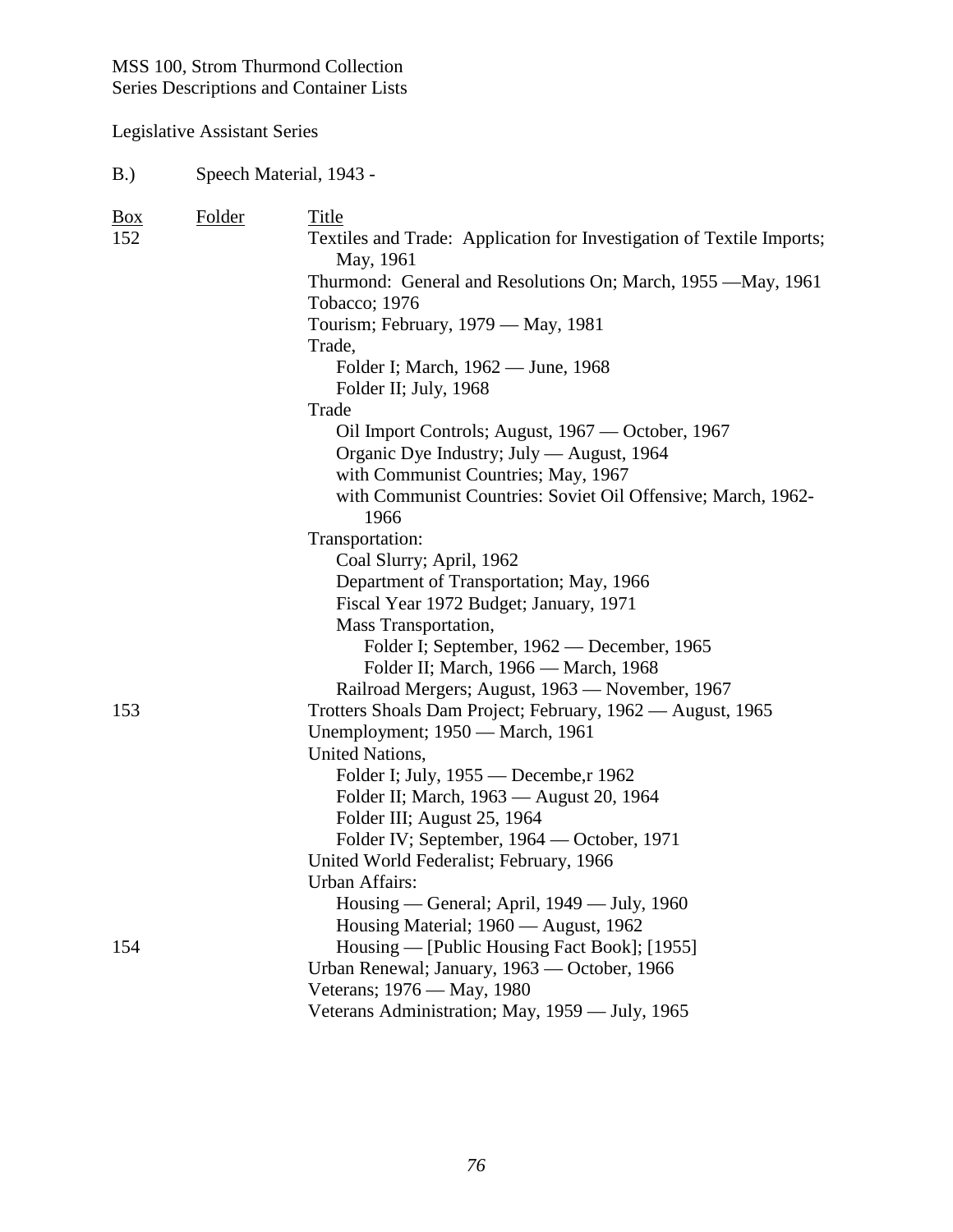| B.) | Speech Material, 1943 - |
|-----|-------------------------|
|-----|-------------------------|

| $\underline{Box}$ | Folder | Title                                                                              |
|-------------------|--------|------------------------------------------------------------------------------------|
| 152               |        | Textiles and Trade: Application for Investigation of Textile Imports;<br>May, 1961 |
|                   |        | Thurmond: General and Resolutions On; March, 1955 - May, 1961                      |
|                   |        | Tobacco; 1976                                                                      |
|                   |        | Tourism; February, 1979 — May, 1981                                                |
|                   |        | Trade,                                                                             |
|                   |        | Folder I; March, 1962 — June, 1968                                                 |
|                   |        | Folder II; July, 1968                                                              |
|                   |        | Trade                                                                              |
|                   |        | Oil Import Controls; August, 1967 — October, 1967                                  |
|                   |        | Organic Dye Industry; July — August, 1964                                          |
|                   |        | with Communist Countries; May, 1967                                                |
|                   |        | with Communist Countries: Soviet Oil Offensive; March, 1962-                       |
|                   |        | 1966                                                                               |
|                   |        | Transportation:                                                                    |
|                   |        | Coal Slurry; April, 1962                                                           |
|                   |        | Department of Transportation; May, 1966                                            |
|                   |        | Fiscal Year 1972 Budget; January, 1971                                             |
|                   |        | Mass Transportation,                                                               |
|                   |        | Folder I; September, 1962 — December, 1965                                         |
|                   |        | Folder II; March, 1966 — March, 1968                                               |
|                   |        | Railroad Mergers; August, 1963 - November, 1967                                    |
| 153               |        | Trotters Shoals Dam Project; February, 1962 — August, 1965                         |
|                   |        | Unemployment; 1950 - March, 1961                                                   |
|                   |        | <b>United Nations,</b>                                                             |
|                   |        | Folder I; July, 1955 — Decembe, r 1962                                             |
|                   |        | Folder II; March, 1963 — August 20, 1964                                           |
|                   |        | Folder III; August 25, 1964                                                        |
|                   |        | Folder IV; September, 1964 — October, 1971                                         |
|                   |        | United World Federalist; February, 1966                                            |
|                   |        | <b>Urban Affairs:</b>                                                              |
|                   |        | Housing — General; April, 1949 — July, 1960                                        |
|                   |        | Housing Material; 1960 — August, 1962                                              |
| 154               |        | Housing — [Public Housing Fact Book]; [1955]                                       |
|                   |        | Urban Renewal; January, 1963 - October, 1966                                       |
|                   |        | Veterans; 1976 — May, 1980                                                         |
|                   |        | Veterans Administration; May, 1959 — July, 1965                                    |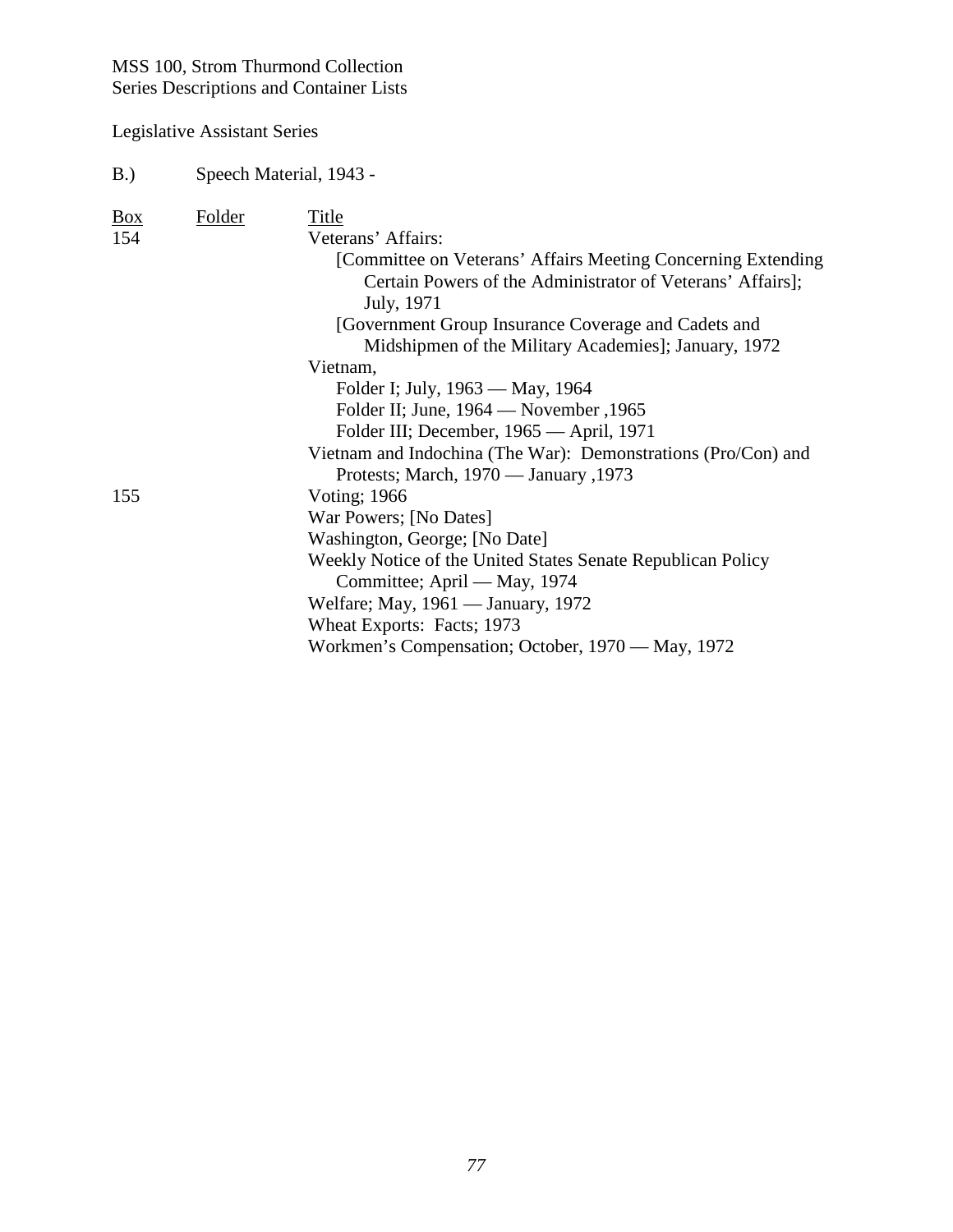| B.)                        | Speech Material, 1943 - |                                                                                                                                                                                                                                                                                                                                                                                                                              |  |
|----------------------------|-------------------------|------------------------------------------------------------------------------------------------------------------------------------------------------------------------------------------------------------------------------------------------------------------------------------------------------------------------------------------------------------------------------------------------------------------------------|--|
| $\frac{Box}{angle}$<br>154 | <b>Folder</b>           | Title<br>Veterans' Affairs:<br>[Committee on Veterans' Affairs Meeting Concerning Extending<br>Certain Powers of the Administrator of Veterans' Affairs];<br>July, 1971<br>[Government Group Insurance Coverage and Cadets and<br>Midshipmen of the Military Academies]; January, 1972<br>Vietnam,<br>Folder I; July, 1963 — May, 1964<br>Folder II; June, 1964 — November, 1965<br>Folder III; December, 1965 — April, 1971 |  |
| 155                        |                         | Vietnam and Indochina (The War): Demonstrations (Pro/Con) and<br>Protests; March, 1970 — January, 1973<br><b>Voting</b> ; 1966<br>War Powers; [No Dates]<br>Washington, George; [No Date]<br>Weekly Notice of the United States Senate Republican Policy<br>Committee; April — May, 1974<br>Welfare; May, 1961 — January, 1972<br>Wheat Exports: Facts; 1973<br>Workmen's Compensation; October, 1970 — May, 1972            |  |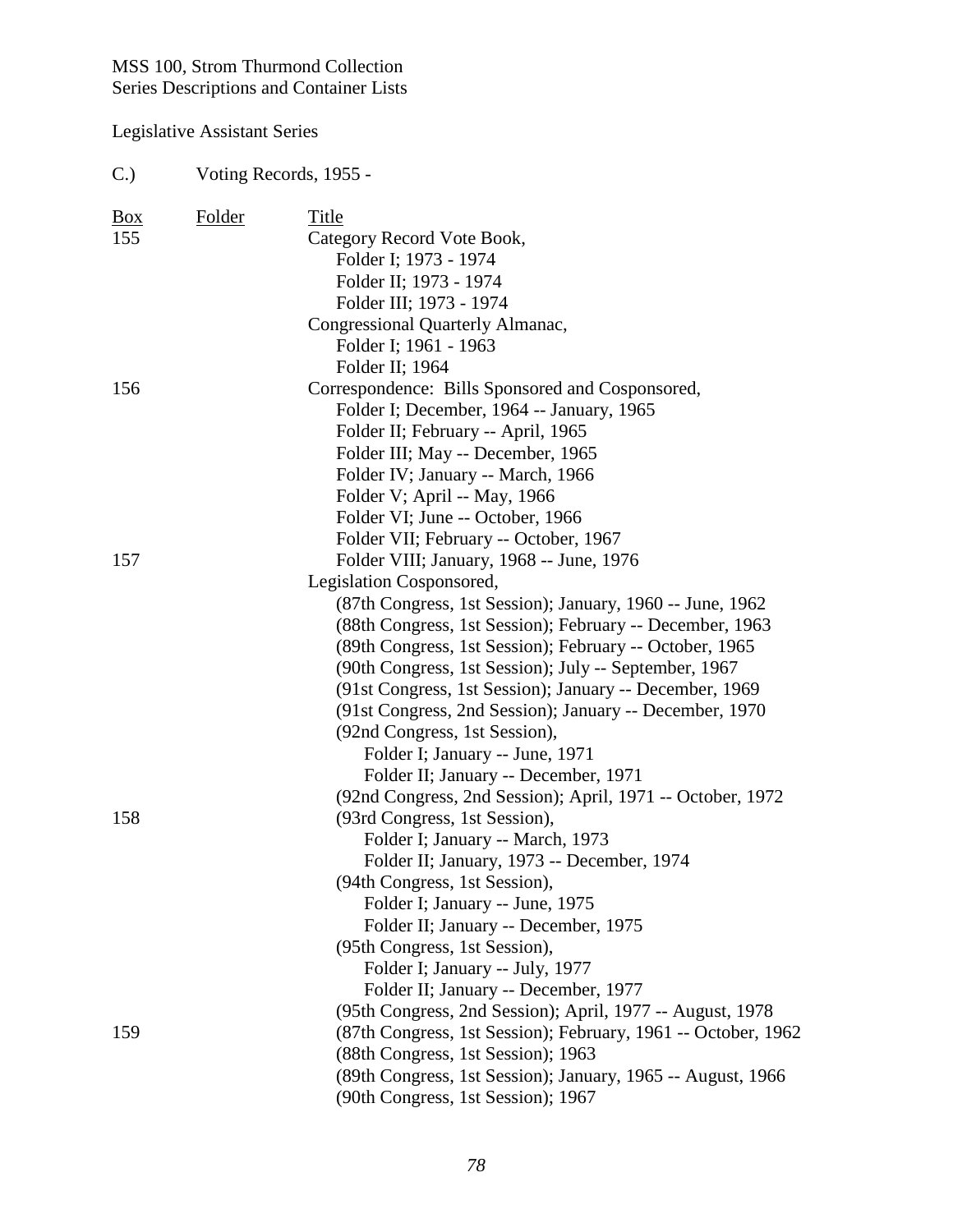| $C$ .)     |        | Voting Records, 1955 -                                        |
|------------|--------|---------------------------------------------------------------|
| <b>Box</b> | Folder | Title                                                         |
| 155        |        | Category Record Vote Book,                                    |
|            |        | Folder I; 1973 - 1974                                         |
|            |        | Folder II; 1973 - 1974                                        |
|            |        | Folder III; 1973 - 1974                                       |
|            |        | Congressional Quarterly Almanac,                              |
|            |        | Folder I; 1961 - 1963                                         |
|            |        | Folder II; 1964                                               |
| 156        |        | Correspondence: Bills Sponsored and Cosponsored,              |
|            |        | Folder I; December, 1964 -- January, 1965                     |
|            |        | Folder II; February -- April, 1965                            |
|            |        | Folder III; May -- December, 1965                             |
|            |        | Folder IV; January -- March, 1966                             |
|            |        | Folder V; April -- May, 1966                                  |
|            |        | Folder VI; June -- October, 1966                              |
|            |        | Folder VII; February -- October, 1967                         |
| 157        |        | Folder VIII; January, 1968 -- June, 1976                      |
|            |        | Legislation Cosponsored,                                      |
|            |        | (87th Congress, 1st Session); January, 1960 -- June, 1962     |
|            |        | (88th Congress, 1st Session); February -- December, 1963      |
|            |        | (89th Congress, 1st Session); February -- October, 1965       |
|            |        | (90th Congress, 1st Session); July -- September, 1967         |
|            |        | (91st Congress, 1st Session); January -- December, 1969       |
|            |        | (91st Congress, 2nd Session); January -- December, 1970       |
|            |        | (92nd Congress, 1st Session),                                 |
|            |        | Folder I; January -- June, 1971                               |
|            |        | Folder II; January -- December, 1971                          |
|            |        | (92nd Congress, 2nd Session); April, 1971 -- October, 1972    |
| 158        |        | (93rd Congress, 1st Session),                                 |
|            |        | Folder I; January -- March, 1973                              |
|            |        | Folder II; January, 1973 -- December, 1974                    |
|            |        | (94th Congress, 1st Session),                                 |
|            |        | Folder I; January -- June, 1975                               |
|            |        | Folder II; January -- December, 1975                          |
|            |        | (95th Congress, 1st Session),                                 |
|            |        | Folder I; January -- July, 1977                               |
|            |        | Folder II; January -- December, 1977                          |
|            |        | (95th Congress, 2nd Session); April, 1977 -- August, 1978     |
| 159        |        | (87th Congress, 1st Session); February, 1961 -- October, 1962 |
|            |        | (88th Congress, 1st Session); 1963                            |
|            |        | (89th Congress, 1st Session); January, 1965 -- August, 1966   |
|            |        | (90th Congress, 1st Session); 1967                            |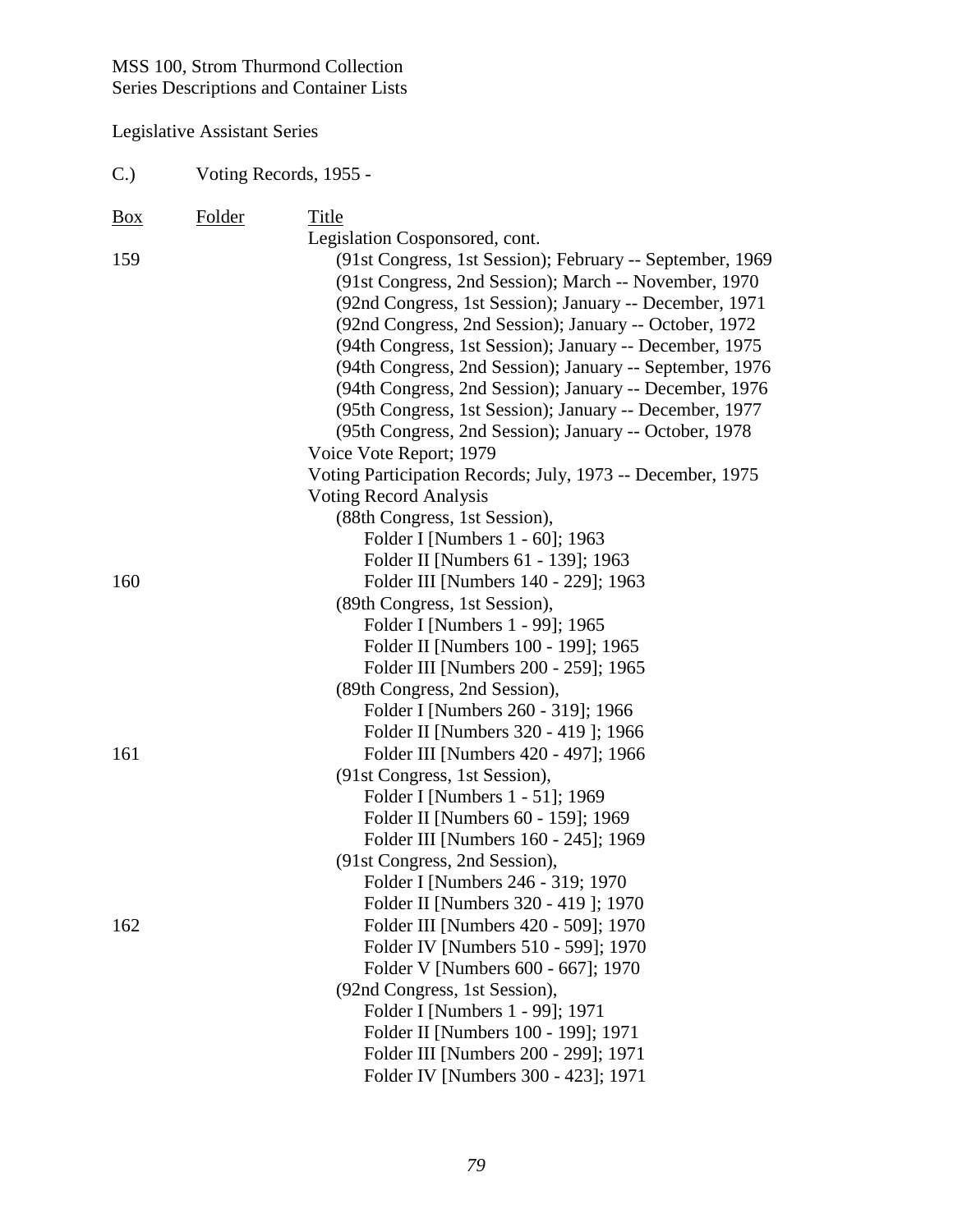| C. | Voting Records, 1955 - |  |
|----|------------------------|--|
|    |                        |  |

| <b>Box</b> | Folder | Title                                                                       |
|------------|--------|-----------------------------------------------------------------------------|
|            |        | Legislation Cosponsored, cont.                                              |
| 159        |        | (91st Congress, 1st Session); February -- September, 1969                   |
|            |        | (91st Congress, 2nd Session); March -- November, 1970                       |
|            |        | (92nd Congress, 1st Session); January -- December, 1971                     |
|            |        | (92nd Congress, 2nd Session); January -- October, 1972                      |
|            |        | (94th Congress, 1st Session); January -- December, 1975                     |
|            |        | (94th Congress, 2nd Session); January -- September, 1976                    |
|            |        | (94th Congress, 2nd Session); January -- December, 1976                     |
|            |        | (95th Congress, 1st Session); January -- December, 1977                     |
|            |        | (95th Congress, 2nd Session); January -- October, 1978                      |
|            |        | Voice Vote Report; 1979                                                     |
|            |        | Voting Participation Records; July, 1973 -- December, 1975                  |
|            |        | <b>Voting Record Analysis</b>                                               |
|            |        | (88th Congress, 1st Session),                                               |
|            |        | Folder I [Numbers 1 - 60]; 1963                                             |
|            |        | Folder II [Numbers 61 - 139]; 1963                                          |
| 160        |        | Folder III [Numbers 140 - 229]; 1963                                        |
|            |        | (89th Congress, 1st Session),                                               |
|            |        | Folder I [Numbers 1 - 99]; 1965                                             |
|            |        | Folder II [Numbers 100 - 199]; 1965                                         |
|            |        | Folder III [Numbers 200 - 259]; 1965                                        |
|            |        | (89th Congress, 2nd Session),                                               |
|            |        | Folder I [Numbers 260 - 319]; 1966                                          |
|            |        | Folder II [Numbers 320 - 419]; 1966                                         |
| 161        |        | Folder III [Numbers 420 - 497]; 1966                                        |
|            |        | (91st Congress, 1st Session),                                               |
|            |        | Folder I [Numbers 1 - 51]; 1969                                             |
|            |        | Folder II [Numbers 60 - 159]; 1969                                          |
|            |        | Folder III [Numbers 160 - 245]; 1969                                        |
|            |        | (91st Congress, 2nd Session),                                               |
|            |        | Folder I [Numbers 246 - 319; 1970                                           |
| 162        |        | Folder II [Numbers 320 - 419]; 1970                                         |
|            |        | Folder III [Numbers 420 - 509]; 1970<br>Folder IV [Numbers 510 - 599]; 1970 |
|            |        | Folder V [Numbers 600 - 667]; 1970                                          |
|            |        | (92nd Congress, 1st Session),                                               |
|            |        | Folder I [Numbers 1 - 99]; 1971                                             |
|            |        | Folder II [Numbers 100 - 199]; 1971                                         |
|            |        | Folder III [Numbers 200 - 299]; 1971                                        |
|            |        | Folder IV [Numbers 300 - 423]; 1971                                         |
|            |        |                                                                             |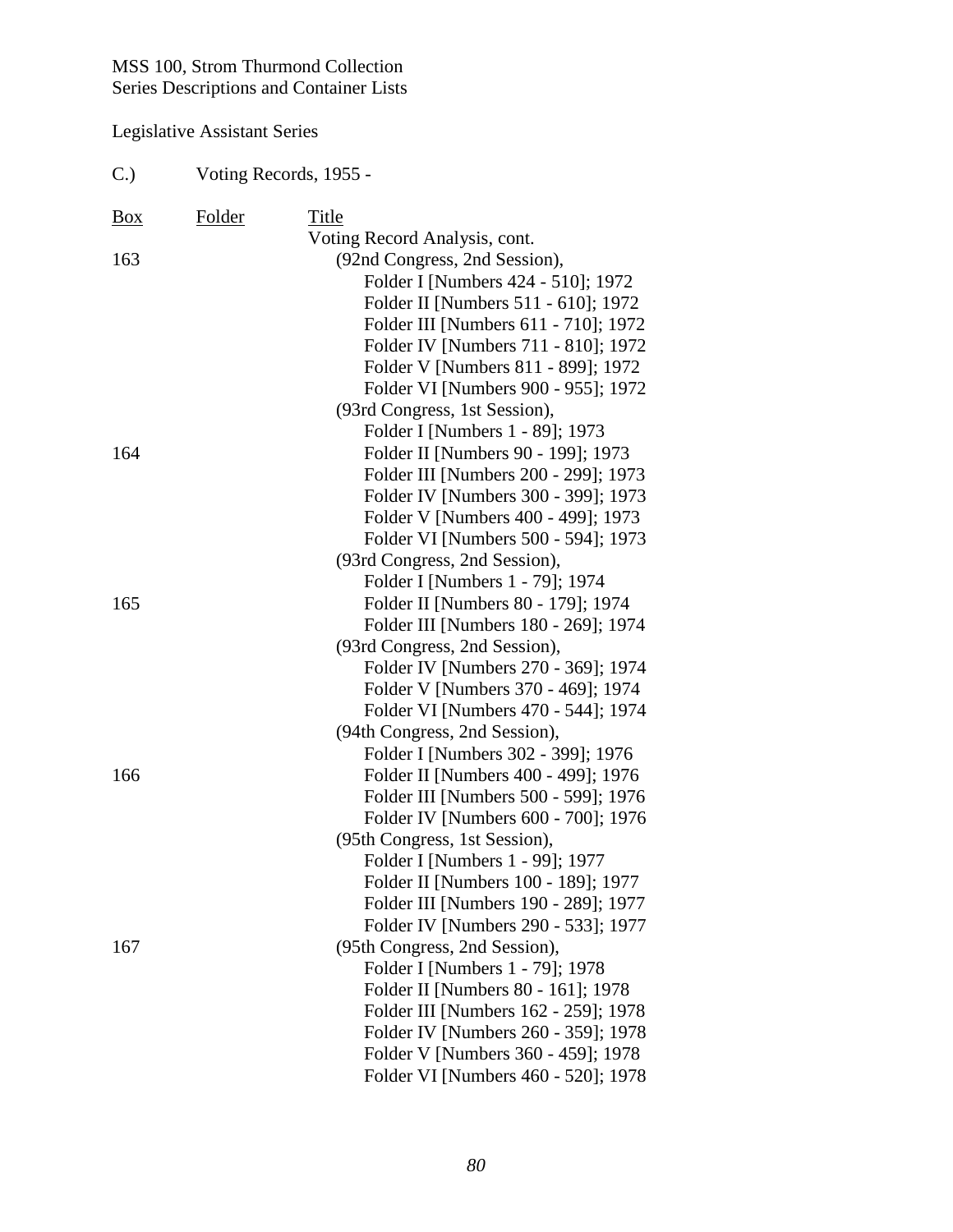| $C$ .)     | Voting Records, 1955 - |                                                                     |
|------------|------------------------|---------------------------------------------------------------------|
| <u>Box</u> | Folder                 | Title                                                               |
|            |                        | Voting Record Analysis, cont.                                       |
| 163        |                        | (92nd Congress, 2nd Session),                                       |
|            |                        | Folder I [Numbers 424 - 510]; 1972                                  |
|            |                        | Folder II [Numbers 511 - 610]; 1972                                 |
|            |                        | Folder III [Numbers 611 - 710]; 1972                                |
|            |                        | Folder IV [Numbers 711 - 810]; 1972                                 |
|            |                        | Folder V [Numbers 811 - 899]; 1972                                  |
|            |                        | Folder VI [Numbers 900 - 955]; 1972                                 |
|            |                        | (93rd Congress, 1st Session),                                       |
|            |                        | Folder I [Numbers 1 - 89]; 1973                                     |
| 164        |                        | Folder II [Numbers 90 - 199]; 1973                                  |
|            |                        | Folder III [Numbers 200 - 299]; 1973                                |
|            |                        | Folder IV [Numbers 300 - 399]; 1973                                 |
|            |                        | Folder V [Numbers 400 - 499]; 1973                                  |
|            |                        | Folder VI [Numbers 500 - 594]; 1973                                 |
|            |                        | (93rd Congress, 2nd Session),                                       |
|            |                        | Folder I [Numbers 1 - 79]; 1974                                     |
| 165        |                        | Folder II [Numbers 80 - 179]; 1974                                  |
|            |                        | Folder III [Numbers 180 - 269]; 1974                                |
|            |                        | (93rd Congress, 2nd Session),                                       |
|            |                        | Folder IV [Numbers 270 - 369]; 1974                                 |
|            |                        | Folder V [Numbers 370 - 469]; 1974                                  |
|            |                        | Folder VI [Numbers 470 - 544]; 1974                                 |
|            |                        | (94th Congress, 2nd Session),<br>Folder I [Numbers 302 - 399]; 1976 |
| 166        |                        | Folder II [Numbers 400 - 499]; 1976                                 |
|            |                        | Folder III [Numbers 500 - 599]; 1976                                |
|            |                        | Folder IV [Numbers 600 - 700]; 1976                                 |
|            |                        | (95th Congress, 1st Session),                                       |
|            |                        | Folder I [Numbers 1 - 99]; 1977                                     |
|            |                        | Folder II [Numbers 100 - 189]; 1977                                 |
|            |                        | Folder III [Numbers 190 - 289]; 1977                                |
|            |                        | Folder IV [Numbers 290 - 533]; 1977                                 |
| 167        |                        | (95th Congress, 2nd Session),                                       |
|            |                        | Folder I [Numbers 1 - 79]; 1978                                     |
|            |                        | Folder II [Numbers 80 - 161]; 1978                                  |
|            |                        | Folder III [Numbers 162 - 259]; 1978                                |
|            |                        | Folder IV [Numbers 260 - 359]; 1978                                 |
|            |                        | Folder V [Numbers 360 - 459]; 1978                                  |
|            |                        | Folder VI [Numbers 460 - 520]; 1978                                 |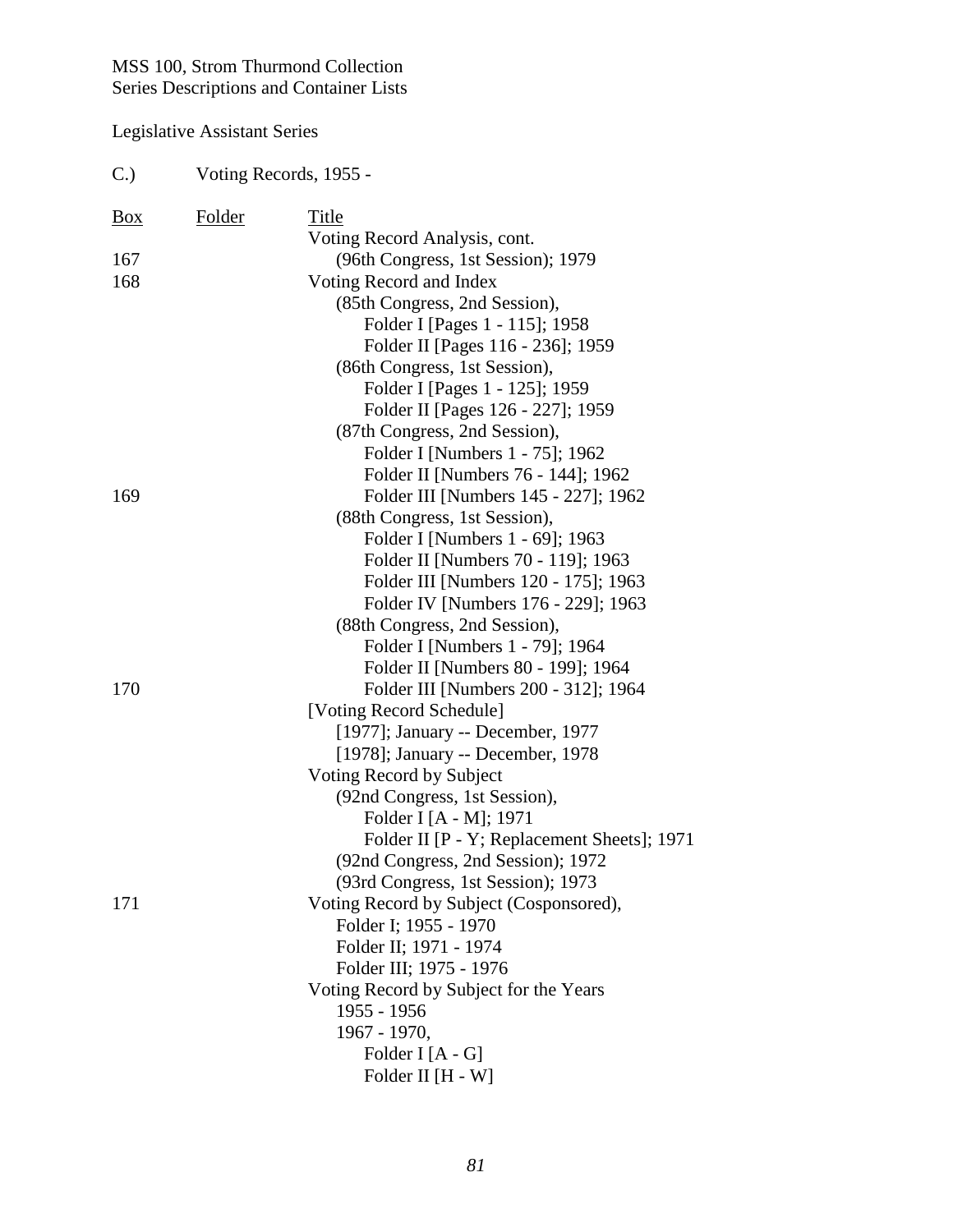| $C$ .)         | Voting Records, 1955 - |                                                                    |  |
|----------------|------------------------|--------------------------------------------------------------------|--|
| $\frac{Box}{}$ | <b>Folder</b>          | Title                                                              |  |
|                |                        | Voting Record Analysis, cont.                                      |  |
| 167            |                        | (96th Congress, 1st Session); 1979                                 |  |
| 168            |                        | Voting Record and Index                                            |  |
|                |                        | (85th Congress, 2nd Session),                                      |  |
|                |                        | Folder I [Pages 1 - 115]; 1958                                     |  |
|                |                        | Folder II [Pages 116 - 236]; 1959                                  |  |
|                |                        | (86th Congress, 1st Session),                                      |  |
|                |                        | Folder I [Pages 1 - 125]; 1959                                     |  |
|                |                        | Folder II [Pages 126 - 227]; 1959<br>(87th Congress, 2nd Session), |  |
|                |                        | Folder I [Numbers 1 - 75]; 1962                                    |  |
|                |                        | Folder II [Numbers 76 - 144]; 1962                                 |  |
| 169            |                        | Folder III [Numbers 145 - 227]; 1962                               |  |
|                |                        | (88th Congress, 1st Session),                                      |  |
|                |                        | Folder I [Numbers 1 - 69]; 1963                                    |  |
|                |                        | Folder II [Numbers 70 - 119]; 1963                                 |  |
|                |                        | Folder III [Numbers 120 - 175]; 1963                               |  |
|                |                        | Folder IV [Numbers 176 - 229]; 1963                                |  |
|                |                        | (88th Congress, 2nd Session),                                      |  |
|                |                        | Folder I [Numbers 1 - 79]; 1964                                    |  |
|                |                        | Folder II [Numbers 80 - 199]; 1964                                 |  |
| 170            |                        | Folder III [Numbers 200 - 312]; 1964                               |  |
|                |                        | [Voting Record Schedule]                                           |  |
|                |                        | [1977]; January -- December, 1977                                  |  |
|                |                        | [1978]; January -- December, 1978                                  |  |
|                |                        | Voting Record by Subject                                           |  |
|                |                        | (92nd Congress, 1st Session),                                      |  |
|                |                        | Folder I [A - M]; 1971                                             |  |
|                |                        | Folder II [P - Y; Replacement Sheets]; 1971                        |  |
|                |                        | (92nd Congress, 2nd Session); 1972                                 |  |
|                |                        | (93rd Congress, 1st Session); 1973                                 |  |
| 171            |                        | Voting Record by Subject (Cosponsored),                            |  |
|                |                        | Folder I; 1955 - 1970                                              |  |
|                |                        | Folder II; 1971 - 1974                                             |  |
|                |                        | Folder III; 1975 - 1976                                            |  |
|                |                        | Voting Record by Subject for the Years                             |  |
|                |                        | 1955 - 1956                                                        |  |
|                |                        | 1967 - 1970,                                                       |  |
|                |                        | Folder I $[A - G]$                                                 |  |
|                |                        | Folder II [H - W]                                                  |  |